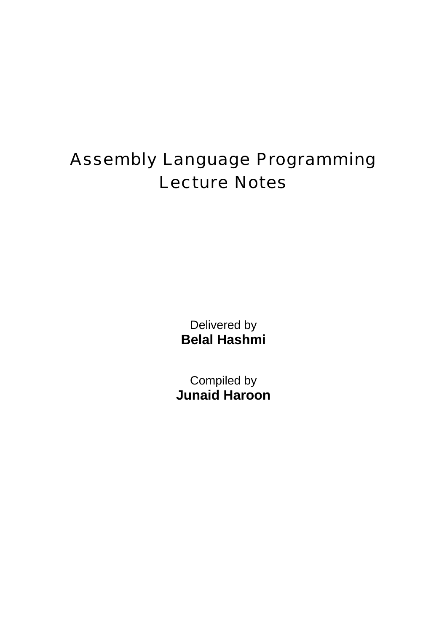## Assembly Language Programming Lecture Notes

Delivered by **Belal Hashmi** 

Compiled by **Junaid Haroon**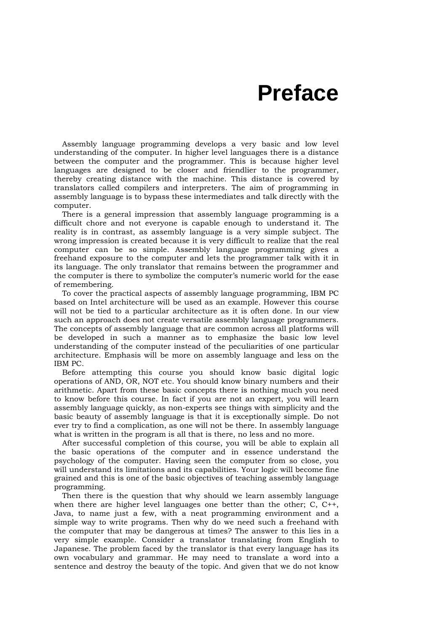## **Preface**

Assembly language programming develops a very basic and low level understanding of the computer. In higher level languages there is a distance between the computer and the programmer. This is because higher level languages are designed to be closer and friendlier to the programmer, thereby creating distance with the machine. This distance is covered by translators called compilers and interpreters. The aim of programming in assembly language is to bypass these intermediates and talk directly with the computer.

There is a general impression that assembly language programming is a difficult chore and not everyone is capable enough to understand it. The reality is in contrast, as assembly language is a very simple subject. The wrong impression is created because it is very difficult to realize that the real computer can be so simple. Assembly language programming gives a freehand exposure to the computer and lets the programmer talk with it in its language. The only translator that remains between the programmer and the computer is there to symbolize the computer's numeric world for the ease of remembering.

To cover the practical aspects of assembly language programming, IBM PC based on Intel architecture will be used as an example. However this course will not be tied to a particular architecture as it is often done. In our view such an approach does not create versatile assembly language programmers. The concepts of assembly language that are common across all platforms will be developed in such a manner as to emphasize the basic low level understanding of the computer instead of the peculiarities of one particular architecture. Emphasis will be more on assembly language and less on the IBM PC.

Before attempting this course you should know basic digital logic operations of AND, OR, NOT etc. You should know binary numbers and their arithmetic. Apart from these basic concepts there is nothing much you need to know before this course. In fact if you are not an expert, you will learn assembly language quickly, as non-experts see things with simplicity and the basic beauty of assembly language is that it is exceptionally simple. Do not ever try to find a complication, as one will not be there. In assembly language what is written in the program is all that is there, no less and no more.

After successful completion of this course, you will be able to explain all the basic operations of the computer and in essence understand the psychology of the computer. Having seen the computer from so close, you will understand its limitations and its capabilities. Your logic will become fine grained and this is one of the basic objectives of teaching assembly language programming.

Then there is the question that why should we learn assembly language when there are higher level languages one better than the other; C, C++, Java, to name just a few, with a neat programming environment and a simple way to write programs. Then why do we need such a freehand with the computer that may be dangerous at times? The answer to this lies in a very simple example. Consider a translator translating from English to Japanese. The problem faced by the translator is that every language has its own vocabulary and grammar. He may need to translate a word into a sentence and destroy the beauty of the topic. And given that we do not know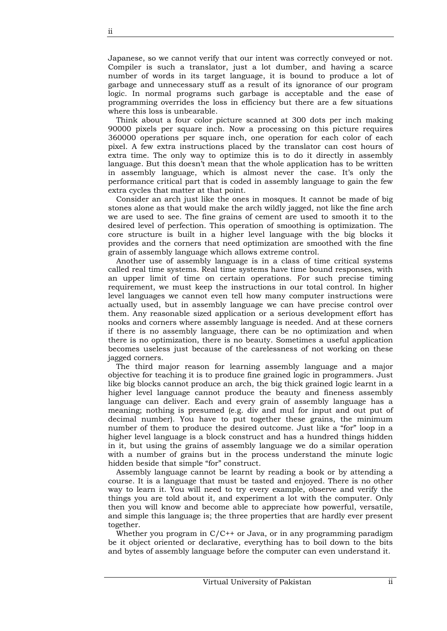Japanese, so we cannot verify that our intent was correctly conveyed or not. Compiler is such a translator, just a lot dumber, and having a scarce number of words in its target language, it is bound to produce a lot of garbage and unnecessary stuff as a result of its ignorance of our program logic. In normal programs such garbage is acceptable and the ease of programming overrides the loss in efficiency but there are a few situations where this loss is unbearable.

Think about a four color picture scanned at 300 dots per inch making 90000 pixels per square inch. Now a processing on this picture requires 360000 operations per square inch, one operation for each color of each pixel. A few extra instructions placed by the translator can cost hours of extra time. The only way to optimize this is to do it directly in assembly language. But this doesn't mean that the whole application has to be written in assembly language, which is almost never the case. It's only the performance critical part that is coded in assembly language to gain the few extra cycles that matter at that point.

Consider an arch just like the ones in mosques. It cannot be made of big stones alone as that would make the arch wildly jagged, not like the fine arch we are used to see. The fine grains of cement are used to smooth it to the desired level of perfection. This operation of smoothing is optimization. The core structure is built in a higher level language with the big blocks it provides and the corners that need optimization are smoothed with the fine grain of assembly language which allows extreme control.

Another use of assembly language is in a class of time critical systems called real time systems. Real time systems have time bound responses, with an upper limit of time on certain operations. For such precise timing requirement, we must keep the instructions in our total control. In higher level languages we cannot even tell how many computer instructions were actually used, but in assembly language we can have precise control over them. Any reasonable sized application or a serious development effort has nooks and corners where assembly language is needed. And at these corners if there is no assembly language, there can be no optimization and when there is no optimization, there is no beauty. Sometimes a useful application becomes useless just because of the carelessness of not working on these jagged corners.

The third major reason for learning assembly language and a major objective for teaching it is to produce fine grained logic in programmers. Just like big blocks cannot produce an arch, the big thick grained logic learnt in a higher level language cannot produce the beauty and fineness assembly language can deliver. Each and every grain of assembly language has a meaning; nothing is presumed (e.g. div and mul for input and out put of decimal number). You have to put together these grains, the minimum number of them to produce the desired outcome. Just like a "for" loop in a higher level language is a block construct and has a hundred things hidden in it, but using the grains of assembly language we do a similar operation with a number of grains but in the process understand the minute logic hidden beside that simple "for" construct.

Assembly language cannot be learnt by reading a book or by attending a course. It is a language that must be tasted and enjoyed. There is no other way to learn it. You will need to try every example, observe and verify the things you are told about it, and experiment a lot with the computer. Only then you will know and become able to appreciate how powerful, versatile, and simple this language is; the three properties that are hardly ever present together.

Whether you program in  $C/C^{++}$  or Java, or in any programming paradigm be it object oriented or declarative, everything has to boil down to the bits and bytes of assembly language before the computer can even understand it.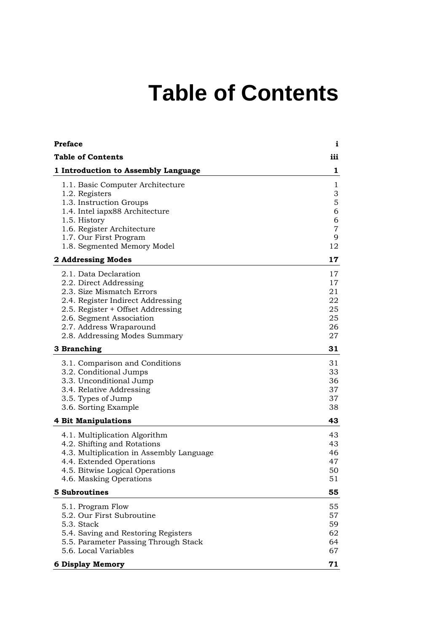## **Table of Contents**

<span id="page-4-0"></span>

| <b>Preface</b>                                                                                                                                                                                                                                 | i                                                  |
|------------------------------------------------------------------------------------------------------------------------------------------------------------------------------------------------------------------------------------------------|----------------------------------------------------|
| <b>Table of Contents</b>                                                                                                                                                                                                                       | iii                                                |
| 1 Introduction to Assembly Language                                                                                                                                                                                                            | 1                                                  |
| 1.1. Basic Computer Architecture<br>1.2. Registers<br>1.3. Instruction Groups<br>1.4. Intel iapx88 Architecture<br>1.5. History<br>1.6. Register Architecture<br>1.7. Our First Program<br>1.8. Segmented Memory Model                         | 1<br>3<br>5<br>6<br>6<br>$\overline{7}$<br>9<br>12 |
| 2 Addressing Modes                                                                                                                                                                                                                             | 17                                                 |
| 2.1. Data Declaration<br>2.2. Direct Addressing<br>2.3. Size Mismatch Errors<br>2.4. Register Indirect Addressing<br>2.5. Register + Offset Addressing<br>2.6. Segment Association<br>2.7. Address Wraparound<br>2.8. Addressing Modes Summary | 17<br>17<br>21<br>22<br>25<br>25<br>26<br>27       |
| 3 Branching                                                                                                                                                                                                                                    | 31                                                 |
| 3.1. Comparison and Conditions<br>3.2. Conditional Jumps<br>3.3. Unconditional Jump<br>3.4. Relative Addressing<br>3.5. Types of Jump<br>3.6. Sorting Example                                                                                  | 31<br>33<br>36<br>37<br>37<br>38                   |
| <b>4 Bit Manipulations</b>                                                                                                                                                                                                                     | 43                                                 |
| 4.1. Multiplication Algorithm<br>4.2. Shifting and Rotations<br>4.3. Multiplication in Assembly Language<br>4.4. Extended Operations<br>4.5. Bitwise Logical Operations<br>4.6. Masking Operations                                             | 43<br>43<br>46<br>47<br>50<br>51                   |
| <b>5 Subroutines</b>                                                                                                                                                                                                                           | 55                                                 |
| 5.1. Program Flow<br>5.2. Our First Subroutine<br>5.3. Stack<br>5.4. Saving and Restoring Registers<br>5.5. Parameter Passing Through Stack<br>5.6. Local Variables                                                                            | 55<br>57<br>59<br>62<br>64<br>67                   |
| <b>6 Display Memory</b>                                                                                                                                                                                                                        | 71                                                 |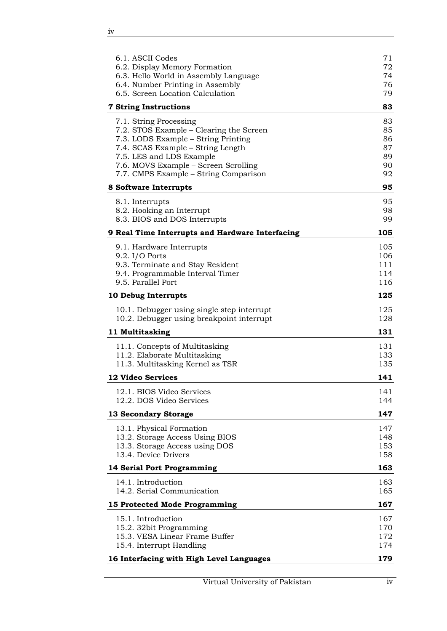| 6.1. ASCII Codes<br>6.2. Display Memory Formation                                       | 71<br>72   |
|-----------------------------------------------------------------------------------------|------------|
| 6.3. Hello World in Assembly Language<br>6.4. Number Printing in Assembly               | 74<br>76   |
| 6.5. Screen Location Calculation                                                        | 79         |
| <b>7 String Instructions</b>                                                            | 83         |
| 7.1. String Processing                                                                  | 83         |
| 7.2. STOS Example – Clearing the Screen                                                 | 85         |
| 7.3. LODS Example – String Printing<br>7.4. SCAS Example – String Length                | 86<br>87   |
| 7.5. LES and LDS Example                                                                | 89         |
| 7.6. MOVS Example - Screen Scrolling                                                    | 90         |
| 7.7. CMPS Example – String Comparison                                                   | 92         |
| 8 Software Interrupts                                                                   | 95         |
| 8.1. Interrupts                                                                         | 95         |
| 8.2. Hooking an Interrupt<br>8.3. BIOS and DOS Interrupts                               | 98<br>99   |
|                                                                                         |            |
| 9 Real Time Interrupts and Hardware Interfacing                                         | 105        |
| 9.1. Hardware Interrupts<br>$9.2.$ I/O Ports                                            | 105<br>106 |
| 9.3. Terminate and Stay Resident                                                        | 111        |
| 9.4. Programmable Interval Timer                                                        | 114        |
| 9.5. Parallel Port                                                                      | 116        |
| 10 Debug Interrupts                                                                     | 125        |
| 10.1. Debugger using single step interrupt<br>10.2. Debugger using breakpoint interrupt | 125<br>128 |
| 11 Multitasking                                                                         | 131        |
| 11.1. Concepts of Multitasking                                                          | 131        |
| 11.2. Elaborate Multitasking                                                            | 133        |
| 11.3. Multitasking Kernel as TSR                                                        | 135        |
| <b>12 Video Services</b>                                                                | 141        |
| 12.1. BIOS Video Services                                                               | 141        |
| 12.2. DOS Video Services                                                                | 144        |
| 13 Secondary Storage                                                                    | 147        |
| 13.1. Physical Formation                                                                | 147        |
| 13.2. Storage Access Using BIOS<br>13.3. Storage Access using DOS                       | 148<br>153 |
| 13.4. Device Drivers                                                                    | 158        |
| 14 Serial Port Programming                                                              | 163        |
| 14.1. Introduction                                                                      | 163        |
| 14.2. Serial Communication                                                              | 165        |
| 15 Protected Mode Programming                                                           | 167        |
| 15.1. Introduction                                                                      | 167        |
| 15.2. 32bit Programming                                                                 | 170        |
| 15.3. VESA Linear Frame Buffer<br>15.4. Interrupt Handling                              | 172<br>174 |
|                                                                                         | 179        |
| 16 Interfacing with High Level Languages                                                |            |

<u> 1989 - Johann Barn, mars eta bainar e</u>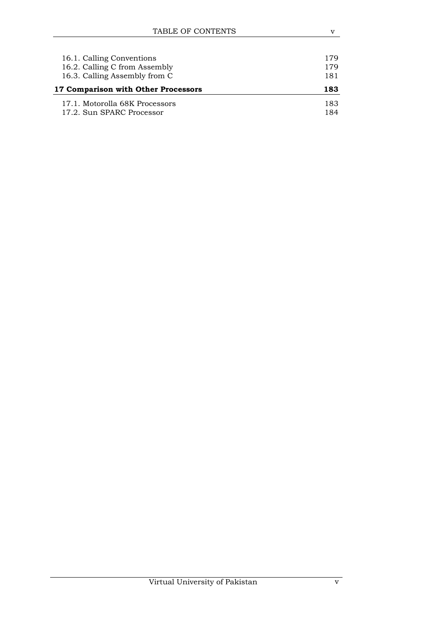| 16.1. Calling Conventions<br>16.2. Calling C from Assembly<br>16.3. Calling Assembly from C | 179<br>179<br>181 |
|---------------------------------------------------------------------------------------------|-------------------|
| 17 Comparison with Other Processors                                                         | 183               |
| 17.1. Motorolla 68K Processors                                                              | 183               |
| 17.2. Sun SPARC Processor                                                                   | 184               |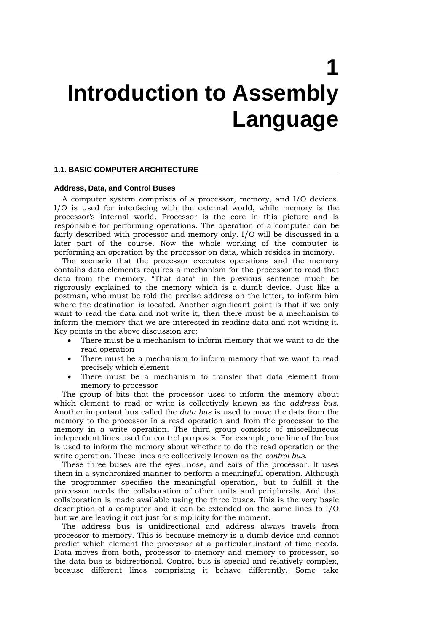# **1 Introduction to Assembly Language**

#### **1.1. BASIC COMPUTER ARCHITECTURE**

#### **Address, Data, and Control Buses**

A computer system comprises of a processor, memory, and I/O devices. I/O is used for interfacing with the external world, while memory is the processor's internal world. Processor is the core in this picture and is responsible for performing operations. The operation of a computer can be fairly described with processor and memory only. I/O will be discussed in a later part of the course. Now the whole working of the computer is performing an operation by the processor on data, which resides in memory.

The scenario that the processor executes operations and the memory contains data elements requires a mechanism for the processor to read that data from the memory. "That data" in the previous sentence much be rigorously explained to the memory which is a dumb device. Just like a postman, who must be told the precise address on the letter, to inform him where the destination is located. Another significant point is that if we only want to read the data and not write it, then there must be a mechanism to inform the memory that we are interested in reading data and not writing it. Key points in the above discussion are:

- There must be a mechanism to inform memory that we want to do the read operation
- There must be a mechanism to inform memory that we want to read precisely which element
- There must be a mechanism to transfer that data element from memory to processor

The group of bits that the processor uses to inform the memory about which element to read or write is collectively known as the *address bus*. Another important bus called the *data bus* is used to move the data from the memory to the processor in a read operation and from the processor to the memory in a write operation. The third group consists of miscellaneous independent lines used for control purposes. For example, one line of the bus is used to inform the memory about whether to do the read operation or the write operation. These lines are collectively known as the *control bus*.

These three buses are the eyes, nose, and ears of the processor. It uses them in a synchronized manner to perform a meaningful operation. Although the programmer specifies the meaningful operation, but to fulfill it the processor needs the collaboration of other units and peripherals. And that collaboration is made available using the three buses. This is the very basic description of a computer and it can be extended on the same lines to I/O but we are leaving it out just for simplicity for the moment.

The address bus is unidirectional and address always travels from processor to memory. This is because memory is a dumb device and cannot predict which element the processor at a particular instant of time needs. Data moves from both, processor to memory and memory to processor, so the data bus is bidirectional. Control bus is special and relatively complex, because different lines comprising it behave differently. Some take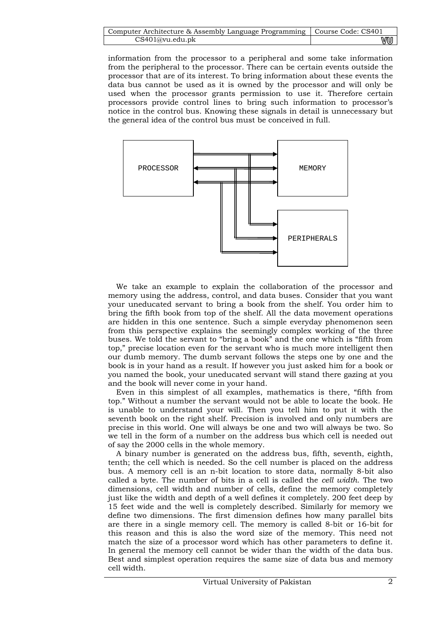| Computer Architecture & Assembly Language Programming   Course Code: CS401 |    |
|----------------------------------------------------------------------------|----|
| CS401@vu.edu.ph                                                            | wu |

information from the processor to a peripheral and some take information from the peripheral to the processor. There can be certain events outside the processor that are of its interest. To bring information about these events the data bus cannot be used as it is owned by the processor and will only be used when the processor grants permission to use it. Therefore certain processors provide control lines to bring such information to processor's notice in the control bus. Knowing these signals in detail is unnecessary but the general idea of the control bus must be conceived in full.



We take an example to explain the collaboration of the processor and memory using the address, control, and data buses. Consider that you want your uneducated servant to bring a book from the shelf. You order him to bring the fifth book from top of the shelf. All the data movement operations are hidden in this one sentence. Such a simple everyday phenomenon seen from this perspective explains the seemingly complex working of the three buses. We told the servant to "bring a book" and the one which is "fifth from top," precise location even for the servant who is much more intelligent then our dumb memory. The dumb servant follows the steps one by one and the book is in your hand as a result. If however you just asked him for a book or you named the book, your uneducated servant will stand there gazing at you and the book will never come in your hand.

Even in this simplest of all examples, mathematics is there, "fifth from top." Without a number the servant would not be able to locate the book. He is unable to understand your will. Then you tell him to put it with the seventh book on the right shelf. Precision is involved and only numbers are precise in this world. One will always be one and two will always be two. So we tell in the form of a number on the address bus which cell is needed out of say the 2000 cells in the whole memory.

A binary number is generated on the address bus, fifth, seventh, eighth, tenth; the cell which is needed. So the cell number is placed on the address bus. A memory cell is an n-bit location to store data, normally 8-bit also called a byte. The number of bits in a cell is called the *cell width*. The two dimensions, cell width and number of cells, define the memory completely just like the width and depth of a well defines it completely. 200 feet deep by 15 feet wide and the well is completely described. Similarly for memory we define two dimensions. The first dimension defines how many parallel bits are there in a single memory cell. The memory is called 8-bit or 16-bit for this reason and this is also the word size of the memory. This need not match the size of a processor word which has other parameters to define it. In general the memory cell cannot be wider than the width of the data bus. Best and simplest operation requires the same size of data bus and memory cell width.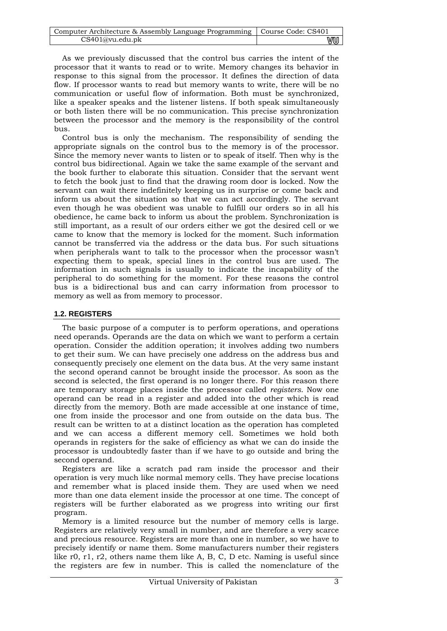| Computer Architecture & Assembly Language Programming   Course Code: CS401 |    |
|----------------------------------------------------------------------------|----|
| CS401@vu.edu.ph                                                            | vu |

As we previously discussed that the control bus carries the intent of the processor that it wants to read or to write. Memory changes its behavior in response to this signal from the processor. It defines the direction of data flow. If processor wants to read but memory wants to write, there will be no communication or useful flow of information. Both must be synchronized, like a speaker speaks and the listener listens. If both speak simultaneously or both listen there will be no communication. This precise synchronization between the processor and the memory is the responsibility of the control bus.

Control bus is only the mechanism. The responsibility of sending the appropriate signals on the control bus to the memory is of the processor. Since the memory never wants to listen or to speak of itself. Then why is the control bus bidirectional. Again we take the same example of the servant and the book further to elaborate this situation. Consider that the servant went to fetch the book just to find that the drawing room door is locked. Now the servant can wait there indefinitely keeping us in surprise or come back and inform us about the situation so that we can act accordingly. The servant even though he was obedient was unable to fulfill our orders so in all his obedience, he came back to inform us about the problem. Synchronization is still important, as a result of our orders either we got the desired cell or we came to know that the memory is locked for the moment. Such information cannot be transferred via the address or the data bus. For such situations when peripherals want to talk to the processor when the processor wasn't expecting them to speak, special lines in the control bus are used. The information in such signals is usually to indicate the incapability of the peripheral to do something for the moment. For these reasons the control bus is a bidirectional bus and can carry information from processor to memory as well as from memory to processor.

## **1.2. REGISTERS**

The basic purpose of a computer is to perform operations, and operations need operands. Operands are the data on which we want to perform a certain operation. Consider the addition operation; it involves adding two numbers to get their sum. We can have precisely one address on the address bus and consequently precisely one element on the data bus. At the very same instant the second operand cannot be brought inside the processor. As soon as the second is selected, the first operand is no longer there. For this reason there are temporary storage places inside the processor called *registers*. Now one operand can be read in a register and added into the other which is read directly from the memory. Both are made accessible at one instance of time, one from inside the processor and one from outside on the data bus. The result can be written to at a distinct location as the operation has completed and we can access a different memory cell. Sometimes we hold both operands in registers for the sake of efficiency as what we can do inside the processor is undoubtedly faster than if we have to go outside and bring the second operand.

Registers are like a scratch pad ram inside the processor and their operation is very much like normal memory cells. They have precise locations and remember what is placed inside them. They are used when we need more than one data element inside the processor at one time. The concept of registers will be further elaborated as we progress into writing our first program.

Memory is a limited resource but the number of memory cells is large. Registers are relatively very small in number, and are therefore a very scarce and precious resource. Registers are more than one in number, so we have to precisely identify or name them. Some manufacturers number their registers like r0, r1, r2, others name them like A, B, C, D etc. Naming is useful since the registers are few in number. This is called the nomenclature of the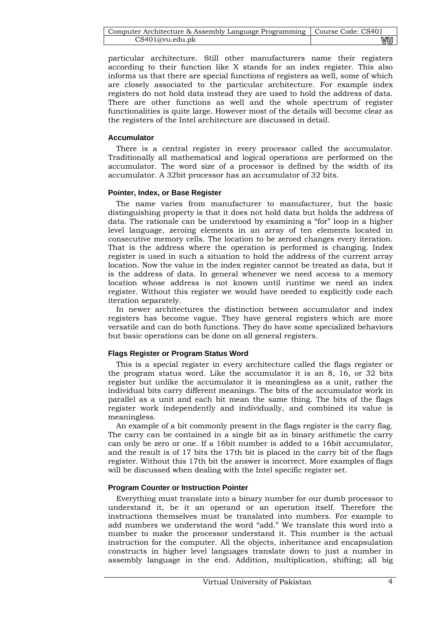| Computer Architecture & Assembly Language Programming   Course Code: CS401 |    |
|----------------------------------------------------------------------------|----|
| CS401@vu.edu.ph                                                            | wu |

particular architecture. Still other manufacturers name their registers according to their function like X stands for an index register. This also informs us that there are special functions of registers as well, some of which are closely associated to the particular architecture. For example index registers do not hold data instead they are used to hold the address of data. There are other functions as well and the whole spectrum of register functionalities is quite large. However most of the details will become clear as the registers of the Intel architecture are discussed in detail.

## **Accumulator**

There is a central register in every processor called the accumulator. Traditionally all mathematical and logical operations are performed on the accumulator. The word size of a processor is defined by the width of its accumulator. A 32bit processor has an accumulator of 32 bits.

## **Pointer, Index, or Base Register**

The name varies from manufacturer to manufacturer, but the basic distinguishing property is that it does not hold data but holds the address of data. The rationale can be understood by examining a "for" loop in a higher level language, zeroing elements in an array of ten elements located in consecutive memory cells. The location to be zeroed changes every iteration. That is the address where the operation is performed is changing. Index register is used in such a situation to hold the address of the current array location. Now the value in the index register cannot be treated as data, but it is the address of data. In general whenever we need access to a memory location whose address is not known until runtime we need an index register. Without this register we would have needed to explicitly code each iteration separately.

In newer architectures the distinction between accumulator and index registers has become vague. They have general registers which are more versatile and can do both functions. They do have some specialized behaviors but basic operations can be done on all general registers.

## **Flags Register or Program Status Word**

This is a special register in every architecture called the flags register or the program status word. Like the accumulator it is an 8, 16, or 32 bits register but unlike the accumulator it is meaningless as a unit, rather the individual bits carry different meanings. The bits of the accumulator work in parallel as a unit and each bit mean the same thing. The bits of the flags register work independently and individually, and combined its value is meaningless.

An example of a bit commonly present in the flags register is the carry flag. The carry can be contained in a single bit as in binary arithmetic the carry can only be zero or one. If a 16bit number is added to a 16bit accumulator, and the result is of 17 bits the 17th bit is placed in the carry bit of the flags register. Without this 17th bit the answer is incorrect. More examples of flags will be discussed when dealing with the Intel specific register set.

## **Program Counter or Instruction Pointer**

Everything must translate into a binary number for our dumb processor to understand it, be it an operand or an operation itself. Therefore the instructions themselves must be translated into numbers. For example to add numbers we understand the word "add." We translate this word into a number to make the processor understand it. This number is the actual instruction for the computer. All the objects, inheritance and encapsulation constructs in higher level languages translate down to just a number in assembly language in the end. Addition, multiplication, shifting; all big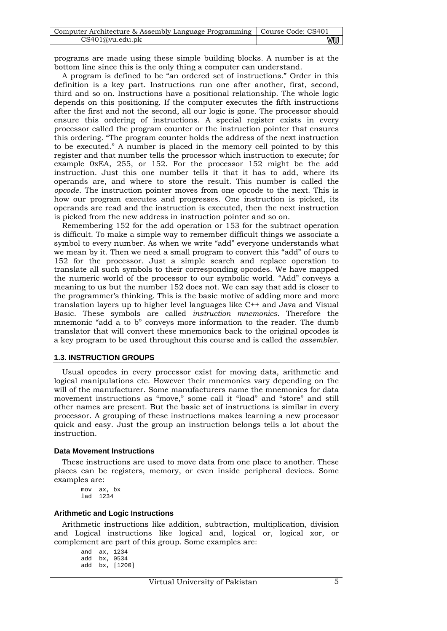| Computer Architecture & Assembly Language Programming   Course Code: CS401 |    |
|----------------------------------------------------------------------------|----|
| CS401@vu.edu.pdf                                                           | wu |

programs are made using these simple building blocks. A number is at the bottom line since this is the only thing a computer can understand.

A program is defined to be "an ordered set of instructions." Order in this definition is a key part. Instructions run one after another, first, second, third and so on. Instructions have a positional relationship. The whole logic depends on this positioning. If the computer executes the fifth instructions after the first and not the second, all our logic is gone. The processor should ensure this ordering of instructions. A special register exists in every processor called the program counter or the instruction pointer that ensures this ordering. "The program counter holds the address of the next instruction to be executed." A number is placed in the memory cell pointed to by this register and that number tells the processor which instruction to execute; for example 0xEA, 255, or 152. For the processor 152 might be the add instruction. Just this one number tells it that it has to add, where its operands are, and where to store the result. This number is called the *opcode*. The instruction pointer moves from one opcode to the next. This is how our program executes and progresses. One instruction is picked, its operands are read and the instruction is executed, then the next instruction is picked from the new address in instruction pointer and so on.

Remembering 152 for the add operation or 153 for the subtract operation is difficult. To make a simple way to remember difficult things we associate a symbol to every number. As when we write "add" everyone understands what we mean by it. Then we need a small program to convert this "add" of ours to 152 for the processor. Just a simple search and replace operation to translate all such symbols to their corresponding opcodes. We have mapped the numeric world of the processor to our symbolic world. "Add" conveys a meaning to us but the number 152 does not. We can say that add is closer to the programmer's thinking. This is the basic motive of adding more and more translation layers up to higher level languages like C++ and Java and Visual Basic. These symbols are called *instruction mnemonics*. Therefore the mnemonic "add a to b" conveys more information to the reader. The dumb translator that will convert these mnemonics back to the original opcodes is a key program to be used throughout this course and is called the *assembler*.

## **1.3. INSTRUCTION GROUPS**

Usual opcodes in every processor exist for moving data, arithmetic and logical manipulations etc. However their mnemonics vary depending on the will of the manufacturer. Some manufacturers name the mnemonics for data movement instructions as "move," some call it "load" and "store" and still other names are present. But the basic set of instructions is similar in every processor. A grouping of these instructions makes learning a new processor quick and easy. Just the group an instruction belongs tells a lot about the instruction.

## **Data Movement Instructions**

These instructions are used to move data from one place to another. These places can be registers, memory, or even inside peripheral devices. Some examples are:

mov ax, bx lad 1234

## **Arithmetic and Logic Instructions**

Arithmetic instructions like addition, subtraction, multiplication, division and Logical instructions like logical and, logical or, logical xor, or complement are part of this group. Some examples are:

and ax, 1234 add bx, 0534 add bx, [1200]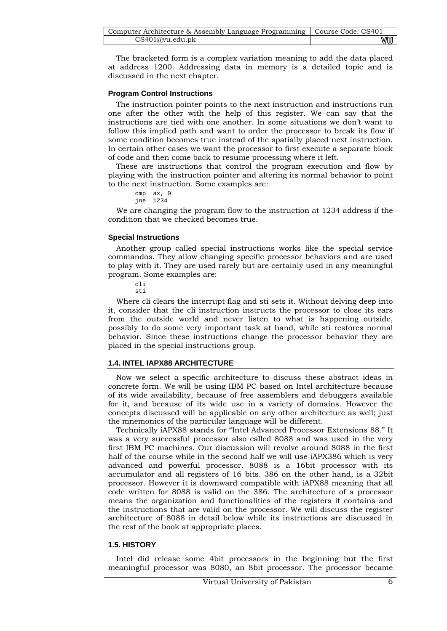| Computer Architecture & Assembly Language Programming   Course Code: CS401 |    |
|----------------------------------------------------------------------------|----|
| CS401@vu.edu.ph                                                            | wu |

The bracketed form is a complex variation meaning to add the data placed at address 1200. Addressing data in memory is a detailed topic and is discussed in the next chapter.

#### **Program Control Instructions**

The instruction pointer points to the next instruction and instructions run one after the other with the help of this register. We can say that the instructions are tied with one another. In some situations we don't want to follow this implied path and want to order the processor to break its flow if some condition becomes true instead of the spatially placed next instruction. In certain other cases we want the processor to first execute a separate block of code and then come back to resume processing where it left.

These are instructions that control the program execution and flow by playing with the instruction pointer and altering its normal behavior to point to the next instruction. Some examples are:

```
cmp ax, 0 
jne 1234
```
We are changing the program flow to the instruction at 1234 address if the condition that we checked becomes true.

#### **Special Instructions**

Another group called special instructions works like the special service commandos. They allow changing specific processor behaviors and are used to play with it. They are used rarely but are certainly used in any meaningful program. Some examples are:

cli sti

Where cli clears the interrupt flag and sti sets it. Without delving deep into it, consider that the cli instruction instructs the processor to close its ears from the outside world and never listen to what is happening outside, possibly to do some very important task at hand, while sti restores normal behavior. Since these instructions change the processor behavior they are placed in the special instructions group.

## **1.4. INTEL IAPX88 ARCHITECTURE**

Now we select a specific architecture to discuss these abstract ideas in concrete form. We will be using IBM PC based on Intel architecture because of its wide availability, because of free assemblers and debuggers available for it, and because of its wide use in a variety of domains. However the concepts discussed will be applicable on any other architecture as well; just the mnemonics of the particular language will be different.

Technically iAPX88 stands for "Intel Advanced Processor Extensions 88." It was a very successful processor also called 8088 and was used in the very first IBM PC machines. Our discussion will revolve around 8088 in the first half of the course while in the second half we will use iAPX386 which is very advanced and powerful processor. 8088 is a 16bit processor with its accumulator and all registers of 16 bits. 386 on the other hand, is a 32bit processor. However it is downward compatible with iAPX88 meaning that all code written for 8088 is valid on the 386. The architecture of a processor means the organization and functionalities of the registers it contains and the instructions that are valid on the processor. We will discuss the register architecture of 8088 in detail below while its instructions are discussed in the rest of the book at appropriate places.

#### **1.5. HISTORY**

Intel did release some 4bit processors in the beginning but the first meaningful processor was 8080, an 8bit processor. The processor became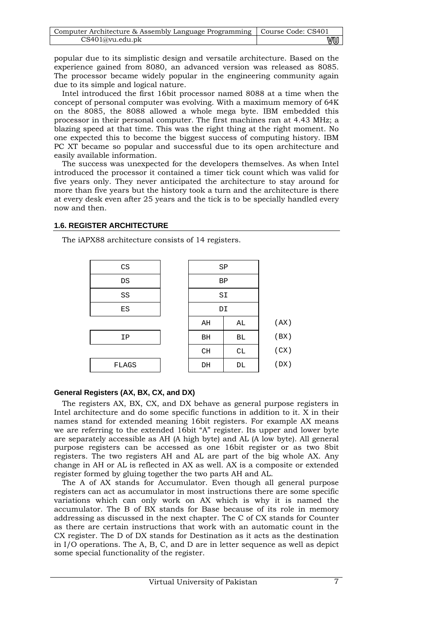| Computer Architecture & Assembly Language Programming   Course Code: CS401 |    |
|----------------------------------------------------------------------------|----|
| CS401@vu.edu.ph                                                            | vu |

popular due to its simplistic design and versatile architecture. Based on the experience gained from 8080, an advanced version was released as 8085. The processor became widely popular in the engineering community again due to its simple and logical nature.

Intel introduced the first 16bit processor named 8088 at a time when the concept of personal computer was evolving. With a maximum memory of 64K on the 8085, the 8088 allowed a whole mega byte. IBM embedded this processor in their personal computer. The first machines ran at 4.43 MHz; a blazing speed at that time. This was the right thing at the right moment. No one expected this to become the biggest success of computing history. IBM PC XT became so popular and successful due to its open architecture and easily available information.

The success was unexpected for the developers themselves. As when Intel introduced the processor it contained a timer tick count which was valid for five years only. They never anticipated the architecture to stay around for more than five years but the history took a turn and the architecture is there at every desk even after 25 years and the tick is to be specially handled every now and then.

## **1.6. REGISTER ARCHITECTURE**

The iAPX88 architecture consists of 14 registers.

| CS    | SP |    |      |  |  |  |
|-------|----|----|------|--|--|--|
| DS    | ΒP |    |      |  |  |  |
| SS    |    | SI |      |  |  |  |
| ES    | DI |    |      |  |  |  |
|       | AH | AL | (AX) |  |  |  |
| IP    | BH | ВL | (BX) |  |  |  |
|       | CH | CL | (CX) |  |  |  |
| FLAGS | DH | DL | (DX) |  |  |  |
|       |    |    |      |  |  |  |

## **General Registers (AX, BX, CX, and DX)**

The registers AX, BX, CX, and DX behave as general purpose registers in Intel architecture and do some specific functions in addition to it. X in their names stand for extended meaning 16bit registers. For example AX means we are referring to the extended 16bit "A" register. Its upper and lower byte are separately accessible as AH (A high byte) and AL (A low byte). All general purpose registers can be accessed as one 16bit register or as two 8bit registers. The two registers AH and AL are part of the big whole AX. Any change in AH or AL is reflected in AX as well. AX is a composite or extended register formed by gluing together the two parts AH and AL.

The A of AX stands for Accumulator. Even though all general purpose registers can act as accumulator in most instructions there are some specific variations which can only work on AX which is why it is named the accumulator. The B of BX stands for Base because of its role in memory addressing as discussed in the next chapter. The C of CX stands for Counter as there are certain instructions that work with an automatic count in the CX register. The D of DX stands for Destination as it acts as the destination in I/O operations. The A, B, C, and D are in letter sequence as well as depict some special functionality of the register.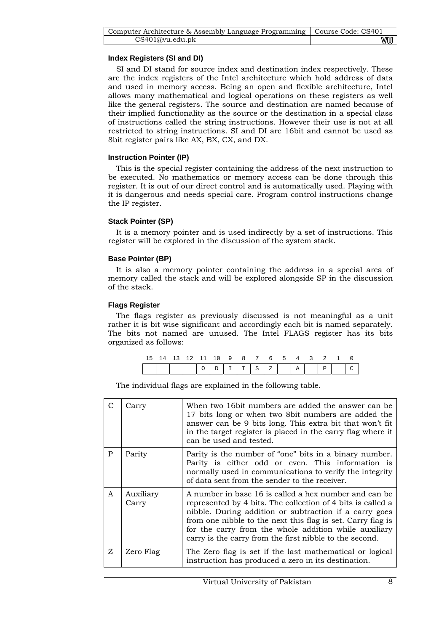| Computer Architecture & Assembly Language Programming   Course Code: CS401 |    |
|----------------------------------------------------------------------------|----|
| CS401@vu.edu.ph                                                            | wu |

## **Index Registers (SI and DI)**

SI and DI stand for source index and destination index respectively. These are the index registers of the Intel architecture which hold address of data and used in memory access. Being an open and flexible architecture, Intel allows many mathematical and logical operations on these registers as well like the general registers. The source and destination are named because of their implied functionality as the source or the destination in a special class of instructions called the string instructions. However their use is not at all restricted to string instructions. SI and DI are 16bit and cannot be used as 8bit register pairs like AX, BX, CX, and DX.

## **Instruction Pointer (IP)**

This is the special register containing the address of the next instruction to be executed. No mathematics or memory access can be done through this register. It is out of our direct control and is automatically used. Playing with it is dangerous and needs special care. Program control instructions change the IP register.

## **Stack Pointer (SP)**

It is a memory pointer and is used indirectly by a set of instructions. This register will be explored in the discussion of the system stack.

## **Base Pointer (BP)**

It is also a memory pointer containing the address in a special area of memory called the stack and will be explored alongside SP in the discussion of the stack.

## **Flags Register**

The flags register as previously discussed is not meaningful as a unit rather it is bit wise significant and accordingly each bit is named separately. The bits not named are unused. The Intel FLAGS register has its bits organized as follows:

| 15 14 13 12 11 10 9 8 7 6 5 4 3 2 1 0 |  |  |  |  |  |  |  |
|---------------------------------------|--|--|--|--|--|--|--|
|                                       |  |  |  |  |  |  |  |

The individual flags are explained in the following table.

|              | Carry              | When two 16bit numbers are added the answer can be<br>17 bits long or when two 8 bit numbers are added the<br>answer can be 9 bits long. This extra bit that won't fit<br>in the target register is placed in the carry flag where it<br>can be used and tested.                                                                                                  |
|--------------|--------------------|-------------------------------------------------------------------------------------------------------------------------------------------------------------------------------------------------------------------------------------------------------------------------------------------------------------------------------------------------------------------|
| P            | Parity             | Parity is the number of "one" bits in a binary number.<br>Parity is either odd or even. This information is<br>normally used in communications to verify the integrity<br>of data sent from the sender to the receiver.                                                                                                                                           |
| $\mathsf{A}$ | Auxiliary<br>Carry | A number in base 16 is called a hex number and can be<br>represented by 4 bits. The collection of 4 bits is called a<br>nibble. During addition or subtraction if a carry goes<br>from one nibble to the next this flag is set. Carry flag is<br>for the carry from the whole addition while auxiliary<br>carry is the carry from the first nibble to the second. |
| Z            | Zero Flag          | The Zero flag is set if the last mathematical or logical<br>instruction has produced a zero in its destination.                                                                                                                                                                                                                                                   |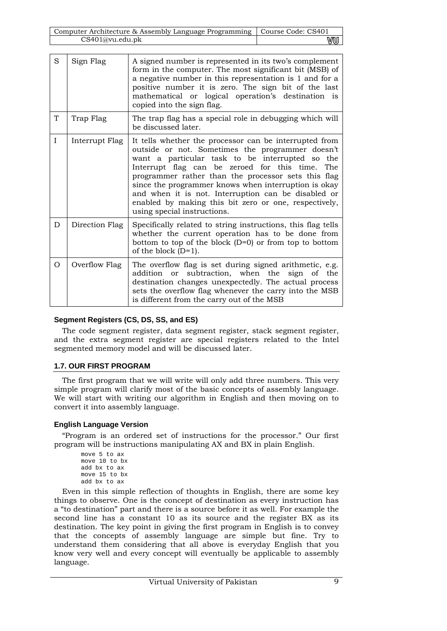| Computer Architecture & Assembly Language Programming   Course Code: CS401 |    |
|----------------------------------------------------------------------------|----|
| CS401@vu.edu.pdf                                                           | VU |

| S            | Sign Flag      | A signed number is represented in its two's complement<br>form in the computer. The most significant bit (MSB) of<br>a negative number in this representation is 1 and for a<br>positive number it is zero. The sign bit of the last<br>mathematical or logical operation's destination is                                                                                                                                                                                     |
|--------------|----------------|--------------------------------------------------------------------------------------------------------------------------------------------------------------------------------------------------------------------------------------------------------------------------------------------------------------------------------------------------------------------------------------------------------------------------------------------------------------------------------|
|              |                | copied into the sign flag.                                                                                                                                                                                                                                                                                                                                                                                                                                                     |
| T            | Trap Flag      | The trap flag has a special role in debugging which will<br>be discussed later.                                                                                                                                                                                                                                                                                                                                                                                                |
| $\mathbf{I}$ | Interrupt Flag | It tells whether the processor can be interrupted from<br>outside or not. Sometimes the programmer doesn't<br>want a particular task to be interrupted so the<br>Interrupt flag can be zeroed for this time. The<br>programmer rather than the processor sets this flag<br>since the programmer knows when interruption is okay<br>and when it is not. Interruption can be disabled or<br>enabled by making this bit zero or one, respectively,<br>using special instructions. |
| D            | Direction Flag | Specifically related to string instructions, this flag tells<br>whether the current operation has to be done from<br>bottom to top of the block $(D=0)$ or from top to bottom<br>of the block $(D=1)$ .                                                                                                                                                                                                                                                                        |
| O            | Overflow Flag  | The overflow flag is set during signed arithmetic, e.g.<br>addition or subtraction, when the sign of the<br>destination changes unexpectedly. The actual process<br>sets the overflow flag whenever the carry into the MSB<br>is different from the carry out of the MSB                                                                                                                                                                                                       |

## **Segment Registers (CS, DS, SS, and ES)**

The code segment register, data segment register, stack segment register, and the extra segment register are special registers related to the Intel segmented memory model and will be discussed later.

## **1.7. OUR FIRST PROGRAM**

The first program that we will write will only add three numbers. This very simple program will clarify most of the basic concepts of assembly language. We will start with writing our algorithm in English and then moving on to convert it into assembly language.

## **English Language Version**

"Program is an ordered set of instructions for the processor." Our first program will be instructions manipulating AX and BX in plain English.

```
move 5 to ax 
move 10 to bx 
add bx to ax 
move 15 to bx 
add bx to ax
```
Even in this simple reflection of thoughts in English, there are some key things to observe. One is the concept of destination as every instruction has a "to destination" part and there is a source before it as well. For example the second line has a constant 10 as its source and the register BX as its destination. The key point in giving the first program in English is to convey that the concepts of assembly language are simple but fine. Try to understand them considering that all above is everyday English that you know very well and every concept will eventually be applicable to assembly language.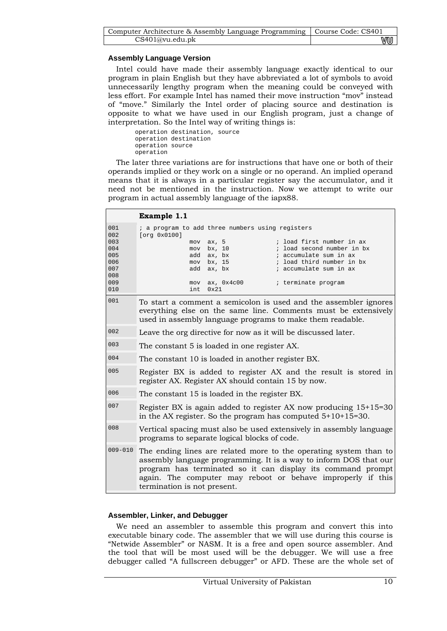| Computer Architecture & Assembly Language Programming   Course Code: CS401 |      |
|----------------------------------------------------------------------------|------|
| CS401@vu.edu.ph                                                            | V‴∪U |

## **Assembly Language Version**

Intel could have made their assembly language exactly identical to our program in plain English but they have abbreviated a lot of symbols to avoid unnecessarily lengthy program when the meaning could be conveyed with less effort. For example Intel has named their move instruction "mov" instead of "move." Similarly the Intel order of placing source and destination is opposite to what we have used in our English program, just a change of interpretation. So the Intel way of writing things is:

operation destination, source operation destination operation source operation

The later three variations are for instructions that have one or both of their operands implied or they work on a single or no operand. An implied operand means that it is always in a particular register say the accumulator, and it need not be mentioned in the instruction. Now we attempt to write our program in actual assembly language of the iapx88.

|             | Example 1.1                                                                                                                                                                                                                                                                                         |  |  |
|-------------|-----------------------------------------------------------------------------------------------------------------------------------------------------------------------------------------------------------------------------------------------------------------------------------------------------|--|--|
| 001<br>002  | ; a program to add three numbers using registers<br>[org 0x0100]                                                                                                                                                                                                                                    |  |  |
| 003<br>004  | ; load first number in ax<br>ax, 5<br>mov                                                                                                                                                                                                                                                           |  |  |
| 005         | bx, 10<br>; load second number in bx<br>mov<br>ax, bx<br>; accumulate sum in ax<br>add                                                                                                                                                                                                              |  |  |
| 006         | bx, 15<br>; load third number in bx<br>mov                                                                                                                                                                                                                                                          |  |  |
| 007         | ; accumulate sum in ax<br>add ax, bx                                                                                                                                                                                                                                                                |  |  |
| 008         |                                                                                                                                                                                                                                                                                                     |  |  |
| 009         | ; terminate program<br>ax, 0x4c00<br>mov                                                                                                                                                                                                                                                            |  |  |
| 010         | $0 \times 21$<br>int                                                                                                                                                                                                                                                                                |  |  |
| 001         | To start a comment a semicolon is used and the assembler ignores<br>everything else on the same line. Comments must be extensively<br>used in assembly language programs to make them readable.                                                                                                     |  |  |
| 002         | Leave the org directive for now as it will be discussed later.                                                                                                                                                                                                                                      |  |  |
| 003         | The constant 5 is loaded in one register AX.                                                                                                                                                                                                                                                        |  |  |
| 004         | The constant 10 is loaded in another register BX.                                                                                                                                                                                                                                                   |  |  |
| 005         | Register BX is added to register AX and the result is stored in<br>register AX. Register AX should contain 15 by now.                                                                                                                                                                               |  |  |
| 006         | The constant 15 is loaded in the register BX.                                                                                                                                                                                                                                                       |  |  |
| 007         | Register BX is again added to register AX now producing $15+15=30$<br>in the AX register. So the program has computed $5+10+15=30$ .                                                                                                                                                                |  |  |
| 008         | Vertical spacing must also be used extensively in assembly language<br>programs to separate logical blocks of code.                                                                                                                                                                                 |  |  |
| $009 - 010$ | The ending lines are related more to the operating system than to<br>assembly language programming. It is a way to inform DOS that our<br>program has terminated so it can display its command prompt<br>again. The computer may reboot or behave improperly if this<br>termination is not present. |  |  |

## **Assembler, Linker, and Debugger**

We need an assembler to assemble this program and convert this into executable binary code. The assembler that we will use during this course is "Netwide Assembler" or NASM. It is a free and open source assembler. And the tool that will be most used will be the debugger. We will use a free debugger called "A fullscreen debugger" or AFD. These are the whole set of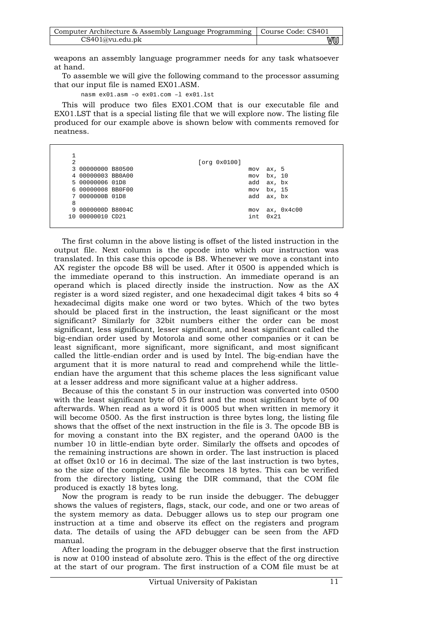| Computer Architecture & Assembly Language Programming   Course Code: CS401 |    |
|----------------------------------------------------------------------------|----|
| CS401@vu.edu.pdf                                                           | vu |

weapons an assembly language programmer needs for any task whatsoever at hand.

To assemble we will give the following command to the processor assuming that our input file is named EX01.ASM.

nasm ex01.asm –o ex01.com –l ex01.lst

This will produce two files EX01.COM that is our executable file and EX01.LST that is a special listing file that we will explore now. The listing file produced for our example above is shown below with comments removed for neatness.

| $\overline{2}$ |                   |  | [org 0x0100] |      |               |
|----------------|-------------------|--|--------------|------|---------------|
|                | 3 00000000 B80500 |  |              | mov  | ax, 5         |
|                | 4 00000003 BB0A00 |  |              | mov  | bx, 10        |
|                | 5 00000006 01D8   |  |              | add  | ax, bx        |
|                | 6 00000008 BB0F00 |  |              | mov  | bx, 15        |
|                | 7 0000000B 01D8   |  |              | add  | ax, bx        |
| 8              |                   |  |              |      |               |
|                | 9 0000000D B8004C |  |              | mov  | ax, 0x4c00    |
|                | 10 00000010 CD21  |  |              | int. | $0 \times 21$ |

The first column in the above listing is offset of the listed instruction in the output file. Next column is the opcode into which our instruction was translated. In this case this opcode is B8. Whenever we move a constant into AX register the opcode B8 will be used. After it 0500 is appended which is the immediate operand to this instruction. An immediate operand is an operand which is placed directly inside the instruction. Now as the AX register is a word sized register, and one hexadecimal digit takes 4 bits so 4 hexadecimal digits make one word or two bytes. Which of the two bytes should be placed first in the instruction, the least significant or the most significant? Similarly for 32bit numbers either the order can be most significant, less significant, lesser significant, and least significant called the big-endian order used by Motorola and some other companies or it can be least significant, more significant, more significant, and most significant called the little-endian order and is used by Intel. The big-endian have the argument that it is more natural to read and comprehend while the littleendian have the argument that this scheme places the less significant value at a lesser address and more significant value at a higher address.

Because of this the constant 5 in our instruction was converted into 0500 with the least significant byte of 05 first and the most significant byte of 00 afterwards. When read as a word it is 0005 but when written in memory it will become 0500. As the first instruction is three bytes long, the listing file shows that the offset of the next instruction in the file is 3. The opcode BB is for moving a constant into the BX register, and the operand 0A00 is the number 10 in little-endian byte order. Similarly the offsets and opcodes of the remaining instructions are shown in order. The last instruction is placed at offset 0x10 or 16 in decimal. The size of the last instruction is two bytes, so the size of the complete COM file becomes 18 bytes. This can be verified from the directory listing, using the DIR command, that the COM file produced is exactly 18 bytes long.

Now the program is ready to be run inside the debugger. The debugger shows the values of registers, flags, stack, our code, and one or two areas of the system memory as data. Debugger allows us to step our program one instruction at a time and observe its effect on the registers and program data. The details of using the AFD debugger can be seen from the AFD manual.

After loading the program in the debugger observe that the first instruction is now at 0100 instead of absolute zero. This is the effect of the org directive at the start of our program. The first instruction of a COM file must be at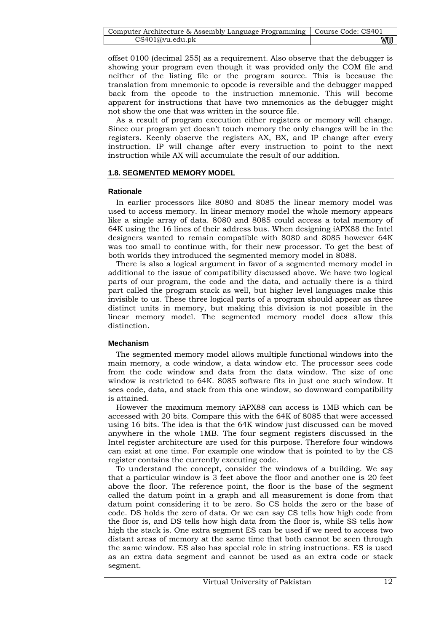| Computer Architecture & Assembly Language Programming   Course Code: CS401 |    |
|----------------------------------------------------------------------------|----|
| CS401@vu.edu.ph                                                            | wu |

offset 0100 (decimal 255) as a requirement. Also observe that the debugger is showing your program even though it was provided only the COM file and neither of the listing file or the program source. This is because the translation from mnemonic to opcode is reversible and the debugger mapped back from the opcode to the instruction mnemonic. This will become apparent for instructions that have two mnemonics as the debugger might not show the one that was written in the source file.

As a result of program execution either registers or memory will change. Since our program yet doesn't touch memory the only changes will be in the registers. Keenly observe the registers AX, BX, and IP change after every instruction. IP will change after every instruction to point to the next instruction while AX will accumulate the result of our addition.

## **1.8. SEGMENTED MEMORY MODEL**

## **Rationale**

In earlier processors like 8080 and 8085 the linear memory model was used to access memory. In linear memory model the whole memory appears like a single array of data. 8080 and 8085 could access a total memory of 64K using the 16 lines of their address bus. When designing iAPX88 the Intel designers wanted to remain compatible with 8080 and 8085 however 64K was too small to continue with, for their new processor. To get the best of both worlds they introduced the segmented memory model in 8088.

There is also a logical argument in favor of a segmented memory model in additional to the issue of compatibility discussed above. We have two logical parts of our program, the code and the data, and actually there is a third part called the program stack as well, but higher level languages make this invisible to us. These three logical parts of a program should appear as three distinct units in memory, but making this division is not possible in the linear memory model. The segmented memory model does allow this distinction.

## **Mechanism**

The segmented memory model allows multiple functional windows into the main memory, a code window, a data window etc. The processor sees code from the code window and data from the data window. The size of one window is restricted to 64K. 8085 software fits in just one such window. It sees code, data, and stack from this one window, so downward compatibility is attained.

However the maximum memory iAPX88 can access is 1MB which can be accessed with 20 bits. Compare this with the 64K of 8085 that were accessed using 16 bits. The idea is that the 64K window just discussed can be moved anywhere in the whole 1MB. The four segment registers discussed in the Intel register architecture are used for this purpose. Therefore four windows can exist at one time. For example one window that is pointed to by the CS register contains the currently executing code.

To understand the concept, consider the windows of a building. We say that a particular window is 3 feet above the floor and another one is 20 feet above the floor. The reference point, the floor is the base of the segment called the datum point in a graph and all measurement is done from that datum point considering it to be zero. So CS holds the zero or the base of code. DS holds the zero of data. Or we can say CS tells how high code from the floor is, and DS tells how high data from the floor is, while SS tells how high the stack is. One extra segment ES can be used if we need to access two distant areas of memory at the same time that both cannot be seen through the same window. ES also has special role in string instructions. ES is used as an extra data segment and cannot be used as an extra code or stack segment.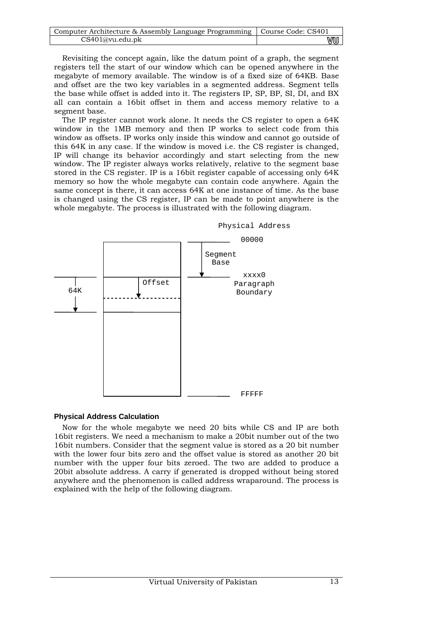| Computer Architecture & Assembly Language Programming   Course Code: CS401 |    |
|----------------------------------------------------------------------------|----|
| CS401@vu.edu.pdf                                                           | wu |

Revisiting the concept again, like the datum point of a graph, the segment registers tell the start of our window which can be opened anywhere in the megabyte of memory available. The window is of a fixed size of 64KB. Base and offset are the two key variables in a segmented address. Segment tells the base while offset is added into it. The registers IP, SP, BP, SI, DI, and BX all can contain a 16bit offset in them and access memory relative to a segment base.

The IP register cannot work alone. It needs the CS register to open a 64K window in the 1MB memory and then IP works to select code from this window as offsets. IP works only inside this window and cannot go outside of this 64K in any case. If the window is moved i.e. the CS register is changed, IP will change its behavior accordingly and start selecting from the new window. The IP register always works relatively, relative to the segment base stored in the CS register. IP is a 16bit register capable of accessing only 64K memory so how the whole megabyte can contain code anywhere. Again the same concept is there, it can access 64K at one instance of time. As the base is changed using the CS register, IP can be made to point anywhere is the whole megabyte. The process is illustrated with the following diagram.



## **Physical Address Calculation**

Now for the whole megabyte we need 20 bits while CS and IP are both 16bit registers. We need a mechanism to make a 20bit number out of the two 16bit numbers. Consider that the segment value is stored as a 20 bit number with the lower four bits zero and the offset value is stored as another 20 bit number with the upper four bits zeroed. The two are added to produce a 20bit absolute address. A carry if generated is dropped without being stored anywhere and the phenomenon is called address wraparound. The process is explained with the help of the following diagram.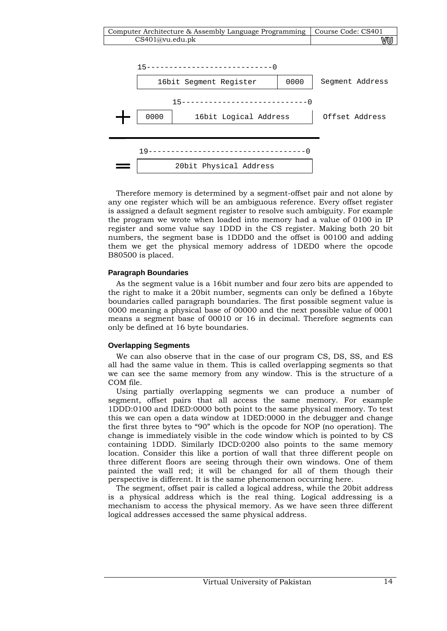



Therefore memory is determined by a segment-offset pair and not alone by any one register which will be an ambiguous reference. Every offset register is assigned a default segment register to resolve such ambiguity. For example the program we wrote when loaded into memory had a value of 0100 in IP register and some value say 1DDD in the CS register. Making both 20 bit numbers, the segment base is 1DDD0 and the offset is 00100 and adding them we get the physical memory address of 1DED0 where the opcode B80500 is placed.

## **Paragraph Boundaries**

As the segment value is a 16bit number and four zero bits are appended to the right to make it a 20bit number, segments can only be defined a 16byte boundaries called paragraph boundaries. The first possible segment value is 0000 meaning a physical base of 00000 and the next possible value of 0001 means a segment base of 00010 or 16 in decimal. Therefore segments can only be defined at 16 byte boundaries.

## **Overlapping Segments**

We can also observe that in the case of our program CS, DS, SS, and ES all had the same value in them. This is called overlapping segments so that we can see the same memory from any window. This is the structure of a COM file.

Using partially overlapping segments we can produce a number of segment, offset pairs that all access the same memory. For example 1DDD:0100 and IDED:0000 both point to the same physical memory. To test this we can open a data window at 1DED:0000 in the debugger and change the first three bytes to "90" which is the opcode for NOP (no operation). The change is immediately visible in the code window which is pointed to by CS containing 1DDD. Similarly IDCD:0200 also points to the same memory location. Consider this like a portion of wall that three different people on three different floors are seeing through their own windows. One of them painted the wall red; it will be changed for all of them though their perspective is different. It is the same phenomenon occurring here.

The segment, offset pair is called a logical address, while the 20bit address is a physical address which is the real thing. Logical addressing is a mechanism to access the physical memory. As we have seen three different logical addresses accessed the same physical address.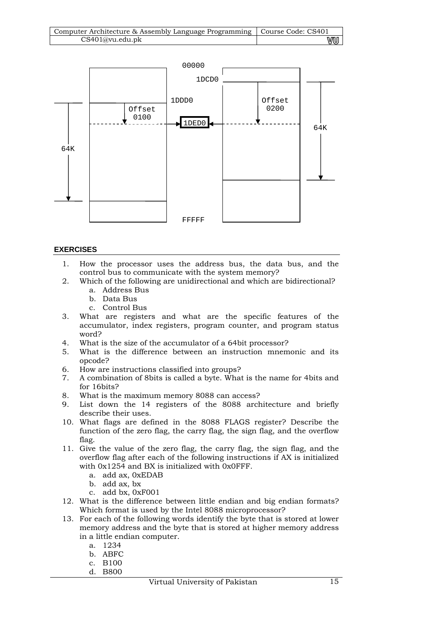| Computer Architecture & Assembly Language Programming   Course Code: CS401 |    |
|----------------------------------------------------------------------------|----|
| CS401@vu.edu.ph                                                            | vu |



## **EXERCISES**

- 1. How the processor uses the address bus, the data bus, and the control bus to communicate with the system memory?
- 2. Which of the following are unidirectional and which are bidirectional?
	- a. Address Bus
	- b. Data Bus
	- c. Control Bus
- 3. What are registers and what are the specific features of the accumulator, index registers, program counter, and program status word?
- 4. What is the size of the accumulator of a 64bit processor?
- 5. What is the difference between an instruction mnemonic and its opcode?
- 6. How are instructions classified into groups?
- 7. A combination of 8bits is called a byte. What is the name for 4bits and for 16bits?
- 8. What is the maximum memory 8088 can access?
- 9. List down the 14 registers of the 8088 architecture and briefly describe their uses.
- 10. What flags are defined in the 8088 FLAGS register? Describe the function of the zero flag, the carry flag, the sign flag, and the overflow flag.
- 11. Give the value of the zero flag, the carry flag, the sign flag, and the overflow flag after each of the following instructions if AX is initialized with 0x1254 and BX is initialized with 0x0FFF.
	- a. add ax, 0xEDAB
	- b. add ax, bx
	- c. add bx, 0xF001
- 12. What is the difference between little endian and big endian formats? Which format is used by the Intel 8088 microprocessor?
- 13. For each of the following words identify the byte that is stored at lower memory address and the byte that is stored at higher memory address in a little endian computer.
	- a. 1234
	- b. ABFC
	- c. B100
	- d. B800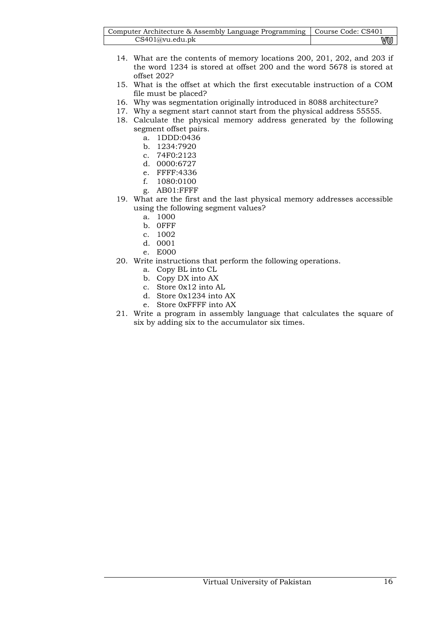| Computer Architecture & Assembly Language Programming   Course Code: CS401 |    |
|----------------------------------------------------------------------------|----|
| CS401@vu.edu.ph                                                            | vu |

- 14. What are the contents of memory locations 200, 201, 202, and 203 if the word 1234 is stored at offset 200 and the word 5678 is stored at offset 202?
- 15. What is the offset at which the first executable instruction of a COM file must be placed?
- 16. Why was segmentation originally introduced in 8088 architecture?
- 17. Why a segment start cannot start from the physical address 55555.
- 18. Calculate the physical memory address generated by the following segment offset pairs.
	- a. 1DDD:0436
	- b. 1234:7920
	- c. 74F0:2123
	- d. 0000:6727
	- e. FFFF:4336
	- f. 1080:0100
	- g. AB01:FFFF
- 19. What are the first and the last physical memory addresses accessible using the following segment values?
	- a. 1000
	- b. 0FFF
	- c. 1002
	- d. 0001
	- e. E000
- 20. Write instructions that perform the following operations.
	- a. Copy BL into CL
	- b. Copy DX into AX
	- c. Store 0x12 into AL
	- d. Store 0x1234 into AX
	- e. Store 0xFFFF into AX
- 21. Write a program in assembly language that calculates the square of six by adding six to the accumulator six times.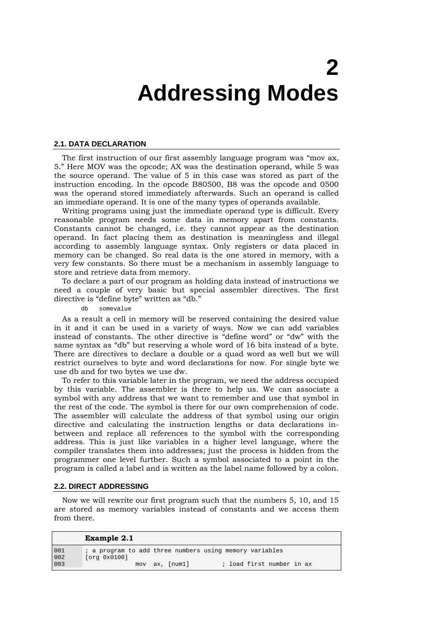# **2 Addressing Modes**

#### **2.1. DATA DECLARATION**

The first instruction of our first assembly language program was "mov ax, 5." Here MOV was the opcode; AX was the destination operand, while 5 was the source operand. The value of 5 in this case was stored as part of the instruction encoding. In the opcode B80500, B8 was the opcode and 0500 was the operand stored immediately afterwards. Such an operand is called an immediate operand. It is one of the many types of operands available.

Writing programs using just the immediate operand type is difficult. Every reasonable program needs some data in memory apart from constants. Constants cannot be changed, i.e. they cannot appear as the destination operand. In fact placing them as destination is meaningless and illegal according to assembly language syntax. Only registers or data placed in memory can be changed. So real data is the one stored in memory, with a very few constants. So there must be a mechanism in assembly language to store and retrieve data from memory.

To declare a part of our program as holding data instead of instructions we need a couple of very basic but special assembler directives. The first directive is "define byte" written as "db."

db somevalue

As a result a cell in memory will be reserved containing the desired value in it and it can be used in a variety of ways. Now we can add variables instead of constants. The other directive is "define word" or "dw" with the same syntax as "db" but reserving a whole word of 16 bits instead of a byte. There are directives to declare a double or a quad word as well but we will restrict ourselves to byte and word declarations for now. For single byte we use db and for two bytes we use dw.

To refer to this variable later in the program, we need the address occupied by this variable. The assembler is there to help us. We can associate a symbol with any address that we want to remember and use that symbol in the rest of the code. The symbol is there for our own comprehension of code. The assembler will calculate the address of that symbol using our origin directive and calculating the instruction lengths or data declarations inbetween and replace all references to the symbol with the corresponding address. This is just like variables in a higher level language, where the compiler translates them into addresses; just the process is hidden from the programmer one level further. Such a symbol associated to a point in the program is called a label and is written as the label name followed by a colon.

#### **2.2. DIRECT ADDRESSING**

Now we will rewrite our first program such that the numbers 5, 10, and 15 are stored as memory variables instead of constants and we access them from there.

|            | Example 2.1                                                             |
|------------|-------------------------------------------------------------------------|
| 001<br>002 | ; a program to add three numbers using memory variables<br>[org 0x0100] |
| 003        | ; load first number in ax<br>ax, [numl]<br>mov                          |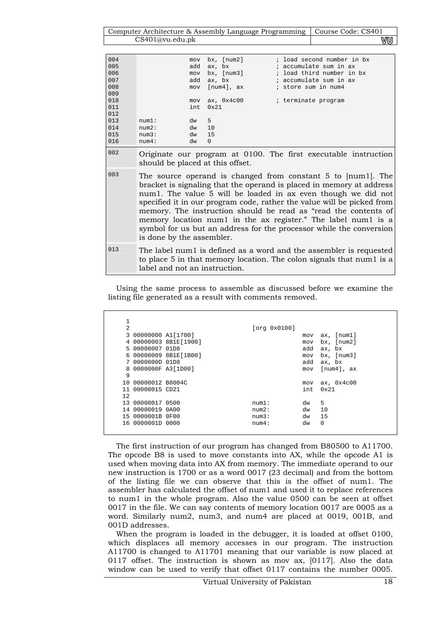Computer Architecture & Assembly Language Programming | Course Code: CS401 CS401@vu.edu.pk wu

| 004<br>005<br>006<br>007<br>008<br>009 |                                                                                                                                                                                                                                                                                                                                                                                                                                                                                                                         | mov<br>add<br>mov<br>add<br>mov | $bx$ , [ $num2$ ]<br>ax, bx<br>bx, [num3]<br>ax, bx<br>$[num4]$ , $ax$ | ; load second number in bx<br>; accumulate sum in ax<br>; load third number in bx<br>; accumulate sum in ax<br>; store sum in num4 |  |  |  |
|----------------------------------------|-------------------------------------------------------------------------------------------------------------------------------------------------------------------------------------------------------------------------------------------------------------------------------------------------------------------------------------------------------------------------------------------------------------------------------------------------------------------------------------------------------------------------|---------------------------------|------------------------------------------------------------------------|------------------------------------------------------------------------------------------------------------------------------------|--|--|--|
| 010<br>011<br>012                      |                                                                                                                                                                                                                                                                                                                                                                                                                                                                                                                         | mov<br>int.                     | ax, 0x4c00<br>0x21                                                     | ; terminate program                                                                                                                |  |  |  |
| 013<br>014<br>015<br>016               | num1:<br>num2:<br>num3:<br>num4:                                                                                                                                                                                                                                                                                                                                                                                                                                                                                        | dw<br>dw<br>dw<br>dw            | 5<br>10<br>1.5<br>$\Omega$                                             |                                                                                                                                    |  |  |  |
| 002                                    | Originate our program at 0100. The first executable instruction<br>should be placed at this offset.                                                                                                                                                                                                                                                                                                                                                                                                                     |                                 |                                                                        |                                                                                                                                    |  |  |  |
| 003                                    | The source operand is changed from constant 5 to [num1]. The<br>bracket is signaling that the operand is placed in memory at address<br>num1. The value 5 will be loaded in ax even though we did not<br>specified it in our program code, rather the value will be picked from<br>memory. The instruction should be read as "read the contents of<br>memory location num1 in the ax register." The label num1 is a<br>symbol for us but an address for the processor while the conversion<br>is done by the assembler. |                                 |                                                                        |                                                                                                                                    |  |  |  |
| 013                                    | The label num1 is defined as a word and the assembler is requested<br>to place 5 in that memory location. The colon signals that num1 is a<br>label and not an instruction.                                                                                                                                                                                                                                                                                                                                             |                                 |                                                                        |                                                                                                                                    |  |  |  |

Using the same process to assemble as discussed before we examine the listing file generated as a result with comments removed.

| $\overline{2}$ |                     |                       | [org 0x0100] |      |                   |
|----------------|---------------------|-----------------------|--------------|------|-------------------|
|                | 3 00000000 A1[1700] |                       |              | mov  | $ax,$ [ $num1$ ]  |
|                |                     | 4 00000003 8B1E[1900] |              | mov  | bx, [num2]        |
|                | 5 00000007 01D8     |                       |              | add  | ax, bx            |
|                |                     | 6 00000009 8B1E[1B00] |              | mov  | $bx$ , [ $num3$ ] |
|                | 7 0000000D 01D8     |                       |              | add  | ax, bx            |
|                | 8 0000000F A3[1D00] |                       |              | mov  | $[num4]$ , $ax$   |
| 9              |                     |                       |              |      |                   |
|                | 10 00000012 B8004C  |                       |              | mov  | ax, 0x4c00        |
|                | 11 00000015 CD21    |                       |              | int. | $0 \times 21$     |
| 12             |                     |                       |              |      |                   |
| 13             | 00000017 0500       |                       | num1:        | dw   | 5                 |
|                | 14 00000019 0A00    |                       | num2:        | dw   | 10                |
|                | 15 0000001B 0F00    |                       | num3:        | dw   | 15                |
|                | 16 0000001D 0000    |                       | num4:        | dw   | $\Omega$          |
|                |                     |                       |              |      |                   |

The first instruction of our program has changed from B80500 to A11700. The opcode B8 is used to move constants into AX, while the opcode A1 is used when moving data into AX from memory. The immediate operand to our new instruction is 1700 or as a word 0017 (23 decimal) and from the bottom of the listing file we can observe that this is the offset of num1. The assembler has calculated the offset of num1 and used it to replace references to num1 in the whole program. Also the value 0500 can be seen at offset 0017 in the file. We can say contents of memory location 0017 are 0005 as a word. Similarly num2, num3, and num4 are placed at 0019, 001B, and 001D addresses.

When the program is loaded in the debugger, it is loaded at offset 0100, which displaces all memory accesses in our program. The instruction A11700 is changed to A11701 meaning that our variable is now placed at 0117 offset. The instruction is shown as mov ax, [0117]. Also the data window can be used to verify that offset 0117 contains the number 0005.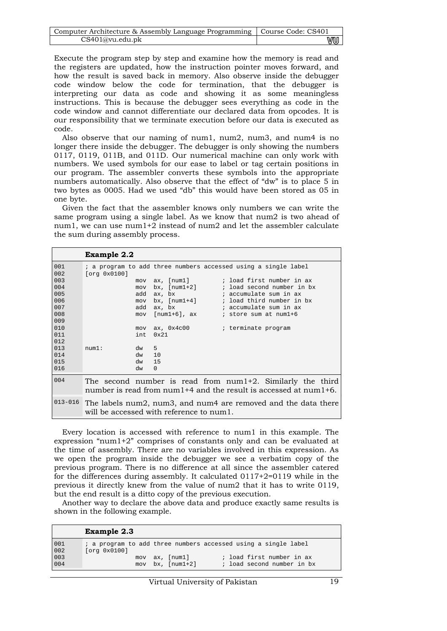| Computer Architecture & Assembly Language Programming   Course Code: CS401 |    |
|----------------------------------------------------------------------------|----|
| CS401@vu.edu.ph                                                            | wu |

Execute the program step by step and examine how the memory is read and the registers are updated, how the instruction pointer moves forward, and how the result is saved back in memory. Also observe inside the debugger code window below the code for termination, that the debugger is interpreting our data as code and showing it as some meaningless instructions. This is because the debugger sees everything as code in the code window and cannot differentiate our declared data from opcodes. It is our responsibility that we terminate execution before our data is executed as code.

Also observe that our naming of num1, num2, num3, and num4 is no longer there inside the debugger. The debugger is only showing the numbers 0117, 0119, 011B, and 011D. Our numerical machine can only work with numbers. We used symbols for our ease to label or tag certain positions in our program. The assembler converts these symbols into the appropriate numbers automatically. Also observe that the effect of "dw" is to place 5 in two bytes as 0005. Had we used "db" this would have been stored as 05 in one byte.

Given the fact that the assembler knows only numbers we can write the same program using a single label. As we know that num2 is two ahead of num1, we can use num1+2 instead of num2 and let the assembler calculate the sum during assembly process.

|                                                             | <b>Example 2.2</b>                                                                                                                                                                                                                                                                           |
|-------------------------------------------------------------|----------------------------------------------------------------------------------------------------------------------------------------------------------------------------------------------------------------------------------------------------------------------------------------------|
| 001<br>002<br>003<br>004<br>005<br>006<br>007               | ; a program to add three numbers accessed using a single label<br>[org 0x0100]<br>; load first number in ax<br>ax, [num1]<br>mov<br>$bx, [num1+2]$<br>; load second number in bx<br>mov<br>; accumulate sum in ax<br>ax, bx<br>add<br>$bx, [num1+4]$ ; load third number in bx<br>mov<br>add |
| 008<br>009<br>010<br>011<br>012<br>013<br>014<br>015<br>016 | $[num1+6]$ , $ax$<br>; store sum at num1+6<br>mov<br>ax, 0x4c00<br>; terminate program<br>mov<br>$0 \times 21$<br>int<br>$dw = 5$<br>num1:<br>10<br>dw<br>15<br>dw<br>$\Omega$<br>dw                                                                                                         |
| 004                                                         | The second number is read from $num1+2$ . Similarly the third<br>number is read from num $1+4$ and the result is accessed at num $1+6$ .                                                                                                                                                     |
| $013 - 016$                                                 | The labels num2, num3, and num4 are removed and the data there<br>will be accessed with reference to num1.                                                                                                                                                                                   |

Every location is accessed with reference to num1 in this example. The expression "num1+2" comprises of constants only and can be evaluated at the time of assembly. There are no variables involved in this expression. As we open the program inside the debugger we see a verbatim copy of the previous program. There is no difference at all since the assembler catered for the differences during assembly. It calculated  $0117+2=0119$  while in the previous it directly knew from the value of num2 that it has to write 0119, but the end result is a ditto copy of the previous execution.

Another way to declare the above data and produce exactly same results is shown in the following example.

|                                                         | <b>Example 2.3</b>                                                                           |
|---------------------------------------------------------|----------------------------------------------------------------------------------------------|
| $\begin{array}{c} 001 \\ 002 \\ 003 \\ 004 \end{array}$ | ; a program to add three numbers accessed using a single label<br>[org 0x0100]               |
|                                                         | ; load first number in ax<br>ax, [numl]<br>mov<br>bx, [num1+2]<br>; load second number in bx |
|                                                         | mov                                                                                          |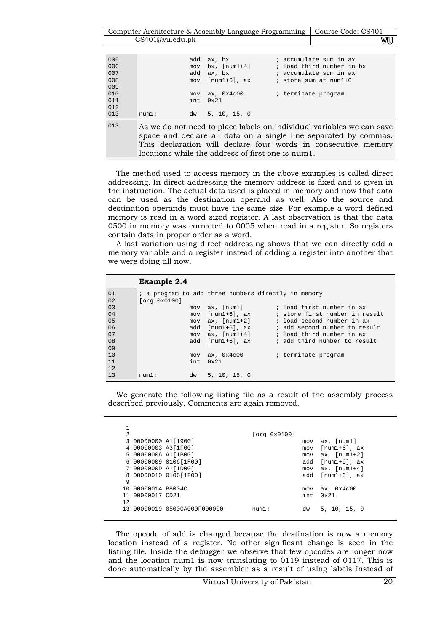Computer Architecture & Assembly Language Programming | Course Code: CS401 CS401@vu.edu.pk WU

| 005<br>006 |       | add<br>mov | ax, bx<br>$bx, [num1+4]$                          | ; accumulate sum in ax<br>; load third number in bx                                                                                                                                                         |
|------------|-------|------------|---------------------------------------------------|-------------------------------------------------------------------------------------------------------------------------------------------------------------------------------------------------------------|
| 007        |       | add        | ax, bx                                            | ; accumulate sum in ax                                                                                                                                                                                      |
| 008        |       |            | $mov [num1+6], ax$                                | ; store sum at num1+6                                                                                                                                                                                       |
| 009        |       |            |                                                   |                                                                                                                                                                                                             |
| 010        |       | mov        | ax, 0x4c00                                        | ; terminate program                                                                                                                                                                                         |
| 011        |       | int.       | 0x21                                              |                                                                                                                                                                                                             |
| 012        |       |            |                                                   |                                                                                                                                                                                                             |
| 013        | num1: |            | dw 5, 10, 15, 0                                   |                                                                                                                                                                                                             |
| 013        |       |            | locations while the address of first one is num1. | As we do not need to place labels on individual variables we can save<br>space and declare all data on a single line separated by commas.<br>This declaration will declare four words in consecutive memory |

The method used to access memory in the above examples is called direct addressing. In direct addressing the memory address is fixed and is given in the instruction. The actual data used is placed in memory and now that data can be used as the destination operand as well. Also the source and destination operands must have the same size. For example a word defined memory is read in a word sized register. A last observation is that the data 0500 in memory was corrected to 0005 when read in a register. So registers contain data in proper order as a word.

A last variation using direct addressing shows that we can directly add a memory variable and a register instead of adding a register into another that we were doing till now.

|                | <b>Example 2.4</b>  |                  |                                                     |
|----------------|---------------------|------------------|-----------------------------------------------------|
| 01<br>02       |                     |                  | ; a program to add three numbers directly in memory |
| 03             | [org 0x0100]<br>mov | ax, [num1]       | ; load first number in ax                           |
| 04             | mov                 | $[num1+6]$ , ax  | ; store first number in result                      |
| 0 <sub>5</sub> | mov                 | ax, [num1+2]     | ; load second number in ax                          |
| 06             |                     | add [num1+6], ax | ; add second number to result                       |
| 07             | mov                 | ax, $[num1+4]$   | ; load third number in ax                           |
| 08             | add                 | fnum1+61, ax     | ; add third number to result                        |
| 09             |                     |                  |                                                     |
| 10             | mov                 | ax, 0x4c00       | ; terminate program                                 |
| 11             | int.                | 0x21             |                                                     |
| 12             |                     |                  |                                                     |
| 13             | dw<br>num1:         | 5, 10, 15, 0     |                                                     |

We generate the following listing file as a result of the assembly process described previously. Comments are again removed.

| $\overline{2}$ |                     |                           |          | [org 0x0100] |      |                                    |
|----------------|---------------------|---------------------------|----------|--------------|------|------------------------------------|
|                | 3 00000000 A1[1900] |                           |          |              | mov  | ax, [num1]                         |
|                | 4 00000003 A3[1F00] |                           |          |              | mov  | $[num1+6]$ , ax                    |
|                | 5 00000006 A1[1B00] |                           |          |              | mov  | $ax, [num1+2]$                     |
|                |                     | 6 00000009 0106[1F00]     |          |              | add  | $[num1+6]$ , ax                    |
|                | 7 0000000D A1[1D00] |                           |          |              | mov  | $ax, [num1+4]$                     |
|                |                     | 8 00000010 0106[1F00]     |          |              | add  | $\lceil \text{num1+6} \rceil$ , ax |
| 9              |                     |                           |          |              |      |                                    |
|                | 10 00000014 B8004C  |                           |          |              | mov  | ax, 0x4c00                         |
|                | 00000017 CD21       |                           |          |              | int. | $0 \times 21$                      |
| 12             |                     |                           |          |              |      |                                    |
| 1 २            |                     | 00000019 05000A000F000000 | $min1$ : |              | dw   | 5, 10, 15, 0                       |
|                |                     |                           |          |              |      |                                    |

The opcode of add is changed because the destination is now a memory location instead of a register. No other significant change is seen in the listing file. Inside the debugger we observe that few opcodes are longer now and the location num1 is now translating to 0119 instead of 0117. This is done automatically by the assembler as a result of using labels instead of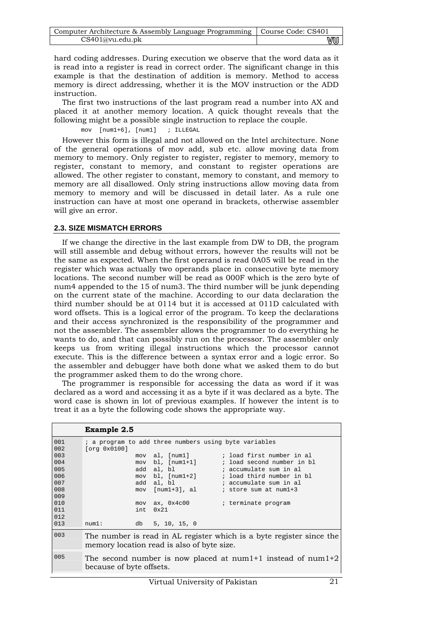| Computer Architecture & Assembly Language Programming   Course Code: CS401 |    |
|----------------------------------------------------------------------------|----|
| CS401@vu.edu.ph                                                            | vu |

hard coding addresses. During execution we observe that the word data as it is read into a register is read in correct order. The significant change in this example is that the destination of addition is memory. Method to access memory is direct addressing, whether it is the MOV instruction or the ADD instruction.

The first two instructions of the last program read a number into AX and placed it at another memory location. A quick thought reveals that the following might be a possible single instruction to replace the couple.

mov [num1+6], [num1] ; ILLEGAL

However this form is illegal and not allowed on the Intel architecture. None of the general operations of mov add, sub etc. allow moving data from memory to memory. Only register to register, register to memory, memory to register, constant to memory, and constant to register operations are allowed. The other register to constant, memory to constant, and memory to memory are all disallowed. Only string instructions allow moving data from memory to memory and will be discussed in detail later. As a rule one instruction can have at most one operand in brackets, otherwise assembler will give an error.

## **2.3. SIZE MISMATCH ERRORS**

If we change the directive in the last example from DW to DB, the program will still assemble and debug without errors, however the results will not be the same as expected. When the first operand is read 0A05 will be read in the register which was actually two operands place in consecutive byte memory locations. The second number will be read as 000F which is the zero byte of num4 appended to the 15 of num3. The third number will be junk depending on the current state of the machine. According to our data declaration the third number should be at 0114 but it is accessed at 011D calculated with word offsets. This is a logical error of the program. To keep the declarations and their access synchronized is the responsibility of the programmer and not the assembler. The assembler allows the programmer to do everything he wants to do, and that can possibly run on the processor. The assembler only keeps us from writing illegal instructions which the processor cannot execute. This is the difference between a syntax error and a logic error. So the assembler and debugger have both done what we asked them to do but the programmer asked them to do the wrong chore.

The programmer is responsible for accessing the data as word if it was declared as a word and accessing it as a byte if it was declared as a byte. The word case is shown in lot of previous examples. If however the intent is to treat it as a byte the following code shows the appropriate way.

|                                                      | Example 2.5                                                                                                                                                                                                                                                                                                                                        |  |  |  |  |  |
|------------------------------------------------------|----------------------------------------------------------------------------------------------------------------------------------------------------------------------------------------------------------------------------------------------------------------------------------------------------------------------------------------------------|--|--|--|--|--|
| 001<br>002<br>003<br>004<br>005<br>006<br>007<br>008 | ; a program to add three numbers using byte variables<br>[org 0x0100]<br>mov al, [num1] ; load first number in al<br>$mov$ bl, $[num1+1]$<br>; load second number in bl<br>add al, bl<br>accumulate sum in al<br>mov bl, [num1+2] ; load third number in bl<br>add al, bl<br>accumulate sum in al<br>$mov [num1+3]$ , al $i$ store sum at $num1+3$ |  |  |  |  |  |
| 009<br>010<br>011<br>012<br>013                      | $mov$ ax, $0x4c00$<br>; terminate program<br>$0 \times 21$<br>int.<br>5, 10, 15, 0<br>num1:<br>db                                                                                                                                                                                                                                                  |  |  |  |  |  |
| 003                                                  | The number is read in AL register which is a byte register since the<br>memory location read is also of byte size.                                                                                                                                                                                                                                 |  |  |  |  |  |
| 005                                                  | The second number is now placed at num1+1 instead of num1+2<br>because of byte offsets.                                                                                                                                                                                                                                                            |  |  |  |  |  |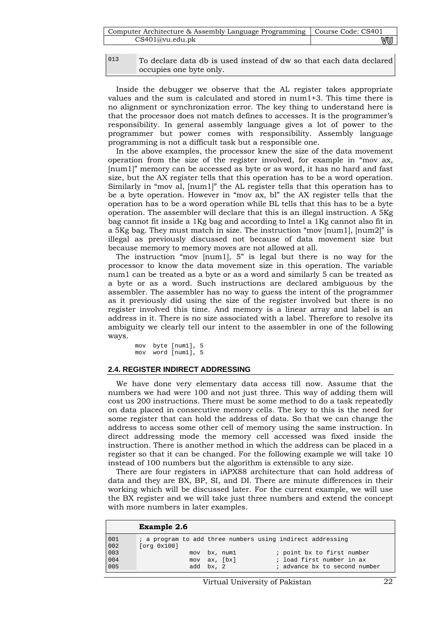| Computer Architecture & Assembly Language Programming   Course Code: CS401 |    |
|----------------------------------------------------------------------------|----|
| CS401@vu.edu.ph                                                            | vu |

| 013 | To declare data db is used instead of dw so that each data declared |  |
|-----|---------------------------------------------------------------------|--|
|     | occupies one byte only.                                             |  |

Inside the debugger we observe that the AL register takes appropriate values and the sum is calculated and stored in num1+3. This time there is no alignment or synchronization error. The key thing to understand here is that the processor does not match defines to accesses. It is the programmer's responsibility. In general assembly language gives a lot of power to the programmer but power comes with responsibility. Assembly language programming is not a difficult task but a responsible one.

In the above examples, the processor knew the size of the data movement operation from the size of the register involved, for example in "mov ax, [num1]" memory can be accessed as byte or as word, it has no hard and fast size, but the AX register tells that this operation has to be a word operation. Similarly in "mov al, [num1]" the AL register tells that this operation has to be a byte operation. However in "mov ax, bl" the AX register tells that the operation has to be a word operation while BL tells that this has to be a byte operation. The assembler will declare that this is an illegal instruction. A 5Kg bag cannot fit inside a 1Kg bag and according to Intel a 1Kg cannot also fit in a 5Kg bag. They must match in size. The instruction "mov [num1], [num2]" is illegal as previously discussed not because of data movement size but because memory to memory moves are not allowed at all.

The instruction "mov [num1], 5" is legal but there is no way for the processor to know the data movement size in this operation. The variable num1 can be treated as a byte or as a word and similarly 5 can be treated as a byte or as a word. Such instructions are declared ambiguous by the assembler. The assembler has no way to guess the intent of the programmer as it previously did using the size of the register involved but there is no register involved this time. And memory is a linear array and label is an address in it. There is no size associated with a label. Therefore to resolve its ambiguity we clearly tell our intent to the assembler in one of the following ways.

mov byte [num1], 5 mov word [num1], 5

## **2.4. REGISTER INDIRECT ADDRESSING**

We have done very elementary data access till now. Assume that the numbers we had were 100 and not just three. This way of adding them will cost us 200 instructions. There must be some method to do a task repeatedly on data placed in consecutive memory cells. The key to this is the need for some register that can hold the address of data. So that we can change the address to access some other cell of memory using the same instruction. In direct addressing mode the memory cell accessed was fixed inside the instruction. There is another method in which the address can be placed in a register so that it can be changed. For the following example we will take 10 instead of 100 numbers but the algorithm is extensible to any size.

There are four registers in iAPX88 architecture that can hold address of data and they are BX, BP, SI, and DI. There are minute differences in their working which will be discussed later. For the current example, we will use the BX register and we will take just three numbers and extend the concept with more numbers in later examples.

|                   | <b>Example 2.6</b> |                                                            |
|-------------------|--------------------|------------------------------------------------------------|
| 001<br>002        | [org 0x100]        | ; a program to add three numbers using indirect addressing |
| 003<br>004<br>005 | mov                | ; point bx to first number<br>bx, numl                     |
|                   | mov                | ; load first number in ax<br>ax, [bx]                      |
|                   |                    | add bx, 2<br>; advance bx to second number                 |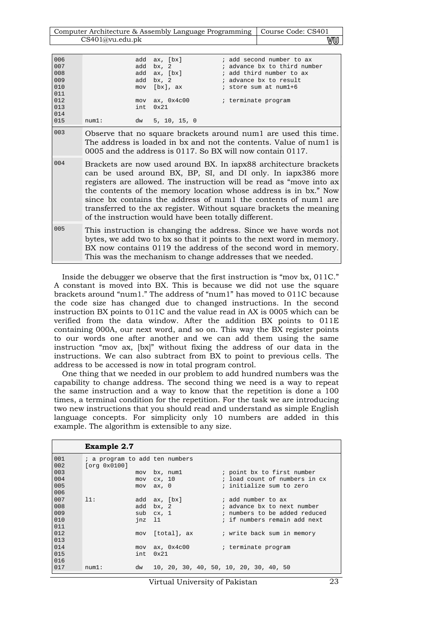| Computer Architecture & Assembly Language Programming   Course Code: CS401 |    |
|----------------------------------------------------------------------------|----|
| CS401@vu.edu.pdf                                                           | WU |

| 006<br>007<br>008<br>009<br>010<br>011<br>012<br>013<br>014 |                                                                                                                                                                                                                                                                                                                                                                                                                                                                               | add<br>add<br>add<br>mov<br>int. | add ax, [bx]<br>bx, 2<br>ax, [bx]<br>bx, 2<br>[bx], ax<br>$mov$ ax, $0x4c00$<br>$0 \times 21$ | ; add second number to ax<br>; advance bx to third number<br>; add third number to ax<br>; advance bx to result<br>; store sum at num1+6<br>; terminate program                                           |  |
|-------------------------------------------------------------|-------------------------------------------------------------------------------------------------------------------------------------------------------------------------------------------------------------------------------------------------------------------------------------------------------------------------------------------------------------------------------------------------------------------------------------------------------------------------------|----------------------------------|-----------------------------------------------------------------------------------------------|-----------------------------------------------------------------------------------------------------------------------------------------------------------------------------------------------------------|--|
| 015                                                         | num1:                                                                                                                                                                                                                                                                                                                                                                                                                                                                         | dw                               | 5, 10, 15, 0                                                                                  |                                                                                                                                                                                                           |  |
| 003                                                         |                                                                                                                                                                                                                                                                                                                                                                                                                                                                               |                                  |                                                                                               | Observe that no square brackets around numl are used this time.<br>The address is loaded in bx and not the contents. Value of num1 is<br>0005 and the address is $0117$ . So BX will now contain $0117$ . |  |
| 004                                                         | Brackets are now used around BX. In iapx88 architecture brackets<br>can be used around BX, BP, SI, and DI only. In iapx386 more<br>registers are allowed. The instruction will be read as "move into ax<br>the contents of the memory location whose address is in bx." Now<br>since bx contains the address of numl the contents of numl are<br>transferred to the ax register. Without square brackets the meaning<br>of the instruction would have been totally different. |                                  |                                                                                               |                                                                                                                                                                                                           |  |
| 005                                                         | This instruction is changing the address. Since we have words not<br>bytes, we add two to bx so that it points to the next word in memory.<br>BX now contains 0119 the address of the second word in memory.<br>This was the mechanism to change addresses that we needed.                                                                                                                                                                                                    |                                  |                                                                                               |                                                                                                                                                                                                           |  |

Inside the debugger we observe that the first instruction is "mov bx, 011C." A constant is moved into BX. This is because we did not use the square brackets around "num1." The address of "num1" has moved to 011C because the code size has changed due to changed instructions. In the second instruction BX points to 011C and the value read in AX is 0005 which can be verified from the data window. After the addition BX points to 011E containing 000A, our next word, and so on. This way the BX register points to our words one after another and we can add them using the same instruction "mov ax, [bx]" without fixing the address of our data in the instructions. We can also subtract from BX to point to previous cells. The address to be accessed is now in total program control.

One thing that we needed in our problem to add hundred numbers was the capability to change address. The second thing we need is a way to repeat the same instruction and a way to know that the repetition is done a 100 times, a terminal condition for the repetition. For the task we are introducing two new instructions that you should read and understand as simple English language concepts. For simplicity only 10 numbers are added in this example. The algorithm is extensible to any size.

|     | <b>Example 2.7</b>             |                 |                                        |
|-----|--------------------------------|-----------------|----------------------------------------|
| 001 | ; a program to add ten numbers |                 |                                        |
| 002 | [org 0x0100]                   |                 |                                        |
| 003 |                                | mov bx, numl    | ; point bx to first number             |
| 004 | mov                            | cx, 10          | ; load count of numbers in cx          |
| 005 |                                | $mov$ $ax, 0$   | ; initialize sum to zero               |
| 006 |                                |                 |                                        |
| 007 | 11:                            | add ax, [bx]    | ; add number to ax                     |
| 008 | add                            | bx, 2           | ; advance bx to next number            |
| 009 |                                | sub cx, 1       | ; numbers to be added reduced          |
| 010 | $\frac{1}{1}$                  |                 | ; if numbers remain add next           |
| 011 |                                |                 |                                        |
| 012 |                                | mov [total], ax | ; write back sum in memory             |
| 013 |                                |                 |                                        |
| 014 | mov                            | ax, 0x4c00      | ; terminate program                    |
| 015 | int.                           | $0 \times 21$   |                                        |
| 016 |                                |                 |                                        |
| 017 | num1:<br>dw                    |                 | 10, 20, 30, 40, 50, 10, 20, 30, 40, 50 |

Virtual University of Pakistan 23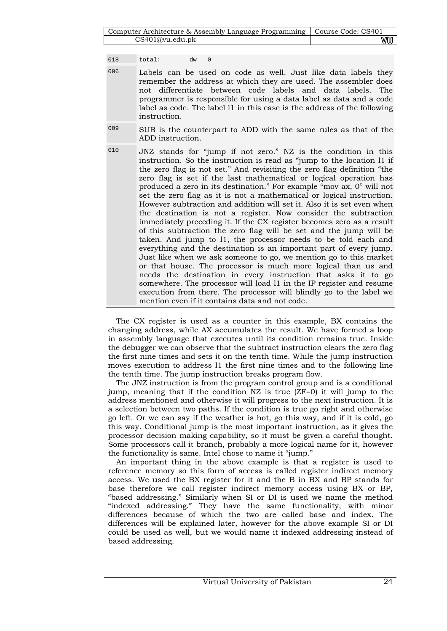| Computer Architecture & Assembly Language Programming   Course Code: CS401 |    |
|----------------------------------------------------------------------------|----|
| CS401@vu.edu.ph                                                            | VU |

018 total: dw 0

- 006 Labels can be used on code as well. Just like data labels they remember the address at which they are used. The assembler does not differentiate between code labels and data labels. The programmer is responsible for using a data label as data and a code label as code. The label l1 in this case is the address of the following instruction.
- 009 SUB is the counterpart to ADD with the same rules as that of the ADD instruction.
- 010 JNZ stands for "jump if not zero." NZ is the condition in this instruction. So the instruction is read as "jump to the location l1 if the zero flag is not set." And revisiting the zero flag definition "the zero flag is set if the last mathematical or logical operation has produced a zero in its destination." For example "mov ax, 0" will not set the zero flag as it is not a mathematical or logical instruction. However subtraction and addition will set it. Also it is set even when the destination is not a register. Now consider the subtraction immediately preceding it. If the CX register becomes zero as a result of this subtraction the zero flag will be set and the jump will be taken. And jump to l1, the processor needs to be told each and everything and the destination is an important part of every jump. Just like when we ask someone to go, we mention go to this market or that house. The processor is much more logical than us and needs the destination in every instruction that asks it to go somewhere. The processor will load l1 in the IP register and resume execution from there. The processor will blindly go to the label we mention even if it contains data and not code.

The CX register is used as a counter in this example, BX contains the changing address, while AX accumulates the result. We have formed a loop in assembly language that executes until its condition remains true. Inside the debugger we can observe that the subtract instruction clears the zero flag the first nine times and sets it on the tenth time. While the jump instruction moves execution to address l1 the first nine times and to the following line the tenth time. The jump instruction breaks program flow.

The JNZ instruction is from the program control group and is a conditional jump, meaning that if the condition NZ is true (ZF=0) it will jump to the address mentioned and otherwise it will progress to the next instruction. It is a selection between two paths. If the condition is true go right and otherwise go left. Or we can say if the weather is hot, go this way, and if it is cold, go this way. Conditional jump is the most important instruction, as it gives the processor decision making capability, so it must be given a careful thought. Some processors call it branch, probably a more logical name for it, however the functionality is same. Intel chose to name it "jump."

An important thing in the above example is that a register is used to reference memory so this form of access is called register indirect memory access. We used the BX register for it and the B in BX and BP stands for base therefore we call register indirect memory access using BX or BP, "based addressing." Similarly when SI or DI is used we name the method "indexed addressing." They have the same functionality, with minor differences because of which the two are called base and index. The differences will be explained later, however for the above example SI or DI could be used as well, but we would name it indexed addressing instead of based addressing.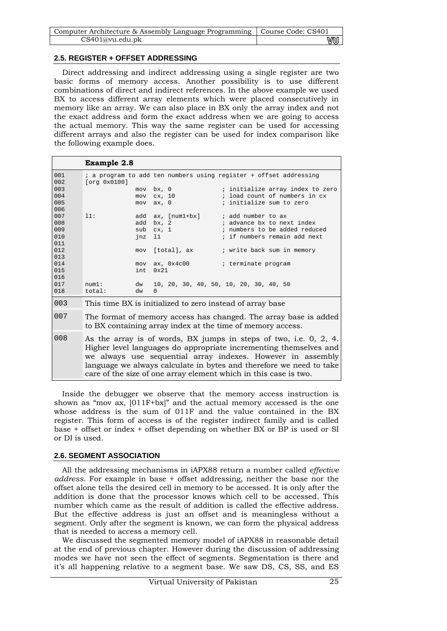| Computer Architecture & Assembly Language Programming   Course Code: CS401 |    |
|----------------------------------------------------------------------------|----|
| CS401@vu.edu.pdf                                                           | vu |

## **2.5. REGISTER + OFFSET ADDRESSING**

Direct addressing and indirect addressing using a single register are two basic forms of memory access. Another possibility is to use different combinations of direct and indirect references. In the above example we used BX to access different array elements which were placed consecutively in memory like an array. We can also place in BX only the array index and not the exact address and form the exact address when we are going to access the actual memory. This way the same register can be used for accessing different arrays and also the register can be used for index comparison like the following example does.

|            | <b>Example 2.8</b>                                                                                                                                                                                                                                                                                                                               |     |          |                   |  |  |                                        |  |  |
|------------|--------------------------------------------------------------------------------------------------------------------------------------------------------------------------------------------------------------------------------------------------------------------------------------------------------------------------------------------------|-----|----------|-------------------|--|--|----------------------------------------|--|--|
| 001<br>002 | ; a program to add ten numbers using register + offset addressing<br>[org 0x0100]                                                                                                                                                                                                                                                                |     |          |                   |  |  |                                        |  |  |
| 003        |                                                                                                                                                                                                                                                                                                                                                  | mov | bx, 0    |                   |  |  | ; initialize array index to zero       |  |  |
| 004        |                                                                                                                                                                                                                                                                                                                                                  | mov | cx, 10   |                   |  |  | ; load count of numbers in cx          |  |  |
| 005        |                                                                                                                                                                                                                                                                                                                                                  | mov | ax, 0    |                   |  |  | ; initialize sum to zero               |  |  |
| 006        |                                                                                                                                                                                                                                                                                                                                                  |     |          |                   |  |  |                                        |  |  |
| 007        | 11:                                                                                                                                                                                                                                                                                                                                              |     |          | add ax, [num1+bx] |  |  | ; add number to ax                     |  |  |
| 008        |                                                                                                                                                                                                                                                                                                                                                  | add | bx, 2    |                   |  |  | ; advance bx to next index             |  |  |
| 009        |                                                                                                                                                                                                                                                                                                                                                  | sub | cx, 1    |                   |  |  | ; numbers to be added reduced          |  |  |
| 010        |                                                                                                                                                                                                                                                                                                                                                  | jnz | 11       |                   |  |  | ; if numbers remain add next           |  |  |
| 011        |                                                                                                                                                                                                                                                                                                                                                  |     |          |                   |  |  |                                        |  |  |
| 012        |                                                                                                                                                                                                                                                                                                                                                  | mov |          | [total], ax       |  |  | ; write back sum in memory             |  |  |
| 013        |                                                                                                                                                                                                                                                                                                                                                  |     |          |                   |  |  |                                        |  |  |
| 014        |                                                                                                                                                                                                                                                                                                                                                  | mov |          | ax, $0x4c00$      |  |  | ; terminate program                    |  |  |
| 015        |                                                                                                                                                                                                                                                                                                                                                  | int | 0x21     |                   |  |  |                                        |  |  |
| 016        |                                                                                                                                                                                                                                                                                                                                                  |     |          |                   |  |  |                                        |  |  |
| 017        | num1:                                                                                                                                                                                                                                                                                                                                            | dw  |          |                   |  |  | 10, 20, 30, 40, 50, 10, 20, 30, 40, 50 |  |  |
| 018        | total:                                                                                                                                                                                                                                                                                                                                           | dw  | $\Omega$ |                   |  |  |                                        |  |  |
| 003        | This time BX is initialized to zero instead of array base                                                                                                                                                                                                                                                                                        |     |          |                   |  |  |                                        |  |  |
| 007        | The format of memory access has changed. The array base is added<br>to BX containing array index at the time of memory access.                                                                                                                                                                                                                   |     |          |                   |  |  |                                        |  |  |
| 008        | As the array is of words, BX jumps in steps of two, i.e. 0, 2, 4.<br>Higher level languages do appropriate incrementing themselves and<br>we always use sequential array indexes. However in assembly<br>language we always calculate in bytes and therefore we need to take<br>care of the size of one array element which in this case is two. |     |          |                   |  |  |                                        |  |  |

Inside the debugger we observe that the memory access instruction is shown as "mov ax,  $[011F+bx]$ " and the actual memory accessed is the one whose address is the sum of 011F and the value contained in the BX register. This form of access is of the register indirect family and is called base + offset or index + offset depending on whether BX or BP is used or SI or DI is used.

## **2.6. SEGMENT ASSOCIATION**

All the addressing mechanisms in iAPX88 return a number called *effective address*. For example in base + offset addressing, neither the base nor the offset alone tells the desired cell in memory to be accessed. It is only after the addition is done that the processor knows which cell to be accessed. This number which came as the result of addition is called the effective address. But the effective address is just an offset and is meaningless without a segment. Only after the segment is known, we can form the physical address that is needed to access a memory cell.

We discussed the segmented memory model of iAPX88 in reasonable detail at the end of previous chapter. However during the discussion of addressing modes we have not seen the effect of segments. Segmentation is there and it's all happening relative to a segment base. We saw DS, CS, SS, and ES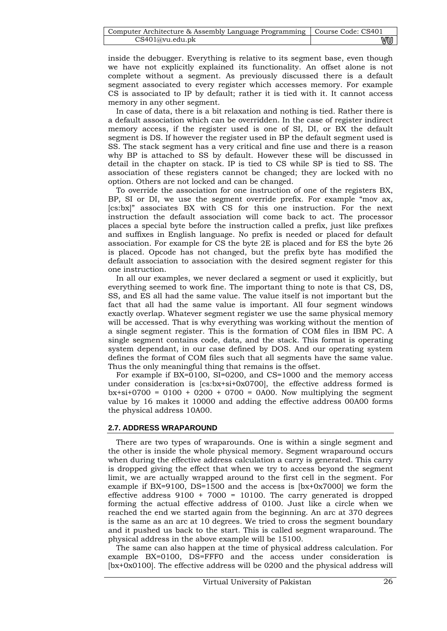| Computer Architecture & Assembly Language Programming   Course Code: CS401 |    |
|----------------------------------------------------------------------------|----|
| CS401@vu.edu.ph                                                            | wu |

inside the debugger. Everything is relative to its segment base, even though we have not explicitly explained its functionality. An offset alone is not complete without a segment. As previously discussed there is a default segment associated to every register which accesses memory. For example CS is associated to IP by default; rather it is tied with it. It cannot access memory in any other segment.

In case of data, there is a bit relaxation and nothing is tied. Rather there is a default association which can be overridden. In the case of register indirect memory access, if the register used is one of SI, DI, or BX the default segment is DS. If however the register used in BP the default segment used is SS. The stack segment has a very critical and fine use and there is a reason why BP is attached to SS by default. However these will be discussed in detail in the chapter on stack. IP is tied to CS while SP is tied to SS. The association of these registers cannot be changed; they are locked with no option. Others are not locked and can be changed.

To override the association for one instruction of one of the registers BX, BP, SI or DI, we use the segment override prefix. For example "mov ax, [cs:bx]" associates BX with CS for this one instruction. For the next instruction the default association will come back to act. The processor places a special byte before the instruction called a prefix, just like prefixes and suffixes in English language. No prefix is needed or placed for default association. For example for CS the byte 2E is placed and for ES the byte 26 is placed. Opcode has not changed, but the prefix byte has modified the default association to association with the desired segment register for this one instruction.

In all our examples, we never declared a segment or used it explicitly, but everything seemed to work fine. The important thing to note is that CS, DS, SS, and ES all had the same value. The value itself is not important but the fact that all had the same value is important. All four segment windows exactly overlap. Whatever segment register we use the same physical memory will be accessed. That is why everything was working without the mention of a single segment register. This is the formation of COM files in IBM PC. A single segment contains code, data, and the stack. This format is operating system dependant, in our case defined by DOS. And our operating system defines the format of COM files such that all segments have the same value. Thus the only meaningful thing that remains is the offset.

For example if BX=0100, SI=0200, and CS=1000 and the memory access under consideration is  $[cs:bx+si+0x0700]$ , the effective address formed is  $bx+si+0700 = 0100 + 0200 + 0700 = 0A00$ . Now multiplying the segment value by 16 makes it 10000 and adding the effective address 00A00 forms the physical address 10A00.

## **2.7. ADDRESS WRAPAROUND**

There are two types of wraparounds. One is within a single segment and the other is inside the whole physical memory. Segment wraparound occurs when during the effective address calculation a carry is generated. This carry is dropped giving the effect that when we try to access beyond the segment limit, we are actually wrapped around to the first cell in the segment. For example if BX=9100, DS=1500 and the access is [bx+0x7000] we form the effective address  $9100 + 7000 = 10100$ . The carry generated is dropped forming the actual effective address of 0100. Just like a circle when we reached the end we started again from the beginning. An arc at 370 degrees is the same as an arc at 10 degrees. We tried to cross the segment boundary and it pushed us back to the start. This is called segment wraparound. The physical address in the above example will be 15100.

The same can also happen at the time of physical address calculation. For example BX=0100, DS=FFF0 and the access under consideration is [bx+0x0100]. The effective address will be 0200 and the physical address will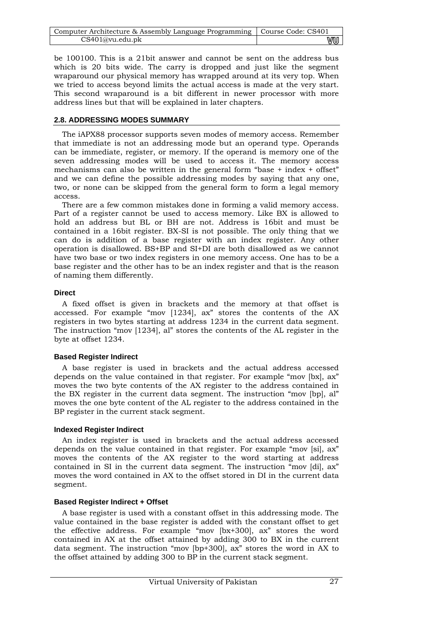| Computer Architecture & Assembly Language Programming   Course Code: CS401 |    |
|----------------------------------------------------------------------------|----|
| CS401@vu.edu.ph                                                            | wu |

be 100100. This is a 21bit answer and cannot be sent on the address bus which is 20 bits wide. The carry is dropped and just like the segment wraparound our physical memory has wrapped around at its very top. When we tried to access beyond limits the actual access is made at the very start. This second wraparound is a bit different in newer processor with more address lines but that will be explained in later chapters.

## **2.8. ADDRESSING MODES SUMMARY**

The iAPX88 processor supports seven modes of memory access. Remember that immediate is not an addressing mode but an operand type. Operands can be immediate, register, or memory. If the operand is memory one of the seven addressing modes will be used to access it. The memory access mechanisms can also be written in the general form "base + index + offset" and we can define the possible addressing modes by saying that any one, two, or none can be skipped from the general form to form a legal memory access.

There are a few common mistakes done in forming a valid memory access. Part of a register cannot be used to access memory. Like BX is allowed to hold an address but BL or BH are not. Address is 16bit and must be contained in a 16bit register. BX-SI is not possible. The only thing that we can do is addition of a base register with an index register. Any other operation is disallowed. BS+BP and SI+DI are both disallowed as we cannot have two base or two index registers in one memory access. One has to be a base register and the other has to be an index register and that is the reason of naming them differently.

## **Direct**

A fixed offset is given in brackets and the memory at that offset is accessed. For example "mov [1234], ax" stores the contents of the AX registers in two bytes starting at address 1234 in the current data segment. The instruction "mov [1234], al" stores the contents of the AL register in the byte at offset 1234.

## **Based Register Indirect**

A base register is used in brackets and the actual address accessed depends on the value contained in that register. For example "mov [bx], ax" moves the two byte contents of the AX register to the address contained in the BX register in the current data segment. The instruction "mov [bp], al" moves the one byte content of the AL register to the address contained in the BP register in the current stack segment.

## **Indexed Register Indirect**

An index register is used in brackets and the actual address accessed depends on the value contained in that register. For example "mov [si], ax" moves the contents of the AX register to the word starting at address contained in SI in the current data segment. The instruction "mov [di], ax" moves the word contained in AX to the offset stored in DI in the current data segment.

## **Based Register Indirect + Offset**

A base register is used with a constant offset in this addressing mode. The value contained in the base register is added with the constant offset to get the effective address. For example "mov [bx+300], ax" stores the word contained in AX at the offset attained by adding 300 to BX in the current data segment. The instruction "mov [bp+300], ax" stores the word in AX to the offset attained by adding 300 to BP in the current stack segment.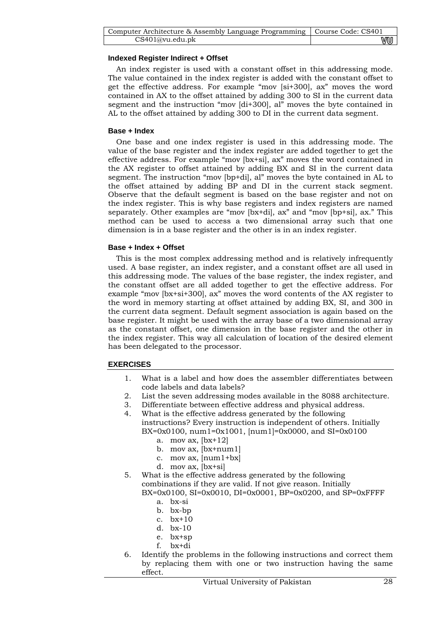| Computer Architecture & Assembly Language Programming   Course Code: CS401 |    |
|----------------------------------------------------------------------------|----|
| CS401@vu.edu.ph                                                            | wu |

## **Indexed Register Indirect + Offset**

An index register is used with a constant offset in this addressing mode. The value contained in the index register is added with the constant offset to get the effective address. For example "mov [si+300], ax" moves the word contained in AX to the offset attained by adding 300 to SI in the current data segment and the instruction "mov [di+300], al" moves the byte contained in AL to the offset attained by adding 300 to DI in the current data segment.

## **Base + Index**

One base and one index register is used in this addressing mode. The value of the base register and the index register are added together to get the effective address. For example "mov [bx+si], ax" moves the word contained in the AX register to offset attained by adding BX and SI in the current data segment. The instruction "mov [bp+di], al" moves the byte contained in AL to the offset attained by adding BP and DI in the current stack segment. Observe that the default segment is based on the base register and not on the index register. This is why base registers and index registers are named separately. Other examples are "mov [bx+di], ax" and "mov [bp+si], ax." This method can be used to access a two dimensional array such that one dimension is in a base register and the other is in an index register.

## **Base + Index + Offset**

This is the most complex addressing method and is relatively infrequently used. A base register, an index register, and a constant offset are all used in this addressing mode. The values of the base register, the index register, and the constant offset are all added together to get the effective address. For example "mov [bx+si+300], ax" moves the word contents of the AX register to the word in memory starting at offset attained by adding BX, SI, and 300 in the current data segment. Default segment association is again based on the base register. It might be used with the array base of a two dimensional array as the constant offset, one dimension in the base register and the other in the index register. This way all calculation of location of the desired element has been delegated to the processor.

## **EXERCISES**

- 1. What is a label and how does the assembler differentiates between code labels and data labels?
- 2. List the seven addressing modes available in the 8088 architecture.
- 3. Differentiate between effective address and physical address.
- 4. What is the effective address generated by the following instructions? Every instruction is independent of others. Initially BX=0x0100, num1=0x1001, [num1]=0x0000, and SI=0x0100
	- a. mov ax, [bx+12]
	- b. mov ax, [bx+num1]
	- c. mov ax,  $[num1+bx]$
	- d. mov ax, [bx+si]
- 5. What is the effective address generated by the following combinations if they are valid. If not give reason. Initially BX=0x0100, SI=0x0010, DI=0x0001, BP=0x0200, and SP=0xFFFF
	- a. bx-si
	- b. bx-bp
	- c. bx+10
	- d. bx-10
	- e. bx+sp
	- f. bx+di
- 6. Identify the problems in the following instructions and correct them by replacing them with one or two instruction having the same effect.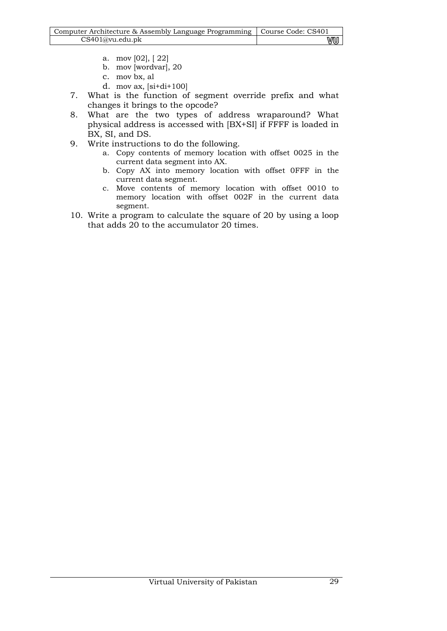| Computer Architecture & Assembly Language Programming   Course Code: CS401 |    |
|----------------------------------------------------------------------------|----|
| CS401@vu.edu.pdf                                                           | WU |

- a. mov [02], [ 22]
- b. mov [wordvar], 20
- c. mov bx, al
- d. mov ax, [si+di+100]
- 7. What is the function of segment override prefix and what changes it brings to the opcode?
- 8. What are the two types of address wraparound? What physical address is accessed with [BX+SI] if FFFF is loaded in BX, SI, and DS.
- 9. Write instructions to do the following.
	- a. Copy contents of memory location with offset 0025 in the current data segment into AX.
	- b. Copy AX into memory location with offset 0FFF in the current data segment.
	- c. Move contents of memory location with offset 0010 to memory location with offset 002F in the current data segment.
- 10. Write a program to calculate the square of 20 by using a loop that adds 20 to the accumulator 20 times.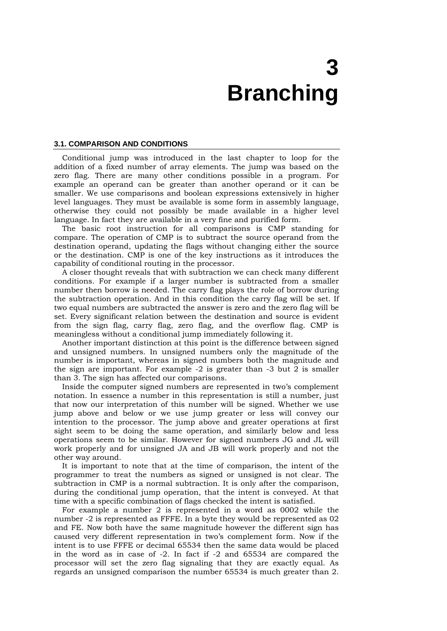# **3 Branching**

#### **3.1. COMPARISON AND CONDITIONS**

Conditional jump was introduced in the last chapter to loop for the addition of a fixed number of array elements. The jump was based on the zero flag. There are many other conditions possible in a program. For example an operand can be greater than another operand or it can be smaller. We use comparisons and boolean expressions extensively in higher level languages. They must be available is some form in assembly language, otherwise they could not possibly be made available in a higher level language. In fact they are available in a very fine and purified form.

The basic root instruction for all comparisons is CMP standing for compare. The operation of CMP is to subtract the source operand from the destination operand, updating the flags without changing either the source or the destination. CMP is one of the key instructions as it introduces the capability of conditional routing in the processor.

A closer thought reveals that with subtraction we can check many different conditions. For example if a larger number is subtracted from a smaller number then borrow is needed. The carry flag plays the role of borrow during the subtraction operation. And in this condition the carry flag will be set. If two equal numbers are subtracted the answer is zero and the zero flag will be set. Every significant relation between the destination and source is evident from the sign flag, carry flag, zero flag, and the overflow flag. CMP is meaningless without a conditional jump immediately following it.

Another important distinction at this point is the difference between signed and unsigned numbers. In unsigned numbers only the magnitude of the number is important, whereas in signed numbers both the magnitude and the sign are important. For example -2 is greater than -3 but 2 is smaller than 3. The sign has affected our comparisons.

Inside the computer signed numbers are represented in two's complement notation. In essence a number in this representation is still a number, just that now our interpretation of this number will be signed. Whether we use jump above and below or we use jump greater or less will convey our intention to the processor. The jump above and greater operations at first sight seem to be doing the same operation, and similarly below and less operations seem to be similar. However for signed numbers JG and JL will work properly and for unsigned JA and JB will work properly and not the other way around.

It is important to note that at the time of comparison, the intent of the programmer to treat the numbers as signed or unsigned is not clear. The subtraction in CMP is a normal subtraction. It is only after the comparison, during the conditional jump operation, that the intent is conveyed. At that time with a specific combination of flags checked the intent is satisfied.

For example a number 2 is represented in a word as 0002 while the number -2 is represented as FFFE. In a byte they would be represented as 02 and FE. Now both have the same magnitude however the different sign has caused very different representation in two's complement form. Now if the intent is to use FFFE or decimal 65534 then the same data would be placed in the word as in case of -2. In fact if -2 and 65534 are compared the processor will set the zero flag signaling that they are exactly equal. As regards an unsigned comparison the number 65534 is much greater than 2.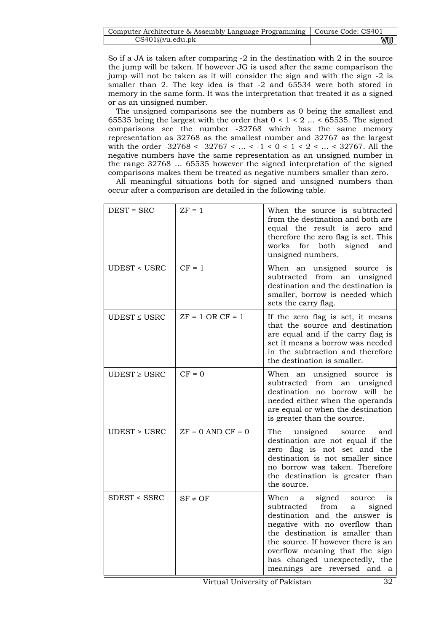| Computer Architecture & Assembly Language Programming   Course Code: CS401 |    |
|----------------------------------------------------------------------------|----|
| CS401@vu.edu.ph                                                            | vu |

So if a JA is taken after comparing -2 in the destination with 2 in the source the jump will be taken. If however JG is used after the same comparison the jump will not be taken as it will consider the sign and with the sign -2 is smaller than 2. The key idea is that -2 and 65534 were both stored in memory in the same form. It was the interpretation that treated it as a signed or as an unsigned number.

The unsigned comparisons see the numbers as 0 being the smallest and 65535 being the largest with the order that  $0 < 1 < 2... < 65535$ . The signed comparisons see the number -32768 which has the same memory representation as 32768 as the smallest number and 32767 as the largest with the order -32768 < -32767 < ... < -1 < 0 < 1 < 2 < ... < 32767. All the negative numbers have the same representation as an unsigned number in the range 32768 … 65535 however the signed interpretation of the signed comparisons makes them be treated as negative numbers smaller than zero.

All meaningful situations both for signed and unsigned numbers than occur after a comparison are detailed in the following table.

| $DEST = SRC$           | $ZF = 1$              | When the source is subtracted<br>from the destination and both are<br>equal the result is zero and<br>therefore the zero flag is set. This<br>signed and<br>works<br>for<br>both<br>unsigned numbers.                                                                                                                          |
|------------------------|-----------------------|--------------------------------------------------------------------------------------------------------------------------------------------------------------------------------------------------------------------------------------------------------------------------------------------------------------------------------|
| <b>UDEST &lt; USRC</b> | $CF = 1$              | When an unsigned source is<br>subtracted from an unsigned<br>destination and the destination is<br>smaller, borrow is needed which<br>sets the carry flag.                                                                                                                                                                     |
| $UDEST \leq USRC$      | $ZF = 1$ OR $CF = 1$  | If the zero flag is set, it means<br>that the source and destination<br>are equal and if the carry flag is<br>set it means a borrow was needed<br>in the subtraction and therefore<br>the destination is smaller.                                                                                                              |
| $UDEST \geq USRC$      | $CF = 0$              | When an unsigned source is<br>subtracted from<br>an unsigned<br>destination no borrow will be<br>needed either when the operands<br>are equal or when the destination<br>is greater than the source.                                                                                                                           |
| <b>UDEST &gt; USRC</b> | $ZF = 0$ AND $CF = 0$ | unsigned<br>The<br>source<br>and<br>destination are not equal if the<br>flag is not set and the<br>zero<br>destination is not smaller since<br>no borrow was taken. Therefore<br>the destination is greater than<br>the source.                                                                                                |
| <b>SDEST &lt; SSRC</b> | $SF \neq OF$          | When<br>signed<br>a<br>source<br>is<br>from<br>subtracted<br>a<br>signed<br>destination and the answer is<br>negative with no overflow than<br>the destination is smaller than<br>the source. If however there is an<br>overflow meaning that the sign<br>has changed unexpectedly, the<br>meanings are<br>reversed and<br>- a |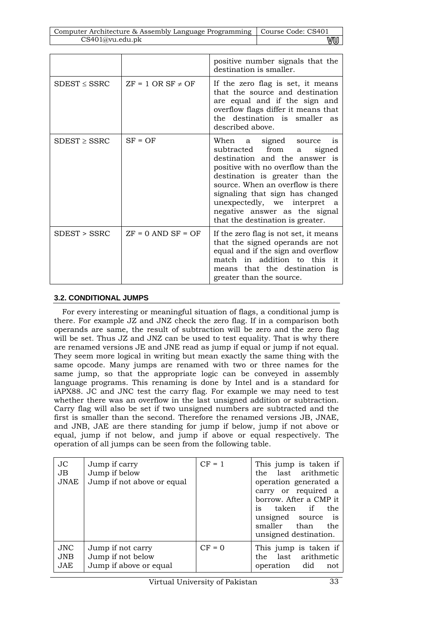| Computer Architecture & Assembly Language Programming   Course Code: CS401 |    |
|----------------------------------------------------------------------------|----|
| CS401@vu.edu.ph                                                            | vu |

|                   |                          | positive number signals that the<br>destination is smaller.                                                                                                                                                                                                                                                                                                     |
|-------------------|--------------------------|-----------------------------------------------------------------------------------------------------------------------------------------------------------------------------------------------------------------------------------------------------------------------------------------------------------------------------------------------------------------|
| $SDEST \leq SSRC$ | $ZF = 1$ OR SF $\neq$ OF | If the zero flag is set, it means<br>that the source and destination<br>are equal and if the sign and<br>overflow flags differ it means that<br>the destination is smaller as<br>described above.                                                                                                                                                               |
| $SDEST \geq SSRC$ | $SF = OF$                | When a signed source<br><sup>1</sup> S<br>subtracted from<br>signed<br>a<br>destination and the answer is<br>positive with no overflow than the<br>destination is greater than the<br>source. When an overflow is there<br>signaling that sign has changed<br>unexpectedly, we interpret a<br>negative answer as the signal<br>that the destination is greater. |
| SDEST > SSRC      | $ZF = 0$ AND $SF = OF$   | If the zero flag is not set, it means<br>that the signed operands are not<br>equal and if the sign and overflow<br>match in addition to this it<br>means that the destination is<br>greater than the source.                                                                                                                                                    |

# **3.2. CONDITIONAL JUMPS**

For every interesting or meaningful situation of flags, a conditional jump is there. For example JZ and JNZ check the zero flag. If in a comparison both operands are same, the result of subtraction will be zero and the zero flag will be set. Thus JZ and JNZ can be used to test equality. That is why there are renamed versions JE and JNE read as jump if equal or jump if not equal. They seem more logical in writing but mean exactly the same thing with the same opcode. Many jumps are renamed with two or three names for the same jump, so that the appropriate logic can be conveyed in assembly language programs. This renaming is done by Intel and is a standard for iAPX88. JC and JNC test the carry flag. For example we may need to test whether there was an overflow in the last unsigned addition or subtraction. Carry flag will also be set if two unsigned numbers are subtracted and the first is smaller than the second. Therefore the renamed versions JB, JNAE, and JNB, JAE are there standing for jump if below, jump if not above or equal, jump if not below, and jump if above or equal respectively. The operation of all jumps can be seen from the following table.

| <b>JC</b><br>$J\rm{B}$<br>JNAE | Jump if carry<br>Jump if below<br>Jump if not above or equal     | $CF = 1$ | This jump is taken if<br>the last arithmetic<br>operation generated a<br>carry or required a<br>borrow. After a CMP it<br>if<br>taken<br>the<br>is<br>unsigned source<br>$\frac{1}{1}$<br>smaller than<br>the<br>unsigned destination. |
|--------------------------------|------------------------------------------------------------------|----------|----------------------------------------------------------------------------------------------------------------------------------------------------------------------------------------------------------------------------------------|
| JNC.<br>JNB<br>JAE             | Jump if not carry<br>Jump if not below<br>Jump if above or equal | $CF = 0$ | This jump is taken if<br>the last arithmetic<br>operation did<br>not                                                                                                                                                                   |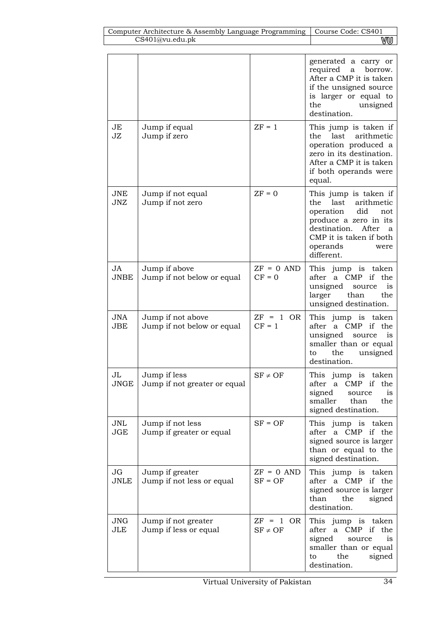|                          |                                                 |                             | generated a carry or<br>required<br>$\mathbf{a}$<br>borrow.<br>After a CMP it is taken<br>if the unsigned source<br>is larger or equal to<br>the<br>unsigned<br>destination.                      |
|--------------------------|-------------------------------------------------|-----------------------------|---------------------------------------------------------------------------------------------------------------------------------------------------------------------------------------------------|
| JE<br>JZ                 | Jump if equal<br>Jump if zero                   | $ZF = 1$                    | This jump is taken if<br>the last<br>arithmetic<br>operation produced a<br>zero in its destination.<br>After a CMP it is taken<br>if both operands were<br>equal.                                 |
| JNE<br>JNZ               | Jump if not equal<br>Jump if not zero           | $ZF = 0$                    | This jump is taken if<br>last<br>arithmetic<br>the<br>operation<br>did<br>not<br>produce a zero in its<br>destination.<br>After<br>a<br>CMP it is taken if both<br>operands<br>were<br>different. |
| JA<br><b>JNBE</b>        | Jump if above<br>Jump if not below or equal     | $ZF = 0$ AND<br>$CF = 0$    | This jump is taken<br>a CMP<br>if<br>the<br>after<br>unsigned<br>source<br>is<br>larger<br>the<br>than<br>unsigned destination.                                                                   |
| <b>JNA</b><br><b>JBE</b> | Jump if not above<br>Jump if not below or equal | $ZF = 1$ OR<br>$CF = 1$     | This jump is taken<br>a CMP if<br>after<br>the<br>unsigned<br>is<br>source<br>smaller than or equal<br>the<br>unsigned<br>to<br>destination.                                                      |
| JL<br><b>JNGE</b>        | Jump if less<br>Jump if not greater or equal    | $SF \neq OF$                | This jump is taken<br>after<br>$\text{CMP}$<br>if the<br>a<br>signed<br>is<br>source<br>smaller<br>than<br>the<br>signed destination.                                                             |
| <b>JNL</b><br><b>JGE</b> | Jump if not less<br>Jump if greater or equal    | $SF = OF$                   | This jump is taken<br>after a CMP if the<br>signed source is larger<br>than or equal to the<br>signed destination.                                                                                |
| JG<br><b>JNLE</b>        | Jump if greater<br>Jump if not less or equal    | $ZF = 0$ AND<br>$SF = OF$   | This jump is taken<br>after a CMP if the<br>signed source is larger<br>than<br>the<br>signed<br>destination.                                                                                      |
| <b>JNG</b><br><b>JLE</b> | Jump if not greater<br>Jump if less or equal    | $ZF = 1$ OR<br>$SF \neq OF$ | This jump is taken<br>after a CMP if<br>the<br>signed<br>is<br>source<br>smaller than or equal<br>signed<br>the<br>to<br>destination.                                                             |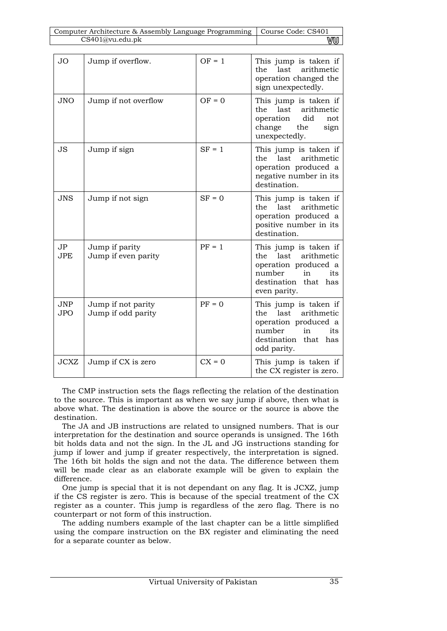| Computer Architecture & Assembly Language Programming  <br>Course Code: CS401 |                                          |          |                                                                                                                                             |  |  |  |  |
|-------------------------------------------------------------------------------|------------------------------------------|----------|---------------------------------------------------------------------------------------------------------------------------------------------|--|--|--|--|
|                                                                               | CS401@vu.edu.pk                          | WW       |                                                                                                                                             |  |  |  |  |
|                                                                               |                                          |          |                                                                                                                                             |  |  |  |  |
| <b>JO</b>                                                                     | Jump if overflow.                        | $OF = 1$ | This jump is taken if<br>last<br>arithmetic<br>the<br>operation changed the<br>sign unexpectedly.                                           |  |  |  |  |
| <b>JNO</b>                                                                    | Jump if not overflow                     | $OF = 0$ | This jump is taken if<br>the<br>last<br>arithmetic<br>did<br>operation<br>not<br>change<br>the<br>sign<br>unexpectedly.                     |  |  |  |  |
| <b>JS</b>                                                                     | Jump if sign                             | $SF = 1$ | This jump is taken if<br>arithmetic<br>the<br>last<br>operation produced a<br>negative number in its<br>destination.                        |  |  |  |  |
| <b>JNS</b>                                                                    | Jump if not sign                         | $SF = 0$ | This jump is taken if<br>arithmetic<br>the<br>last<br>operation produced a<br>positive number in its<br>destination.                        |  |  |  |  |
| JP<br><b>JPE</b>                                                              | Jump if parity<br>Jump if even parity    | $PF = 1$ | This jump is taken if<br>last<br>arithmetic<br>the<br>operation produced a<br>number<br>in<br>its<br>destination that has<br>even parity.   |  |  |  |  |
| <b>JNP</b><br><b>JPO</b>                                                      | Jump if not parity<br>Jump if odd parity | $PF = 0$ | This jump is taken if<br>the<br>last<br>arithmetic<br>operation produced a<br>number<br>in<br>its<br>destination that<br>has<br>odd parity. |  |  |  |  |
| <b>JCXZ</b>                                                                   | Jump if CX is zero                       | $CX = 0$ | This jump is taken if<br>the CX register is zero.                                                                                           |  |  |  |  |

The CMP instruction sets the flags reflecting the relation of the destination to the source. This is important as when we say jump if above, then what is above what. The destination is above the source or the source is above the destination.

The JA and JB instructions are related to unsigned numbers. That is our interpretation for the destination and source operands is unsigned. The 16th bit holds data and not the sign. In the JL and JG instructions standing for jump if lower and jump if greater respectively, the interpretation is signed. The 16th bit holds the sign and not the data. The difference between them will be made clear as an elaborate example will be given to explain the difference.

One jump is special that it is not dependant on any flag. It is JCXZ, jump if the CS register is zero. This is because of the special treatment of the CX register as a counter. This jump is regardless of the zero flag. There is no counterpart or not form of this instruction.

The adding numbers example of the last chapter can be a little simplified using the compare instruction on the BX register and eliminating the need for a separate counter as below.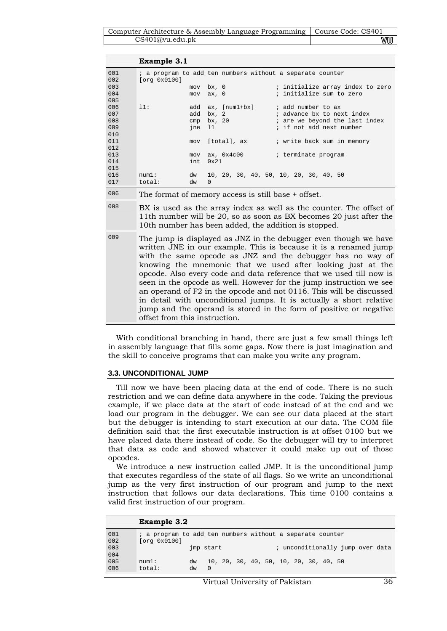Computer Architecture & Assembly Language Programming | Course Code: CS401 CS401@vu.edu.pk **WU** 

|                                 | <b>Example 3.1</b>                                                                                                                                                                                |                          |                                          |                                                                                                                                                                                                                                                                                                                                                                                                                                                                                                                                                                                                                                     |  |  |  |
|---------------------------------|---------------------------------------------------------------------------------------------------------------------------------------------------------------------------------------------------|--------------------------|------------------------------------------|-------------------------------------------------------------------------------------------------------------------------------------------------------------------------------------------------------------------------------------------------------------------------------------------------------------------------------------------------------------------------------------------------------------------------------------------------------------------------------------------------------------------------------------------------------------------------------------------------------------------------------------|--|--|--|
| 001<br>002                      | [org 0x0100]                                                                                                                                                                                      |                          |                                          | ; a program to add ten numbers without a separate counter                                                                                                                                                                                                                                                                                                                                                                                                                                                                                                                                                                           |  |  |  |
| 003<br>004<br>005               |                                                                                                                                                                                                   | mov<br>mov               | bx, 0<br>ax, 0                           | ; initialize array index to zero<br>; initialize sum to zero                                                                                                                                                                                                                                                                                                                                                                                                                                                                                                                                                                        |  |  |  |
| 006<br>007<br>008<br>009<br>010 | 11:                                                                                                                                                                                               | add<br>add<br>cmp<br>ine | $ax, [num1+bx]$<br>bx, 2<br>bx, 20<br>11 | ; add number to ax<br>; advance bx to next index<br>; are we beyond the last index<br>; if not add next number                                                                                                                                                                                                                                                                                                                                                                                                                                                                                                                      |  |  |  |
| 011<br>012<br>013<br>014<br>015 |                                                                                                                                                                                                   | mov<br>mov<br>int        | [total], ax<br>ax, $0x4c00$<br>0x21      | ; write back sum in memory<br>; terminate program                                                                                                                                                                                                                                                                                                                                                                                                                                                                                                                                                                                   |  |  |  |
| 016<br>017                      | num1:<br>total:                                                                                                                                                                                   | dw<br>$\Omega$<br>dw     |                                          | 10, 20, 30, 40, 50, 10, 20, 30, 40, 50                                                                                                                                                                                                                                                                                                                                                                                                                                                                                                                                                                                              |  |  |  |
| 006                             | The format of memory access is still base + offset.                                                                                                                                               |                          |                                          |                                                                                                                                                                                                                                                                                                                                                                                                                                                                                                                                                                                                                                     |  |  |  |
| 008                             | BX is used as the array index as well as the counter. The offset of<br>11th number will be 20, so as soon as BX becomes 20 just after the<br>10th number has been added, the addition is stopped. |                          |                                          |                                                                                                                                                                                                                                                                                                                                                                                                                                                                                                                                                                                                                                     |  |  |  |
| 009                             |                                                                                                                                                                                                   |                          |                                          | The jump is displayed as JNZ in the debugger even though we have<br>written JNE in our example. This is because it is a renamed jump<br>with the same opcode as JNZ and the debugger has no way of<br>knowing the mnemonic that we used after looking just at the<br>opcode. Also every code and data reference that we used till now is<br>seen in the opcode as well. However for the jump instruction we see<br>an operand of F2 in the opcode and not 0116. This will be discussed<br>in detail with unconditional jumps. It is actually a short relative<br>jump and the operand is stored in the form of positive or negative |  |  |  |

With conditional branching in hand, there are just a few small things left in assembly language that fills some gaps. Now there is just imagination and the skill to conceive programs that can make you write any program.

### **3.3. UNCONDITIONAL JUMP**

offset from this instruction.

Till now we have been placing data at the end of code. There is no such restriction and we can define data anywhere in the code. Taking the previous example, if we place data at the start of code instead of at the end and we load our program in the debugger. We can see our data placed at the start but the debugger is intending to start execution at our data. The COM file definition said that the first executable instruction is at offset 0100 but we have placed data there instead of code. So the debugger will try to interpret that data as code and showed whatever it could make up out of those opcodes.

We introduce a new instruction called JMP. It is the unconditional jump that executes regardless of the state of all flags. So we write an unconditional jump as the very first instruction of our program and jump to the next instruction that follows our data declarations. This time 0100 contains a valid first instruction of our program.

|            | <b>Example 3.2</b>                                                        |           |          |  |  |  |                                        |                                  |  |
|------------|---------------------------------------------------------------------------|-----------|----------|--|--|--|----------------------------------------|----------------------------------|--|
| 001<br>002 | ; a program to add ten numbers without a separate counter<br>[org 0x0100] |           |          |  |  |  |                                        |                                  |  |
| 003<br>004 |                                                                           | imp start |          |  |  |  |                                        | ; unconditionally jump over data |  |
| 005<br>006 | num1:<br>total:                                                           | dw<br>dw  | $\Omega$ |  |  |  | 10, 20, 30, 40, 50, 10, 20, 30, 40, 50 |                                  |  |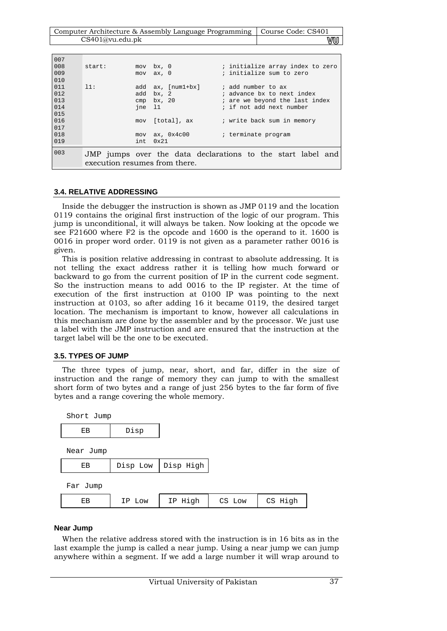| Computer Architecture & Assembly Language Programming   Course Code: CS401 |    |
|----------------------------------------------------------------------------|----|
| CS401@vu.edu.ph                                                            | vu |

| 007 |                               |      |               |                                                             |  |  |  |
|-----|-------------------------------|------|---------------|-------------------------------------------------------------|--|--|--|
| 008 | start:                        |      | $mov$ bx, $0$ | ; initialize array index to zero                            |  |  |  |
| 009 |                               |      | $mov$ $ax, 0$ | ; initialize sum to zero                                    |  |  |  |
| 010 |                               |      |               |                                                             |  |  |  |
| 011 | 11:                           | add  | ax, [num1+bx] | ; add number to ax                                          |  |  |  |
| 012 |                               | add  | bx, 2         | ; advance bx to next index                                  |  |  |  |
| 013 |                               | cmp  | bx, 20        | ; are we beyond the last index                              |  |  |  |
| 014 |                               | ine  | -11           | ; if not add next number                                    |  |  |  |
| 015 |                               |      |               |                                                             |  |  |  |
| 016 |                               | mov  | [total], ax   | ; write back sum in memory                                  |  |  |  |
| 017 |                               |      |               |                                                             |  |  |  |
| 018 |                               | mov  | ax, 0x4c00    | ; terminate program                                         |  |  |  |
| 019 |                               | int. | $0 \times 21$ |                                                             |  |  |  |
|     |                               |      |               |                                                             |  |  |  |
| 003 |                               |      |               | JMP jumps over the data declarations to the start label and |  |  |  |
|     | execution resumes from there. |      |               |                                                             |  |  |  |
|     |                               |      |               |                                                             |  |  |  |

### **3.4. RELATIVE ADDRESSING**

Inside the debugger the instruction is shown as JMP 0119 and the location 0119 contains the original first instruction of the logic of our program. This jump is unconditional, it will always be taken. Now looking at the opcode we see F21600 where F2 is the opcode and 1600 is the operand to it. 1600 is 0016 in proper word order. 0119 is not given as a parameter rather 0016 is given.

This is position relative addressing in contrast to absolute addressing. It is not telling the exact address rather it is telling how much forward or backward to go from the current position of IP in the current code segment. So the instruction means to add 0016 to the IP register. At the time of execution of the first instruction at 0100 IP was pointing to the next instruction at 0103, so after adding 16 it became 0119, the desired target location. The mechanism is important to know, however all calculations in this mechanism are done by the assembler and by the processor. We just use a label with the JMP instruction and are ensured that the instruction at the target label will be the one to be executed.

# **3.5. TYPES OF JUMP**

The three types of jump, near, short, and far, differ in the size of instruction and the range of memory they can jump to with the smallest short form of two bytes and a range of just 256 bytes to the far form of five bytes and a range covering the whole memory.

| Short Jump |          |            |        |         |
|------------|----------|------------|--------|---------|
| ЕB         | Disp     |            |        |         |
| Near Jump  |          |            |        |         |
| EВ         | Disp Low | Disp High  |        |         |
| Far Jump   |          |            |        |         |
| EВ         | IP Low   | Hiah<br>IP | CS Low | CS High |

### **Near Jump**

When the relative address stored with the instruction is in 16 bits as in the last example the jump is called a near jump. Using a near jump we can jump anywhere within a segment. If we add a large number it will wrap around to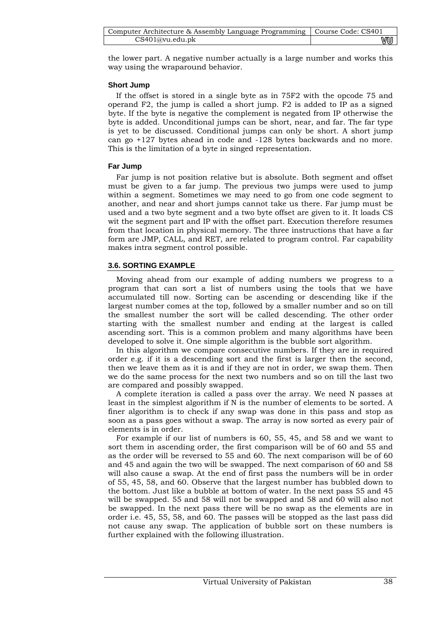| Computer Architecture & Assembly Language Programming   Course Code: CS401 |    |
|----------------------------------------------------------------------------|----|
| CS401@vu.edu.ph                                                            | vu |

the lower part. A negative number actually is a large number and works this way using the wraparound behavior.

## **Short Jump**

If the offset is stored in a single byte as in 75F2 with the opcode 75 and operand  $F2$ , the jump is called a short jump.  $F2$  is added to IP as a signed byte. If the byte is negative the complement is negated from IP otherwise the byte is added. Unconditional jumps can be short, near, and far. The far type is yet to be discussed. Conditional jumps can only be short. A short jump can go +127 bytes ahead in code and -128 bytes backwards and no more. This is the limitation of a byte in singed representation.

## **Far Jump**

Far jump is not position relative but is absolute. Both segment and offset must be given to a far jump. The previous two jumps were used to jump within a segment. Sometimes we may need to go from one code segment to another, and near and short jumps cannot take us there. Far jump must be used and a two byte segment and a two byte offset are given to it. It loads CS wit the segment part and IP with the offset part. Execution therefore resumes from that location in physical memory. The three instructions that have a far form are JMP, CALL, and RET, are related to program control. Far capability makes intra segment control possible.

# **3.6. SORTING EXAMPLE**

Moving ahead from our example of adding numbers we progress to a program that can sort a list of numbers using the tools that we have accumulated till now. Sorting can be ascending or descending like if the largest number comes at the top, followed by a smaller number and so on till the smallest number the sort will be called descending. The other order starting with the smallest number and ending at the largest is called ascending sort. This is a common problem and many algorithms have been developed to solve it. One simple algorithm is the bubble sort algorithm.

In this algorithm we compare consecutive numbers. If they are in required order e.g. if it is a descending sort and the first is larger then the second, then we leave them as it is and if they are not in order, we swap them. Then we do the same process for the next two numbers and so on till the last two are compared and possibly swapped.

A complete iteration is called a pass over the array. We need N passes at least in the simplest algorithm if N is the number of elements to be sorted. A finer algorithm is to check if any swap was done in this pass and stop as soon as a pass goes without a swap. The array is now sorted as every pair of elements is in order.

For example if our list of numbers is 60, 55, 45, and 58 and we want to sort them in ascending order, the first comparison will be of 60 and 55 and as the order will be reversed to 55 and 60. The next comparison will be of 60 and 45 and again the two will be swapped. The next comparison of 60 and 58 will also cause a swap. At the end of first pass the numbers will be in order of 55, 45, 58, and 60. Observe that the largest number has bubbled down to the bottom. Just like a bubble at bottom of water. In the next pass 55 and 45 will be swapped. 55 and 58 will not be swapped and 58 and 60 will also not be swapped. In the next pass there will be no swap as the elements are in order i.e. 45, 55, 58, and 60. The passes will be stopped as the last pass did not cause any swap. The application of bubble sort on these numbers is further explained with the following illustration.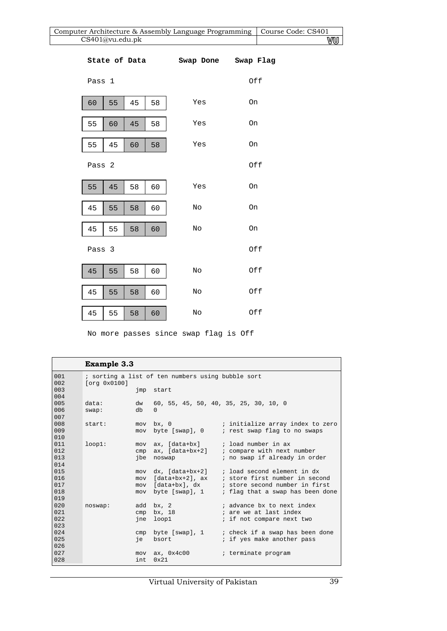| Computer Architecture & Assembly Language Programming<br>Course Code: CS401<br>CS401@vu.edu.pk |    |    |    |                                   |     |    |
|------------------------------------------------------------------------------------------------|----|----|----|-----------------------------------|-----|----|
|                                                                                                |    |    |    |                                   |     | VU |
|                                                                                                |    |    |    | State of Data Swap Done Swap Flag |     |    |
| Pass 1                                                                                         |    |    |    |                                   | Off |    |
| 60                                                                                             | 55 | 45 | 58 | Yes                               | On  |    |
| 55                                                                                             | 60 | 45 | 58 | Yes                               | On  |    |
| 55                                                                                             | 45 | 60 | 58 | Yes                               | On  |    |
| Pass 2                                                                                         |    |    |    |                                   | Off |    |
| 55                                                                                             | 45 | 58 | 60 | Yes                               | On  |    |
| 45                                                                                             | 55 | 58 | 60 | No                                | On  |    |
| 45                                                                                             | 55 | 58 | 60 | $\rm No$                          | On  |    |
| Pass 3                                                                                         |    |    |    |                                   | Off |    |
| 45                                                                                             | 55 | 58 | 60 | No                                | Off |    |
| 45                                                                                             | 55 | 58 | 60 | No                                | Off |    |
| 45                                                                                             | 55 | 58 | 60 | No                                | Off |    |

No more passes since swap flag is Off

|     | <b>Example 3.3</b>                                |      |                                       |                                                 |  |  |
|-----|---------------------------------------------------|------|---------------------------------------|-------------------------------------------------|--|--|
| 001 | ; sorting a list of ten numbers using bubble sort |      |                                       |                                                 |  |  |
| 002 | [org 0x0100]                                      |      |                                       |                                                 |  |  |
| 003 |                                                   |      | imp start                             |                                                 |  |  |
| 004 |                                                   |      |                                       |                                                 |  |  |
| 005 | data:                                             | dw   | 60, 55, 45, 50, 40, 35, 25, 30, 10, 0 |                                                 |  |  |
| 006 | swap:                                             | db   | $\Omega$                              |                                                 |  |  |
| 007 |                                                   |      |                                       |                                                 |  |  |
| 008 | start:                                            |      |                                       | mov bx, 0 (initialize array index to zero       |  |  |
| 009 |                                                   | mov  | byte [swap], 0                        | ; rest swap flag to no swaps                    |  |  |
| 010 |                                                   |      |                                       |                                                 |  |  |
| 011 | loop1:                                            |      | mov ax, [data+bx]                     | ; load number in ax                             |  |  |
| 012 |                                                   | cmp  | ax, [data+bx+2]                       | ; compare with next number                      |  |  |
| 013 |                                                   | ibe  | noswap                                | ; no swap if already in order                   |  |  |
| 014 |                                                   |      |                                       |                                                 |  |  |
| 015 |                                                   |      |                                       | mov dx, [data+bx+2] ; load second element in dx |  |  |
| 016 |                                                   | mov  | [data+bx+2], ax                       | ; store first number in second                  |  |  |
| 017 |                                                   |      | mov [data+bx], dx                     | ; store second number in first                  |  |  |
| 018 |                                                   | mov  | byte [swap], 1                        | ; flag that a swap has been done                |  |  |
| 019 |                                                   |      |                                       |                                                 |  |  |
| 020 | noswap:                                           |      | $add$ bx, $2$                         | ; advance bx to next index                      |  |  |
| 021 |                                                   | cmp  | bx, 18                                | ; are we at last index                          |  |  |
| 022 |                                                   | ine  | loop1                                 | ; if not compare next two                       |  |  |
| 023 |                                                   |      |                                       |                                                 |  |  |
| 024 |                                                   | cmp  | byte [swap], 1                        | ; check if a swap has been done                 |  |  |
| 025 |                                                   | ie   | bsort                                 | ; if yes make another pass                      |  |  |
| 026 |                                                   |      |                                       |                                                 |  |  |
| 027 |                                                   |      | $mov$ ax, $0x4c00$                    | ; terminate program                             |  |  |
| 028 |                                                   | int. | $0 \times 21$                         |                                                 |  |  |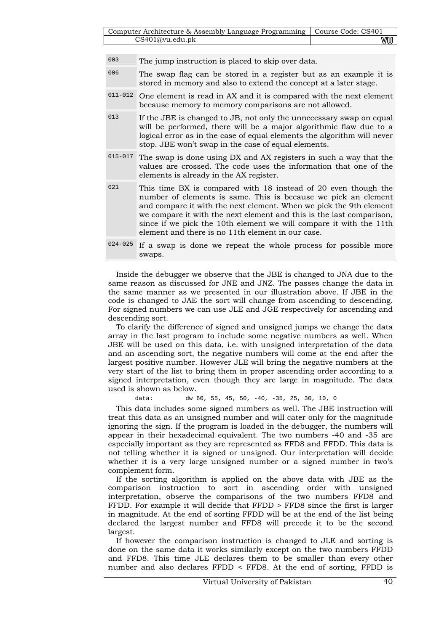| Computer Architecture & Assembly Language Programming   Course Code: CS401 |     |
|----------------------------------------------------------------------------|-----|
| CS401@vu.edu.ph                                                            | vuu |

| 003         | The jump instruction is placed to skip over data.                                                                                                                                                                                                                                                                                                                                                         |
|-------------|-----------------------------------------------------------------------------------------------------------------------------------------------------------------------------------------------------------------------------------------------------------------------------------------------------------------------------------------------------------------------------------------------------------|
| 006         | The swap flag can be stored in a register but as an example it is<br>stored in memory and also to extend the concept at a later stage.                                                                                                                                                                                                                                                                    |
| $011 - 012$ | One element is read in AX and it is compared with the next element<br>because memory to memory comparisons are not allowed.                                                                                                                                                                                                                                                                               |
| 013         | If the JBE is changed to JB, not only the unnecessary swap on equal<br>will be performed, there will be a major algorithmic flaw due to a<br>logical error as in the case of equal elements the algorithm will never<br>stop. JBE won't swap in the case of equal elements.                                                                                                                               |
| $015 - 017$ | The swap is done using DX and AX registers in such a way that the<br>values are crossed. The code uses the information that one of the<br>elements is already in the AX register.                                                                                                                                                                                                                         |
| 021         | This time BX is compared with 18 instead of 20 even though the<br>number of elements is same. This is because we pick an element<br>and compare it with the next element. When we pick the 9th element<br>we compare it with the next element and this is the last comparison,<br>since if we pick the 10th element we will compare it with the 11th<br>element and there is no 11th element in our case. |
| $024 - 025$ | If a swap is done we repeat the whole process for possible more<br>swaps.                                                                                                                                                                                                                                                                                                                                 |

Inside the debugger we observe that the JBE is changed to JNA due to the same reason as discussed for JNE and JNZ. The passes change the data in the same manner as we presented in our illustration above. If JBE in the code is changed to JAE the sort will change from ascending to descending. For signed numbers we can use JLE and JGE respectively for ascending and descending sort.

To clarify the difference of signed and unsigned jumps we change the data array in the last program to include some negative numbers as well. When JBE will be used on this data, i.e. with unsigned interpretation of the data and an ascending sort, the negative numbers will come at the end after the largest positive number. However JLE will bring the negative numbers at the very start of the list to bring them in proper ascending order according to a signed interpretation, even though they are large in magnitude. The data used is shown as below.

data: dw 60, 55, 45, 50, -40, -35, 25, 30, 10, 0

This data includes some signed numbers as well. The JBE instruction will treat this data as an unsigned number and will cater only for the magnitude ignoring the sign. If the program is loaded in the debugger, the numbers will appear in their hexadecimal equivalent. The two numbers -40 and -35 are especially important as they are represented as FFD8 and FFDD. This data is not telling whether it is signed or unsigned. Our interpretation will decide whether it is a very large unsigned number or a signed number in two's complement form.

If the sorting algorithm is applied on the above data with JBE as the comparison instruction to sort in ascending order with unsigned interpretation, observe the comparisons of the two numbers FFD8 and FFDD. For example it will decide that FFDD > FFD8 since the first is larger in magnitude. At the end of sorting FFDD will be at the end of the list being declared the largest number and FFD8 will precede it to be the second largest.

If however the comparison instruction is changed to JLE and sorting is done on the same data it works similarly except on the two numbers FFDD and FFD8. This time JLE declares them to be smaller than every other number and also declares FFDD < FFD8. At the end of sorting, FFDD is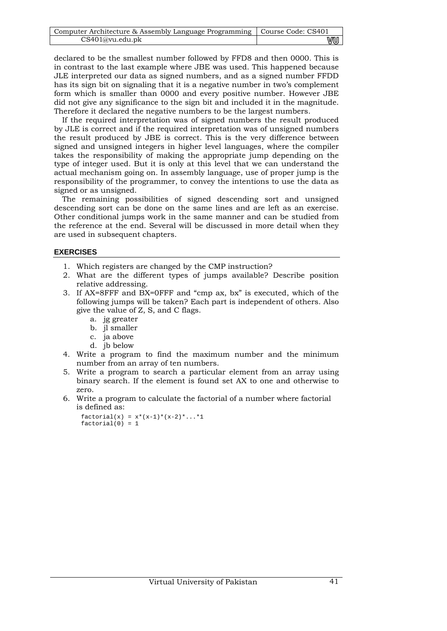| Computer Architecture & Assembly Language Programming   Course Code: CS401 |    |
|----------------------------------------------------------------------------|----|
| CS401@vu.edu.ph                                                            | vu |

declared to be the smallest number followed by FFD8 and then 0000. This is in contrast to the last example where JBE was used. This happened because JLE interpreted our data as signed numbers, and as a signed number FFDD has its sign bit on signaling that it is a negative number in two's complement form which is smaller than 0000 and every positive number. However JBE did not give any significance to the sign bit and included it in the magnitude. Therefore it declared the negative numbers to be the largest numbers.

If the required interpretation was of signed numbers the result produced by JLE is correct and if the required interpretation was of unsigned numbers the result produced by JBE is correct. This is the very difference between signed and unsigned integers in higher level languages, where the compiler takes the responsibility of making the appropriate jump depending on the type of integer used. But it is only at this level that we can understand the actual mechanism going on. In assembly language, use of proper jump is the responsibility of the programmer, to convey the intentions to use the data as signed or as unsigned.

The remaining possibilities of signed descending sort and unsigned descending sort can be done on the same lines and are left as an exercise. Other conditional jumps work in the same manner and can be studied from the reference at the end. Several will be discussed in more detail when they are used in subsequent chapters.

## **EXERCISES**

- 1. Which registers are changed by the CMP instruction?
- 2. What are the different types of jumps available? Describe position relative addressing.
- 3. If AX=8FFF and BX=0FFF and "cmp ax, bx" is executed, which of the following jumps will be taken? Each part is independent of others. Also give the value of Z, S, and C flags.
	- a. jg greater
	- b. jl smaller
	- c. ja above
	- d. jb below
- 4. Write a program to find the maximum number and the minimum number from an array of ten numbers.
- 5. Write a program to search a particular element from an array using binary search. If the element is found set AX to one and otherwise to zero.
- 6. Write a program to calculate the factorial of a number where factorial is defined as:

```
factorial(x) = x*(x-1)*(x-2)*...*1factorial(0) = 1
```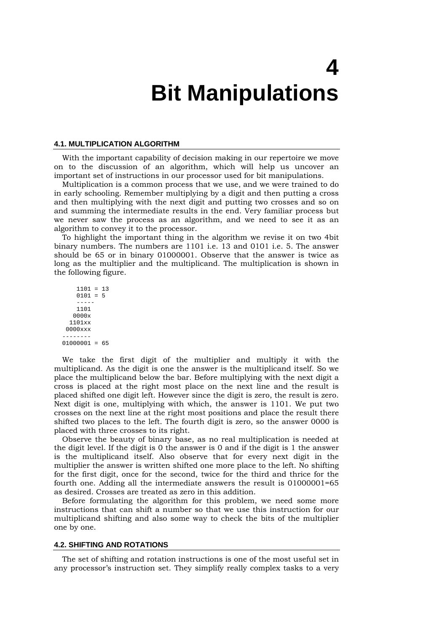# **4 Bit Manipulations**

#### **4.1. MULTIPLICATION ALGORITHM**

With the important capability of decision making in our repertoire we move on to the discussion of an algorithm, which will help us uncover an important set of instructions in our processor used for bit manipulations.

Multiplication is a common process that we use, and we were trained to do in early schooling. Remember multiplying by a digit and then putting a cross and then multiplying with the next digit and putting two crosses and so on and summing the intermediate results in the end. Very familiar process but we never saw the process as an algorithm, and we need to see it as an algorithm to convey it to the processor.

To highlight the important thing in the algorithm we revise it on two 4bit binary numbers. The numbers are 1101 i.e. 13 and 0101 i.e. 5. The answer should be 65 or in binary 01000001. Observe that the answer is twice as long as the multiplier and the multiplicand. The multiplication is shown in the following figure.

 1101 = 13  $0101 = 5$  ----- 1101 0000x 1101xx 0000xxx --------  $01000001 = 65$ 

We take the first digit of the multiplier and multiply it with the multiplicand. As the digit is one the answer is the multiplicand itself. So we place the multiplicand below the bar. Before multiplying with the next digit a cross is placed at the right most place on the next line and the result is placed shifted one digit left. However since the digit is zero, the result is zero. Next digit is one, multiplying with which, the answer is 1101. We put two crosses on the next line at the right most positions and place the result there shifted two places to the left. The fourth digit is zero, so the answer 0000 is placed with three crosses to its right.

Observe the beauty of binary base, as no real multiplication is needed at the digit level. If the digit is 0 the answer is 0 and if the digit is 1 the answer is the multiplicand itself. Also observe that for every next digit in the multiplier the answer is written shifted one more place to the left. No shifting for the first digit, once for the second, twice for the third and thrice for the fourth one. Adding all the intermediate answers the result is 01000001=65 as desired. Crosses are treated as zero in this addition.

Before formulating the algorithm for this problem, we need some more instructions that can shift a number so that we use this instruction for our multiplicand shifting and also some way to check the bits of the multiplier one by one.

#### **4.2. SHIFTING AND ROTATIONS**

The set of shifting and rotation instructions is one of the most useful set in any processor's instruction set. They simplify really complex tasks to a very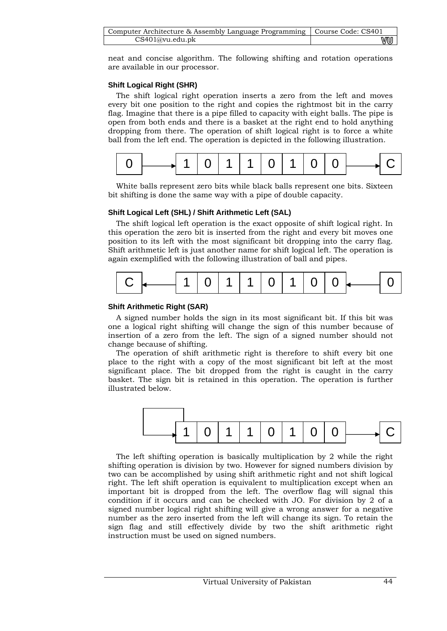| Computer Architecture & Assembly Language Programming   Course Code: CS401 |    |
|----------------------------------------------------------------------------|----|
| CS401@vu.edu.ph                                                            | wu |

neat and concise algorithm. The following shifting and rotation operations are available in our processor.

## **Shift Logical Right (SHR)**

The shift logical right operation inserts a zero from the left and moves every bit one position to the right and copies the rightmost bit in the carry flag. Imagine that there is a pipe filled to capacity with eight balls. The pipe is open from both ends and there is a basket at the right end to hold anything dropping from there. The operation of shift logical right is to force a white ball from the left end. The operation is depicted in the following illustration.



White balls represent zero bits while black balls represent one bits. Sixteen bit shifting is done the same way with a pipe of double capacity.

## **Shift Logical Left (SHL) / Shift Arithmetic Left (SAL)**

The shift logical left operation is the exact opposite of shift logical right. In this operation the zero bit is inserted from the right and every bit moves one position to its left with the most significant bit dropping into the carry flag. Shift arithmetic left is just another name for shift logical left. The operation is again exemplified with the following illustration of ball and pipes.



### **Shift Arithmetic Right (SAR)**

A signed number holds the sign in its most significant bit. If this bit was one a logical right shifting will change the sign of this number because of insertion of a zero from the left. The sign of a signed number should not change because of shifting.

The operation of shift arithmetic right is therefore to shift every bit one place to the right with a copy of the most significant bit left at the most significant place. The bit dropped from the right is caught in the carry basket. The sign bit is retained in this operation. The operation is further illustrated below.



The left shifting operation is basically multiplication by 2 while the right shifting operation is division by two. However for signed numbers division by two can be accomplished by using shift arithmetic right and not shift logical right. The left shift operation is equivalent to multiplication except when an important bit is dropped from the left. The overflow flag will signal this condition if it occurs and can be checked with JO. For division by 2 of a signed number logical right shifting will give a wrong answer for a negative number as the zero inserted from the left will change its sign. To retain the sign flag and still effectively divide by two the shift arithmetic right instruction must be used on signed numbers.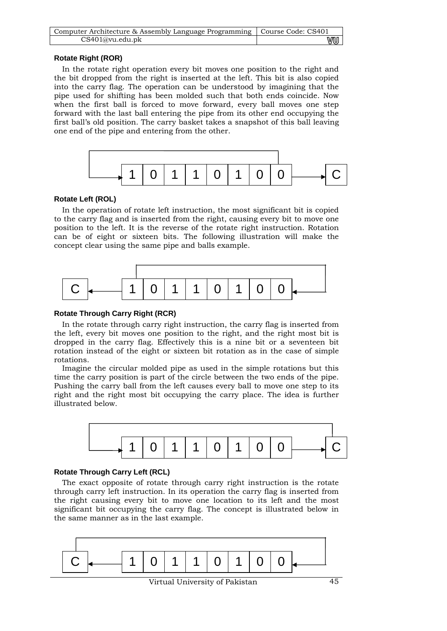| Computer Architecture & Assembly Language Programming   Course Code: CS401 |    |
|----------------------------------------------------------------------------|----|
| CS401@vu.edu.pdf                                                           | VU |

## **Rotate Right (ROR)**

In the rotate right operation every bit moves one position to the right and the bit dropped from the right is inserted at the left. This bit is also copied into the carry flag. The operation can be understood by imagining that the pipe used for shifting has been molded such that both ends coincide. Now when the first ball is forced to move forward, every ball moves one step forward with the last ball entering the pipe from its other end occupying the first ball's old position. The carry basket takes a snapshot of this ball leaving one end of the pipe and entering from the other.



## **Rotate Left (ROL)**

In the operation of rotate left instruction, the most significant bit is copied to the carry flag and is inserted from the right, causing every bit to move one position to the left. It is the reverse of the rotate right instruction. Rotation can be of eight or sixteen bits. The following illustration will make the concept clear using the same pipe and balls example.



## **Rotate Through Carry Right (RCR)**

In the rotate through carry right instruction, the carry flag is inserted from the left, every bit moves one position to the right, and the right most bit is dropped in the carry flag. Effectively this is a nine bit or a seventeen bit rotation instead of the eight or sixteen bit rotation as in the case of simple rotations.

Imagine the circular molded pipe as used in the simple rotations but this time the carry position is part of the circle between the two ends of the pipe. Pushing the carry ball from the left causes every ball to move one step to its right and the right most bit occupying the carry place. The idea is further illustrated below.



# **Rotate Through Carry Left (RCL)**

The exact opposite of rotate through carry right instruction is the rotate through carry left instruction. In its operation the carry flag is inserted from the right causing every bit to move one location to its left and the most significant bit occupying the carry flag. The concept is illustrated below in the same manner as in the last example.

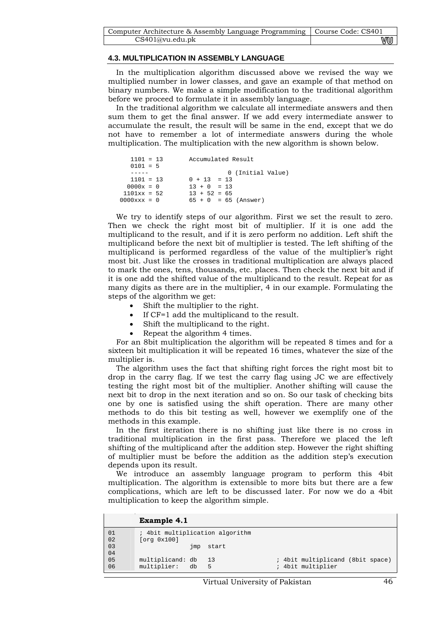| Computer Architecture & Assembly Language Programming   Course Code: CS401 |    |
|----------------------------------------------------------------------------|----|
| CS401@vu.edu.ph                                                            | vu |

#### **4.3. MULTIPLICATION IN ASSEMBLY LANGUAGE**

In the multiplication algorithm discussed above we revised the way we multiplied number in lower classes, and gave an example of that method on binary numbers. We make a simple modification to the traditional algorithm before we proceed to formulate it in assembly language.

In the traditional algorithm we calculate all intermediate answers and then sum them to get the final answer. If we add every intermediate answer to accumulate the result, the result will be same in the end, except that we do not have to remember a lot of intermediate answers during the whole multiplication. The multiplication with the new algorithm is shown below.

```
 1101 = 13 Accumulated Result 
    0101 = 5 
   ----- 0 (Initial Value)<br>1101 = 13 0 + 13 = 13
  1101 = 13 0 + 13 = 13<br>0000x = 0 13 + 0 = 130000x = 0<br>1101xx = 52<br>13 + 52 = 65
1101xx = 52<br>0000xxx = 0<br>65 + 0 = 6565 + 0 = 65 (Answer)
```
We try to identify steps of our algorithm. First we set the result to zero. Then we check the right most bit of multiplier. If it is one add the multiplicand to the result, and if it is zero perform no addition. Left shift the multiplicand before the next bit of multiplier is tested. The left shifting of the multiplicand is performed regardless of the value of the multiplier's right most bit. Just like the crosses in traditional multiplication are always placed to mark the ones, tens, thousands, etc. places. Then check the next bit and if it is one add the shifted value of the multiplicand to the result. Repeat for as many digits as there are in the multiplier, 4 in our example. Formulating the steps of the algorithm we get:

- Shift the multiplier to the right.
- If CF=1 add the multiplicand to the result.
- Shift the multiplicand to the right.
- Repeat the algorithm 4 times.

For an 8bit multiplication the algorithm will be repeated 8 times and for a sixteen bit multiplication it will be repeated 16 times, whatever the size of the multiplier is.

The algorithm uses the fact that shifting right forces the right most bit to drop in the carry flag. If we test the carry flag using JC we are effectively testing the right most bit of the multiplier. Another shifting will cause the next bit to drop in the next iteration and so on. So our task of checking bits one by one is satisfied using the shift operation. There are many other methods to do this bit testing as well, however we exemplify one of the methods in this example.

In the first iteration there is no shifting just like there is no cross in traditional multiplication in the first pass. Therefore we placed the left shifting of the multiplicand after the addition step. However the right shifting of multiplier must be before the addition as the addition step's execution depends upon its result.

We introduce an assembly language program to perform this 4bit multiplication. The algorithm is extensible to more bits but there are a few complications, which are left to be discussed later. For now we do a 4bit multiplication to keep the algorithm simple.

|           | <b>Example 4.1</b>              |     |                                 |  |                                                       |  |
|-----------|---------------------------------|-----|---------------------------------|--|-------------------------------------------------------|--|
| 01<br> 02 | [org 0x100]                     |     | ; 4bit multiplication algorithm |  |                                                       |  |
| 03<br>04  |                                 | jmp | start                           |  |                                                       |  |
| 05<br> 06 | multiplicand: db<br>multiplier: | db  | -13<br>5                        |  | ; 4bit multiplicand (8bit space)<br>; 4bit multiplier |  |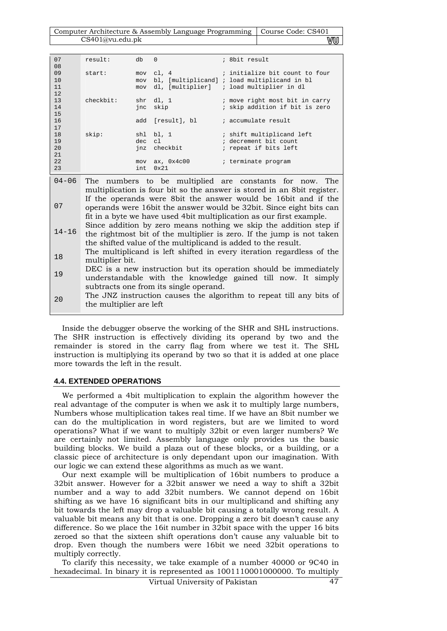Computer Architecture & Assembly Language Programming | Course Code: CS401 CS401@vu.edu.pk WW

| 07<br>08             | result:      | db                | $\Omega$                 | ; 8bit result                                                                                             |
|----------------------|--------------|-------------------|--------------------------|-----------------------------------------------------------------------------------------------------------|
| 09<br>10<br>11<br>12 | start:       | mov<br>mov<br>mov | c1.4<br>dl, [multiplier] | ; initialize bit count to four<br>bl, [multiplicand] ; load multiplicand in bl<br>; load multiplier in dl |
| 13<br>14<br>15       | $check$ hit: | shr<br>inc        | dl, 1<br>skip            | ; move right most bit in carry<br>; skip addition if bit is zero                                          |
| 16<br>17             |              | add               | [result], bl             | ; accumulate result                                                                                       |
| 18<br>19<br>20<br>21 | skip:        | shl<br>dec<br>jnz | bl, 1<br>cl<br>checkbit  | ; shift multiplicand left<br>; decrement bit count<br>; repeat if bits left                               |
| 22<br>23             |              | mov<br>int        | ax, $0x4c00$<br>0x21     | ; terminate program                                                                                       |
| $04 - 06$            | The          |                   |                          | numbers to be multiplied are constants for now<br>The                                                     |

04-06 07 14-16 18 19  $20$ The numbers to be multiplied are constants for now. The multiplication is four bit so the answer is stored in an 8bit register. If the operands were 8bit the answer would be 16bit and if the operands were 16bit the answer would be 32bit. Since eight bits can fit in a byte we have used 4bit multiplication as our first example. Since addition by zero means nothing we skip the addition step if the rightmost bit of the multiplier is zero. If the jump is not taken the shifted value of the multiplicand is added to the result. The multiplicand is left shifted in every iteration regardless of the multiplier bit. DEC is a new instruction but its operation should be immediately understandable with the knowledge gained till now. It simply subtracts one from its single operand. The JNZ instruction causes the algorithm to repeat till any bits of the multiplier are left

Inside the debugger observe the working of the SHR and SHL instructions. The SHR instruction is effectively dividing its operand by two and the remainder is stored in the carry flag from where we test it. The SHL instruction is multiplying its operand by two so that it is added at one place more towards the left in the result.

### **4.4. EXTENDED OPERATIONS**

We performed a 4bit multiplication to explain the algorithm however the real advantage of the computer is when we ask it to multiply large numbers, Numbers whose multiplication takes real time. If we have an 8bit number we can do the multiplication in word registers, but are we limited to word operations? What if we want to multiply 32bit or even larger numbers? We are certainly not limited. Assembly language only provides us the basic building blocks. We build a plaza out of these blocks, or a building, or a classic piece of architecture is only dependant upon our imagination. With our logic we can extend these algorithms as much as we want.

Our next example will be multiplication of 16bit numbers to produce a 32bit answer. However for a 32bit answer we need a way to shift a 32bit number and a way to add 32bit numbers. We cannot depend on 16bit shifting as we have 16 significant bits in our multiplicand and shifting any bit towards the left may drop a valuable bit causing a totally wrong result. A valuable bit means any bit that is one. Dropping a zero bit doesn't cause any difference. So we place the 16it number in 32bit space with the upper 16 bits zeroed so that the sixteen shift operations don't cause any valuable bit to drop. Even though the numbers were 16bit we need 32bit operations to multiply correctly.

To clarify this necessity, we take example of a number 40000 or 9C40 in hexadecimal. In binary it is represented as 1001110001000000. To multiply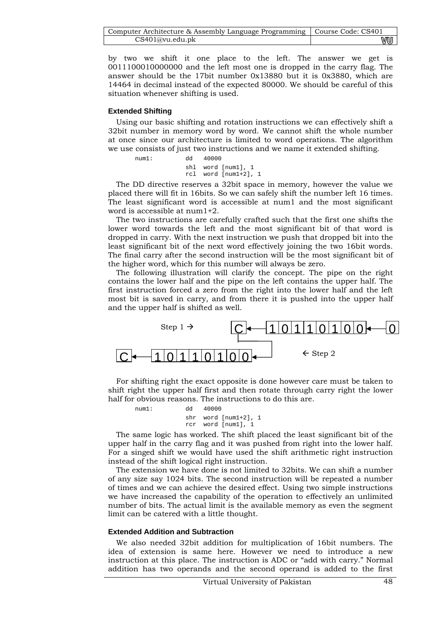| Computer Architecture & Assembly Language Programming   Course Code: CS401 |    |
|----------------------------------------------------------------------------|----|
| CS401@vu.edu.ph                                                            | wu |

by two we shift it one place to the left. The answer we get is 0011100010000000 and the left most one is dropped in the carry flag. The answer should be the 17bit number 0x13880 but it is 0x3880, which are 14464 in decimal instead of the expected 80000. We should be careful of this situation whenever shifting is used.

## **Extended Shifting**

Using our basic shifting and rotation instructions we can effectively shift a 32bit number in memory word by word. We cannot shift the whole number at once since our architecture is limited to word operations. The algorithm we use consists of just two instructions and we name it extended shifting.

num1: dd 40000

 shl word [num1], 1 rcl word [num1+2], 1

The DD directive reserves a 32bit space in memory, however the value we placed there will fit in 16bits. So we can safely shift the number left 16 times. The least significant word is accessible at num1 and the most significant word is accessible at num1+2.

The two instructions are carefully crafted such that the first one shifts the lower word towards the left and the most significant bit of that word is dropped in carry. With the next instruction we push that dropped bit into the least significant bit of the next word effectively joining the two 16bit words. The final carry after the second instruction will be the most significant bit of the higher word, which for this number will always be zero.

The following illustration will clarify the concept. The pipe on the right contains the lower half and the pipe on the left contains the upper half. The first instruction forced a zero from the right into the lower half and the left most bit is saved in carry, and from there it is pushed into the upper half and the upper half is shifted as well.



For shifting right the exact opposite is done however care must be taken to shift right the upper half first and then rotate through carry right the lower half for obvious reasons. The instructions to do this are.

| num1: | qy e | 40000                                          |  |
|-------|------|------------------------------------------------|--|
|       |      | $shr$ word $[num1+2], 1$<br>rcr word [num1], 1 |  |

The same logic has worked. The shift placed the least significant bit of the upper half in the carry flag and it was pushed from right into the lower half. For a singed shift we would have used the shift arithmetic right instruction instead of the shift logical right instruction.

The extension we have done is not limited to 32bits. We can shift a number of any size say 1024 bits. The second instruction will be repeated a number of times and we can achieve the desired effect. Using two simple instructions we have increased the capability of the operation to effectively an unlimited number of bits. The actual limit is the available memory as even the segment limit can be catered with a little thought.

### **Extended Addition and Subtraction**

We also needed 32bit addition for multiplication of 16bit numbers. The idea of extension is same here. However we need to introduce a new instruction at this place. The instruction is ADC or "add with carry." Normal addition has two operands and the second operand is added to the first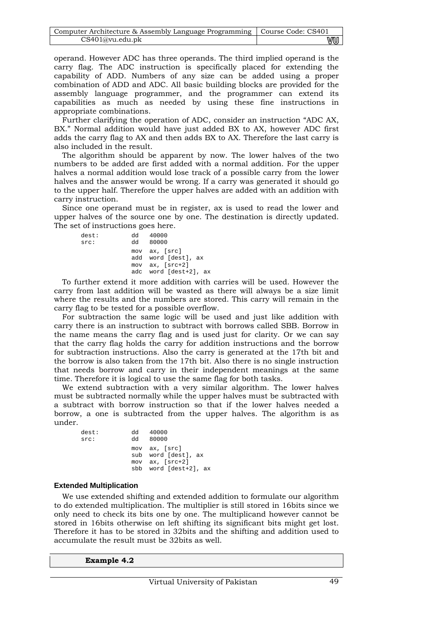| Computer Architecture & Assembly Language Programming   Course Code: CS401 |    |
|----------------------------------------------------------------------------|----|
| CS401@vu.edu.pdf                                                           | wu |

operand. However ADC has three operands. The third implied operand is the carry flag. The ADC instruction is specifically placed for extending the capability of ADD. Numbers of any size can be added using a proper combination of ADD and ADC. All basic building blocks are provided for the assembly language programmer, and the programmer can extend its capabilities as much as needed by using these fine instructions in appropriate combinations.

Further clarifying the operation of ADC, consider an instruction "ADC AX, BX." Normal addition would have just added BX to AX, however ADC first adds the carry flag to AX and then adds BX to AX. Therefore the last carry is also included in the result.

The algorithm should be apparent by now. The lower halves of the two numbers to be added are first added with a normal addition. For the upper halves a normal addition would lose track of a possible carry from the lower halves and the answer would be wrong. If a carry was generated it should go to the upper half. Therefore the upper halves are added with an addition with carry instruction.

Since one operand must be in register, ax is used to read the lower and upper halves of the source one by one. The destination is directly updated. The set of instructions goes here.

| dest:<br>src: | dd 40000<br>dd 80000                                                                 |
|---------------|--------------------------------------------------------------------------------------|
|               | mov ax, [src]<br>add word [dest], ax<br>$mov$ ax, $[src+2]$<br>adc word [dest+2], ax |

To further extend it more addition with carries will be used. However the carry from last addition will be wasted as there will always be a size limit where the results and the numbers are stored. This carry will remain in the carry flag to be tested for a possible overflow.

For subtraction the same logic will be used and just like addition with carry there is an instruction to subtract with borrows called SBB. Borrow in the name means the carry flag and is used just for clarity. Or we can say that the carry flag holds the carry for addition instructions and the borrow for subtraction instructions. Also the carry is generated at the 17th bit and the borrow is also taken from the 17th bit. Also there is no single instruction that needs borrow and carry in their independent meanings at the same time. Therefore it is logical to use the same flag for both tasks.

We extend subtraction with a very similar algorithm. The lower halves must be subtracted normally while the upper halves must be subtracted with a subtract with borrow instruction so that if the lower halves needed a borrow, a one is subtracted from the upper halves. The algorithm is as under.

| dest: | dd 40000              |
|-------|-----------------------|
| src:  | dd 80000              |
|       | mov ax, [src]         |
|       | sub word [dest], ax   |
|       | mov ax, [src+2]       |
|       | sbb word [dest+2], ax |

#### **Extended Multiplication**

We use extended shifting and extended addition to formulate our algorithm to do extended multiplication. The multiplier is still stored in 16bits since we only need to check its bits one by one. The multiplicand however cannot be stored in 16bits otherwise on left shifting its significant bits might get lost. Therefore it has to be stored in 32bits and the shifting and addition used to accumulate the result must be 32bits as well.

**Example 4.2**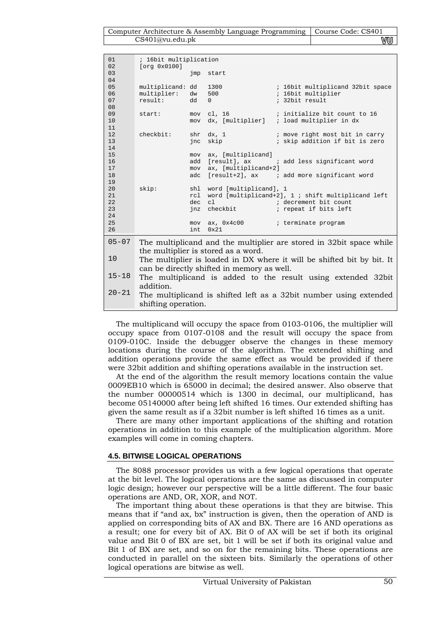| 01<br>02                         | ; 16bit multiplication<br>[org 0x0100]     |                          |                                                            |                                                                                                        |
|----------------------------------|--------------------------------------------|--------------------------|------------------------------------------------------------|--------------------------------------------------------------------------------------------------------|
| 03<br>04                         |                                            | jmp                      | start                                                      |                                                                                                        |
| 05<br>06<br>07<br>08             | multiplicand: dd<br>multiplier:<br>result: | dw<br>dd                 | 1300<br>500<br>$\Omega$                                    | ; 16bit multiplicand 32bit space<br>; 16bit multiplier<br>; 32bit result                               |
| 09<br>10<br>11                   | start:                                     | mov<br>mov               | cl, 16<br>dx, [multiplier]                                 | ; initialize bit count to 16<br>; load multiplier in dx                                                |
| 12<br>13<br>14                   | checkbit:                                  | shr<br>jnc               | dx, 1<br>skip                                              | ; move right most bit in carry<br>; skip addition if bit is zero                                       |
| 15<br>16<br>17<br>18             |                                            | mov<br>add<br>mov<br>adc | ax, [multiplicand]<br>[result], ax<br>ax, [multiplicand+2] | ; add less significant word<br>[result+2], ax ; add more significant word                              |
| 19<br>20<br>21<br>22<br>23<br>24 | skip:                                      | shl<br>rcl<br>dec<br>jnz | word [multiplicand], 1<br>c1<br>checkbit                   | word [multiplicand+2], $1$ ; shift multiplicand left<br>; decrement bit count<br>; repeat if bits left |
| 25<br>26                         |                                            | mov<br>int               | ax, $0x4c00$<br>0x21                                       | ; terminate program                                                                                    |
| $05 - 07$                        |                                            |                          |                                                            | The multiplicand and the multiplier are stored in 32 bit space while                                   |
| 10                               |                                            |                          | the multiplier is stored as a word.                        | The multiplier is loaded in DX where it will be shifted bit by bit. It                                 |
| $15 - 18$                        | addition.                                  |                          | can be directly shifted in memory as well.                 | The multiplicand is added to the result using extended 32bit                                           |
| $20 - 21$                        | shifting operation.                        |                          |                                                            | The multiplicand is shifted left as a 32bit number using extended                                      |

The multiplicand will occupy the space from 0103-0106, the multiplier will occupy space from 0107-0108 and the result will occupy the space from 0109-010C. Inside the debugger observe the changes in these memory locations during the course of the algorithm. The extended shifting and addition operations provide the same effect as would be provided if there were 32bit addition and shifting operations available in the instruction set.

At the end of the algorithm the result memory locations contain the value 0009EB10 which is 65000 in decimal; the desired answer. Also observe that the number 00000514 which is 1300 in decimal, our multiplicand, has become 05140000 after being left shifted 16 times. Our extended shifting has given the same result as if a 32bit number is left shifted 16 times as a unit.

There are many other important applications of the shifting and rotation operations in addition to this example of the multiplication algorithm. More examples will come in coming chapters.

# **4.5. BITWISE LOGICAL OPERATIONS**

The 8088 processor provides us with a few logical operations that operate at the bit level. The logical operations are the same as discussed in computer logic design; however our perspective will be a little different. The four basic operations are AND, OR, XOR, and NOT.

The important thing about these operations is that they are bitwise. This means that if "and ax, bx" instruction is given, then the operation of AND is applied on corresponding bits of AX and BX. There are 16 AND operations as a result; one for every bit of AX. Bit 0 of AX will be set if both its original value and Bit 0 of BX are set, bit 1 will be set if both its original value and Bit 1 of BX are set, and so on for the remaining bits. These operations are conducted in parallel on the sixteen bits. Similarly the operations of other logical operations are bitwise as well.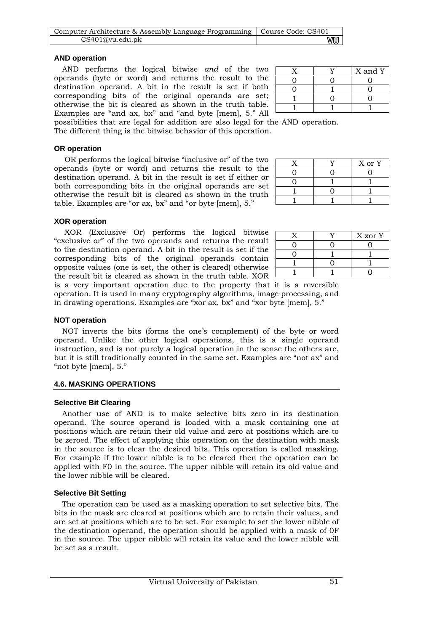| Computer Architecture & Assembly Language Programming   Course Code: CS401 |    |
|----------------------------------------------------------------------------|----|
| CS401@vu.edu.pdf                                                           | vu |

## **AND operation**

AND performs the logical bitwise *and* of the two operands (byte or word) and returns the result to the destination operand. A bit in the result is set if both corresponding bits of the original operands are set; otherwise the bit is cleared as shown in the truth table. Examples are "and ax, bx" and "and byte [mem], 5." All

|  | X and Y |
|--|---------|
|  |         |
|  |         |
|  |         |
|  |         |

possibilities that are legal for addition are also legal for the AND operation. The different thing is the bitwise behavior of this operation.

**OR operation** 

 OR performs the logical bitwise "inclusive or" of the two operands (byte or word) and returns the result to the destination operand. A bit in the result is set if either or both corresponding bits in the original operands are set otherwise the result bit is cleared as shown in the truth table. Examples are "or ax, bx" and "or byte [mem], 5."

|  | X or Y |
|--|--------|
|  |        |
|  |        |
|  |        |
|  |        |

# **XOR operation**

 XOR (Exclusive Or) performs the logical bitwise "exclusive or" of the two operands and returns the result to the destination operand. A bit in the result is set if the corresponding bits of the original operands contain opposite values (one is set, the other is cleared) otherwise the result bit is cleared as shown in the truth table. XOR

| ., | X xor Y |
|----|---------|
|    |         |
|    |         |
|    |         |
|    |         |

is a very important operation due to the property that it is a reversible operation. It is used in many cryptography algorithms, image processing, and in drawing operations. Examples are "xor ax, bx" and "xor byte [mem], 5."

# **NOT operation**

NOT inverts the bits (forms the one's complement) of the byte or word operand. Unlike the other logical operations, this is a single operand instruction, and is not purely a logical operation in the sense the others are, but it is still traditionally counted in the same set. Examples are "not ax" and "not byte [mem], 5."

# **4.6. MASKING OPERATIONS**

# **Selective Bit Clearing**

Another use of AND is to make selective bits zero in its destination operand. The source operand is loaded with a mask containing one at positions which are retain their old value and zero at positions which are to be zeroed. The effect of applying this operation on the destination with mask in the source is to clear the desired bits. This operation is called masking. For example if the lower nibble is to be cleared then the operation can be applied with F0 in the source. The upper nibble will retain its old value and the lower nibble will be cleared.

# **Selective Bit Setting**

The operation can be used as a masking operation to set selective bits. The bits in the mask are cleared at positions which are to retain their values, and are set at positions which are to be set. For example to set the lower nibble of the destination operand, the operation should be applied with a mask of 0F in the source. The upper nibble will retain its value and the lower nibble will be set as a result.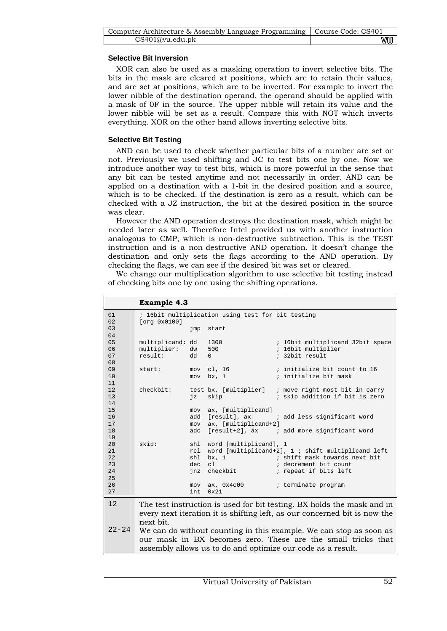| Computer Architecture & Assembly Language Programming   Course Code: CS401 |    |
|----------------------------------------------------------------------------|----|
| CS401@vu.edu.ph                                                            | vu |

## **Selective Bit Inversion**

XOR can also be used as a masking operation to invert selective bits. The bits in the mask are cleared at positions, which are to retain their values, and are set at positions, which are to be inverted. For example to invert the lower nibble of the destination operand, the operand should be applied with a mask of 0F in the source. The upper nibble will retain its value and the lower nibble will be set as a result. Compare this with NOT which inverts everything. XOR on the other hand allows inverting selective bits.

## **Selective Bit Testing**

AND can be used to check whether particular bits of a number are set or not. Previously we used shifting and JC to test bits one by one. Now we introduce another way to test bits, which is more powerful in the sense that any bit can be tested anytime and not necessarily in order. AND can be applied on a destination with a 1-bit in the desired position and a source, which is to be checked. If the destination is zero as a result, which can be checked with a JZ instruction, the bit at the desired position in the source was clear.

However the AND operation destroys the destination mask, which might be needed later as well. Therefore Intel provided us with another instruction analogous to CMP, which is non-destructive subtraction. This is the TEST instruction and is a non-destructive AND operation. It doesn't change the destination and only sets the flags according to the AND operation. By checking the flags, we can see if the desired bit was set or cleared.

We change our multiplication algorithm to use selective bit testing instead of checking bits one by one using the shifting operations.

|                                        | <b>Example 4.3</b>                         |                   |                                                                                                                                                                                                   |
|----------------------------------------|--------------------------------------------|-------------------|---------------------------------------------------------------------------------------------------------------------------------------------------------------------------------------------------|
| 01                                     |                                            |                   | ; 16bit multiplication using test for bit testing                                                                                                                                                 |
| 02<br>03<br>04                         | [org 0x0100]                               | jmp               | start                                                                                                                                                                                             |
| 05<br>06<br>07<br>08                   | multiplicand: dd<br>multiplier:<br>result: | dw<br>dd          | 1300<br>; 16bit multiplicand 32bit space<br>; 16bit multiplier<br>500<br>; 32bit result<br>$\Omega$                                                                                               |
| 09<br>10<br>11                         | start:                                     | mov               | mov cl, 16<br>; initialize bit count to 16<br>; initialize bit mask<br>bx, 1                                                                                                                      |
| 12<br>13<br>14                         | checkbit:                                  | ήz                | test bx, [multiplier]<br>; move right most bit in carry<br>skip<br>; skip addition if bit is zero                                                                                                 |
| 15<br>16<br>17<br>18                   |                                            | mov<br>adc        | ax, [multiplicand]<br>add [result], ax<br>; add less significant word<br>mov ax, [multiplicand+2]<br>[result+2], ax ; add more significant word                                                   |
| 19<br>20<br>21<br>22<br>23<br>24<br>25 | skip:                                      | shl<br>dec<br>jnz | shl word [multiplicand], 1<br>rcl word [multiplicand+2], 1; shift multiplicand left<br>; shift mask towards next bit<br>bx, 1<br>c1<br>; decrement bit count<br>checkbit<br>; repeat if bits left |
| 26<br>27                               |                                            | mov<br>int        | ax, 0x4c00<br>; terminate program<br>0x21                                                                                                                                                         |
| 12                                     | next bit.                                  |                   | The test instruction is used for bit testing. BX holds the mask and in<br>every next iteration it is shifting left, as our concerned bit is now the                                               |
| $22 - 24$                              |                                            |                   | We can do without counting in this example. We can stop as soon as<br>our mask in BX becomes zero. These are the small tricks that                                                                |

assembly allows us to do and optimize our code as a result.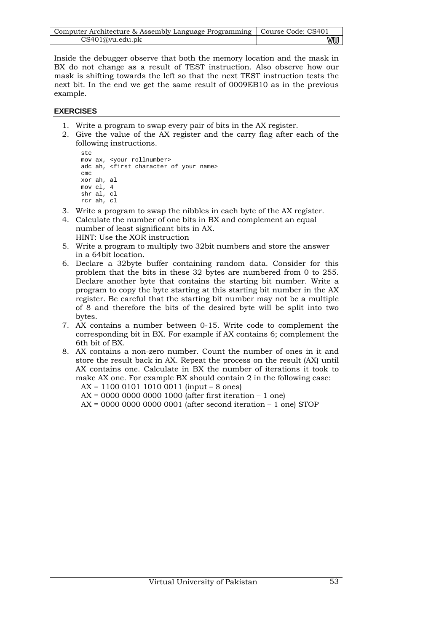| Computer Architecture & Assembly Language Programming   Course Code: CS401 |    |
|----------------------------------------------------------------------------|----|
| CS401@vu.edu.ph                                                            | wu |

Inside the debugger observe that both the memory location and the mask in BX do not change as a result of TEST instruction. Also observe how our mask is shifting towards the left so that the next TEST instruction tests the next bit. In the end we get the same result of 0009EB10 as in the previous example.

## **EXERCISES**

- 1. Write a program to swap every pair of bits in the AX register.
- 2. Give the value of the AX register and the carry flag after each of the following instructions.

```
stc 
mov ax, <your rollnumber> 
adc ah, <first character of your name>
cmc 
xor ah, al 
mov cl, 4 
shr al, cl 
rcr ah, cl
```
- 3. Write a program to swap the nibbles in each byte of the AX register.
- 4. Calculate the number of one bits in BX and complement an equal number of least significant bits in AX. HINT: Use the XOR instruction
- 5. Write a program to multiply two 32bit numbers and store the answer in a 64bit location.
- 6. Declare a 32byte buffer containing random data. Consider for this problem that the bits in these 32 bytes are numbered from 0 to 255. Declare another byte that contains the starting bit number. Write a program to copy the byte starting at this starting bit number in the AX register. Be careful that the starting bit number may not be a multiple of 8 and therefore the bits of the desired byte will be split into two bytes.
- 7. AX contains a number between 0-15. Write code to complement the corresponding bit in BX. For example if AX contains 6; complement the 6th bit of BX.
- 8. AX contains a non-zero number. Count the number of ones in it and store the result back in AX. Repeat the process on the result (AX) until AX contains one. Calculate in BX the number of iterations it took to make AX one. For example BX should contain 2 in the following case: AX = 1100 0101 1010 0011 (input – 8 ones)

AX = 0000 0000 0000 1000 (after first iteration – 1 one)

AX = 0000 0000 0000 0001 (after second iteration – 1 one) STOP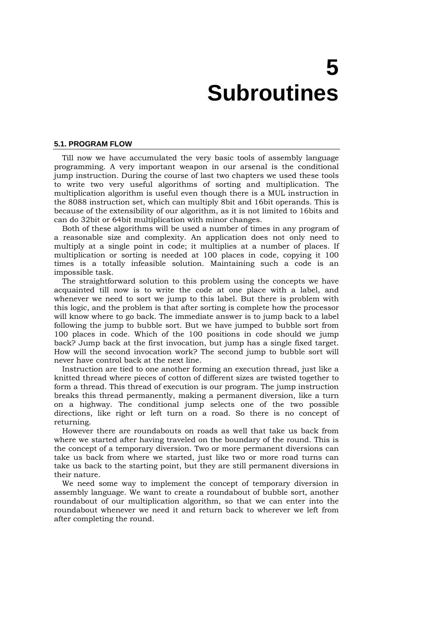# **5 Subroutines**

#### **5.1. PROGRAM FLOW**

Till now we have accumulated the very basic tools of assembly language programming. A very important weapon in our arsenal is the conditional jump instruction. During the course of last two chapters we used these tools to write two very useful algorithms of sorting and multiplication. The multiplication algorithm is useful even though there is a MUL instruction in the 8088 instruction set, which can multiply 8bit and 16bit operands. This is because of the extensibility of our algorithm, as it is not limited to 16bits and can do 32bit or 64bit multiplication with minor changes.

Both of these algorithms will be used a number of times in any program of a reasonable size and complexity. An application does not only need to multiply at a single point in code; it multiplies at a number of places. If multiplication or sorting is needed at 100 places in code, copying it 100 times is a totally infeasible solution. Maintaining such a code is an impossible task.

The straightforward solution to this problem using the concepts we have acquainted till now is to write the code at one place with a label, and whenever we need to sort we jump to this label. But there is problem with this logic, and the problem is that after sorting is complete how the processor will know where to go back. The immediate answer is to jump back to a label following the jump to bubble sort. But we have jumped to bubble sort from 100 places in code. Which of the 100 positions in code should we jump back? Jump back at the first invocation, but jump has a single fixed target. How will the second invocation work? The second jump to bubble sort will never have control back at the next line.

Instruction are tied to one another forming an execution thread, just like a knitted thread where pieces of cotton of different sizes are twisted together to form a thread. This thread of execution is our program. The jump instruction breaks this thread permanently, making a permanent diversion, like a turn on a highway. The conditional jump selects one of the two possible directions, like right or left turn on a road. So there is no concept of returning.

However there are roundabouts on roads as well that take us back from where we started after having traveled on the boundary of the round. This is the concept of a temporary diversion. Two or more permanent diversions can take us back from where we started, just like two or more road turns can take us back to the starting point, but they are still permanent diversions in their nature.

We need some way to implement the concept of temporary diversion in assembly language. We want to create a roundabout of bubble sort, another roundabout of our multiplication algorithm, so that we can enter into the roundabout whenever we need it and return back to wherever we left from after completing the round.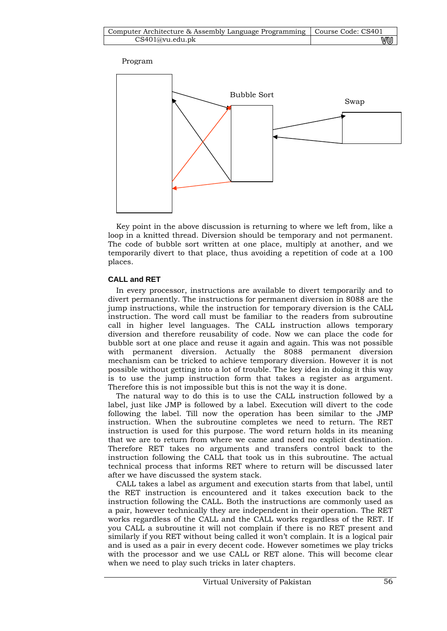Program



Key point in the above discussion is returning to where we left from, like a loop in a knitted thread. Diversion should be temporary and not permanent. The code of bubble sort written at one place, multiply at another, and we temporarily divert to that place, thus avoiding a repetition of code at a 100 places.

## **CALL and RET**

In every processor, instructions are available to divert temporarily and to divert permanently. The instructions for permanent diversion in 8088 are the jump instructions, while the instruction for temporary diversion is the CALL instruction. The word call must be familiar to the readers from subroutine call in higher level languages. The CALL instruction allows temporary diversion and therefore reusability of code. Now we can place the code for bubble sort at one place and reuse it again and again. This was not possible with permanent diversion. Actually the 8088 permanent diversion mechanism can be tricked to achieve temporary diversion. However it is not possible without getting into a lot of trouble. The key idea in doing it this way is to use the jump instruction form that takes a register as argument. Therefore this is not impossible but this is not the way it is done.

The natural way to do this is to use the CALL instruction followed by a label, just like JMP is followed by a label. Execution will divert to the code following the label. Till now the operation has been similar to the JMP instruction. When the subroutine completes we need to return. The RET instruction is used for this purpose. The word return holds in its meaning that we are to return from where we came and need no explicit destination. Therefore RET takes no arguments and transfers control back to the instruction following the CALL that took us in this subroutine. The actual technical process that informs RET where to return will be discussed later after we have discussed the system stack.

CALL takes a label as argument and execution starts from that label, until the RET instruction is encountered and it takes execution back to the instruction following the CALL. Both the instructions are commonly used as a pair, however technically they are independent in their operation. The RET works regardless of the CALL and the CALL works regardless of the RET. If you CALL a subroutine it will not complain if there is no RET present and similarly if you RET without being called it won't complain. It is a logical pair and is used as a pair in every decent code. However sometimes we play tricks with the processor and we use CALL or RET alone. This will become clear when we need to play such tricks in later chapters.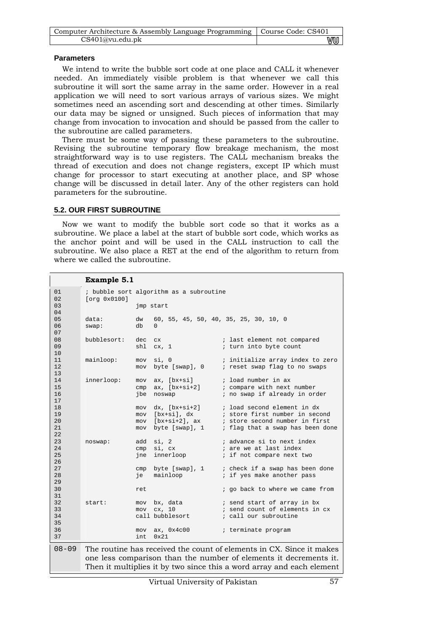| Computer Architecture & Assembly Language Programming   Course Code: CS401 |    |
|----------------------------------------------------------------------------|----|
| CS401@vu.edu.pdf                                                           | wu |

### **Parameters**

We intend to write the bubble sort code at one place and CALL it whenever needed. An immediately visible problem is that whenever we call this subroutine it will sort the same array in the same order. However in a real application we will need to sort various arrays of various sizes. We might sometimes need an ascending sort and descending at other times. Similarly our data may be signed or unsigned. Such pieces of information that may change from invocation to invocation and should be passed from the caller to the subroutine are called parameters.

There must be some way of passing these parameters to the subroutine. Revising the subroutine temporary flow breakage mechanism, the most straightforward way is to use registers. The CALL mechanism breaks the thread of execution and does not change registers, except IP which must change for processor to start executing at another place, and SP whose change will be discussed in detail later. Any of the other registers can hold parameters for the subroutine.

#### **5.2. OUR FIRST SUBROUTINE**

Now we want to modify the bubble sort code so that it works as a subroutine. We place a label at the start of bubble sort code, which works as the anchor point and will be used in the CALL instruction to call the subroutine. We also place a RET at the end of the algorithm to return from where we called the subroutine.

## **Example 5.1**

| 01                         |                |            | ; bubble sort algorithm as a subroutine                                                             |                                                                                                                                            |
|----------------------------|----------------|------------|-----------------------------------------------------------------------------------------------------|--------------------------------------------------------------------------------------------------------------------------------------------|
| 02<br>03<br>04             | [org 0x0100]   |            | jmp start                                                                                           |                                                                                                                                            |
| 05<br>06<br>07             | data:<br>swap: | dw<br>db   | $\Omega$                                                                                            | 60, 55, 45, 50, 40, 35, 25, 30, 10, 0                                                                                                      |
| 08<br>09<br>10             | bubblesort:    | dec<br>shl | C <sub>X</sub><br>cx, 1                                                                             | ; last element not compared<br>; turn into byte count                                                                                      |
| 11<br>12<br>13             | mainloop:      | mov<br>mov | si, 0<br>byte [swap], 0                                                                             | ; initialize array index to zero<br>; reset swap flag to no swaps                                                                          |
| 14<br>15<br>16<br>17       | innerloop:     | mov<br>jbe | $ax, [bx+si]$<br>$cmp$ $ax$ , $[bx+si+2]$<br>noswap                                                 | ; load number in ax<br>; compare with next number<br>; no swap if already in order                                                         |
| 18<br>19<br>20<br>21<br>22 |                | mov<br>mov | $dx, [bx+si+2]$<br>mov [bx+si], dx<br>$\frac{1}{2}$<br>mov [bx+si+2], ax<br>mov h<br>byte [swap], 1 | ; load second element in dx<br>; store first number in second<br>; store second number in first<br>; flag that a swap has been done        |
| 23<br>24<br>25<br>26       | noswap:        |            | add si, 2<br>cmp si, cx<br>jne innerloop                                                            | ; advance si to next index<br>; are we at last index<br>; if not compare next two                                                          |
| 27<br>28<br>29             |                | ie         | cmp byte [swap], 1<br>mainloop                                                                      | ; check if a swap has been done<br>; if yes make another pass                                                                              |
| 30<br>31                   |                | ret        |                                                                                                     | ; go back to where we came from                                                                                                            |
| 32<br>33<br>34<br>35       | start:         |            | mov bx, data<br>mov cx, 10<br>call bubblesort                                                       | ; send start of array in bx<br>; send count of elements in cx<br>; call our subroutine                                                     |
| 36<br>37                   |                | int        | $mov$ ax, $0x4c00$<br>0x21                                                                          | ; terminate program                                                                                                                        |
| $08 - 09$                  |                |            |                                                                                                     | The routine has received the count of elements in CX. Since it makes                                                                       |
|                            |                |            |                                                                                                     | one less comparison than the number of elements it decrements it.<br>Then it multiplies it by two since this a word array and each element |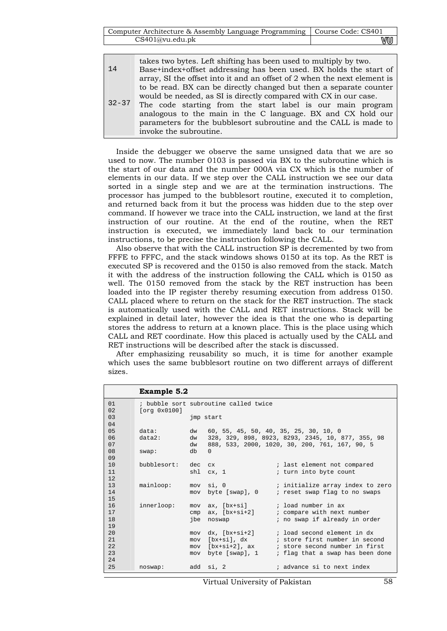| Computer Architecture & Assembly Language Programming   Course Code: CS401 |    |
|----------------------------------------------------------------------------|----|
| CS401@vu.edu.ph                                                            | wu |

| 14        | takes two bytes. Left shifting has been used to multiply by two.<br>Base+index+offset addressing has been used. BX holds the start of<br>array, SI the offset into it and an offset of 2 when the next element is                                                                                                                                                 |
|-----------|-------------------------------------------------------------------------------------------------------------------------------------------------------------------------------------------------------------------------------------------------------------------------------------------------------------------------------------------------------------------|
| $32 - 37$ | to be read. BX can be directly changed but then a separate counter<br>would be needed, as SI is directly compared with CX in our case.<br>The code starting from the start label is our main program<br>analogous to the main in the C language. BX and CX hold our<br>parameters for the bubblesort subroutine and the CALL is made to<br>invoke the subroutine. |

Inside the debugger we observe the same unsigned data that we are so used to now. The number 0103 is passed via BX to the subroutine which is the start of our data and the number 000A via CX which is the number of elements in our data. If we step over the CALL instruction we see our data sorted in a single step and we are at the termination instructions. The processor has jumped to the bubblesort routine, executed it to completion, and returned back from it but the process was hidden due to the step over command. If however we trace into the CALL instruction, we land at the first instruction of our routine. At the end of the routine, when the RET instruction is executed, we immediately land back to our termination instructions, to be precise the instruction following the CALL.

Also observe that with the CALL instruction SP is decremented by two from FFFE to FFFC, and the stack windows shows 0150 at its top. As the RET is executed SP is recovered and the 0150 is also removed from the stack. Match it with the address of the instruction following the CALL which is 0150 as well. The 0150 removed from the stack by the RET instruction has been loaded into the IP register thereby resuming execution from address 0150. CALL placed where to return on the stack for the RET instruction. The stack is automatically used with the CALL and RET instructions. Stack will be explained in detail later, however the idea is that the one who is departing stores the address to return at a known place. This is the place using which CALL and RET coordinate. How this placed is actually used by the CALL and RET instructions will be described after the stack is discussed.

After emphasizing reusability so much, it is time for another example which uses the same bubblesort routine on two different arrays of different sizes.

|           | <b>Example 5.2</b> |          |                                       |                                                                                                     |
|-----------|--------------------|----------|---------------------------------------|-----------------------------------------------------------------------------------------------------|
| 01        |                    |          | ; bubble sort subroutine called twice |                                                                                                     |
| 02        | [org 0x0100]       |          |                                       |                                                                                                     |
| 03        |                    |          | jmp start                             |                                                                                                     |
| 04        |                    |          |                                       |                                                                                                     |
| 05<br>06  | data:<br>$data2$ : | dw       |                                       | 60, 55, 45, 50, 40, 35, 25, 30, 10, 0                                                               |
| 07        |                    | dw<br>dw |                                       | 328, 329, 898, 8923, 8293, 2345, 10, 877, 355, 98<br>888, 533, 2000, 1020, 30, 200, 761, 167, 90, 5 |
| 08        | swap:              | db       | $\Omega$                              |                                                                                                     |
| 09        |                    |          |                                       |                                                                                                     |
| 10        | bubblesort:        | dec      | $C_{\rm X}$                           | ; last element not compared                                                                         |
| 11        |                    |          | shl cx, 1                             | ; turn into byte count                                                                              |
| 12        |                    |          |                                       |                                                                                                     |
| 13        | mainloop:          |          | mov si, 0                             | i initialize array index to zero (                                                                  |
| 14        |                    | mov      | byte [swap], 0                        | ; reset swap flag to no swaps                                                                       |
| 15        |                    |          |                                       |                                                                                                     |
| 16        | innerloop:         |          |                                       | mov ax, [bx+si] ; load number in ax                                                                 |
| 17        |                    |          |                                       | $cmp$ ax, $[bx+si+2]$ ; compare with next number                                                    |
| 18        |                    |          | jbe noswap                            | ; no swap if already in order                                                                       |
| 19        |                    |          |                                       |                                                                                                     |
| 20<br>2.1 |                    | mov      |                                       | $dx$ , $[bx+si+2]$ ; load second element in dx                                                      |
| 2.2.      |                    | mov      |                                       | $mov [bx+si+2]$ , ax ; store second number in first                                                 |
| 23        |                    | mov      | byte [swap], 1                        | ; flag that a swap has been done                                                                    |
| 2.4       |                    |          |                                       |                                                                                                     |
| 25        | noswap:            |          | add si, 2                             | ; advance si to next index                                                                          |

Virtual University of Pakistan 58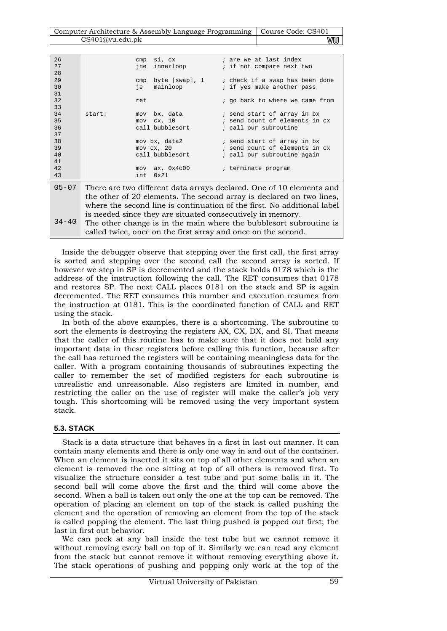| Computer Architecture & Assembly Language Programming   Course Code: CS401 |    |
|----------------------------------------------------------------------------|----|
| CS401@vu.edu.ph                                                            | wu |

| 26<br>27<br>28 |        | si, cx<br>cmp<br>innerloop<br>jne                                                                                                                        | ; are we at last index<br>; if not compare next two                                                                                                                                                                     |
|----------------|--------|----------------------------------------------------------------------------------------------------------------------------------------------------------|-------------------------------------------------------------------------------------------------------------------------------------------------------------------------------------------------------------------------|
| 29<br>30<br>31 |        | byte [swap], 1<br>cmp<br>mainloop<br>je                                                                                                                  | ; check if a swap has been done<br>; if yes make another pass                                                                                                                                                           |
| 32<br>33       |        | ret                                                                                                                                                      | ; go back to where we came from                                                                                                                                                                                         |
| 34<br>35<br>36 | start: | bx, data the state of the state of the state of the state of the state of the state of the state of the state<br>mov<br>cx, 10<br>mov<br>call bubblesort | ; send start of array in bx<br>; send count of elements in cx<br>; call our subroutine                                                                                                                                  |
| 37<br>38       |        | mov bx, data2                                                                                                                                            | ; send start of array in bx                                                                                                                                                                                             |
| 39<br>40<br>41 |        | $mov$ $cx$ , $20$<br>call bubblesort                                                                                                                     | ; send count of elements in cx<br>; call our subroutine again                                                                                                                                                           |
| 42<br>43       |        | ax, 0x4c00<br>mov<br>0x21<br>int.                                                                                                                        | ; terminate program                                                                                                                                                                                                     |
| $05 - 07$      |        |                                                                                                                                                          | There are two different data arrays declared. One of 10 elements and<br>the other of 20 elements. The second array is declared on two lines,<br>where the second line is continuation of the first. No additional label |
|                |        | is needed since they are situated consecutively in memory                                                                                                |                                                                                                                                                                                                                         |

 $34 - 40$ is needed since they are situated consecutively in memory. The other change is in the main where the bubblesort subroutine is called twice, once on the first array and once on the second.

Inside the debugger observe that stepping over the first call, the first array is sorted and stepping over the second call the second array is sorted. If however we step in SP is decremented and the stack holds 0178 which is the address of the instruction following the call. The RET consumes that 0178 and restores SP. The next CALL places 0181 on the stack and SP is again decremented. The RET consumes this number and execution resumes from the instruction at 0181. This is the coordinated function of CALL and RET using the stack.

In both of the above examples, there is a shortcoming. The subroutine to sort the elements is destroying the registers AX, CX, DX, and SI. That means that the caller of this routine has to make sure that it does not hold any important data in these registers before calling this function, because after the call has returned the registers will be containing meaningless data for the caller. With a program containing thousands of subroutines expecting the caller to remember the set of modified registers for each subroutine is unrealistic and unreasonable. Also registers are limited in number, and restricting the caller on the use of register will make the caller's job very tough. This shortcoming will be removed using the very important system stack.

## **5.3. STACK**

Stack is a data structure that behaves in a first in last out manner. It can contain many elements and there is only one way in and out of the container. When an element is inserted it sits on top of all other elements and when an element is removed the one sitting at top of all others is removed first. To visualize the structure consider a test tube and put some balls in it. The second ball will come above the first and the third will come above the second. When a ball is taken out only the one at the top can be removed. The operation of placing an element on top of the stack is called pushing the element and the operation of removing an element from the top of the stack is called popping the element. The last thing pushed is popped out first; the last in first out behavior.

We can peek at any ball inside the test tube but we cannot remove it without removing every ball on top of it. Similarly we can read any element from the stack but cannot remove it without removing everything above it. The stack operations of pushing and popping only work at the top of the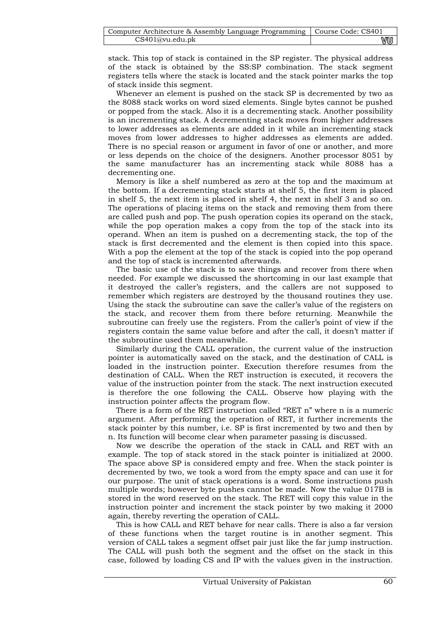| Computer Architecture & Assembly Language Programming   Course Code: CS401 |    |
|----------------------------------------------------------------------------|----|
| CS401@vu.edu.ph                                                            | WU |

stack. This top of stack is contained in the SP register. The physical address of the stack is obtained by the SS:SP combination. The stack segment registers tells where the stack is located and the stack pointer marks the top of stack inside this segment.

Whenever an element is pushed on the stack SP is decremented by two as the 8088 stack works on word sized elements. Single bytes cannot be pushed or popped from the stack. Also it is a decrementing stack. Another possibility is an incrementing stack. A decrementing stack moves from higher addresses to lower addresses as elements are added in it while an incrementing stack moves from lower addresses to higher addresses as elements are added. There is no special reason or argument in favor of one or another, and more or less depends on the choice of the designers. Another processor 8051 by the same manufacturer has an incrementing stack while 8088 has a decrementing one.

Memory is like a shelf numbered as zero at the top and the maximum at the bottom. If a decrementing stack starts at shelf 5, the first item is placed in shelf 5, the next item is placed in shelf 4, the next in shelf 3 and so on. The operations of placing items on the stack and removing them from there are called push and pop. The push operation copies its operand on the stack, while the pop operation makes a copy from the top of the stack into its operand. When an item is pushed on a decrementing stack, the top of the stack is first decremented and the element is then copied into this space. With a pop the element at the top of the stack is copied into the pop operand and the top of stack is incremented afterwards.

The basic use of the stack is to save things and recover from there when needed. For example we discussed the shortcoming in our last example that it destroyed the caller's registers, and the callers are not supposed to remember which registers are destroyed by the thousand routines they use. Using the stack the subroutine can save the caller's value of the registers on the stack, and recover them from there before returning. Meanwhile the subroutine can freely use the registers. From the caller's point of view if the registers contain the same value before and after the call, it doesn't matter if the subroutine used them meanwhile.

Similarly during the CALL operation, the current value of the instruction pointer is automatically saved on the stack, and the destination of CALL is loaded in the instruction pointer. Execution therefore resumes from the destination of CALL. When the RET instruction is executed, it recovers the value of the instruction pointer from the stack. The next instruction executed is therefore the one following the CALL. Observe how playing with the instruction pointer affects the program flow.

There is a form of the RET instruction called "RET n" where n is a numeric argument. After performing the operation of RET, it further increments the stack pointer by this number, i.e. SP is first incremented by two and then by n. Its function will become clear when parameter passing is discussed.

Now we describe the operation of the stack in CALL and RET with an example. The top of stack stored in the stack pointer is initialized at 2000. The space above SP is considered empty and free. When the stack pointer is decremented by two, we took a word from the empty space and can use it for our purpose. The unit of stack operations is a word. Some instructions push multiple words; however byte pushes cannot be made. Now the value 017B is stored in the word reserved on the stack. The RET will copy this value in the instruction pointer and increment the stack pointer by two making it 2000 again, thereby reverting the operation of CALL.

This is how CALL and RET behave for near calls. There is also a far version of these functions when the target routine is in another segment. This version of CALL takes a segment offset pair just like the far jump instruction. The CALL will push both the segment and the offset on the stack in this case, followed by loading CS and IP with the values given in the instruction.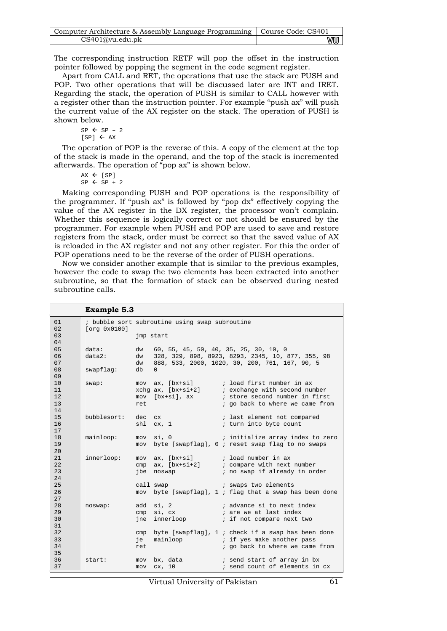| Computer Architecture & Assembly Language Programming   Course Code: CS401 |    |
|----------------------------------------------------------------------------|----|
| CS401@vu.edu.ph                                                            | vu |

The corresponding instruction RETF will pop the offset in the instruction pointer followed by popping the segment in the code segment register.

Apart from CALL and RET, the operations that use the stack are PUSH and POP. Two other operations that will be discussed later are INT and IRET. Regarding the stack, the operation of PUSH is similar to CALL however with a register other than the instruction pointer. For example "push ax" will push the current value of the AX register on the stack. The operation of PUSH is shown below.

 $SP \leftarrow SP - 2$  $[SP] \leftarrow AX$ 

The operation of POP is the reverse of this. A copy of the element at the top of the stack is made in the operand, and the top of the stack is incremented afterwards. The operation of "pop ax" is shown below.

```
AX \leftarrow [SP]SP \leftarrow SP + 2
```
Making corresponding PUSH and POP operations is the responsibility of the programmer. If "push ax" is followed by "pop dx" effectively copying the value of the AX register in the DX register, the processor won't complain. Whether this sequence is logically correct or not should be ensured by the programmer. For example when PUSH and POP are used to save and restore registers from the stack, order must be correct so that the saved value of AX is reloaded in the AX register and not any other register. For this the order of POP operations need to be the reverse of the order of PUSH operations.

Now we consider another example that is similar to the previous examples, however the code to swap the two elements has been extracted into another subroutine, so that the formation of stack can be observed during nested subroutine calls.

|                      | <b>Example 5.3</b> |            |                                                                                            |  |                                                                                                                                          |  |
|----------------------|--------------------|------------|--------------------------------------------------------------------------------------------|--|------------------------------------------------------------------------------------------------------------------------------------------|--|
| 01<br>02             | [org 0x0100]       |            | ; bubble sort subroutine using swap subroutine                                             |  |                                                                                                                                          |  |
| 03<br>04             |                    |            | jmp start                                                                                  |  |                                                                                                                                          |  |
| 05<br>06             | data:<br>data2:    | dw<br>dw   | 60, 55, 45, 50, 40, 35, 25, 30, 10, 0<br>328, 329, 898, 8923, 8293, 2345, 10, 877, 355, 98 |  |                                                                                                                                          |  |
| 07<br>08             | swapflag:          | dw<br>db   | 888, 533, 2000, 1020, 30, 200, 761, 167, 90, 5<br>$\Omega$                                 |  |                                                                                                                                          |  |
| 09                   |                    |            |                                                                                            |  |                                                                                                                                          |  |
| 10<br>11<br>12       | swap:              |            | mov [bx+si], ax                                                                            |  | mov ax, [bx+si] $\qquad$ ; load first number in ax<br>xchg ax, [bx+si+2] : exchange with second number<br>; store second number in first |  |
| 13<br>14             |                    | ret        |                                                                                            |  | ; go back to where we came from                                                                                                          |  |
| 15<br>16<br>17       | bubblesort:        | dec cx     | shl cx, 1                                                                                  |  | ; last element not compared<br>; turn into byte count                                                                                    |  |
| 18<br>19<br>20       | mainloop:          |            | mov si, 0                                                                                  |  | ; initialize array index to zero<br>mov byte [swapflaq], 0 ; reset swap flag to no swaps                                                 |  |
| 21<br>22<br>23<br>24 | innerloop:         | cmp        | $mov$ $ax$ , $[bx+si]$<br>jbe noswap                                                       |  | ; load number in ax<br>$ax, [bx+si+2]$ ; compare with next number<br>; no swap if already in order                                       |  |
| 25<br>26<br>27       |                    |            | call swap                                                                                  |  | and the swaps two elements<br>mov byte [swapflag], 1 ; flag that a swap has been done                                                    |  |
| 28<br>29<br>30<br>31 | noswap:            |            | add si, 2<br>cmp si, cx<br>jne innerloop and the state                                     |  | ; advance si to next index<br>; are we at last index<br>; if not compare next two                                                        |  |
| 32<br>33<br>34<br>35 |                    | ie<br>ret  |                                                                                            |  | cmp byte [swapflag], $1$ ; check if a swap has been done<br>mainloop ( ; if yes make another pass<br>; go back to where we came from     |  |
| 36<br>37             | start:             | mov<br>mov | cx, 10                                                                                     |  | bx, data i send start of array in bx<br>; send count of elements in cx                                                                   |  |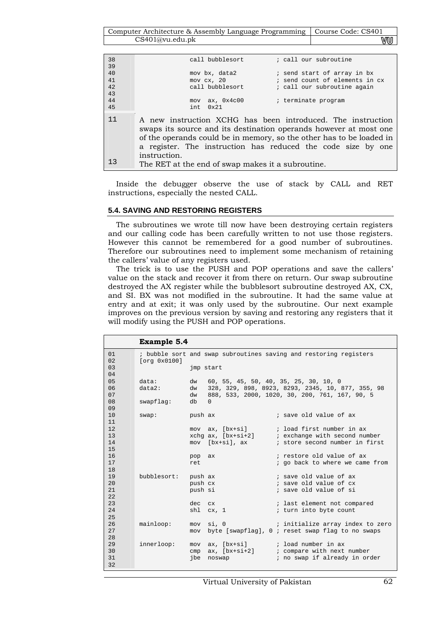Computer Architecture & Assembly Language Programming | Course Code: CS401 CS401@vu.edu.pk **WU** 

| 38 | call bubblesort<br>; call our subroutine                                                                                                                                                                                                                                                 |  |
|----|------------------------------------------------------------------------------------------------------------------------------------------------------------------------------------------------------------------------------------------------------------------------------------------|--|
| 39 |                                                                                                                                                                                                                                                                                          |  |
| 40 | mov bx, data2<br>; send start of array in bx                                                                                                                                                                                                                                             |  |
| 41 | ; send count of elements in cx<br>$mov$ $cx$ , $20$                                                                                                                                                                                                                                      |  |
| 42 | call bubblesort<br>; call our subroutine again                                                                                                                                                                                                                                           |  |
| 43 |                                                                                                                                                                                                                                                                                          |  |
| 44 | $mov$ ax, $0x4c00$<br>; terminate program                                                                                                                                                                                                                                                |  |
| 45 | $0 \times 21$<br>int.                                                                                                                                                                                                                                                                    |  |
| 11 | A new instruction XCHG has been introduced. The instruction<br>swaps its source and its destination operands however at most one<br>of the operands could be in memory, so the other has to be loaded in<br>a register. The instruction has reduced the code size by one<br>instruction. |  |
| 13 | The RET at the end of swap makes it a subroutine.                                                                                                                                                                                                                                        |  |

Inside the debugger observe the use of stack by CALL and RET instructions, especially the nested CALL.

#### **5.4. SAVING AND RESTORING REGISTERS**

The subroutines we wrote till now have been destroying certain registers and our calling code has been carefully written to not use those registers. However this cannot be remembered for a good number of subroutines. Therefore our subroutines need to implement some mechanism of retaining the callers' value of any registers used.

The trick is to use the PUSH and POP operations and save the callers' value on the stack and recover it from there on return. Our swap subroutine destroyed the AX register while the bubblesort subroutine destroyed AX, CX, and SI. BX was not modified in the subroutine. It had the same value at entry and at exit; it was only used by the subroutine. Our next example improves on the previous version by saving and restoring any registers that it will modify using the PUSH and POP operations.

|          | <b>Example 5.4</b> |           |           |                                                                   |  |  |  |
|----------|--------------------|-----------|-----------|-------------------------------------------------------------------|--|--|--|
| 01       |                    |           |           | ; bubble sort and swap subroutines saving and restoring registers |  |  |  |
| 02       | [org 0x0100]       |           |           |                                                                   |  |  |  |
| 03       |                    | imp start |           |                                                                   |  |  |  |
| 04       |                    |           |           |                                                                   |  |  |  |
| 05       | data:              | dw        |           | 60, 55, 45, 50, 40, 35, 25, 30, 10, 0                             |  |  |  |
| 06       | data2:             | dw        |           | 328, 329, 898, 8923, 8293, 2345, 10, 877, 355, 98                 |  |  |  |
| 07       |                    | dw        |           | 888, 533, 2000, 1020, 30, 200, 761, 167, 90, 5                    |  |  |  |
| 08<br>09 | swapflag:          | db        | $\Omega$  |                                                                   |  |  |  |
| 10       | swap:              | push ax   |           | ; save old value of ax                                            |  |  |  |
| 11       |                    |           |           |                                                                   |  |  |  |
| 12       |                    |           |           | mov ax, [bx+si] $\qquad$ ; load first number in ax                |  |  |  |
| 13       |                    |           |           | $xchq$ ax, $[bx+s+2]$ ; exchange with second number               |  |  |  |
| 14       |                    |           |           | mov [bx+si], ax ; store second number in first                    |  |  |  |
| 15       |                    |           |           |                                                                   |  |  |  |
| 16       |                    | pop ax    |           | ; restore old value of ax                                         |  |  |  |
| 17       |                    | ret       |           | ; go back to where we came from                                   |  |  |  |
| 18       |                    |           |           |                                                                   |  |  |  |
| 19       | bubblesort:        | push ax   |           | ; save old value of ax                                            |  |  |  |
| 20       |                    | push cx   |           | ; save old value of cx                                            |  |  |  |
| 21       |                    | push si   |           | ; save old value of si                                            |  |  |  |
| 22       |                    |           |           |                                                                   |  |  |  |
| 23       |                    | dec cx    |           | i last element not compared                                       |  |  |  |
| 24       |                    |           | shl cx, 1 | ; turn into byte count                                            |  |  |  |
| 25       |                    |           |           |                                                                   |  |  |  |
| 26       | mainloop:          | mov       | si, O     | ; initialize array index to zero                                  |  |  |  |
| 27       |                    | mov       |           | byte [swapflag], 0; reset swap flag to no swaps                   |  |  |  |
| 28       |                    |           |           |                                                                   |  |  |  |
| 29       | innerloop:         |           |           | mov ax, [bx+si] ; load number in ax                               |  |  |  |
| 30       |                    |           |           | $cmp$ ax, $[bx+si+2]$ ; compare with next number                  |  |  |  |
| 31       |                    | ibe       | noswap    | ; no swap if already in order                                     |  |  |  |
| 32       |                    |           |           |                                                                   |  |  |  |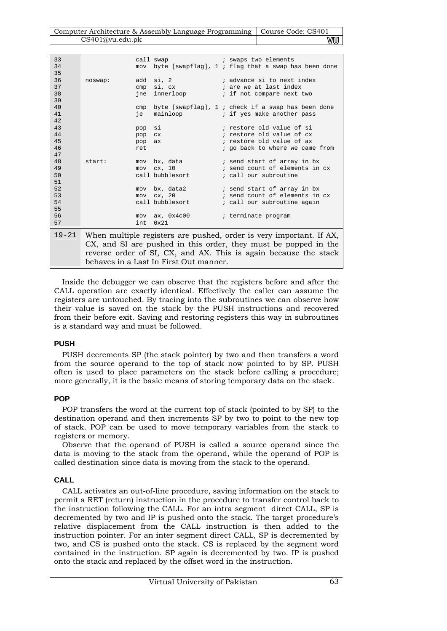| Computer Architecture & Assembly Language Programming   Course Code: CS401 |    |
|----------------------------------------------------------------------------|----|
| CS401@vu.edu.pdf                                                           | VU |

| 33<br>34  |                                                                  |            |                                                                                                               |  |  | call swap and i swaps two elements<br>mov byte [swapflag], 1; flag that a swap has been done |
|-----------|------------------------------------------------------------------|------------|---------------------------------------------------------------------------------------------------------------|--|--|----------------------------------------------------------------------------------------------|
| 35        |                                                                  |            |                                                                                                               |  |  |                                                                                              |
| 36        | noswap:                                                          | add        | si, 2                                                                                                         |  |  | ; advance si to next index                                                                   |
| 37        |                                                                  | cmp        | si, cx                                                                                                        |  |  | ; are we at last index                                                                       |
| 38        |                                                                  |            | jne innerloop                                                                                                 |  |  | ; if not compare next two                                                                    |
| 39        |                                                                  |            |                                                                                                               |  |  |                                                                                              |
| 40        |                                                                  |            |                                                                                                               |  |  | byte [swapflag], $1$ ; check if a swap has been done                                         |
| 41        |                                                                  | cmp<br>ie  |                                                                                                               |  |  | $mainloop$ ; if yes make another pass                                                        |
| 42        |                                                                  |            |                                                                                                               |  |  |                                                                                              |
| 43        |                                                                  | pop        | si                                                                                                            |  |  | ; restore old value of si                                                                    |
| 44        |                                                                  | pop        | C <sub>X</sub>                                                                                                |  |  | ; restore old value of cx                                                                    |
| 45        |                                                                  |            |                                                                                                               |  |  | ; restore old value of ax                                                                    |
| 46        |                                                                  | pop<br>ret | ax                                                                                                            |  |  | ; go back to where we came from                                                              |
| 47        |                                                                  |            |                                                                                                               |  |  |                                                                                              |
| 48        | start:                                                           | mov        | bx, data the state of the state of the state of the state of the state of the state of the state of the state |  |  | ; send start of array in bx                                                                  |
| 49        |                                                                  | mov        | cx, 10                                                                                                        |  |  | ; send count of elements in cx                                                               |
| 50        |                                                                  |            | call bubblesort                                                                                               |  |  | ; call our subroutine                                                                        |
| 51        |                                                                  |            |                                                                                                               |  |  |                                                                                              |
| 52        |                                                                  | mov        | bx, data2                                                                                                     |  |  | ; send start of array in bx                                                                  |
| 53        |                                                                  | mov        | cx, 20                                                                                                        |  |  | ; send count of elements in cx                                                               |
| 54        |                                                                  |            | call bubblesort                                                                                               |  |  | ; call our subroutine again                                                                  |
| 55        |                                                                  |            |                                                                                                               |  |  |                                                                                              |
| 56        |                                                                  |            | $mov$ ax, $0x4c00$                                                                                            |  |  | ; terminate program                                                                          |
| 57        |                                                                  | int.       | $0 \times 21$                                                                                                 |  |  |                                                                                              |
|           |                                                                  |            |                                                                                                               |  |  |                                                                                              |
| $19 - 21$ |                                                                  |            |                                                                                                               |  |  | When multiple registers are pushed, order is very important. If AX,                          |
|           | CX, and SI are pushed in this order, they must be popped in the  |            |                                                                                                               |  |  |                                                                                              |
|           |                                                                  |            |                                                                                                               |  |  |                                                                                              |
|           | reverse order of SI, CX, and AX. This is again because the stack |            |                                                                                                               |  |  |                                                                                              |
|           |                                                                  |            | behaves in a Last In First Out manner.                                                                        |  |  |                                                                                              |

Inside the debugger we can observe that the registers before and after the CALL operation are exactly identical. Effectively the caller can assume the registers are untouched. By tracing into the subroutines we can observe how their value is saved on the stack by the PUSH instructions and recovered from their before exit. Saving and restoring registers this way in subroutines is a standard way and must be followed.

## **PUSH**

PUSH decrements SP (the stack pointer) by two and then transfers a word from the source operand to the top of stack now pointed to by SP. PUSH often is used to place parameters on the stack before calling a procedure; more generally, it is the basic means of storing temporary data on the stack.

### **POP**

POP transfers the word at the current top of stack (pointed to by SP) to the destination operand and then increments SP by two to point to the new top of stack. POP can be used to move temporary variables from the stack to registers or memory.

Observe that the operand of PUSH is called a source operand since the data is moving to the stack from the operand, while the operand of POP is called destination since data is moving from the stack to the operand.

# **CALL**

CALL activates an out-of-line procedure, saving information on the stack to permit a RET (return) instruction in the procedure to transfer control back to the instruction following the CALL. For an intra segment direct CALL, SP is decremented by two and IP is pushed onto the stack. The target procedure's relative displacement from the CALL instruction is then added to the instruction pointer. For an inter segment direct CALL, SP is decremented by two, and CS is pushed onto the stack. CS is replaced by the segment word contained in the instruction. SP again is decremented by two. IP is pushed onto the stack and replaced by the offset word in the instruction.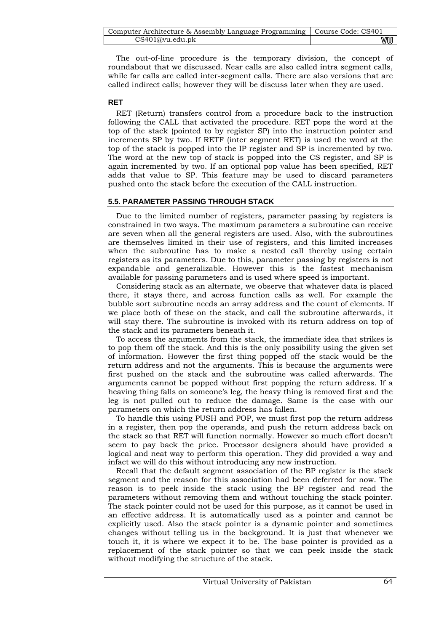| Computer Architecture & Assembly Language Programming   Course Code: CS401 |    |
|----------------------------------------------------------------------------|----|
| CS401@vu.edu.ph                                                            | wu |

The out-of-line procedure is the temporary division, the concept of roundabout that we discussed. Near calls are also called intra segment calls, while far calls are called inter-segment calls. There are also versions that are called indirect calls; however they will be discuss later when they are used.

## **RET**

RET (Return) transfers control from a procedure back to the instruction following the CALL that activated the procedure. RET pops the word at the top of the stack (pointed to by register SP) into the instruction pointer and increments SP by two. If RETF (inter segment RET) is used the word at the top of the stack is popped into the IP register and SP is incremented by two. The word at the new top of stack is popped into the CS register, and SP is again incremented by two. If an optional pop value has been specified, RET adds that value to SP. This feature may be used to discard parameters pushed onto the stack before the execution of the CALL instruction.

## **5.5. PARAMETER PASSING THROUGH STACK**

Due to the limited number of registers, parameter passing by registers is constrained in two ways. The maximum parameters a subroutine can receive are seven when all the general registers are used. Also, with the subroutines are themselves limited in their use of registers, and this limited increases when the subroutine has to make a nested call thereby using certain registers as its parameters. Due to this, parameter passing by registers is not expandable and generalizable. However this is the fastest mechanism available for passing parameters and is used where speed is important.

Considering stack as an alternate, we observe that whatever data is placed there, it stays there, and across function calls as well. For example the bubble sort subroutine needs an array address and the count of elements. If we place both of these on the stack, and call the subroutine afterwards, it will stay there. The subroutine is invoked with its return address on top of the stack and its parameters beneath it.

To access the arguments from the stack, the immediate idea that strikes is to pop them off the stack. And this is the only possibility using the given set of information. However the first thing popped off the stack would be the return address and not the arguments. This is because the arguments were first pushed on the stack and the subroutine was called afterwards. The arguments cannot be popped without first popping the return address. If a heaving thing falls on someone's leg, the heavy thing is removed first and the leg is not pulled out to reduce the damage. Same is the case with our parameters on which the return address has fallen.

To handle this using PUSH and POP, we must first pop the return address in a register, then pop the operands, and push the return address back on the stack so that RET will function normally. However so much effort doesn't seem to pay back the price. Processor designers should have provided a logical and neat way to perform this operation. They did provided a way and infact we will do this without introducing any new instruction.

Recall that the default segment association of the BP register is the stack segment and the reason for this association had been deferred for now. The reason is to peek inside the stack using the BP register and read the parameters without removing them and without touching the stack pointer. The stack pointer could not be used for this purpose, as it cannot be used in an effective address. It is automatically used as a pointer and cannot be explicitly used. Also the stack pointer is a dynamic pointer and sometimes changes without telling us in the background. It is just that whenever we touch it, it is where we expect it to be. The base pointer is provided as a replacement of the stack pointer so that we can peek inside the stack without modifying the structure of the stack.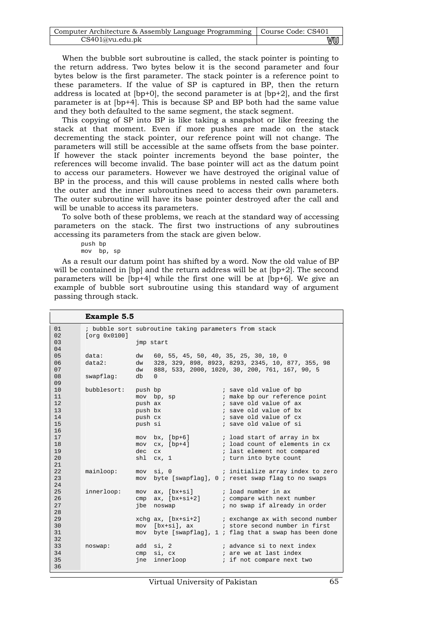| Computer Architecture & Assembly Language Programming   Course Code: CS401 |    |
|----------------------------------------------------------------------------|----|
| CS401@vu.edu.pdf                                                           | vu |

When the bubble sort subroutine is called, the stack pointer is pointing to the return address. Two bytes below it is the second parameter and four bytes below is the first parameter. The stack pointer is a reference point to these parameters. If the value of SP is captured in BP, then the return address is located at [bp+0], the second parameter is at [bp+2], and the first parameter is at [bp+4]. This is because SP and BP both had the same value and they both defaulted to the same segment, the stack segment.

This copying of SP into BP is like taking a snapshot or like freezing the stack at that moment. Even if more pushes are made on the stack decrementing the stack pointer, our reference point will not change. The parameters will still be accessible at the same offsets from the base pointer. If however the stack pointer increments beyond the base pointer, the references will become invalid. The base pointer will act as the datum point to access our parameters. However we have destroyed the original value of BP in the process, and this will cause problems in nested calls where both the outer and the inner subroutines need to access their own parameters. The outer subroutine will have its base pointer destroyed after the call and will be unable to access its parameters.

To solve both of these problems, we reach at the standard way of accessing parameters on the stack. The first two instructions of any subroutines accessing its parameters from the stack are given below.

push bp mov bp, sp

As a result our datum point has shifted by a word. Now the old value of BP will be contained in [bp] and the return address will be at [bp+2]. The second parameters will be [bp+4] while the first one will be at [bp+6]. We give an example of bubble sort subroutine using this standard way of argument passing through stack.

|          | <b>Example 5.5</b>  |         |                                                       |                                                                                                                |
|----------|---------------------|---------|-------------------------------------------------------|----------------------------------------------------------------------------------------------------------------|
| 01       |                     |         | ; bubble sort subroutine taking parameters from stack |                                                                                                                |
| 02       | [org 0x0100]        |         |                                                       |                                                                                                                |
| 03       |                     |         | imp start                                             |                                                                                                                |
| 04       |                     |         |                                                       |                                                                                                                |
| 05       | data:               | dw      | 60, 55, 45, 50, 40, 35, 25, 30, 10, 0                 |                                                                                                                |
| 06       | data2:              | dw      |                                                       | 328, 329, 898, 8923, 8293, 2345, 10, 877, 355, 98                                                              |
| 07       |                     | dw      |                                                       | 888, 533, 2000, 1020, 30, 200, 761, 167, 90, 5                                                                 |
| 08       | swapflag:           | db      | $\Omega$                                              |                                                                                                                |
| 09       |                     |         |                                                       |                                                                                                                |
| 10       | bubblesort: push bp |         |                                                       | ; save old value of bp                                                                                         |
| 11       |                     |         | mov bp, sp                                            | ; make bp our reference point                                                                                  |
| 12       |                     | push ax |                                                       | ; save old value of ax                                                                                         |
| 13       |                     | push bx |                                                       | ; save old value of bx                                                                                         |
| 14       |                     | push cx |                                                       | ; save old value of cx                                                                                         |
| 15       |                     | push si |                                                       | ; save old value of si                                                                                         |
| 16       |                     |         |                                                       |                                                                                                                |
| 17       |                     |         | $mov$ bx, $[bp+6]$                                    | ; load start of array in bx                                                                                    |
| 18       |                     |         |                                                       | mov cx, [bp+4] ; load count of elements in cx                                                                  |
| 19       |                     | dec cx  |                                                       | ; last element not compared                                                                                    |
| 20       |                     |         | shl cx, 1                                             | ; turn into byte count                                                                                         |
| 21       |                     |         |                                                       |                                                                                                                |
| 22       | mainloop:           |         | mov si, 0                                             | i initialize array index to zero                                                                               |
| 23       |                     |         |                                                       | mov byte [swapflag], 0; reset swap flag to no swaps                                                            |
| 24<br>25 |                     |         |                                                       |                                                                                                                |
| 26       | innerloop:          |         |                                                       | mov ax, [bx+si] $\qquad$ ; load number in ax                                                                   |
| 27       |                     |         |                                                       | $cmp$ ax, $[bx+si+2]$ ; compare with next number                                                               |
| 28       |                     |         | jbe noswap                                            | ; no swap if already in order                                                                                  |
| 29       |                     |         |                                                       |                                                                                                                |
| 30       |                     |         |                                                       | xchg $ax$ , [ $bx+si+2$ ] ; exchange $ax$ with second number<br>mov [bx+si], ax ; store second number in first |
| 31       |                     |         |                                                       | mov byte [swapflag], 1; flag that a swap has been done                                                         |
| 32       |                     |         |                                                       |                                                                                                                |
| 33       | noswap:             |         | add si, 2                                             | ; advance si to next index                                                                                     |
| 34       |                     |         | cmp si, cx                                            | ; are we at last index                                                                                         |
| 35       |                     |         | jne innerloop                                         | ; if not compare next two                                                                                      |
| 36       |                     |         |                                                       |                                                                                                                |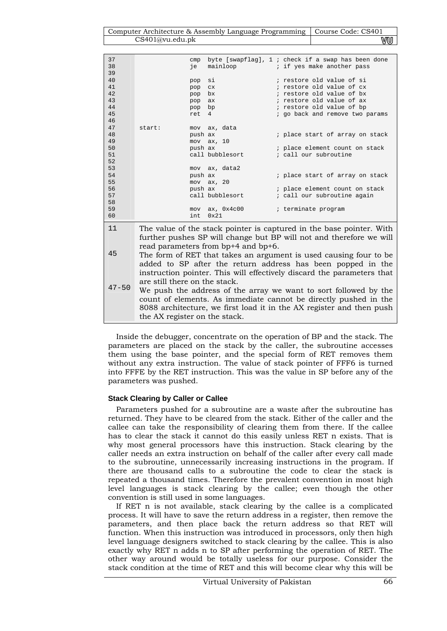| Computer Architecture & Assembly Language Programming   Course Code: CS401 |    |
|----------------------------------------------------------------------------|----|
| CS401@vu.edu.pdf                                                           | wu |

| 37        |                               | cmp     |                                     | byte [swapflag], $1$ ; check if a swap has been done                   |
|-----------|-------------------------------|---------|-------------------------------------|------------------------------------------------------------------------|
| 38        |                               | je      | mainloop                            | ; if yes make another pass                                             |
| 39        |                               |         |                                     |                                                                        |
| 40        |                               | pop     | si                                  | ; restore old value of si                                              |
| 41        |                               | pop     | $_{\rm CX}$                         | ; restore old value of cx                                              |
| 42        |                               | pop     | bx                                  | ; restore old value of bx                                              |
| 43        |                               | pop     | ax                                  | ; restore old value of ax                                              |
| 44        |                               | pop     | bp                                  | ; restore old value of bp                                              |
| 45        |                               | ret     | 4                                   | ; go back and remove two params                                        |
| 46        |                               |         |                                     |                                                                        |
| 47        | start:                        |         | mov ax, data                        |                                                                        |
| 48        |                               | push ax |                                     | ; place start of array on stack                                        |
| 49        |                               |         | $mov$ $ax, 10$                      |                                                                        |
| 50        |                               | push ax |                                     | ; place element count on stack                                         |
| 51        |                               |         | call bubblesort                     | ; call our subroutine                                                  |
| 52        |                               |         |                                     |                                                                        |
| 53        |                               |         | mov ax, data2                       |                                                                        |
| 54        |                               | push ax |                                     | ; place start of array on stack                                        |
| 55        |                               |         | $mov$ $ax$ , $20$                   |                                                                        |
| 56        |                               | push ax |                                     | ; place element count on stack                                         |
| 57        |                               |         | call bubblesort                     | ; call our subroutine again                                            |
| 58        |                               |         |                                     |                                                                        |
| 59        |                               | mov     | ax, 0x4c00                          | ; terminate program                                                    |
| 60        |                               | int     | 0x21                                |                                                                        |
|           |                               |         |                                     |                                                                        |
| 11        |                               |         |                                     | The value of the stack pointer is captured in the base pointer. With   |
|           |                               |         |                                     | further pushes SP will change but BP will not and therefore we will    |
|           |                               |         |                                     |                                                                        |
|           |                               |         | read parameters from bp+4 and bp+6. |                                                                        |
| 45        |                               |         |                                     | The form of RET that takes an argument is used causing four to be      |
|           |                               |         |                                     | added to SP after the return address has been popped in the            |
|           |                               |         |                                     |                                                                        |
|           |                               |         |                                     | instruction pointer. This will effectively discard the parameters that |
|           | are still there on the stack. |         |                                     |                                                                        |
| $47 - 50$ |                               |         |                                     | We push the address of the array we want to sort followed by the       |
|           |                               |         |                                     | count of elements. As immediate cannot be directly pushed in the       |
|           |                               |         |                                     |                                                                        |

Inside the debugger, concentrate on the operation of BP and the stack. The parameters are placed on the stack by the caller, the subroutine accesses them using the base pointer, and the special form of RET removes them without any extra instruction. The value of stack pointer of FFF6 is turned into FFFE by the RET instruction. This was the value in SP before any of the parameters was pushed.

8088 architecture, we first load it in the AX register and then push

## **Stack Clearing by Caller or Callee**

the AX register on the stack.

Parameters pushed for a subroutine are a waste after the subroutine has returned. They have to be cleared from the stack. Either of the caller and the callee can take the responsibility of clearing them from there. If the callee has to clear the stack it cannot do this easily unless RET n exists. That is why most general processors have this instruction. Stack clearing by the caller needs an extra instruction on behalf of the caller after every call made to the subroutine, unnecessarily increasing instructions in the program. If there are thousand calls to a subroutine the code to clear the stack is repeated a thousand times. Therefore the prevalent convention in most high level languages is stack clearing by the callee; even though the other convention is still used in some languages.

If RET n is not available, stack clearing by the callee is a complicated process. It will have to save the return address in a register, then remove the parameters, and then place back the return address so that RET will function. When this instruction was introduced in processors, only then high level language designers switched to stack clearing by the callee. This is also exactly why RET n adds n to SP after performing the operation of RET. The other way around would be totally useless for our purpose. Consider the stack condition at the time of RET and this will become clear why this will be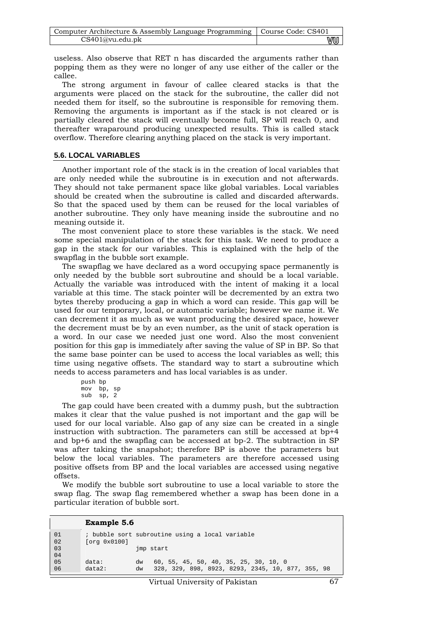| Computer Architecture & Assembly Language Programming   Course Code: CS401 |    |
|----------------------------------------------------------------------------|----|
| CS401@vu.edu.ph                                                            | vu |

useless. Also observe that RET n has discarded the arguments rather than popping them as they were no longer of any use either of the caller or the callee.

The strong argument in favour of callee cleared stacks is that the arguments were placed on the stack for the subroutine, the caller did not needed them for itself, so the subroutine is responsible for removing them. Removing the arguments is important as if the stack is not cleared or is partially cleared the stack will eventually become full, SP will reach 0, and thereafter wraparound producing unexpected results. This is called stack overflow. Therefore clearing anything placed on the stack is very important.

## **5.6. LOCAL VARIABLES**

Another important role of the stack is in the creation of local variables that are only needed while the subroutine is in execution and not afterwards. They should not take permanent space like global variables. Local variables should be created when the subroutine is called and discarded afterwards. So that the spaced used by them can be reused for the local variables of another subroutine. They only have meaning inside the subroutine and no meaning outside it.

The most convenient place to store these variables is the stack. We need some special manipulation of the stack for this task. We need to produce a gap in the stack for our variables. This is explained with the help of the swapflag in the bubble sort example.

The swapflag we have declared as a word occupying space permanently is only needed by the bubble sort subroutine and should be a local variable. Actually the variable was introduced with the intent of making it a local variable at this time. The stack pointer will be decremented by an extra two bytes thereby producing a gap in which a word can reside. This gap will be used for our temporary, local, or automatic variable; however we name it. We can decrement it as much as we want producing the desired space, however the decrement must be by an even number, as the unit of stack operation is a word. In our case we needed just one word. Also the most convenient position for this gap is immediately after saving the value of SP in BP. So that the same base pointer can be used to access the local variables as well; this time using negative offsets. The standard way to start a subroutine which needs to access parameters and has local variables is as under.

```
push bp 
mov bp, sp 
sub sp, 2
```
The gap could have been created with a dummy push, but the subtraction makes it clear that the value pushed is not important and the gap will be used for our local variable. Also gap of any size can be created in a single instruction with subtraction. The parameters can still be accessed at bp+4 and bp+6 and the swapflag can be accessed at bp-2. The subtraction in SP was after taking the snapshot; therefore BP is above the parameters but below the local variables. The parameters are therefore accessed using positive offsets from BP and the local variables are accessed using negative offsets.

We modify the bubble sort subroutine to use a local variable to store the swap flag. The swap flag remembered whether a swap has been done in a particular iteration of bubble sort.

|          | <b>Example 5.6</b> |          |                                                                                            |
|----------|--------------------|----------|--------------------------------------------------------------------------------------------|
| 01<br>02 | [org 0x0100]       |          | ; bubble sort subroutine using a local variable                                            |
| 03<br>04 |                    |          | imp start                                                                                  |
| 05<br>06 | data:<br>$data2$ : | dw<br>dw | 60, 55, 45, 50, 40, 35, 25, 30, 10, 0<br>328, 329, 898, 8923, 8293, 2345, 10, 877, 355, 98 |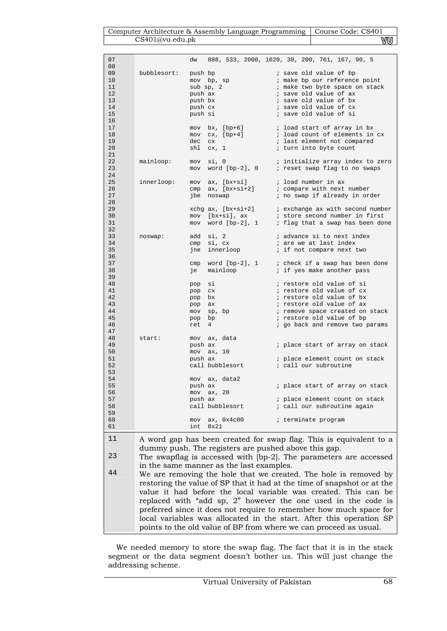## $\begin{tabular}{c|c|c} Computer Architecture & Assembly Language Programming & Course Code: CS401 \\ \hline CS401@vu.edu.ph & \textcolor{blue}{WU} \\ \hline \end{tabular}$ CS401@vu.edu.pk

| 07 |                                                                         |         |                |                    | dw 888, 533, 2000, 1020, 30, 200, 761, 167, 90, 5       |                                 |  |  |                                                        |
|----|-------------------------------------------------------------------------|---------|----------------|--------------------|---------------------------------------------------------|---------------------------------|--|--|--------------------------------------------------------|
| 08 |                                                                         |         |                |                    |                                                         |                                 |  |  |                                                        |
| 09 | bubblesort:                                                             | push bp |                |                    |                                                         | ; save old value of bp          |  |  |                                                        |
| 10 |                                                                         |         | mov bp, sp     |                    |                                                         | ; make bp our reference point   |  |  |                                                        |
| 11 |                                                                         |         | $sub$ sp, $2$  |                    |                                                         | ; make two byte space on stack  |  |  |                                                        |
| 12 |                                                                         | push ax |                |                    |                                                         | ; save old value of ax          |  |  |                                                        |
| 13 |                                                                         | push bx |                |                    |                                                         | ; save old value of bx          |  |  |                                                        |
| 14 |                                                                         | push cx |                |                    |                                                         | ; save old value of cx          |  |  |                                                        |
| 15 |                                                                         | push si |                |                    |                                                         | ; save old value of si          |  |  |                                                        |
| 16 |                                                                         |         |                |                    |                                                         |                                 |  |  |                                                        |
| 17 |                                                                         |         |                | $mov$ bx, $[bp+6]$ |                                                         | ; load start of array in bx     |  |  |                                                        |
| 18 |                                                                         |         |                |                    | $mov$ $cx$ , $[bp+4]$                                   | ; load count of elements in cx  |  |  |                                                        |
| 19 |                                                                         | dec cx  |                |                    |                                                         | ; last element not compared     |  |  |                                                        |
| 20 |                                                                         |         | shl cx, 1      |                    |                                                         | ; turn into byte count          |  |  |                                                        |
| 21 |                                                                         |         |                |                    |                                                         |                                 |  |  |                                                        |
| 22 | mainloop:                                                               | mov     | si, 0          |                    | initialize array index to zero                          |                                 |  |  |                                                        |
| 23 |                                                                         |         |                |                    | mov word $[bp-2]$ , 0 ; reset swap flag to no swaps     |                                 |  |  |                                                        |
| 24 |                                                                         |         |                |                    |                                                         |                                 |  |  |                                                        |
| 25 | innerloop:                                                              | mov     |                |                    | ax, [bx+si]                                             | ; load number in ax             |  |  |                                                        |
| 26 |                                                                         | cmp     |                |                    | $ax, [bx+si+2]$                                         | ; compare with next number      |  |  |                                                        |
| 27 |                                                                         | jbe     | noswap         |                    |                                                         | ; no swap if already in order   |  |  |                                                        |
| 28 |                                                                         |         |                |                    |                                                         |                                 |  |  |                                                        |
| 29 |                                                                         |         |                |                    | $xchg$ ax, $[bx+si+2]$ ; exchange ax with second number |                                 |  |  |                                                        |
| 30 |                                                                         |         |                |                    | mov [bx+si], ax                                         | ; store second number in first  |  |  |                                                        |
| 31 |                                                                         |         |                |                    |                                                         |                                 |  |  | mov word $[bp-2]$ , 1 ; flag that a swap has been done |
| 32 |                                                                         |         |                |                    |                                                         |                                 |  |  |                                                        |
| 33 | noswap:                                                                 |         | add si, 2      |                    |                                                         | ; advance si to next index      |  |  |                                                        |
| 34 |                                                                         |         |                | $cmp$ $si$ , $cx$  |                                                         | ; are we at last index          |  |  |                                                        |
| 35 |                                                                         |         |                |                    | jne innerloop                                           | ; if not compare next two       |  |  |                                                        |
| 36 |                                                                         |         |                |                    |                                                         |                                 |  |  |                                                        |
| 37 |                                                                         |         |                |                    | cmp word $[bp-2]$ , 1 ; check if a swap has been done   |                                 |  |  |                                                        |
| 38 |                                                                         | је      |                |                    | mainloop                                                | ; if yes make another pass      |  |  |                                                        |
| 39 |                                                                         |         |                |                    |                                                         |                                 |  |  |                                                        |
| 40 |                                                                         | pop     | si             |                    |                                                         | ; restore old value of si       |  |  |                                                        |
| 41 |                                                                         | pop     | C X            |                    |                                                         | ; restore old value of cx       |  |  |                                                        |
| 42 |                                                                         | pop     | bx             |                    |                                                         | ; restore old value of bx       |  |  |                                                        |
| 43 |                                                                         | pop     | ax             |                    |                                                         | ; restore old value of ax       |  |  |                                                        |
| 44 |                                                                         | mov     |                | sp, bp             |                                                         | ; remove space created on stack |  |  |                                                        |
| 45 |                                                                         | pop     | bp             |                    |                                                         | ; restore old value of bp       |  |  |                                                        |
| 46 |                                                                         | ret     | 4              |                    |                                                         | ; go back and remove two params |  |  |                                                        |
| 47 |                                                                         |         |                |                    |                                                         |                                 |  |  |                                                        |
| 48 | start:                                                                  |         |                | mov ax, data       |                                                         |                                 |  |  |                                                        |
| 49 |                                                                         | push ax |                |                    |                                                         | ; place start of array on stack |  |  |                                                        |
| 50 |                                                                         |         | $mov$ $ax, 10$ |                    |                                                         |                                 |  |  |                                                        |
| 51 |                                                                         | push ax |                |                    |                                                         | ; place element count on stack  |  |  |                                                        |
| 52 |                                                                         |         |                | call bubblesort    |                                                         | ; call our subroutine           |  |  |                                                        |
| 53 |                                                                         |         |                |                    |                                                         |                                 |  |  |                                                        |
| 54 |                                                                         |         |                | mov ax, data2      |                                                         |                                 |  |  |                                                        |
| 55 |                                                                         | push ax |                |                    |                                                         | ; place start of array on stack |  |  |                                                        |
| 56 |                                                                         |         | mov ax, 20     |                    |                                                         |                                 |  |  |                                                        |
| 57 |                                                                         | push ax |                |                    |                                                         | ; place element count on stack  |  |  |                                                        |
| 58 |                                                                         |         |                | call bubblesort    |                                                         | ; call our subroutine again     |  |  |                                                        |
| 59 |                                                                         |         |                |                    |                                                         |                                 |  |  |                                                        |
| 60 |                                                                         |         | 0x21           | mov ax, 0x4c00     |                                                         | ; terminate program             |  |  |                                                        |
| 61 |                                                                         | int     |                |                    |                                                         |                                 |  |  |                                                        |
| 11 | A word gap has been created for swap flag. This is equivalent to a      |         |                |                    |                                                         |                                 |  |  |                                                        |
|    | dummy push. The registers are pushed above this gap.                    |         |                |                    |                                                         |                                 |  |  |                                                        |
|    |                                                                         |         |                |                    |                                                         |                                 |  |  |                                                        |
| 23 | The swapflag is accessed with [bp-2]. The parameters are accessed       |         |                |                    |                                                         |                                 |  |  |                                                        |
|    | in the same manner as the last examples.                                |         |                |                    |                                                         |                                 |  |  |                                                        |
| 44 | We are removing the hole that we created. The hole is removed by        |         |                |                    |                                                         |                                 |  |  |                                                        |
|    |                                                                         |         |                |                    |                                                         |                                 |  |  |                                                        |
|    | restoring the value of SP that it had at the time of snapshot or at the |         |                |                    |                                                         |                                 |  |  |                                                        |
|    | value it had before the local variable was created. This can be         |         |                |                    |                                                         |                                 |  |  |                                                        |
|    | replaced with "add sp, 2" however the one used in the code is           |         |                |                    |                                                         |                                 |  |  |                                                        |
|    |                                                                         |         |                |                    |                                                         |                                 |  |  |                                                        |
|    | preferred since it does not require to remember how much space for      |         |                |                    |                                                         |                                 |  |  |                                                        |
|    | local variables was allocated in the start. After this operation SP     |         |                |                    |                                                         |                                 |  |  |                                                        |

We needed memory to store the swap flag. The fact that it is in the stack segment or the data segment doesn't bother us. This will just change the addressing scheme.

points to the old value of BP from where we can proceed as usual.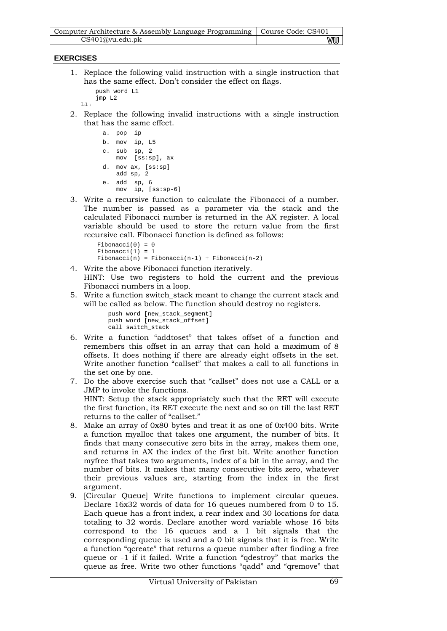| Computer Architecture & Assembly Language Programming   Course Code: CS401 |    |
|----------------------------------------------------------------------------|----|
| CS401@vu.edu.ph                                                            | ₩U |

## **EXERCISES**

1. Replace the following valid instruction with a single instruction that has the same effect. Don't consider the effect on flags.

```
 push word L1 
 jmp L2
```
 $L1$ :

2. Replace the following invalid instructions with a single instruction that has the same effect.

```
a. pop ip 
b. mov ip, L5 
c. sub sp, 2 
   mov [ss:sp], ax 
d. mov ax, [ss:sp] 
   add sp, 2 
e. add sp, 6 
   mov ip, [ss:sp-6]
```
3. Write a recursive function to calculate the Fibonacci of a number. The number is passed as a parameter via the stack and the calculated Fibonacci number is returned in the AX register. A local variable should be used to store the return value from the first recursive call. Fibonacci function is defined as follows:

```
Fibonacci(0) = 0Fibonacci(1) = 1Fibonacci(n) = Fibonacci(n-1) + Fibonacci(n-2)
```
- 4. Write the above Fibonacci function iteratively. HINT: Use two registers to hold the current and the previous Fibonacci numbers in a loop.
- 5. Write a function switch\_stack meant to change the current stack and will be called as below. The function should destroy no registers.

```
push word [new_stack_segment] 
push word [new_stack_offset] 
call switch_stack
```
- 6. Write a function "addtoset" that takes offset of a function and remembers this offset in an array that can hold a maximum of 8 offsets. It does nothing if there are already eight offsets in the set. Write another function "callset" that makes a call to all functions in the set one by one.
- 7. Do the above exercise such that "callset" does not use a CALL or a JMP to invoke the functions. HINT: Setup the stack appropriately such that the RET will execute the first function, its RET execute the next and so on till the last RET returns to the caller of "callset."
- 8. Make an array of 0x80 bytes and treat it as one of 0x400 bits. Write a function myalloc that takes one argument, the number of bits. It finds that many consecutive zero bits in the array, makes them one, and returns in AX the index of the first bit. Write another function myfree that takes two arguments, index of a bit in the array, and the number of bits. It makes that many consecutive bits zero, whatever their previous values are, starting from the index in the first argument.
- 9. [Circular Queue] Write functions to implement circular queues. Declare 16x32 words of data for 16 queues numbered from 0 to 15. Each queue has a front index, a rear index and 30 locations for data totaling to 32 words. Declare another word variable whose 16 bits correspond to the 16 queues and a 1 bit signals that the corresponding queue is used and a 0 bit signals that it is free. Write a function "qcreate" that returns a queue number after finding a free queue or -1 if it failed. Write a function "qdestroy" that marks the queue as free. Write two other functions "qadd" and "qremove" that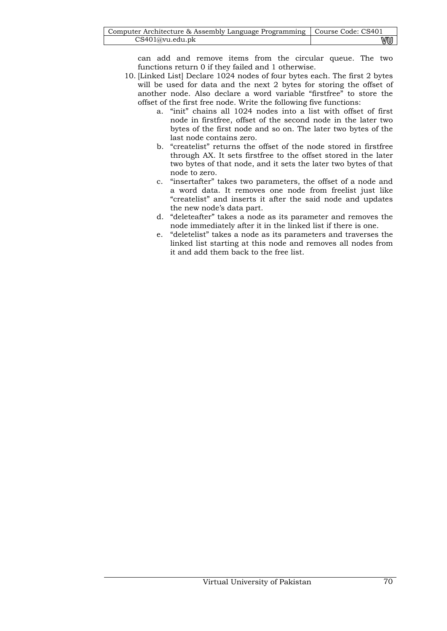| Computer Architecture & Assembly Language Programming   Course Code: CS401 |    |
|----------------------------------------------------------------------------|----|
| CS401@vu.edu.ph                                                            | wu |

can add and remove items from the circular queue. The two functions return 0 if they failed and 1 otherwise.

- 10. [Linked List] Declare 1024 nodes of four bytes each. The first 2 bytes will be used for data and the next 2 bytes for storing the offset of another node. Also declare a word variable "firstfree" to store the offset of the first free node. Write the following five functions:
	- a. "init" chains all 1024 nodes into a list with offset of first node in firstfree, offset of the second node in the later two bytes of the first node and so on. The later two bytes of the last node contains zero.
	- b. "createlist" returns the offset of the node stored in firstfree through AX. It sets firstfree to the offset stored in the later two bytes of that node, and it sets the later two bytes of that node to zero.
	- c. "insertafter" takes two parameters, the offset of a node and a word data. It removes one node from freelist just like "createlist" and inserts it after the said node and updates the new node's data part.
	- d. "deleteafter" takes a node as its parameter and removes the node immediately after it in the linked list if there is one.
	- e. "deletelist" takes a node as its parameters and traverses the linked list starting at this node and removes all nodes from it and add them back to the free list.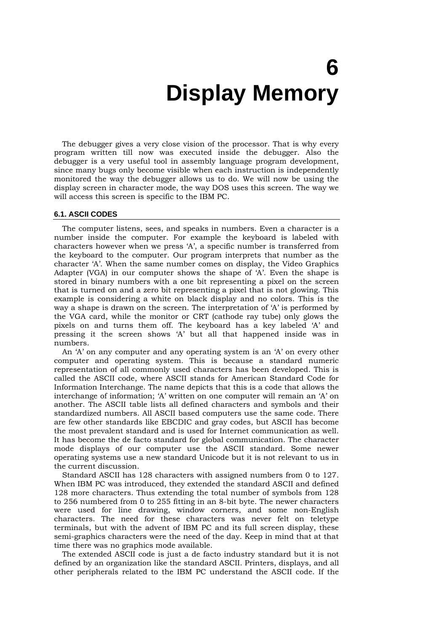# **6 Display Memory**

The debugger gives a very close vision of the processor. That is why every program written till now was executed inside the debugger. Also the debugger is a very useful tool in assembly language program development, since many bugs only become visible when each instruction is independently monitored the way the debugger allows us to do. We will now be using the display screen in character mode, the way DOS uses this screen. The way we will access this screen is specific to the IBM PC.

#### **6.1. ASCII CODES**

The computer listens, sees, and speaks in numbers. Even a character is a number inside the computer. For example the keyboard is labeled with characters however when we press 'A', a specific number is transferred from the keyboard to the computer. Our program interprets that number as the character 'A'. When the same number comes on display, the Video Graphics Adapter (VGA) in our computer shows the shape of 'A'. Even the shape is stored in binary numbers with a one bit representing a pixel on the screen that is turned on and a zero bit representing a pixel that is not glowing. This example is considering a white on black display and no colors. This is the way a shape is drawn on the screen. The interpretation of 'A' is performed by the VGA card, while the monitor or CRT (cathode ray tube) only glows the pixels on and turns them off. The keyboard has a key labeled 'A' and pressing it the screen shows 'A' but all that happened inside was in numbers.

An 'A' on any computer and any operating system is an 'A' on every other computer and operating system. This is because a standard numeric representation of all commonly used characters has been developed. This is called the ASCII code, where ASCII stands for American Standard Code for Information Interchange. The name depicts that this is a code that allows the interchange of information; 'A' written on one computer will remain an 'A' on another. The ASCII table lists all defined characters and symbols and their standardized numbers. All ASCII based computers use the same code. There are few other standards like EBCDIC and gray codes, but ASCII has become the most prevalent standard and is used for Internet communication as well. It has become the de facto standard for global communication. The character mode displays of our computer use the ASCII standard. Some newer operating systems use a new standard Unicode but it is not relevant to us in the current discussion.

Standard ASCII has 128 characters with assigned numbers from 0 to 127. When IBM PC was introduced, they extended the standard ASCII and defined 128 more characters. Thus extending the total number of symbols from 128 to 256 numbered from 0 to 255 fitting in an 8-bit byte. The newer characters were used for line drawing, window corners, and some non-English characters. The need for these characters was never felt on teletype terminals, but with the advent of IBM PC and its full screen display, these semi-graphics characters were the need of the day. Keep in mind that at that time there was no graphics mode available.

The extended ASCII code is just a de facto industry standard but it is not defined by an organization like the standard ASCII. Printers, displays, and all other peripherals related to the IBM PC understand the ASCII code. If the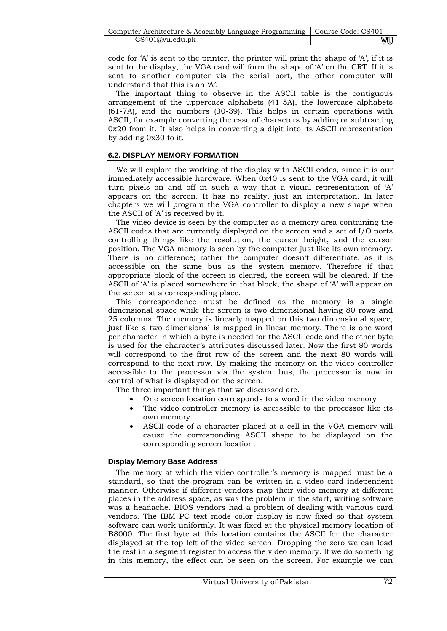| Computer Architecture & Assembly Language Programming   Course Code: CS401 |    |
|----------------------------------------------------------------------------|----|
| CS401@vu.edu.ph                                                            | vu |

code for 'A' is sent to the printer, the printer will print the shape of 'A', if it is sent to the display, the VGA card will form the shape of 'A' on the CRT. If it is sent to another computer via the serial port, the other computer will understand that this is an 'A'.

The important thing to observe in the ASCII table is the contiguous arrangement of the uppercase alphabets (41-5A), the lowercase alphabets (61-7A), and the numbers (30-39). This helps in certain operations with ASCII, for example converting the case of characters by adding or subtracting 0x20 from it. It also helps in converting a digit into its ASCII representation by adding 0x30 to it.

## **6.2. DISPLAY MEMORY FORMATION**

We will explore the working of the display with ASCII codes, since it is our immediately accessible hardware. When 0x40 is sent to the VGA card, it will turn pixels on and off in such a way that a visual representation of 'A' appears on the screen. It has no reality, just an interpretation. In later chapters we will program the VGA controller to display a new shape when the ASCII of 'A' is received by it.

The video device is seen by the computer as a memory area containing the ASCII codes that are currently displayed on the screen and a set of I/O ports controlling things like the resolution, the cursor height, and the cursor position. The VGA memory is seen by the computer just like its own memory. There is no difference; rather the computer doesn't differentiate, as it is accessible on the same bus as the system memory. Therefore if that appropriate block of the screen is cleared, the screen will be cleared. If the ASCII of 'A' is placed somewhere in that block, the shape of 'A' will appear on the screen at a corresponding place.

This correspondence must be defined as the memory is a single dimensional space while the screen is two dimensional having 80 rows and 25 columns. The memory is linearly mapped on this two dimensional space, just like a two dimensional is mapped in linear memory. There is one word per character in which a byte is needed for the ASCII code and the other byte is used for the character's attributes discussed later. Now the first 80 words will correspond to the first row of the screen and the next 80 words will correspond to the next row. By making the memory on the video controller accessible to the processor via the system bus, the processor is now in control of what is displayed on the screen.

The three important things that we discussed are.

- One screen location corresponds to a word in the video memory
- The video controller memory is accessible to the processor like its own memory.
- ASCII code of a character placed at a cell in the VGA memory will cause the corresponding ASCII shape to be displayed on the corresponding screen location.

## **Display Memory Base Address**

The memory at which the video controller's memory is mapped must be a standard, so that the program can be written in a video card independent manner. Otherwise if different vendors map their video memory at different places in the address space, as was the problem in the start, writing software was a headache. BIOS vendors had a problem of dealing with various card vendors. The IBM PC text mode color display is now fixed so that system software can work uniformly. It was fixed at the physical memory location of B8000. The first byte at this location contains the ASCII for the character displayed at the top left of the video screen. Dropping the zero we can load the rest in a segment register to access the video memory. If we do something in this memory, the effect can be seen on the screen. For example we can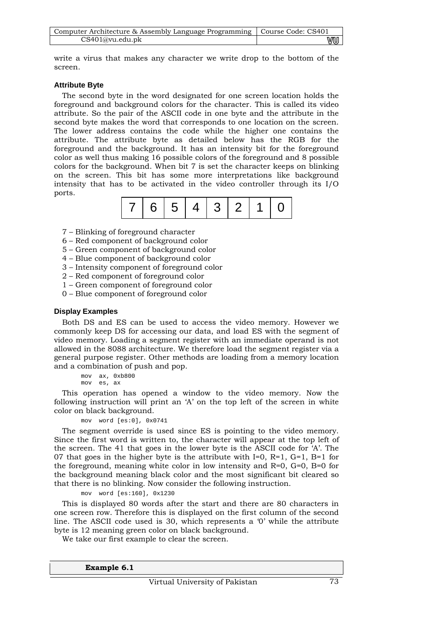| Computer Architecture & Assembly Language Programming   Course Code: CS401 |    |
|----------------------------------------------------------------------------|----|
| CS401@vu.edu.pdf                                                           | wu |

write a virus that makes any character we write drop to the bottom of the screen.

## **Attribute Byte**

The second byte in the word designated for one screen location holds the foreground and background colors for the character. This is called its video attribute. So the pair of the ASCII code in one byte and the attribute in the second byte makes the word that corresponds to one location on the screen. The lower address contains the code while the higher one contains the attribute. The attribute byte as detailed below has the RGB for the foreground and the background. It has an intensity bit for the foreground color as well thus making 16 possible colors of the foreground and 8 possible colors for the background. When bit 7 is set the character keeps on blinking on the screen. This bit has some more interpretations like background intensity that has to be activated in the video controller through its I/O ports.

| 7 6 5 4 3 2 1 0 |  |  |  |  |  |  |  |
|-----------------|--|--|--|--|--|--|--|
|-----------------|--|--|--|--|--|--|--|

- 7 Blinking of foreground character
- 6 Red component of background color
- 5 Green component of background color
- 4 Blue component of background color
- 3 Intensity component of foreground color
- 2 Red component of foreground color
- 1 Green component of foreground color
- 0 Blue component of foreground color

## **Display Examples**

Both DS and ES can be used to access the video memory. However we commonly keep DS for accessing our data, and load ES with the segment of video memory. Loading a segment register with an immediate operand is not allowed in the 8088 architecture. We therefore load the segment register via a general purpose register. Other methods are loading from a memory location and a combination of push and pop.

mov ax, 0xb800 mov es, ax

This operation has opened a window to the video memory. Now the following instruction will print an 'A' on the top left of the screen in white color on black background.

mov word [es:0], 0x0741

The segment override is used since ES is pointing to the video memory. Since the first word is written to, the character will appear at the top left of the screen. The 41 that goes in the lower byte is the ASCII code for 'A'. The 07 that goes in the higher byte is the attribute with I=0, R=1, G=1, B=1 for the foreground, meaning white color in low intensity and R=0, G=0, B=0 for the background meaning black color and the most significant bit cleared so that there is no blinking. Now consider the following instruction.

mov word [es:160], 0x1230

This is displayed 80 words after the start and there are 80 characters in one screen row. Therefore this is displayed on the first column of the second line. The ASCII code used is 30, which represents a '0' while the attribute byte is 12 meaning green color on black background.

We take our first example to clear the screen.

**Example 6.1**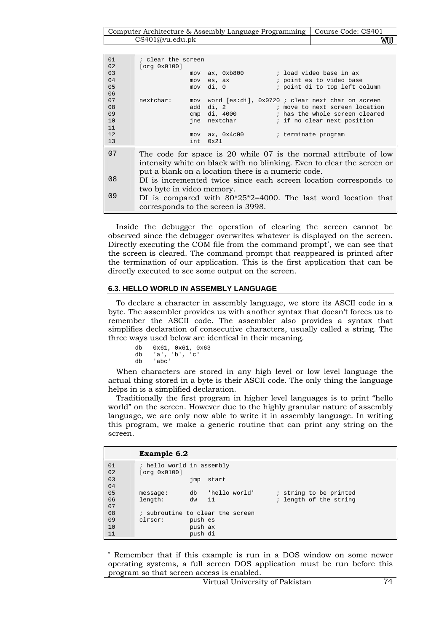| Computer Architecture & Assembly Language Programming   Course Code: CS401 |      |
|----------------------------------------------------------------------------|------|
| CS401@vu.edu.ph                                                            | V‴∪U |

| 01  | ; clear the screen        |                                                    |                                                                        |
|-----|---------------------------|----------------------------------------------------|------------------------------------------------------------------------|
| 02  | [org 0x0100]              |                                                    |                                                                        |
| 03  |                           | mov ax, 0xb800                                     | ; load video base in ax                                                |
| 04  | mov                       | es, ax                                             | ; point es to video base                                               |
| 0.5 | mov                       | di, 0                                              | ; point di to top left column                                          |
| 06  |                           |                                                    |                                                                        |
| 07  | nextchar:<br>mov          |                                                    | word [es:di], 0x0720; clear next char on screen                        |
|     |                           |                                                    |                                                                        |
| 08  | add                       | di, 2                                              | ; move to next screen location                                         |
| 09  | cmp                       | di, 4000                                           | ; has the whole screen cleared                                         |
| 10  |                           | ine nextchar the method                            | ; if no clear next position                                            |
| 11  |                           |                                                    |                                                                        |
| 12  | mov                       | ax, 0x4c00                                         | ; terminate program                                                    |
| 13  | int.                      | $0 \times 21$                                      |                                                                        |
|     |                           |                                                    |                                                                        |
| 07  |                           |                                                    | The code for space is 20 while 07 is the normal attribute of low       |
|     |                           |                                                    |                                                                        |
|     |                           |                                                    | intensity white on black with no blinking. Even to clear the screen or |
|     |                           | put a blank on a location there is a numeric code. |                                                                        |
| 08  |                           |                                                    |                                                                        |
|     |                           |                                                    | DI is incremented twice since each screen location corresponds to      |
|     | two byte in video memory. |                                                    |                                                                        |
| 09  |                           |                                                    | DI is compared with $80*25*2=4000$ . The last word location that       |
|     |                           |                                                    |                                                                        |
|     |                           | corresponds to the screen is 3998.                 |                                                                        |
|     |                           |                                                    |                                                                        |

Inside the debugger the operation of clearing the screen cannot be observed since the debugger overwrites whatever is displayed on the screen. Directly executing the COM file from the command prompt\*, we can see that the screen is cleared. The command prompt that reappeared is printed after the termination of our application. This is the first application that can be directly executed to see some output on the screen.

### **6.3. HELLO WORLD IN ASSEMBLY LANGUAGE**

To declare a character in assembly language, we store its ASCII code in a byte. The assembler provides us with another syntax that doesn't forces us to remember the ASCII code. The assembler also provides a syntax that simplifies declaration of consecutive characters, usually called a string. The three ways used below are identical in their meaning.

| db | 0x61, 0x61, 0x63 |
|----|------------------|
| db | 'a', 'b', 'c'    |
| db | 'abc'            |

-

When characters are stored in any high level or low level language the actual thing stored in a byte is their ASCII code. The only thing the language helps in is a simplified declaration.

Traditionally the first program in higher level languages is to print "hello world" on the screen. However due to the highly granular nature of assembly language, we are only now able to write it in assembly language. In writing this program, we make a generic routine that can print any string on the screen.

|          | <b>Example 6.2</b>                        |         |                                  |                        |
|----------|-------------------------------------------|---------|----------------------------------|------------------------|
| 01<br>02 | ; hello world in assembly<br>[org 0x0100] |         |                                  |                        |
| 03<br>04 |                                           | jmp     | start                            |                        |
| 05       | message:                                  | db      | 'hello world'                    | ; string to be printed |
| 06<br>07 | length:                                   | dw      | 11                               | ; length of the string |
| 08       |                                           |         | ; subroutine to clear the screen |                        |
| 09       | clrscr:                                   | push es |                                  |                        |
| 10       |                                           | push ax |                                  |                        |
| 11       |                                           | push di |                                  |                        |

Remember that if this example is run in a DOS window on some newer operating systems, a full screen DOS application must be run before this program so that screen access is enabled.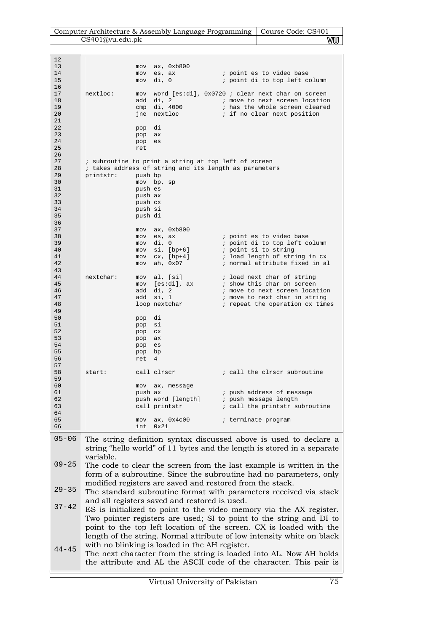| Computer Architecture & Assembly Language Programming   Course Code: CS401 |    |
|----------------------------------------------------------------------------|----|
| CS401@vu.edu.pdf                                                           | wu |

| 12        |           |                  |                       |                                                                                                                                              |
|-----------|-----------|------------------|-----------------------|----------------------------------------------------------------------------------------------------------------------------------------------|
| 13        |           | mov              | ax, 0xb800            |                                                                                                                                              |
| 14        |           | mov              | es, ax                | <i>i</i> point es to video base                                                                                                              |
| 15        |           | mov              | di, O                 | ; point di to top left column                                                                                                                |
| 16        |           |                  |                       |                                                                                                                                              |
| 17        | nextloc:  |                  |                       | mov word [es:di], 0x0720; clear next char on screen                                                                                          |
| 18        |           |                  | add di, 2             | ; move to next screen location                                                                                                               |
| 19        |           |                  | cmp di, 4000          | ; has the whole screen cleared                                                                                                               |
| 20        |           |                  | jne nextloc           | ; if no clear next position                                                                                                                  |
| 21        |           |                  |                       |                                                                                                                                              |
| 22        |           | pop di           |                       |                                                                                                                                              |
| 23        |           | pop ax           |                       |                                                                                                                                              |
| 24        |           | pop              | es                    |                                                                                                                                              |
| 25        |           | ret              |                       |                                                                                                                                              |
| 26        |           |                  |                       |                                                                                                                                              |
| 27        |           |                  |                       | ; subroutine to print a string at top left of screen                                                                                         |
| 28        |           |                  |                       | ; takes address of string and its length as parameters                                                                                       |
| 29        | printstr: | push bp          |                       |                                                                                                                                              |
| 30        |           |                  | mov bp, sp            |                                                                                                                                              |
| 31        |           | push es          |                       |                                                                                                                                              |
| 32        |           | push ax          |                       |                                                                                                                                              |
| 33        |           | push cx          |                       |                                                                                                                                              |
| 34        |           | push si          |                       |                                                                                                                                              |
| 35        |           | push di          |                       |                                                                                                                                              |
| 36        |           |                  |                       |                                                                                                                                              |
| 37        |           |                  | $mov$ ax, $0xb800$    |                                                                                                                                              |
| 38        |           |                  | mov es, ax            | ; point es to video base                                                                                                                     |
| 39        |           |                  | mov di, 0             | ; point di to top left column                                                                                                                |
| 40        |           |                  | $mov$ si, $[bp+6]$    | ; point si to string                                                                                                                         |
| 41        |           |                  | $mov$ $cx$ , $[bp+4]$ | ; load length of string in cx                                                                                                                |
| 42        |           |                  | mov ah, 0x07          | ; normal attribute fixed in al                                                                                                               |
| 43        |           |                  |                       |                                                                                                                                              |
| 44        | nextchar: |                  | mov al, [si]          | ; load next char of string                                                                                                                   |
| 45        |           |                  | mov [es:di], ax       | ; show this char on screen                                                                                                                   |
| 46        |           |                  | add di, 2             | ; move to next screen location                                                                                                               |
| 47<br>48  |           | add              | si, 1                 | ; move to next char in string                                                                                                                |
| 49        |           |                  | loop nextchar         | ; repeat the operation cx times                                                                                                              |
| 50        |           |                  |                       |                                                                                                                                              |
| 51        |           | pop di<br>pop si |                       |                                                                                                                                              |
| 52        |           | pop cx           |                       |                                                                                                                                              |
| 53        |           | pop              | ax                    |                                                                                                                                              |
| 54        |           | pop              | es                    |                                                                                                                                              |
| 55        |           | pop bp           |                       |                                                                                                                                              |
| 56        |           | ret              | 4                     |                                                                                                                                              |
| 57        |           |                  |                       |                                                                                                                                              |
| 58        | start:    |                  | call clrscr           | ; call the clrscr subroutine                                                                                                                 |
| 59        |           |                  |                       |                                                                                                                                              |
| 60        |           | mov              | ax, message           |                                                                                                                                              |
| 61        |           | push ax          |                       | ; push address of message                                                                                                                    |
| 62        |           |                  | push word [length]    | ; push message length                                                                                                                        |
| 63        |           |                  | call printstr         | ; call the printstr subroutine                                                                                                               |
| 64        |           |                  |                       |                                                                                                                                              |
| 65        |           | mov              | ax, 0x4c00            | ; terminate program                                                                                                                          |
| 66        |           | int              | 0x21                  |                                                                                                                                              |
| $05 - 06$ |           |                  |                       | The string definition syntax discussed above is used to declare a<br>string "hello world" of 11 bytes and the length is stored in a separate |
|           |           |                  |                       |                                                                                                                                              |
|           | variable. |                  |                       |                                                                                                                                              |
| $09 - 25$ |           |                  |                       | The code to clear the screen from the last example is written in the                                                                         |
|           |           |                  |                       | form of a subroutine. Since the subroutine had no parameters, only                                                                           |
|           |           |                  |                       |                                                                                                                                              |
|           |           |                  |                       | modified registers are saved and restored from the stack.                                                                                    |
| $29 - 35$ |           |                  |                       | The standard subroutine format with parameters received via stack                                                                            |

- 37-42 The standard subroutine format with parameters received via and all registers saved and restored is used.
- 44-45 ES is initialized to point to the video memory via the AX register. Two pointer registers are used; SI to point to the string and DI to point to the top left location of the screen. CX is loaded with the length of the string. Normal attribute of low intensity white on black with no blinking is loaded in the AH register.
- The next character from the string is loaded into AL. Now AH holds the attribute and AL the ASCII code of the character. This pair is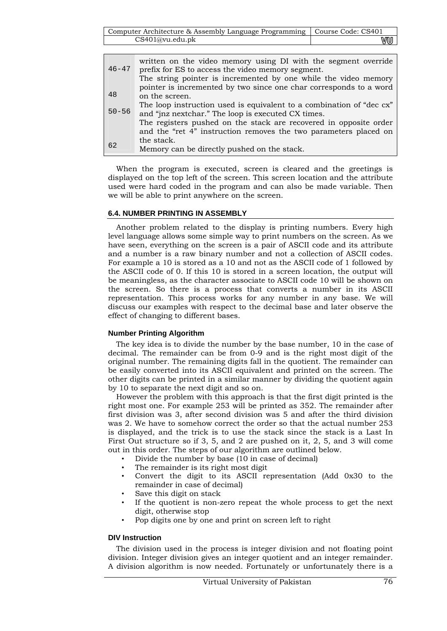| Computer Architecture & Assembly Language Programming   Course Code: CS401 |    |
|----------------------------------------------------------------------------|----|
| CS401@vu.edu.ph                                                            | wu |

| $46 - 47$ | written on the video memory using DI with the segment override<br>prefix for ES to access the video memory segment. |
|-----------|---------------------------------------------------------------------------------------------------------------------|
|           | The string pointer is incremented by one while the video memory                                                     |
|           | pointer is incremented by two since one char corresponds to a word                                                  |
| 48        | on the screen.                                                                                                      |
|           | The loop instruction used is equivalent to a combination of "dec cx"                                                |
| $50 - 56$ | and "jnz nextchar." The loop is executed CX times.                                                                  |
|           | The registers pushed on the stack are recovered in opposite order                                                   |
|           | and the "ret 4" instruction removes the two parameters placed on                                                    |
|           | the stack.                                                                                                          |
| 62        | Memory can be directly pushed on the stack.                                                                         |

When the program is executed, screen is cleared and the greetings is displayed on the top left of the screen. This screen location and the attribute used were hard coded in the program and can also be made variable. Then we will be able to print anywhere on the screen.

## **6.4. NUMBER PRINTING IN ASSEMBLY**

Another problem related to the display is printing numbers. Every high level language allows some simple way to print numbers on the screen. As we have seen, everything on the screen is a pair of ASCII code and its attribute and a number is a raw binary number and not a collection of ASCII codes. For example a 10 is stored as a 10 and not as the ASCII code of 1 followed by the ASCII code of 0. If this 10 is stored in a screen location, the output will be meaningless, as the character associate to ASCII code 10 will be shown on the screen. So there is a process that converts a number in its ASCII representation. This process works for any number in any base. We will discuss our examples with respect to the decimal base and later observe the effect of changing to different bases.

## **Number Printing Algorithm**

The key idea is to divide the number by the base number, 10 in the case of decimal. The remainder can be from 0-9 and is the right most digit of the original number. The remaining digits fall in the quotient. The remainder can be easily converted into its ASCII equivalent and printed on the screen. The other digits can be printed in a similar manner by dividing the quotient again by 10 to separate the next digit and so on.

However the problem with this approach is that the first digit printed is the right most one. For example 253 will be printed as 352. The remainder after first division was 3, after second division was 5 and after the third division was 2. We have to somehow correct the order so that the actual number 253 is displayed, and the trick is to use the stack since the stack is a Last In First Out structure so if 3, 5, and 2 are pushed on it, 2, 5, and 3 will come out in this order. The steps of our algorithm are outlined below.

- Divide the number by base (10 in case of decimal)
- The remainder is its right most digit
- Convert the digit to its ASCII representation (Add 0x30 to the remainder in case of decimal)
- Save this digit on stack
- If the quotient is non-zero repeat the whole process to get the next digit, otherwise stop
- Pop digits one by one and print on screen left to right

## **DIV Instruction**

The division used in the process is integer division and not floating point division. Integer division gives an integer quotient and an integer remainder. A division algorithm is now needed. Fortunately or unfortunately there is a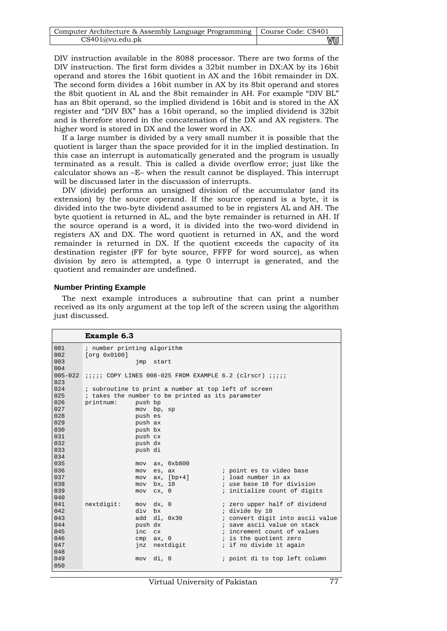| Computer Architecture & Assembly Language Programming   Course Code: CS401 |    |
|----------------------------------------------------------------------------|----|
| CS401@vu.edu.pdf                                                           | wu |

DIV instruction available in the 8088 processor. There are two forms of the DIV instruction. The first form divides a 32bit number in DX:AX by its 16bit operand and stores the 16bit quotient in AX and the 16bit remainder in DX. The second form divides a 16bit number in AX by its 8bit operand and stores the 8bit quotient in AL and the 8bit remainder in AH. For example "DIV BL" has an 8bit operand, so the implied dividend is 16bit and is stored in the AX register and "DIV BX" has a 16bit operand, so the implied dividend is 32bit and is therefore stored in the concatenation of the DX and AX registers. The higher word is stored in DX and the lower word in AX.

If a large number is divided by a very small number it is possible that the quotient is larger than the space provided for it in the implied destination. In this case an interrupt is automatically generated and the program is usually terminated as a result. This is called a divide overflow error; just like the calculator shows an –E– when the result cannot be displayed. This interrupt will be discussed later in the discussion of interrupts.

DIV (divide) performs an unsigned division of the accumulator (and its extension) by the source operand. If the source operand is a byte, it is divided into the two-byte dividend assumed to be in registers AL and AH. The byte quotient is returned in AL, and the byte remainder is returned in AH. If the source operand is a word, it is divided into the two-word dividend in registers AX and DX. The word quotient is returned in AX, and the word remainder is returned in DX. If the quotient exceeds the capacity of its destination register (FF for byte source, FFFF for word source), as when division by zero is attempted, a type 0 interrupt is generated, and the quotient and remainder are undefined.

#### **Number Printing Example**

The next example introduces a subroutine that can print a number received as its only argument at the top left of the screen using the algorithm just discussed.

|             | <b>Example 6.3</b>          |                                                      |                                                                       |
|-------------|-----------------------------|------------------------------------------------------|-----------------------------------------------------------------------|
| 001         | ; number printing algorithm |                                                      |                                                                       |
| 002         | [org 0x0100]                |                                                      |                                                                       |
| 003         |                             | imp start                                            |                                                                       |
| 004         |                             |                                                      |                                                                       |
| $005 - 022$ |                             |                                                      | <i>iiiii</i> COPY LINES 008-025 FROM EXAMPLE 6.2 (clrscr) <i>iiii</i> |
| 023         |                             |                                                      |                                                                       |
| 0.24        |                             | ; subroutine to print a number at top left of screen |                                                                       |
| 025         |                             | ; takes the number to be printed as its parameter    |                                                                       |
| 026         | printnum:<br>push bp        |                                                      |                                                                       |
| 027         |                             | mov bp, sp                                           |                                                                       |
| 028         | push es                     |                                                      |                                                                       |
| 029         | push ax                     |                                                      |                                                                       |
| 030         | push bx                     |                                                      |                                                                       |
| 0.31        | push cx                     |                                                      |                                                                       |
| 032         | push dx                     |                                                      |                                                                       |
| 033         | push di                     |                                                      |                                                                       |
| 034         |                             |                                                      |                                                                       |
| 035         |                             | mov ax, 0xb800                                       |                                                                       |
| 036         | mov                         | es, ax                                               | ; point es to video base                                              |
| 037         | mov                         |                                                      | $ax, [bp+4]$ ; load number in ax                                      |
| 038         | mov                         | bx, 10                                               | and the same is use base 10 for division                              |
| 039         | mov                         | cx, 0                                                | ; initialize count of digits                                          |
| 040         |                             |                                                      |                                                                       |
| 041         | nextdigit:                  | $mov$ $dx$ , $0$                                     | ; zero upper half of dividend                                         |
| 042         | div bx                      |                                                      | ; divide by 10                                                        |
| 043         |                             | $add \, dl, \, 0x30$                                 | ; convert digit into ascii value                                      |
| 044         | push dx                     |                                                      | ; save ascii value on stack                                           |
| 045         | inc                         | cx                                                   | increment count of values                                             |
| 046         | cmp                         | ax, 0                                                | is the quotient zero                                                  |
| 047         |                             | jnz nextdigit                                        | ; if no divide it again                                               |
| 048         |                             |                                                      |                                                                       |
| 049         |                             | mov di, 0                                            | ; point di to top left column                                         |
| 050         |                             |                                                      |                                                                       |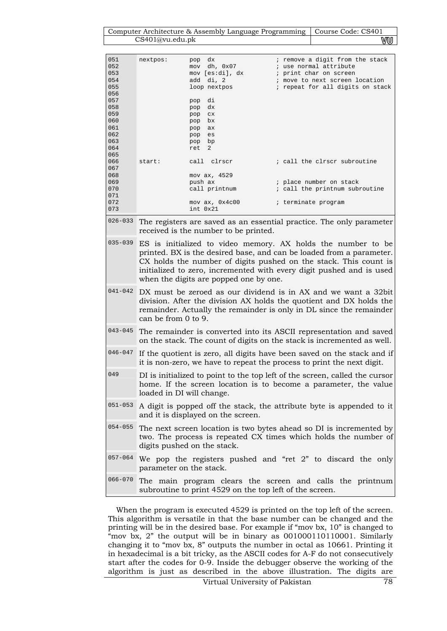Computer Architecture & Assembly Language Programming Course Code: CS401 CS401@vu.edu.pk WUJ

| 051<br>052<br>053<br>054<br>055 | nextpos: | dx<br>pop<br>dh, 0x07<br>mov<br>mov [es:di], dx<br>add di, 2<br>loop nextpos | ; remove a digit from the stack<br>; use normal attribute<br>; print char on screen<br>; move to next screen location<br>; repeat for all digits on stack |
|---------------------------------|----------|------------------------------------------------------------------------------|-----------------------------------------------------------------------------------------------------------------------------------------------------------|
| 056                             |          |                                                                              |                                                                                                                                                           |
| 057                             |          | di<br>pop                                                                    |                                                                                                                                                           |
| 058                             |          | dx<br>pop                                                                    |                                                                                                                                                           |
| 059                             |          | pop<br><b>CX</b>                                                             |                                                                                                                                                           |
| 060                             |          | bx<br>pop                                                                    |                                                                                                                                                           |
| 061                             |          | pop<br>ax                                                                    |                                                                                                                                                           |
| 062                             |          | pop<br>es                                                                    |                                                                                                                                                           |
| 063                             |          | bp<br>pop                                                                    |                                                                                                                                                           |
| 064                             |          | $\overline{2}$<br>ret                                                        |                                                                                                                                                           |
| 065                             |          |                                                                              |                                                                                                                                                           |
| 066                             | start:   | call clrscr                                                                  | ; call the clrscr subroutine                                                                                                                              |
| 067                             |          |                                                                              |                                                                                                                                                           |
| 068                             |          | mov ax, 4529                                                                 |                                                                                                                                                           |
| 069                             |          | push ax                                                                      | ; place number on stack                                                                                                                                   |
| 070                             |          | call printnum                                                                | ; call the printnum subroutine                                                                                                                            |
| 071                             |          |                                                                              |                                                                                                                                                           |
| 072                             |          | mov ax, 0x4c00                                                               | ; terminate program                                                                                                                                       |
| 073                             |          | int 0x21                                                                     |                                                                                                                                                           |

026-033 The registers are saved as an essential practice. The only parameter received is the number to be printed.

| $035-039$ ES is initialized to video memory. AX holds the number to be |
|------------------------------------------------------------------------|
| printed. BX is the desired base, and can be loaded from a parameter.   |
| CX holds the number of digits pushed on the stack. This count is       |
| initialized to zero, incremented with every digit pushed and is used   |
| when the digits are popped one by one.                                 |

- 041-042 DX must be zeroed as our dividend is in AX and we want a 32bit division. After the division AX holds the quotient and DX holds the remainder. Actually the remainder is only in DL since the remainder can be from 0 to 9.
- 043-045 The remainder is converted into its ASCII representation and saved on the stack. The count of digits on the stack is incremented as well.
- 046-047 If the quotient is zero, all digits have been saved on the stack and if it is non-zero, we have to repeat the process to print the next digit.
- <sup>049</sup> DI is initialized to point to the top left of the screen, called the cursor home. If the screen location is to become a parameter, the value loaded in DI will change.
- 051-053 A digit is popped off the stack, the attribute byte is appended to it and it is displayed on the screen.
- 054-055 The next screen location is two bytes ahead so DI is incremented by two. The process is repeated CX times which holds the number of digits pushed on the stack.
- 057-064 We pop the registers pushed and "ret 2" to discard the only parameter on the stack.
- 066-070 The main program clears the screen and calls the printnum subroutine to print 4529 on the top left of the screen.

When the program is executed 4529 is printed on the top left of the screen. This algorithm is versatile in that the base number can be changed and the printing will be in the desired base. For example if "mov bx, 10" is changed to "mov bx, 2" the output will be in binary as 001000110110001. Similarly changing it to "mov bx, 8" outputs the number in octal as 10661. Printing it in hexadecimal is a bit tricky, as the ASCII codes for A-F do not consecutively start after the codes for 0-9. Inside the debugger observe the working of the algorithm is just as described in the above illustration. The digits are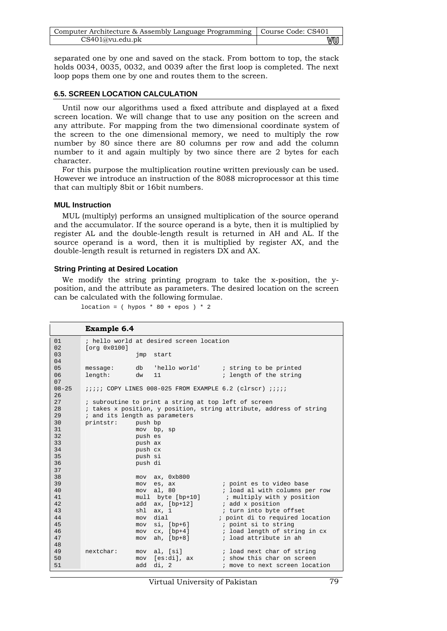| Computer Architecture & Assembly Language Programming   Course Code: CS401 |    |
|----------------------------------------------------------------------------|----|
| CS401@vu.edu.ph                                                            | VU |

separated one by one and saved on the stack. From bottom to top, the stack holds 0034, 0035, 0032, and 0039 after the first loop is completed. The next loop pops them one by one and routes them to the screen.

### **6.5. SCREEN LOCATION CALCULATION**

Until now our algorithms used a fixed attribute and displayed at a fixed screen location. We will change that to use any position on the screen and any attribute. For mapping from the two dimensional coordinate system of the screen to the one dimensional memory, we need to multiply the row number by 80 since there are 80 columns per row and add the column number to it and again multiply by two since there are 2 bytes for each character.

For this purpose the multiplication routine written previously can be used. However we introduce an instruction of the 8088 microprocessor at this time that can multiply 8bit or 16bit numbers.

#### **MUL Instruction**

MUL (multiply) performs an unsigned multiplication of the source operand and the accumulator. If the source operand is a byte, then it is multiplied by register AL and the double-length result is returned in AH and AL. If the source operand is a word, then it is multiplied by register AX, and the double-length result is returned in registers DX and AX.

#### **String Printing at Desired Location**

We modify the string printing program to take the x-position, the yposition, and the attribute as parameters. The desired location on the screen can be calculated with the following formulae.

location =  $($  hypos \* 80 + epos  $)$  \* 2

```
Example 6.4 
01 
02 
03 
04 
0506 
07 
08-25 
26 
27 
28 
2930 
31 
32 
33 
34 
35 
36 
37 
38 
39 
4041 
42 
43 
44 
45 
46 
47 
48 
49 
5051 
          ; hello world at desired screen location 
          [org 0x0100] 
                            jmp start 
          message: db 'hello world' ; string to be printed 
          length: dw 11 ; length of the string
          ;;;;; COPY LINES 008-025 FROM EXAMPLE 6.2 (clrscr) ;;;;; 
          ; subroutine to print a string at top left of screen 
          ; takes x position, y position, string attribute, address of string 
          ; and its length as parameters<br>printstr: push bp
                         push bp
                           mov bp, sp 
                            push es 
                            push ax 
                            push cx 
                           push si 
                            push di 
                            mov ax, 0xb800 
                           mov es, ax ; point es to video base<br>mov al. 80 ; load al with columns p
                           mov al, 80 ; load al with columns per row<br>mull byte [bp+10] ; multiply with y position
                           mull byte [bp+10] ; multiply with y position<br>add ax, [bp+12] ; add x position
                           add ax, [bp+12] ; add x position<br>
shl ax, 1 ; turn into byte
                           shl ax, 1 ; turn into byte offset<br>mov dial ; point di to required 1
                           mov dial \begin{array}{ccc} i & \text{point di to required location} \\ \text{mov si, [bp+6]} & & i & \text{point si to string} \end{array}; point si to string
                           mov cx, [bp+4] ; load length of string in cx
                            mov ah, [bp+8] ; load attribute in ah 
          nextchar: mov al, [si] ; load next char of string 
                           mov [es:di], ax ; show this char on screen
                           add di, 2 \cdots ; move to next screen location
```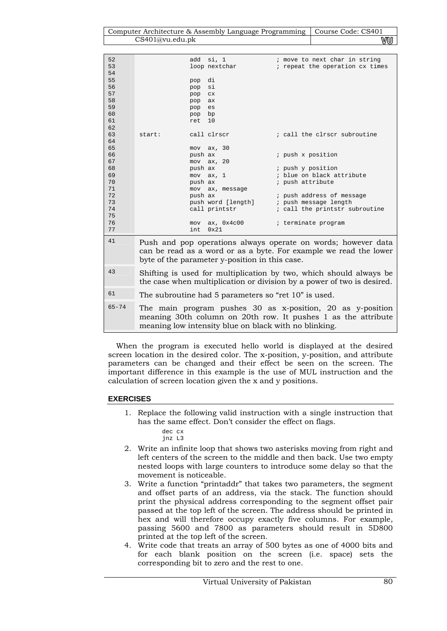| Computer Architecture & Assembly Language Programming   Course Code: CS401 |    |
|----------------------------------------------------------------------------|----|
| CS401@vu.edu.ph                                                            | wu |

| 52        |         | add si, 1                                            | ; move to next char in string                                                                                                                |
|-----------|---------|------------------------------------------------------|----------------------------------------------------------------------------------------------------------------------------------------------|
| 53        |         | loop nextchar                                        | ; repeat the operation cx times                                                                                                              |
| 54        |         |                                                      |                                                                                                                                              |
| 55        | pop di  |                                                      |                                                                                                                                              |
| 56        | pop     | si                                                   |                                                                                                                                              |
| 57        | pop     | cx                                                   |                                                                                                                                              |
| 58        | pop     | ax                                                   |                                                                                                                                              |
| 59        | pop     | es                                                   |                                                                                                                                              |
| 60        | pop     | bp                                                   |                                                                                                                                              |
| 61        | ret     | 10                                                   |                                                                                                                                              |
| 62        |         |                                                      |                                                                                                                                              |
| 63        | start:  | call clrscr                                          | ; call the clrscr subroutine                                                                                                                 |
| 64        |         |                                                      |                                                                                                                                              |
| 65        |         | $mov$ $ax$ , $30$                                    |                                                                                                                                              |
| 66        | push ax |                                                      | ; push x position                                                                                                                            |
| 67        |         | $mov$ $ax$ , $20$                                    |                                                                                                                                              |
| 68        | push ax |                                                      | ; push y position                                                                                                                            |
| 69        |         | $mov$ $ax, 1$                                        | ; blue on black attribute                                                                                                                    |
| 70        | push ax |                                                      | ; push attribute                                                                                                                             |
| 71        |         |                                                      |                                                                                                                                              |
| 72        | push ax | mov ax, message                                      | ; push address of message                                                                                                                    |
| 73        |         |                                                      |                                                                                                                                              |
| 74        |         | push word [length]                                   | ; push message length                                                                                                                        |
|           |         | call printstr                                        | ; call the printstr subroutine                                                                                                               |
| 75        |         |                                                      |                                                                                                                                              |
| 76        |         | mov ax, 0x4c00                                       | ; terminate program                                                                                                                          |
| 77        | int     | 0x21                                                 |                                                                                                                                              |
| 41        |         | byte of the parameter y-position in this case.       | Push and pop operations always operate on words; however data<br>can be read as a word or as a byte. For example we read the lower           |
| 43        |         |                                                      | Shifting is used for multiplication by two, which should always be<br>the case when multiplication or division by a power of two is desired. |
| 61        |         | The subroutine had 5 parameters so "ret 10" is used. |                                                                                                                                              |
| $65 - 71$ |         |                                                      | $\mathbf{m}$ , the contract of $\mathbf{m}$ , the contract of $\mathbf{m}$ , the contract of $\mathbf{m}$ , the contract of $\mathbf{m}$     |

65-74 The main program pushes 30 as x-position, 20 as y-position meaning 30th column on 20th row. It pushes 1 as the attribute meaning low intensity blue on black with no blinking.

When the program is executed hello world is displayed at the desired screen location in the desired color. The x-position, y-position, and attribute parameters can be changed and their effect be seen on the screen. The important difference in this example is the use of MUL instruction and the calculation of screen location given the x and y positions.

## **EXERCISES**

- 1. Replace the following valid instruction with a single instruction that has the same effect. Don't consider the effect on flags.
	- dec cx jnz L3
- 2. Write an infinite loop that shows two asterisks moving from right and left centers of the screen to the middle and then back. Use two empty nested loops with large counters to introduce some delay so that the movement is noticeable.
- 3. Write a function "printaddr" that takes two parameters, the segment and offset parts of an address, via the stack. The function should print the physical address corresponding to the segment offset pair passed at the top left of the screen. The address should be printed in hex and will therefore occupy exactly five columns. For example, passing 5600 and 7800 as parameters should result in 5D800 printed at the top left of the screen.
- 4. Write code that treats an array of 500 bytes as one of 4000 bits and for each blank position on the screen (i.e. space) sets the corresponding bit to zero and the rest to one.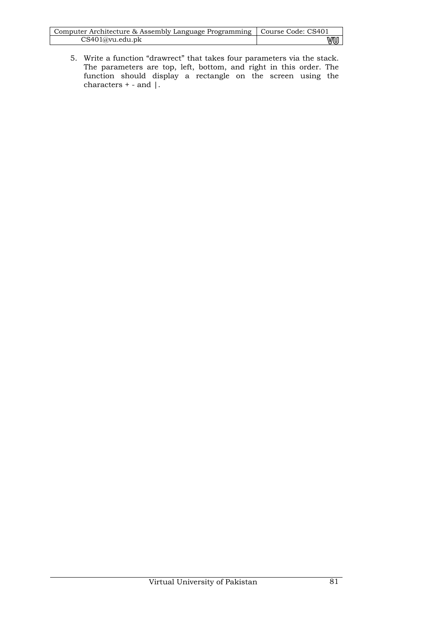| Computer Architecture & Assembly Language Programming   Course Code: CS401 |    |
|----------------------------------------------------------------------------|----|
| CS401@vu.edu.ph                                                            | ww |

5. Write a function "drawrect" that takes four parameters via the stack. The parameters are top, left, bottom, and right in this order. The function should display a rectangle on the screen using the characters  $+$  - and  $\vert$ .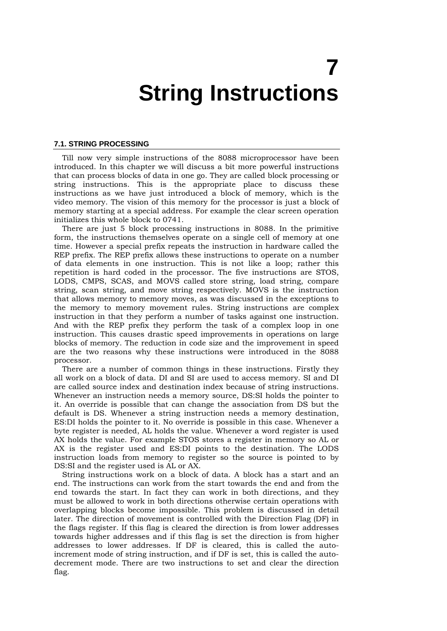## **7 String Instructions**

#### **7.1. STRING PROCESSING**

Till now very simple instructions of the 8088 microprocessor have been introduced. In this chapter we will discuss a bit more powerful instructions that can process blocks of data in one go. They are called block processing or string instructions. This is the appropriate place to discuss these instructions as we have just introduced a block of memory, which is the video memory. The vision of this memory for the processor is just a block of memory starting at a special address. For example the clear screen operation initializes this whole block to 0741.

There are just 5 block processing instructions in 8088. In the primitive form, the instructions themselves operate on a single cell of memory at one time. However a special prefix repeats the instruction in hardware called the REP prefix. The REP prefix allows these instructions to operate on a number of data elements in one instruction. This is not like a loop; rather this repetition is hard coded in the processor. The five instructions are STOS, LODS, CMPS, SCAS, and MOVS called store string, load string, compare string, scan string, and move string respectively. MOVS is the instruction that allows memory to memory moves, as was discussed in the exceptions to the memory to memory movement rules. String instructions are complex instruction in that they perform a number of tasks against one instruction. And with the REP prefix they perform the task of a complex loop in one instruction. This causes drastic speed improvements in operations on large blocks of memory. The reduction in code size and the improvement in speed are the two reasons why these instructions were introduced in the 8088 processor.

There are a number of common things in these instructions. Firstly they all work on a block of data. DI and SI are used to access memory. SI and DI are called source index and destination index because of string instructions. Whenever an instruction needs a memory source, DS:SI holds the pointer to it. An override is possible that can change the association from DS but the default is DS. Whenever a string instruction needs a memory destination, ES:DI holds the pointer to it. No override is possible in this case. Whenever a byte register is needed, AL holds the value. Whenever a word register is used AX holds the value. For example STOS stores a register in memory so AL or AX is the register used and ES:DI points to the destination. The LODS instruction loads from memory to register so the source is pointed to by DS:SI and the register used is AL or AX.

String instructions work on a block of data. A block has a start and an end. The instructions can work from the start towards the end and from the end towards the start. In fact they can work in both directions, and they must be allowed to work in both directions otherwise certain operations with overlapping blocks become impossible. This problem is discussed in detail later. The direction of movement is controlled with the Direction Flag (DF) in the flags register. If this flag is cleared the direction is from lower addresses towards higher addresses and if this flag is set the direction is from higher addresses to lower addresses. If DF is cleared, this is called the autoincrement mode of string instruction, and if DF is set, this is called the autodecrement mode. There are two instructions to set and clear the direction flag.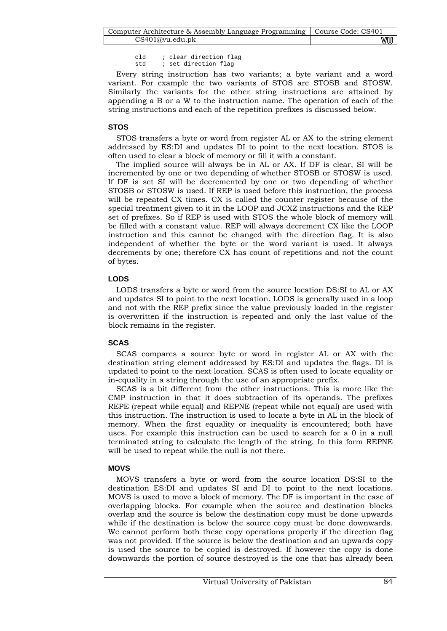cld : clear direction flag<br>std : set direction flag ; set direction flag

Every string instruction has two variants; a byte variant and a word variant. For example the two variants of STOS are STOSB and STOSW. Similarly the variants for the other string instructions are attained by appending a B or a W to the instruction name. The operation of each of the string instructions and each of the repetition prefixes is discussed below.

## **STOS**

STOS transfers a byte or word from register AL or AX to the string element addressed by ES:DI and updates DI to point to the next location. STOS is often used to clear a block of memory or fill it with a constant.

The implied source will always be in AL or AX. If DF is clear, SI will be incremented by one or two depending of whether STOSB or STOSW is used. If DF is set SI will be decremented by one or two depending of whether STOSB or STOSW is used. If REP is used before this instruction, the process will be repeated CX times. CX is called the counter register because of the special treatment given to it in the LOOP and JCXZ instructions and the REP set of prefixes. So if REP is used with STOS the whole block of memory will be filled with a constant value. REP will always decrement CX like the LOOP instruction and this cannot be changed with the direction flag. It is also independent of whether the byte or the word variant is used. It always decrements by one; therefore CX has count of repetitions and not the count of bytes.

## **LODS**

LODS transfers a byte or word from the source location DS:SI to AL or AX and updates SI to point to the next location. LODS is generally used in a loop and not with the REP prefix since the value previously loaded in the register is overwritten if the instruction is repeated and only the last value of the block remains in the register.

## **SCAS**

SCAS compares a source byte or word in register AL or AX with the destination string element addressed by ES:DI and updates the flags. DI is updated to point to the next location. SCAS is often used to locate equality or in-equality in a string through the use of an appropriate prefix.

SCAS is a bit different from the other instructions. This is more like the CMP instruction in that it does subtraction of its operands. The prefixes REPE (repeat while equal) and REPNE (repeat while not equal) are used with this instruction. The instruction is used to locate a byte in AL in the block of memory. When the first equality or inequality is encountered; both have uses. For example this instruction can be used to search for a 0 in a null terminated string to calculate the length of the string. In this form REPNE will be used to repeat while the null is not there.

## **MOVS**

MOVS transfers a byte or word from the source location DS:SI to the destination ES:DI and updates SI and DI to point to the next locations. MOVS is used to move a block of memory. The DF is important in the case of overlapping blocks. For example when the source and destination blocks overlap and the source is below the destination copy must be done upwards while if the destination is below the source copy must be done downwards. We cannot perform both these copy operations properly if the direction flag was not provided. If the source is below the destination and an upwards copy is used the source to be copied is destroyed. If however the copy is done downwards the portion of source destroyed is the one that has already been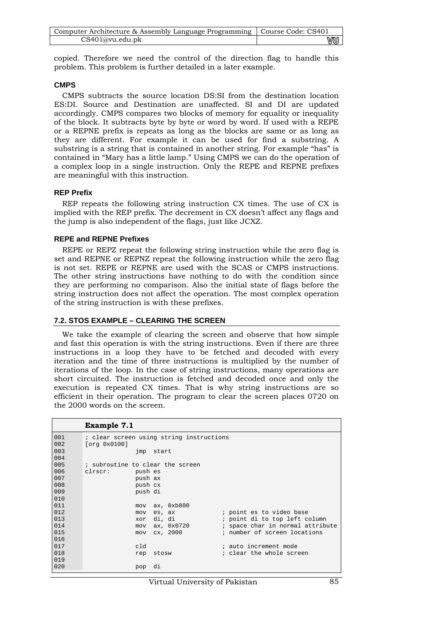| Computer Architecture & Assembly Language Programming   Course Code: CS401 |    |
|----------------------------------------------------------------------------|----|
| CS401@vu.edu.ph                                                            | vu |

copied. Therefore we need the control of the direction flag to handle this problem. This problem is further detailed in a later example.

## **CMPS**

CMPS subtracts the source location DS:SI from the destination location ES:DI. Source and Destination are unaffected. SI and DI are updated accordingly. CMPS compares two blocks of memory for equality or inequality of the block. It subtracts byte by byte or word by word. If used with a REPE or a REPNE prefix is repeats as long as the blocks are same or as long as they are different. For example it can be used for find a substring. A substring is a string that is contained in another string. For example "has" is contained in "Mary has a little lamp." Using CMPS we can do the operation of a complex loop in a single instruction. Only the REPE and REPNE prefixes are meaningful with this instruction.

## **REP Prefix**

REP repeats the following string instruction CX times. The use of CX is implied with the REP prefix. The decrement in CX doesn't affect any flags and the jump is also independent of the flags, just like JCXZ.

#### **REPE and REPNE Prefixes**

REPE or REPZ repeat the following string instruction while the zero flag is set and REPNE or REPNZ repeat the following instruction while the zero flag is not set. REPE or REPNE are used with the SCAS or CMPS instructions. The other string instructions have nothing to do with the condition since they are performing no comparison. Also the initial state of flags before the string instruction does not affect the operation. The most complex operation of the string instruction is with these prefixes.

## **7.2. STOS EXAMPLE – CLEARING THE SCREEN**

We take the example of clearing the screen and observe that how simple and fast this operation is with the string instructions. Even if there are three instructions in a loop they have to be fetched and decoded with every iteration and the time of three instructions is multiplied by the number of iterations of the loop. In the case of string instructions, many operations are short circuited. The instruction is fetched and decoded once and only the execution is repeated CX times. That is why string instructions are so efficient in their operation. The program to clear the screen places 0720 on the 2000 words on the screen.

```
Example 7.1
```

| 001 | ; clear screen using string instructions              |
|-----|-------------------------------------------------------|
| 002 | [org 0x0100]                                          |
| 003 | jmp start                                             |
| 004 |                                                       |
| 005 | ; subroutine to clear the screen                      |
| 006 | clrscr:<br>push es                                    |
| 007 | push ax                                               |
| 008 | push cx                                               |
| 009 | push di                                               |
| 010 |                                                       |
| 011 | ax, 0xb800<br>mov                                     |
| 012 | ; point es to video base<br>es, ax<br>mov             |
| 013 | ; point di to top left column<br>di, di<br>xor        |
| 014 | ; space char in normal attribute<br>ax, 0x0720<br>mov |
| 015 | ; number of screen locations<br>cx, 2000<br>mov       |
| 016 |                                                       |
| 017 | cld<br>; auto increment mode                          |
| 018 | ; clear the whole screen<br>rep<br>stosw              |
| 019 |                                                       |
| 020 | di<br>pop                                             |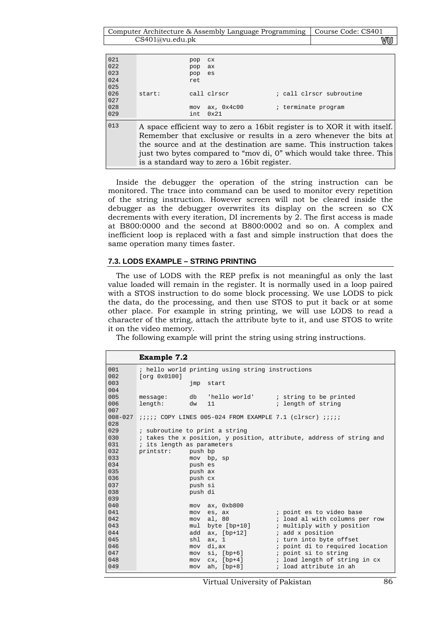Computer Architecture & Assembly Language Programming | Course Code: CS401 CS401@vu.edu.pk WU

| 021<br>022 | pop<br>pop | CX.<br>ax.                                   |                                                                                                                                                                                                                                                                                             |
|------------|------------|----------------------------------------------|---------------------------------------------------------------------------------------------------------------------------------------------------------------------------------------------------------------------------------------------------------------------------------------------|
| 023        | pop        | es                                           |                                                                                                                                                                                                                                                                                             |
| 024        | ret        |                                              |                                                                                                                                                                                                                                                                                             |
| 025        |            |                                              |                                                                                                                                                                                                                                                                                             |
| 026        | start:     | call clrscr                                  | ; call clrscr subroutine                                                                                                                                                                                                                                                                    |
| 027        |            |                                              |                                                                                                                                                                                                                                                                                             |
| 028        | mov        | ax, $0x4c00$                                 | ; terminate program                                                                                                                                                                                                                                                                         |
| 029        | int        | 0x21                                         |                                                                                                                                                                                                                                                                                             |
| 013        |            | is a standard way to zero a 16 bit register. | A space efficient way to zero a 16 bit register is to XOR it with itself.<br>Remember that exclusive or results in a zero whenever the bits at<br>the source and at the destination are same. This instruction takes<br>just two bytes compared to "mov di, 0" which would take three. This |

Inside the debugger the operation of the string instruction can be monitored. The trace into command can be used to monitor every repetition of the string instruction. However screen will not be cleared inside the debugger as the debugger overwrites its display on the screen so CX decrements with every iteration, DI increments by 2. The first access is made at B800:0000 and the second at B800:0002 and so on. A complex and inefficient loop is replaced with a fast and simple instruction that does the same operation many times faster.

#### **7.3. LODS EXAMPLE – STRING PRINTING**

The use of LODS with the REP prefix is not meaningful as only the last value loaded will remain in the register. It is normally used in a loop paired with a STOS instruction to do some block processing. We use LODS to pick the data, do the processing, and then use STOS to put it back or at some other place. For example in string printing, we will use LODS to read a character of the string, attach the attribute byte to it, and use STOS to write it on the video memory.

The following example will print the string using string instructions.

|             | <b>Example 7.2</b>             |         |                                                  |                                                                        |
|-------------|--------------------------------|---------|--------------------------------------------------|------------------------------------------------------------------------|
| 001         |                                |         | ; hello world printing using string instructions |                                                                        |
| 002         | [org 0x0100]                   |         |                                                  |                                                                        |
| 003         |                                | jmp     | start                                            |                                                                        |
| 004         |                                |         |                                                  |                                                                        |
| 005         | message:                       |         |                                                  | db 'hello world' ; string to be printed                                |
| 006         | length:                        | dw      | 11                                               | ; length of string                                                     |
| 007         |                                |         |                                                  |                                                                        |
| $008 - 027$ |                                |         |                                                  | <i>iiiii</i> COPY LINES 005-024 FROM EXAMPLE 7.1 (clrscr) <i>iiiii</i> |
| 028         |                                |         |                                                  |                                                                        |
| 029         | ; subroutine to print a string |         |                                                  |                                                                        |
| 030         |                                |         |                                                  | ; takes the x position, y position, attribute, address of string and   |
| 031         | ; its length as parameters     |         |                                                  |                                                                        |
| 032         | printstr:                      | push bp |                                                  |                                                                        |
| 033         |                                |         | mov bp, sp                                       |                                                                        |
| 034         |                                | push es |                                                  |                                                                        |
| 035         |                                | push ax |                                                  |                                                                        |
| 036         |                                | push cx |                                                  |                                                                        |
| 037         |                                | push si |                                                  |                                                                        |
| 038         |                                | push di |                                                  |                                                                        |
| 039         |                                |         |                                                  |                                                                        |
| 040         |                                | mov     | ax, 0xb800                                       |                                                                        |
| 041         |                                | mov     | es, ax                                           | ; point es to video base                                               |
| 042         |                                | mov     | al, 80                                           | ; load al with columns per row                                         |
| 043         |                                | mul     | byte [bp+10]                                     | ; multiply with y position                                             |
| 044         |                                |         | add $ax$ , $[bp+12]$                             | ; add x position                                                       |
| 045         |                                | shl     | ax, 1                                            | ; turn into byte offset                                                |
| 046         |                                | mov     | di,ax                                            | ; point di to required location                                        |
| 047         |                                | mov     | $si, [bp+6]$                                     | ; point si to string                                                   |
| 048         |                                | mov     |                                                  | cx, [bp+4] (cx, i load length of string in cx                          |
| 049         |                                | mov     | ah, $[bp+8]$                                     | ; load attribute in ah                                                 |

Virtual University of Pakistan 86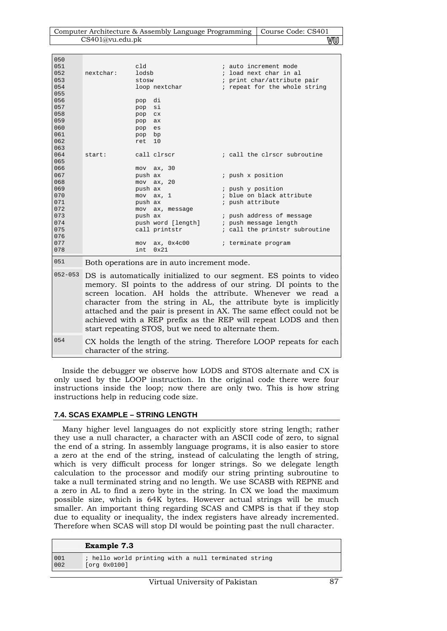| Computer Architecture & Assembly Language Programming   Course Code: CS401 |    |
|----------------------------------------------------------------------------|----|
| CS401@vu.edu.pdf                                                           | vu |

| 050<br>051 | cld                |                                             | ; auto increment mode                    |
|------------|--------------------|---------------------------------------------|------------------------------------------|
| 0.52       | nextchar:<br>lodsb |                                             | ; load next char in al                   |
| 053        | stosw              |                                             | ; print char/attribute pair              |
| 054        |                    | loop nextchar                               | ; repeat for the whole string            |
| 055        |                    |                                             |                                          |
| 056        | pop                | di                                          |                                          |
| 057        | pop                | si                                          |                                          |
| 058        | pop                | CX <sub>1</sub>                             |                                          |
| 059        | pop                | ax                                          |                                          |
| 060        | pop es             |                                             |                                          |
| 061        | pop bp             |                                             |                                          |
| 062        | ret                | 10                                          |                                          |
| 063        |                    |                                             |                                          |
| 064        | start:             | call clrscr                                 | ; call the clrscr subroutine             |
| 065        |                    |                                             |                                          |
| 066        |                    | $mov$ $ax$ , $30$                           |                                          |
| 067        | push ax            |                                             | ; push x position                        |
| 068        |                    | $mov$ $ax$ , $20$                           |                                          |
| 069        | push ax            |                                             | ; push y position                        |
| 070        |                    | $mov$ $ax, 1$                               | ; blue on black attribute                |
| 071        | push ax            |                                             | ; push attribute                         |
| 072        |                    | mov ax, message                             |                                          |
| 073        | push ax            |                                             | ; push address of message                |
| 074        |                    |                                             | push word [length] ; push message length |
| 075        |                    | call printstr                               | ; call the printstr subroutine           |
| 076        |                    |                                             |                                          |
| 077        |                    | $mov$ ax, $0x4c00$<br>$0 \times 21$         | ; terminate program                      |
| 078        | int.               |                                             |                                          |
| 0.51       |                    | Both operations are in auto increment mode. |                                          |

|     | 052-053 DS is automatically initialized to our segment. ES points to video<br>memory. SI points to the address of our string. DI points to the<br>screen location. AH holds the attribute. Whenever we read a<br>character from the string in AL, the attribute byte is implicitly<br>attached and the pair is present in AX. The same effect could not be<br>achieved with a REP prefix as the REP will repeat LODS and then<br>start repeating STOS, but we need to alternate them. |
|-----|---------------------------------------------------------------------------------------------------------------------------------------------------------------------------------------------------------------------------------------------------------------------------------------------------------------------------------------------------------------------------------------------------------------------------------------------------------------------------------------|
| 054 | CX holds the length of the string. Therefore LOOP repeats for each<br>character of the string.                                                                                                                                                                                                                                                                                                                                                                                        |

Inside the debugger we observe how LODS and STOS alternate and CX is only used by the LOOP instruction. In the original code there were four instructions inside the loop; now there are only two. This is how string instructions help in reducing code size.

## **7.4. SCAS EXAMPLE – STRING LENGTH**

Many higher level languages do not explicitly store string length; rather they use a null character, a character with an ASCII code of zero, to signal the end of a string. In assembly language programs, it is also easier to store a zero at the end of the string, instead of calculating the length of string, which is very difficult process for longer strings. So we delegate length calculation to the processor and modify our string printing subroutine to take a null terminated string and no length. We use SCASB with REPNE and a zero in AL to find a zero byte in the string. In CX we load the maximum possible size, which is 64K bytes. However actual strings will be much smaller. An important thing regarding SCAS and CMPS is that if they stop due to equality or inequality, the index registers have already incremented. Therefore when SCAS will stop DI would be pointing past the null character.

|     | <b>Example 7.3</b>                                   |
|-----|------------------------------------------------------|
| 001 | ; hello world printing with a null terminated string |
| 002 | [org 0x0100]                                         |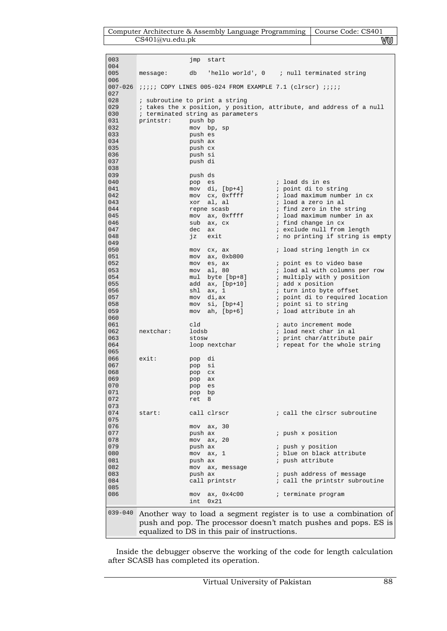| Computer Architecture & Assembly Language Programming   Course Code: CS401 |    |
|----------------------------------------------------------------------------|----|
| CS401@vu.edu.ph                                                            | vu |

| 003                |           | jmp<br>start                                                           |                                                                      |
|--------------------|-----------|------------------------------------------------------------------------|----------------------------------------------------------------------|
| 004                |           |                                                                        |                                                                      |
| 005                | message:  | db                                                                     | 'hello world', $0$ ; null terminated string                          |
| 006<br>$007 - 026$ |           |                                                                        |                                                                      |
| 027                |           | <i>iiiii</i> COPY LINES 005-024 FROM EXAMPLE 7.1 (clrscr) <i>iiiii</i> |                                                                      |
| 028                |           | ; subroutine to print a string                                         |                                                                      |
| 029                |           |                                                                        | ; takes the x position, y position, attribute, and address of a null |
| 030                |           | ; terminated string as parameters                                      |                                                                      |
| 031                | printstr: | push bp                                                                |                                                                      |
| 032                |           | mov bp, sp                                                             |                                                                      |
| 033                |           | push es                                                                |                                                                      |
| 034                |           | push ax                                                                |                                                                      |
| 035                |           | push cx                                                                |                                                                      |
| 036                |           | push si                                                                |                                                                      |
| 037                |           | push di                                                                |                                                                      |
| 038                |           |                                                                        |                                                                      |
| 039                |           | push ds                                                                |                                                                      |
| 040                |           | pop<br>es                                                              | ; load ds in es                                                      |
| 041                |           | mov di, [bp+4]                                                         | ; point di to string                                                 |
| 042                |           | cx, Oxffff<br>mov                                                      | ; load maximum number in cx                                          |
| 043                |           | al, al<br>xor                                                          | ; load a zero in al                                                  |
| 044                |           | repne scasb                                                            | ; find zero in the string                                            |
| 045                |           | ax, Oxffff<br>mov                                                      | ; load maximum number in ax                                          |
| 046                |           | sub<br>ax, cx                                                          | ; find change in cx                                                  |
| 047                |           | dec<br>ax                                                              | ; exclude null from length                                           |
| 048<br>049         |           | exit<br>ήz                                                             | ; no printing if string is empty                                     |
| 050                |           | cx, ax<br>mov                                                          | ; load string length in cx                                           |
| 051                |           | ax, 0xb800<br>mov                                                      |                                                                      |
| 052                |           | es, ax<br>mov                                                          | ; point es to video base                                             |
| 053                |           | al, 80<br>mov                                                          | ; load al with columns per row                                       |
| 054                |           | byte [bp+8]<br>mul                                                     | ; multiply with y position                                           |
| 055                |           | ax, [bp+10]<br>add                                                     | ; add x position                                                     |
| 056                |           | ax, 1<br>shl                                                           | ; turn into byte offset                                              |
| 057                |           | di,ax<br>mov                                                           | ; point di to required location                                      |
| 058                |           | $si, [bp+4]$<br>mov                                                    | ; point si to string                                                 |
| 059                |           | ah, $[bp+6]$<br>mov                                                    | ; load attribute in ah                                               |
| 060<br>061         |           | cld                                                                    | ; auto increment mode                                                |
| 062                | nextchar: | lodsb                                                                  | ; load next char in al                                               |
| 063                |           | stosw                                                                  | ; print char/attribute pair                                          |
| 064                |           | loop nextchar                                                          | ; repeat for the whole string                                        |
| 065                |           |                                                                        |                                                                      |
| 066                | exist:    | di<br>pop                                                              |                                                                      |
| 067                |           | si<br>pop                                                              |                                                                      |
| 068                |           | pop<br>C <sub>X</sub>                                                  |                                                                      |
| 069                |           | pop<br>ax                                                              |                                                                      |
| 070                |           | pop<br>es                                                              |                                                                      |
| 071                |           | pop bp                                                                 |                                                                      |
| 072<br>073         |           | 8<br>ret                                                               |                                                                      |
| 074                | start:    | call clrscr                                                            | ; call the clrscr subroutine                                         |
| 075                |           |                                                                        |                                                                      |
| 076                |           | $mov$ $ax$ , $30$                                                      |                                                                      |
| 077                |           | push ax                                                                | ; push x position                                                    |
| 078                |           | mov ax, 20                                                             |                                                                      |
| 079                |           | push ax                                                                | ; push y position                                                    |
| 080                |           | $mov$ $ax, 1$                                                          | ; blue on black attribute                                            |
| 081                |           | push ax                                                                | ; push attribute                                                     |
| 082                |           | mov ax, message                                                        |                                                                      |
| 083                |           | push ax                                                                | ; push address of message                                            |
| 084                |           | call printstr                                                          | ; call the printstr subroutine                                       |
| 085                |           |                                                                        |                                                                      |
| 086                |           | mov ax, 0x4c00<br>0x21<br>int                                          | ; terminate program                                                  |
|                    |           |                                                                        |                                                                      |
| $039 - 040$        |           |                                                                        | Another way to load a segment register is to use a combination of    |
|                    |           |                                                                        | push and pop. The processor doesn't match pushes and pops. ES is     |
|                    |           | equalized to DS in this pair of instructions.                          |                                                                      |
|                    |           |                                                                        |                                                                      |

Inside the debugger observe the working of the code for length calculation after SCASB has completed its operation.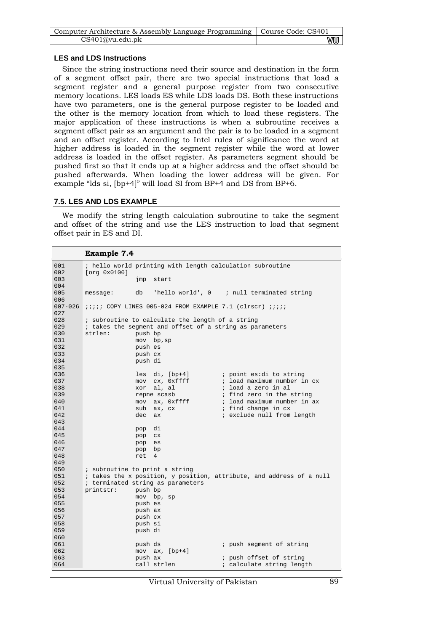| Computer Architecture & Assembly Language Programming   Course Code: CS401 |    |
|----------------------------------------------------------------------------|----|
| CS401@vu.edu.ph                                                            | vu |

## **LES and LDS Instructions**

Since the string instructions need their source and destination in the form of a segment offset pair, there are two special instructions that load a segment register and a general purpose register from two consecutive memory locations. LES loads ES while LDS loads DS. Both these instructions have two parameters, one is the general purpose register to be loaded and the other is the memory location from which to load these registers. The major application of these instructions is when a subroutine receives a segment offset pair as an argument and the pair is to be loaded in a segment and an offset register. According to Intel rules of significance the word at higher address is loaded in the segment register while the word at lower address is loaded in the offset register. As parameters segment should be pushed first so that it ends up at a higher address and the offset should be pushed afterwards. When loading the lower address will be given. For example "lds si, [bp+4]" will load SI from BP+4 and DS from BP+6.

## **7.5. LES AND LDS EXAMPLE**

We modify the string length calculation subroutine to take the segment and offset of the string and use the LES instruction to load that segment offset pair in ES and DI.

| <b>Example 7.4</b>                                                                                                         |  |
|----------------------------------------------------------------------------------------------------------------------------|--|
| ; hello world printing with length calculation subroutine<br>001<br>002<br>[org 0x0100]                                    |  |
| 003<br>jmp<br>start<br>004                                                                                                 |  |
| 005<br>'hello world', 0 ; null terminated string<br>db<br>message:<br>006                                                  |  |
| $007-026$ ;;;;; COPY LINES 005-024 FROM EXAMPLE 7.1 (clrscr) ;;;;;<br>027                                                  |  |
| 028<br>; subroutine to calculate the length of a string<br>029<br>; takes the segment and offset of a string as parameters |  |
| 030<br>strlen:<br>push bp                                                                                                  |  |
| 031<br>$mov$ bp, sp                                                                                                        |  |
| 032<br>push es                                                                                                             |  |
| 033<br>push cx                                                                                                             |  |
| 034<br>push di                                                                                                             |  |
| 035                                                                                                                        |  |
| 036<br>di, [bp+4]<br>; point es:di to string<br>les                                                                        |  |
| 037<br>cx, Oxffff<br>; load maximum number in cx<br>mov                                                                    |  |
| 038<br>; load a zero in al<br>al, al<br>xor                                                                                |  |
| 039<br>; find zero in the string<br>repne scasb                                                                            |  |
| 040<br>; load maximum number in ax<br>mov ax, 0xffff                                                                       |  |
| 041<br>; find change in cx<br>sub<br>ax, cx                                                                                |  |
| 042<br>; exclude null from length<br>dec<br>ax                                                                             |  |
| 043                                                                                                                        |  |
| 044<br>di<br>pop                                                                                                           |  |
| 045<br>pop cx                                                                                                              |  |
| 046<br>es<br>pop                                                                                                           |  |
| 047<br>bp<br>pop                                                                                                           |  |
| 048<br>4<br>ret                                                                                                            |  |
| 049                                                                                                                        |  |
| 050<br>; subroutine to print a string                                                                                      |  |
| ; takes the x position, y position, attribute, and address of a null<br>051<br>052                                         |  |
| ; terminated string as parameters<br>053<br>printstr:                                                                      |  |
| push bp<br>054<br>mov bp, sp                                                                                               |  |
| 055<br>push es                                                                                                             |  |
| 056<br>push ax                                                                                                             |  |
| 057<br>push cx                                                                                                             |  |
| 058<br>push si                                                                                                             |  |
| 059<br>push di                                                                                                             |  |
| 060                                                                                                                        |  |
| 061<br>push ds<br>; push segment of string                                                                                 |  |
| 062<br>mov $ax$ , $[bp+4]$                                                                                                 |  |
| push ax<br>063<br>; push offset of string                                                                                  |  |
| 064<br>call strlen<br>; calculate string length                                                                            |  |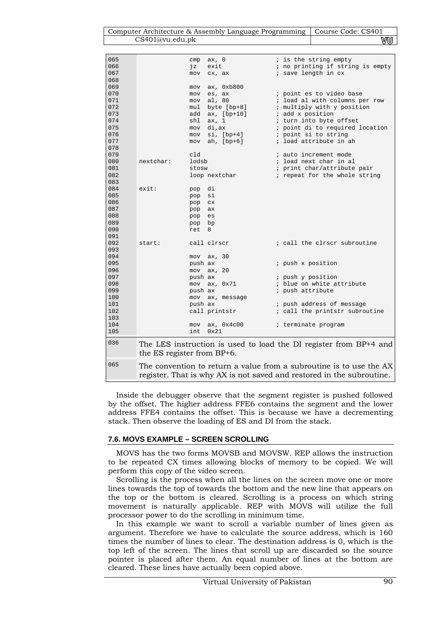| Computer Architecture & Assembly Language Programming   Course Code: CS401 |    |
|----------------------------------------------------------------------------|----|
| CS401@vu.edu.ph                                                            | vu |

| 065 |                            | ax, 0<br>cmp        | ; is the string empty                                                        |
|-----|----------------------------|---------------------|------------------------------------------------------------------------------|
| 066 |                            | jz<br>exit          | ; no printing if string is empty                                             |
| 067 |                            | cx, ax<br>mov       | ; save length in cx                                                          |
| 068 |                            |                     |                                                                              |
| 069 |                            | ax, 0xb800<br>mov   |                                                                              |
| 070 |                            | es, ax<br>mov       | ; point es to video base                                                     |
| 071 |                            | al, 80<br>mov       | ; load al with columns per row                                               |
| 072 |                            | byte [bp+8]<br>mul  | ; multiply with y position                                                   |
| 073 |                            | ax, [bp+10]<br>add  | ; add x position                                                             |
| 074 |                            | shl<br>ax, 1        | ; turn into byte offset                                                      |
| 075 |                            | di,ax<br>mov        | ; point di to required location                                              |
| 076 |                            | $si, [bp+4]$<br>mov | ; point si to string                                                         |
| 077 |                            | ah, [bp+6]<br>mov   | ; load attribute in ah                                                       |
| 078 |                            |                     |                                                                              |
| 079 |                            | cld                 | ; auto increment mode                                                        |
| 080 | nextchar:                  | lodsb               | ; load next char in al                                                       |
| 081 |                            | stosw               | ; print char/attribute pair                                                  |
| 082 |                            | loop nextchar       | ; repeat for the whole string                                                |
| 083 |                            |                     |                                                                              |
| 084 | exist:                     | pop di              |                                                                              |
| 085 |                            | si<br>pop           |                                                                              |
| 086 |                            | pop<br><b>CX</b>    |                                                                              |
| 087 |                            | pop<br>ax           |                                                                              |
| 088 |                            | es<br>pop           |                                                                              |
| 089 |                            | pop bp              |                                                                              |
| 090 |                            | ret<br>8            |                                                                              |
| 091 |                            |                     |                                                                              |
| 092 | start:                     | call clrscr         | ; call the clrscr subroutine                                                 |
| 093 |                            |                     |                                                                              |
| 094 |                            | $mov$ $ax$ , $30$   |                                                                              |
| 095 |                            | push ax             | ; push x position                                                            |
| 096 |                            | ax, 20<br>mov       |                                                                              |
| 097 |                            | push ax             | ; push y position                                                            |
| 098 |                            | mov ax, 0x71        | ; blue on white attribute                                                    |
| 099 |                            | push ax             | ; push attribute                                                             |
| 100 |                            | mov ax, message     |                                                                              |
| 101 |                            | push ax             | ; push address of message                                                    |
| 102 |                            | call printstr       | ; call the printstr subroutine                                               |
| 103 |                            |                     |                                                                              |
| 104 |                            | ax, 0x4c00<br>mov   | ; terminate program                                                          |
| 105 |                            | 0x21<br>int         |                                                                              |
| 036 | the ES register from BP+6. |                     | The LES instruction is used to load the DI register from BP+4 and            |
| 065 |                            |                     | The convention to return a value from a subreyting is to use the $\Lambda V$ |

The convention to return a value from a subroutine is to use the AX register. That is why AX is not saved and restored in the subroutine.

Inside the debugger observe that the segment register is pushed followed by the offset. The higher address FFE6 contains the segment and the lower address FFE4 contains the offset. This is because we have a decrementing stack. Then observe the loading of ES and DI from the stack.

#### **7.6. MOVS EXAMPLE – SCREEN SCROLLING**

MOVS has the two forms MOVSB and MOVSW. REP allows the instruction to be repeated CX times allowing blocks of memory to be copied. We will perform this copy of the video screen.

Scrolling is the process when all the lines on the screen move one or more lines towards the top of towards the bottom and the new line that appears on the top or the bottom is cleared. Scrolling is a process on which string movement is naturally applicable. REP with MOVS will utilize the full processor power to do the scrolling in minimum time.

In this example we want to scroll a variable number of lines given as argument. Therefore we have to calculate the source address, which is 160 times the number of lines to clear. The destination address is 0, which is the top left of the screen. The lines that scroll up are discarded so the source pointer is placed after them. An equal number of lines at the bottom are cleared. These lines have actually been copied above.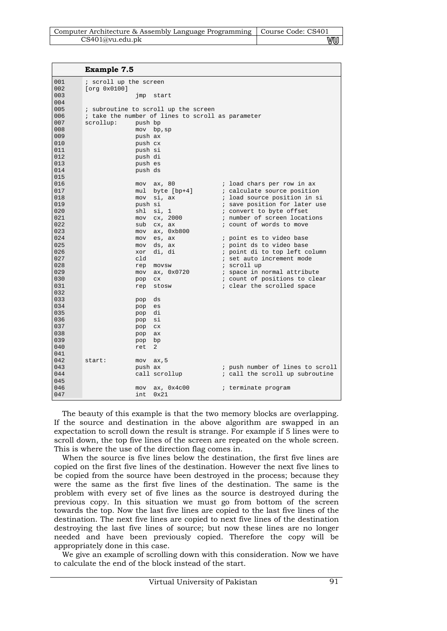| Computer Architecture & Assembly Language Programming   Course Code: CS401 |    |
|----------------------------------------------------------------------------|----|
| CS401@vu.edu.pdf                                                           | VU |
|                                                                            |    |

|     | <b>Example 7.5</b>                                |                |                                  |
|-----|---------------------------------------------------|----------------|----------------------------------|
| 001 | ; scroll up the screen                            |                |                                  |
| 002 | [org 0x0100]                                      |                |                                  |
| 003 | jmp                                               | start          |                                  |
| 004 |                                                   |                |                                  |
| 005 | ; subroutine to scroll up the screen              |                |                                  |
| 006 | ; take the number of lines to scroll as parameter |                |                                  |
| 007 | scrollup:<br>push bp                              |                |                                  |
| 008 |                                                   | mov bp, sp     |                                  |
| 009 | push ax                                           |                |                                  |
| 010 | push cx                                           |                |                                  |
| 011 | push si                                           |                |                                  |
| 012 | push di                                           |                |                                  |
| 013 | push es                                           |                |                                  |
| 014 | push ds                                           |                |                                  |
| 015 |                                                   |                |                                  |
| 016 | mov                                               | ax, 80         | ; load chars per row in ax       |
| 017 | mul                                               | byte $[bp+4]$  | ; calculate source position      |
| 018 | mov                                               | si, ax         | ; load source position in si     |
| 019 | push si                                           |                | ; save position for later use    |
| 020 | shl                                               | si, 1          | ; convert to byte offset         |
| 021 | mov                                               | cx, 2000       | ; number of screen locations     |
| 022 | sub                                               | cx, ax         | ; count of words to move         |
| 023 | mov                                               | ax, 0xb800     |                                  |
| 024 | mov                                               | es, ax         | ; point es to video base         |
| 025 | mov                                               | ds, ax         | ; point ds to video base         |
| 026 | xor                                               | di, di         | ; point di to top left column    |
| 027 | cld                                               |                | ; set auto increment mode        |
| 028 | rep                                               | movsw          | ; scroll up                      |
| 029 | mov                                               | ax, 0x0720     | ; space in normal attribute      |
| 030 | pop                                               | C <sub>X</sub> | ; count of positions to clear    |
| 031 | rep                                               | stosw          | ; clear the scrolled space       |
| 032 |                                                   |                |                                  |
| 033 | pop                                               | ds             |                                  |
| 034 | pop                                               | es             |                                  |
| 035 | pop                                               | di             |                                  |
| 036 | pop                                               | si             |                                  |
| 037 | pop                                               | C <sub>X</sub> |                                  |
| 038 | pop                                               | ax             |                                  |
| 039 | pop                                               | bp             |                                  |
| 040 | ret                                               | 2              |                                  |
| 041 |                                                   |                |                                  |
| 042 | start:<br>mov                                     | ax, 5          |                                  |
| 043 | push ax                                           |                | ; push number of lines to scroll |
| 044 |                                                   | call scrollup  | ; call the scroll up subroutine  |
| 045 |                                                   |                |                                  |
| 046 | mov                                               | ax, 0x4c00     | ; terminate program              |
| 047 | int                                               | 0x21           |                                  |

The beauty of this example is that the two memory blocks are overlapping. If the source and destination in the above algorithm are swapped in an expectation to scroll down the result is strange. For example if 5 lines were to scroll down, the top five lines of the screen are repeated on the whole screen. This is where the use of the direction flag comes in.

When the source is five lines below the destination, the first five lines are copied on the first five lines of the destination. However the next five lines to be copied from the source have been destroyed in the process; because they were the same as the first five lines of the destination. The same is the problem with every set of five lines as the source is destroyed during the previous copy. In this situation we must go from bottom of the screen towards the top. Now the last five lines are copied to the last five lines of the destination. The next five lines are copied to next five lines of the destination destroying the last five lines of source; but now these lines are no longer needed and have been previously copied. Therefore the copy will be appropriately done in this case.

We give an example of scrolling down with this consideration. Now we have to calculate the end of the block instead of the start.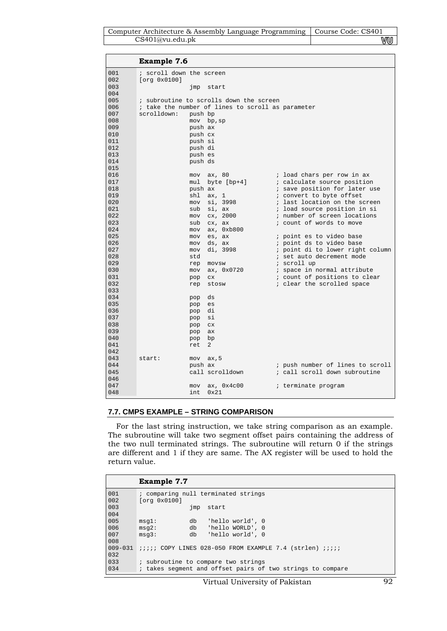| Computer Architecture & Assembly Language Programming   Course Code: CS401 |    |
|----------------------------------------------------------------------------|----|
| CS401@vu.edu.ph                                                            | WU |

| ; scroll down the screen<br>001<br>002<br>[org 0x0100]<br>003<br>jmp<br>start<br>004<br>005<br>; subroutine to scrolls down the screen<br>006<br>; take the number of lines to scroll as parameter<br>007<br>scrolldown:<br>push bp<br>008<br>$mov$ bp, sp<br>009<br>push ax<br>010<br>push cx<br>011<br>push si<br>012<br>push di<br>013<br>push es<br>014<br>push ds<br>015<br>016<br>; load chars per row in ax<br>mov<br>ax, 80<br>017<br>byte [bp+4]<br>; calculate source position<br>mul<br>018<br>; save position for later use<br>push ax<br>019<br>shl<br>; convert to byte offset<br>ax, 1<br>020<br>; last location on the screen<br>si, 3998<br>mov | <b>Example 7.6</b> |                                  |
|------------------------------------------------------------------------------------------------------------------------------------------------------------------------------------------------------------------------------------------------------------------------------------------------------------------------------------------------------------------------------------------------------------------------------------------------------------------------------------------------------------------------------------------------------------------------------------------------------------------------------------------------------------------|--------------------|----------------------------------|
|                                                                                                                                                                                                                                                                                                                                                                                                                                                                                                                                                                                                                                                                  |                    |                                  |
|                                                                                                                                                                                                                                                                                                                                                                                                                                                                                                                                                                                                                                                                  |                    |                                  |
|                                                                                                                                                                                                                                                                                                                                                                                                                                                                                                                                                                                                                                                                  |                    |                                  |
|                                                                                                                                                                                                                                                                                                                                                                                                                                                                                                                                                                                                                                                                  |                    |                                  |
|                                                                                                                                                                                                                                                                                                                                                                                                                                                                                                                                                                                                                                                                  |                    |                                  |
|                                                                                                                                                                                                                                                                                                                                                                                                                                                                                                                                                                                                                                                                  |                    |                                  |
|                                                                                                                                                                                                                                                                                                                                                                                                                                                                                                                                                                                                                                                                  |                    |                                  |
|                                                                                                                                                                                                                                                                                                                                                                                                                                                                                                                                                                                                                                                                  |                    |                                  |
|                                                                                                                                                                                                                                                                                                                                                                                                                                                                                                                                                                                                                                                                  |                    |                                  |
|                                                                                                                                                                                                                                                                                                                                                                                                                                                                                                                                                                                                                                                                  |                    |                                  |
|                                                                                                                                                                                                                                                                                                                                                                                                                                                                                                                                                                                                                                                                  |                    |                                  |
|                                                                                                                                                                                                                                                                                                                                                                                                                                                                                                                                                                                                                                                                  |                    |                                  |
|                                                                                                                                                                                                                                                                                                                                                                                                                                                                                                                                                                                                                                                                  |                    |                                  |
|                                                                                                                                                                                                                                                                                                                                                                                                                                                                                                                                                                                                                                                                  |                    |                                  |
|                                                                                                                                                                                                                                                                                                                                                                                                                                                                                                                                                                                                                                                                  |                    |                                  |
|                                                                                                                                                                                                                                                                                                                                                                                                                                                                                                                                                                                                                                                                  |                    |                                  |
|                                                                                                                                                                                                                                                                                                                                                                                                                                                                                                                                                                                                                                                                  |                    |                                  |
| 021                                                                                                                                                                                                                                                                                                                                                                                                                                                                                                                                                                                                                                                              |                    |                                  |
| ; load source position in si<br>sub<br>si, ax<br>; number of screen locations<br>022                                                                                                                                                                                                                                                                                                                                                                                                                                                                                                                                                                             |                    |                                  |
| cx, 2000<br>mov<br>023<br>; count of words to move<br>sub<br>cx, ax                                                                                                                                                                                                                                                                                                                                                                                                                                                                                                                                                                                              |                    |                                  |
| 024<br>ax, 0xb800<br>mov                                                                                                                                                                                                                                                                                                                                                                                                                                                                                                                                                                                                                                         |                    |                                  |
| 025<br>; point es to video base<br>es, ax<br>mov                                                                                                                                                                                                                                                                                                                                                                                                                                                                                                                                                                                                                 |                    |                                  |
| 026<br>; point ds to video base<br>ds, ax<br>mov                                                                                                                                                                                                                                                                                                                                                                                                                                                                                                                                                                                                                 |                    |                                  |
| di, 3998<br>027<br>; point di to lower right column<br>mov                                                                                                                                                                                                                                                                                                                                                                                                                                                                                                                                                                                                       |                    |                                  |
| 028<br>; set auto decrement mode<br>std                                                                                                                                                                                                                                                                                                                                                                                                                                                                                                                                                                                                                          |                    |                                  |
| 029<br>; scroll up<br>rep<br>movsw                                                                                                                                                                                                                                                                                                                                                                                                                                                                                                                                                                                                                               |                    |                                  |
| 030<br>; space in normal attribute<br>mov<br>ax, 0x0720                                                                                                                                                                                                                                                                                                                                                                                                                                                                                                                                                                                                          |                    |                                  |
| ; count of positions to clear<br>031<br>C <sub>X</sub><br>pop                                                                                                                                                                                                                                                                                                                                                                                                                                                                                                                                                                                                    |                    |                                  |
| 032<br>; clear the scrolled space<br>stosw<br>rep                                                                                                                                                                                                                                                                                                                                                                                                                                                                                                                                                                                                                |                    |                                  |
| 033                                                                                                                                                                                                                                                                                                                                                                                                                                                                                                                                                                                                                                                              |                    |                                  |
| 034<br>ds<br>pop                                                                                                                                                                                                                                                                                                                                                                                                                                                                                                                                                                                                                                                 |                    |                                  |
| 035<br>es<br>pop                                                                                                                                                                                                                                                                                                                                                                                                                                                                                                                                                                                                                                                 |                    |                                  |
| 036<br>di<br>pop                                                                                                                                                                                                                                                                                                                                                                                                                                                                                                                                                                                                                                                 |                    |                                  |
| 037<br>si<br>pop                                                                                                                                                                                                                                                                                                                                                                                                                                                                                                                                                                                                                                                 |                    |                                  |
| 038<br>pop<br>cx                                                                                                                                                                                                                                                                                                                                                                                                                                                                                                                                                                                                                                                 |                    |                                  |
| 039<br>ax<br>pop                                                                                                                                                                                                                                                                                                                                                                                                                                                                                                                                                                                                                                                 |                    |                                  |
| 040<br>bp<br>pop                                                                                                                                                                                                                                                                                                                                                                                                                                                                                                                                                                                                                                                 |                    |                                  |
| 041<br>2<br>ret                                                                                                                                                                                                                                                                                                                                                                                                                                                                                                                                                                                                                                                  |                    |                                  |
| 042                                                                                                                                                                                                                                                                                                                                                                                                                                                                                                                                                                                                                                                              |                    |                                  |
| 043<br>start:<br>ax, 5<br>mov                                                                                                                                                                                                                                                                                                                                                                                                                                                                                                                                                                                                                                    |                    |                                  |
| 044<br>push ax                                                                                                                                                                                                                                                                                                                                                                                                                                                                                                                                                                                                                                                   |                    | ; push number of lines to scroll |
| ; call scroll down subroutine<br>045<br>call scrolldown                                                                                                                                                                                                                                                                                                                                                                                                                                                                                                                                                                                                          |                    |                                  |
| 046<br>047                                                                                                                                                                                                                                                                                                                                                                                                                                                                                                                                                                                                                                                       |                    |                                  |
| ax, 0x4c00<br>; terminate program<br>mov<br>048<br>int.<br>0x21                                                                                                                                                                                                                                                                                                                                                                                                                                                                                                                                                                                                  |                    |                                  |

## **7.7. CMPS EXAMPLE – STRING COMPARISON**

For the last string instruction, we take string comparison as an example. The subroutine will take two segment offset pairs containing the address of the two null terminated strings. The subroutine will return 0 if the strings are different and 1 if they are same. The AX register will be used to hold the return value.

|             | <b>Example 7.7</b>                                             |
|-------------|----------------------------------------------------------------|
| 001         | ; comparing null terminated strings                            |
| 002         | [org 0x0100]                                                   |
| 003         | start<br>jmp                                                   |
| 004         |                                                                |
| 005         | msq1:<br>'hello world', 0<br>db                                |
| 006         | db<br>'hello WORLD', 0<br>msg2:                                |
| 007         | db<br>'hello world', 0<br>msq3:                                |
| 008         |                                                                |
| $009 - 031$ | $i$ ;;;; COPY LINES 028-050 FROM EXAMPLE 7.4 (strlen) $i$ ;;;; |
| 032         |                                                                |
| 033         | ; subroutine to compare two strings                            |
| 034         | ; takes seqment and offset pairs of two strings to compare     |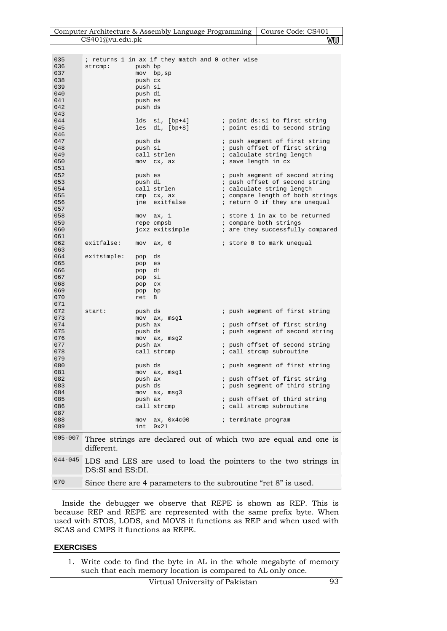| Computer Architecture & Assembly Language Programming   Course Code: CS401 |    |
|----------------------------------------------------------------------------|----|
| CS401@vu.edu.pdf                                                           | wu |

| 035         |                    | ; returns 1 in ax if they match and 0 other wise |                                                                  |
|-------------|--------------------|--------------------------------------------------|------------------------------------------------------------------|
| 036         | strcmp:            | push bp                                          |                                                                  |
| 037         |                    |                                                  |                                                                  |
|             |                    | mov bp, sp                                       |                                                                  |
| 038         |                    | push cx                                          |                                                                  |
| 039         |                    | push si                                          |                                                                  |
| 040         |                    | push di                                          |                                                                  |
| 041         |                    | push es                                          |                                                                  |
| 042         |                    | push ds                                          |                                                                  |
|             |                    |                                                  |                                                                  |
| 043         |                    |                                                  |                                                                  |
| 044         |                    | lds si, [bp+4]                                   | ; point ds:si to first string                                    |
| 045         |                    | $lesdi, [bp+8]$                                  | <i>i</i> point es: di to second string                           |
| 046         |                    |                                                  |                                                                  |
| 047         |                    | push ds                                          | ; push segment of first string                                   |
| 048         |                    | push si                                          |                                                                  |
|             |                    |                                                  | ; push offset of first string                                    |
| 049         |                    | call strlen                                      | ; calculate string length                                        |
| 050         |                    | mov cx, ax                                       | ; save length in cx                                              |
| 051         |                    |                                                  |                                                                  |
| 052         |                    | push es                                          | ; push segment of second string                                  |
| 053         |                    | push di                                          | ; push offset of second string                                   |
|             |                    |                                                  |                                                                  |
| 054         |                    | call strlen                                      | ; calculate string length                                        |
| 055         |                    | cmp cx, ax                                       | ; compare length of both strings                                 |
| 056         |                    | jne exitfalse                                    | ; return 0 if they are unequal                                   |
| 057         |                    |                                                  |                                                                  |
| 058         |                    |                                                  | ; store 1 in ax to be returned                                   |
|             |                    | $mov$ $ax, 1$                                    |                                                                  |
| 059         |                    | repe cmpsb                                       | ; compare both strings                                           |
| 060         |                    | jcxz exitsimple                                  | ; are they successfully compared                                 |
| 061         |                    |                                                  |                                                                  |
| 062         | exitfalse:         | $mov$ $ax, 0$                                    | ; store 0 to mark unequal                                        |
| 063         |                    |                                                  |                                                                  |
|             |                    |                                                  |                                                                  |
| 064         | exitsimple:<br>pop | ds                                               |                                                                  |
| 065         | pop                | es                                               |                                                                  |
| 066         | pop                | di                                               |                                                                  |
| 067         | pop                | si                                               |                                                                  |
| 068         | pop                | C X                                              |                                                                  |
| 069         |                    |                                                  |                                                                  |
|             | pop                | bp                                               |                                                                  |
| 070         | ret                | 8                                                |                                                                  |
| 071         |                    |                                                  |                                                                  |
| 072         | start:             | push ds                                          | ; push segment of first string                                   |
| 073         |                    | mov ax, msgl                                     |                                                                  |
| 074         |                    | push ax                                          | ; push offset of first string                                    |
|             |                    |                                                  |                                                                  |
| 075         |                    | push ds                                          | ; push segment of second string                                  |
| 076         |                    | mov ax, msg2                                     |                                                                  |
| 077         |                    | push ax                                          | ; push offset of second string                                   |
| 078         |                    | call strcmp                                      | ; call strcmp subroutine                                         |
| 079         |                    |                                                  |                                                                  |
| 080         |                    | push ds                                          |                                                                  |
|             |                    |                                                  | ; push segment of first string                                   |
| 081         |                    | mov ax, msgl                                     |                                                                  |
| 082         |                    | push ax                                          | ; push offset of first string                                    |
| 083         |                    | push ds                                          | ; push segment of third string                                   |
| 084         |                    | mov ax, msg3                                     |                                                                  |
| 085         |                    | push ax                                          | ; push offset of third string                                    |
|             |                    |                                                  |                                                                  |
| 086         |                    | call strcmp                                      | ; call strcmp subroutine                                         |
| 087         |                    |                                                  |                                                                  |
| 088         |                    | mov ax, 0x4c00                                   | ; terminate program                                              |
| 089         | int                | 0x21                                             |                                                                  |
|             |                    |                                                  |                                                                  |
| $005 - 007$ |                    |                                                  | Three strings are declared out of which two are equal and one is |
|             |                    |                                                  |                                                                  |
|             | different.         |                                                  |                                                                  |
|             |                    |                                                  |                                                                  |
| $044 - 045$ |                    |                                                  | LDS and LES are used to load the pointers to the two strings in  |
|             | DS:SI and ES:DI.   |                                                  |                                                                  |
|             |                    |                                                  |                                                                  |
| 070         |                    |                                                  |                                                                  |
|             |                    |                                                  | Since there are 4 parameters to the subroutine "ret 8" is used.  |

Inside the debugger we observe that REPE is shown as REP. This is because REP and REPE are represented with the same prefix byte. When used with STOS, LODS, and MOVS it functions as REP and when used with SCAS and CMPS it functions as REPE.

## **EXERCISES**

 $\overline{\phantom{a}}$ 

1. Write code to find the byte in AL in the whole megabyte of memory such that each memory location is compared to AL only once.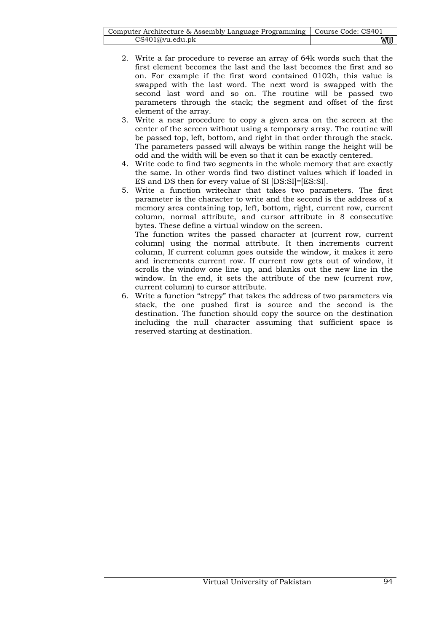| Computer Architecture & Assembly Language Programming   Course Code: CS401 |    |
|----------------------------------------------------------------------------|----|
| CS401@vu.edu.ph                                                            | WU |

- 2. Write a far procedure to reverse an array of 64k words such that the first element becomes the last and the last becomes the first and so on. For example if the first word contained 0102h, this value is swapped with the last word. The next word is swapped with the second last word and so on. The routine will be passed two parameters through the stack; the segment and offset of the first element of the array.
- 3. Write a near procedure to copy a given area on the screen at the center of the screen without using a temporary array. The routine will be passed top, left, bottom, and right in that order through the stack. The parameters passed will always be within range the height will be odd and the width will be even so that it can be exactly centered.
- 4. Write code to find two segments in the whole memory that are exactly the same. In other words find two distinct values which if loaded in ES and DS then for every value of SI [DS:SI]=[ES:SI].
- 5. Write a function writechar that takes two parameters. The first parameter is the character to write and the second is the address of a memory area containing top, left, bottom, right, current row, current column, normal attribute, and cursor attribute in 8 consecutive bytes. These define a virtual window on the screen.

The function writes the passed character at (current row, current column) using the normal attribute. It then increments current column, If current column goes outside the window, it makes it zero and increments current row. If current row gets out of window, it scrolls the window one line up, and blanks out the new line in the window. In the end, it sets the attribute of the new (current row, current column) to cursor attribute.

6. Write a function "strcpy" that takes the address of two parameters via stack, the one pushed first is source and the second is the destination. The function should copy the source on the destination including the null character assuming that sufficient space is reserved starting at destination.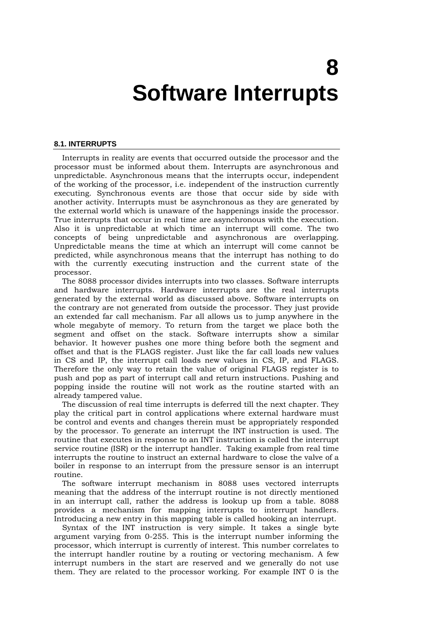## **8 Software Interrupts**

#### **8.1. INTERRUPTS**

Interrupts in reality are events that occurred outside the processor and the processor must be informed about them. Interrupts are asynchronous and unpredictable. Asynchronous means that the interrupts occur, independent of the working of the processor, i.e. independent of the instruction currently executing. Synchronous events are those that occur side by side with another activity. Interrupts must be asynchronous as they are generated by the external world which is unaware of the happenings inside the processor. True interrupts that occur in real time are asynchronous with the execution. Also it is unpredictable at which time an interrupt will come. The two concepts of being unpredictable and asynchronous are overlapping. Unpredictable means the time at which an interrupt will come cannot be predicted, while asynchronous means that the interrupt has nothing to do with the currently executing instruction and the current state of the processor.

The 8088 processor divides interrupts into two classes. Software interrupts and hardware interrupts. Hardware interrupts are the real interrupts generated by the external world as discussed above. Software interrupts on the contrary are not generated from outside the processor. They just provide an extended far call mechanism. Far all allows us to jump anywhere in the whole megabyte of memory. To return from the target we place both the segment and offset on the stack. Software interrupts show a similar behavior. It however pushes one more thing before both the segment and offset and that is the FLAGS register. Just like the far call loads new values in CS and IP, the interrupt call loads new values in CS, IP, and FLAGS. Therefore the only way to retain the value of original FLAGS register is to push and pop as part of interrupt call and return instructions. Pushing and popping inside the routine will not work as the routine started with an already tampered value.

The discussion of real time interrupts is deferred till the next chapter. They play the critical part in control applications where external hardware must be control and events and changes therein must be appropriately responded by the processor. To generate an interrupt the INT instruction is used. The routine that executes in response to an INT instruction is called the interrupt service routine (ISR) or the interrupt handler. Taking example from real time interrupts the routine to instruct an external hardware to close the valve of a boiler in response to an interrupt from the pressure sensor is an interrupt routine.

The software interrupt mechanism in 8088 uses vectored interrupts meaning that the address of the interrupt routine is not directly mentioned in an interrupt call, rather the address is lookup up from a table. 8088 provides a mechanism for mapping interrupts to interrupt handlers. Introducing a new entry in this mapping table is called hooking an interrupt.

Syntax of the INT instruction is very simple. It takes a single byte argument varying from 0-255. This is the interrupt number informing the processor, which interrupt is currently of interest. This number correlates to the interrupt handler routine by a routing or vectoring mechanism. A few interrupt numbers in the start are reserved and we generally do not use them. They are related to the processor working. For example INT 0 is the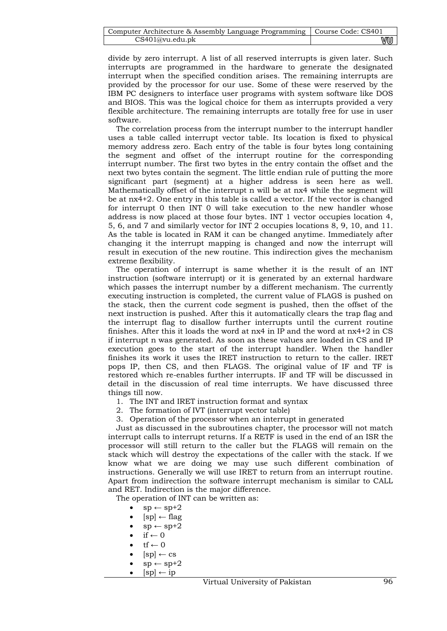| Computer Architecture & Assembly Language Programming   Course Code: CS401 |     |
|----------------------------------------------------------------------------|-----|
| CS401@vu.edu.ph                                                            | vuu |

divide by zero interrupt. A list of all reserved interrupts is given later. Such interrupts are programmed in the hardware to generate the designated interrupt when the specified condition arises. The remaining interrupts are provided by the processor for our use. Some of these were reserved by the IBM PC designers to interface user programs with system software like DOS and BIOS. This was the logical choice for them as interrupts provided a very flexible architecture. The remaining interrupts are totally free for use in user software.

The correlation process from the interrupt number to the interrupt handler uses a table called interrupt vector table. Its location is fixed to physical memory address zero. Each entry of the table is four bytes long containing the segment and offset of the interrupt routine for the corresponding interrupt number. The first two bytes in the entry contain the offset and the next two bytes contain the segment. The little endian rule of putting the more significant part (segment) at a higher address is seen here as well. Mathematically offset of the interrupt n will be at nx4 while the segment will be at nx4+2. One entry in this table is called a vector. If the vector is changed for interrupt 0 then INT 0 will take execution to the new handler whose address is now placed at those four bytes. INT 1 vector occupies location 4, 5, 6, and 7 and similarly vector for INT 2 occupies locations 8, 9, 10, and 11. As the table is located in RAM it can be changed anytime. Immediately after changing it the interrupt mapping is changed and now the interrupt will result in execution of the new routine. This indirection gives the mechanism extreme flexibility.

The operation of interrupt is same whether it is the result of an INT instruction (software interrupt) or it is generated by an external hardware which passes the interrupt number by a different mechanism. The currently executing instruction is completed, the current value of FLAGS is pushed on the stack, then the current code segment is pushed, then the offset of the next instruction is pushed. After this it automatically clears the trap flag and the interrupt flag to disallow further interrupts until the current routine finishes. After this it loads the word at nx4 in IP and the word at nx4+2 in CS if interrupt n was generated. As soon as these values are loaded in CS and IP execution goes to the start of the interrupt handler. When the handler finishes its work it uses the IRET instruction to return to the caller. IRET pops IP, then CS, and then FLAGS. The original value of IF and TF is restored which re-enables further interrupts. IF and TF will be discussed in detail in the discussion of real time interrupts. We have discussed three things till now.

1. The INT and IRET instruction format and syntax

2. The formation of IVT (interrupt vector table)

3. Operation of the processor when an interrupt in generated

Just as discussed in the subroutines chapter, the processor will not match interrupt calls to interrupt returns. If a RETF is used in the end of an ISR the processor will still return to the caller but the FLAGS will remain on the stack which will destroy the expectations of the caller with the stack. If we know what we are doing we may use such different combination of instructions. Generally we will use IRET to return from an interrupt routine. Apart from indirection the software interrupt mechanism is similar to CALL and RET. Indirection is the major difference.

The operation of INT can be written as:

- $sp \leftarrow sp + 2$
- $[sp] \leftarrow flag$
- $sp \leftarrow sp+2$
- $if \leftarrow 0$
- $\mathrm{tf}\leftarrow 0$
- $[sp] \leftarrow cs$
- $sp \leftarrow sp + 2$
- $[sp] \leftarrow ip$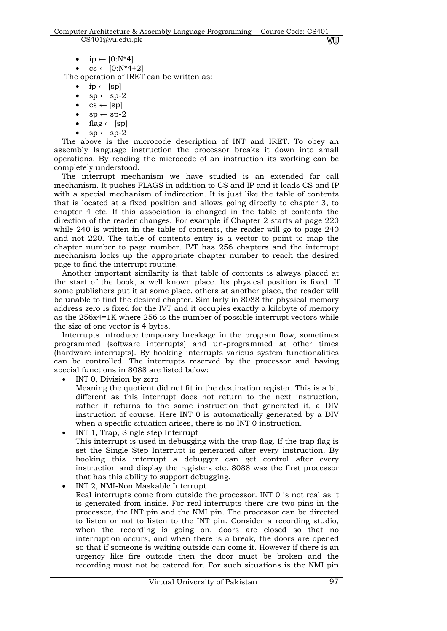| Computer Architecture & Assembly Language Programming   Course Code: CS401 |    |
|----------------------------------------------------------------------------|----|
| CS401@vu.edu.ph                                                            | vu |

• ip  $\leftarrow$  [0:N\*4]

 $cs \leftarrow [0:N^*4+2]$ 

The operation of IRET can be written as:

- $ip \leftarrow [sp]$
- $sp \leftarrow sp-2$
- $cs \leftarrow [sp]$
- $sp \leftarrow sp-2$
- flag  $\leftarrow$  [sp]
- $sp \leftarrow sp-2$

The above is the microcode description of INT and IRET. To obey an assembly language instruction the processor breaks it down into small operations. By reading the microcode of an instruction its working can be completely understood.

The interrupt mechanism we have studied is an extended far call mechanism. It pushes FLAGS in addition to CS and IP and it loads CS and IP with a special mechanism of indirection. It is just like the table of contents that is located at a fixed position and allows going directly to chapter 3, to chapter 4 etc. If this association is changed in the table of contents the direction of the reader changes. For example if Chapter 2 starts at page 220 while 240 is written in the table of contents, the reader will go to page 240 and not 220. The table of contents entry is a vector to point to map the chapter number to page number. IVT has 256 chapters and the interrupt mechanism looks up the appropriate chapter number to reach the desired page to find the interrupt routine.

Another important similarity is that table of contents is always placed at the start of the book, a well known place. Its physical position is fixed. If some publishers put it at some place, others at another place, the reader will be unable to find the desired chapter. Similarly in 8088 the physical memory address zero is fixed for the IVT and it occupies exactly a kilobyte of memory as the 256x4=1K where 256 is the number of possible interrupt vectors while the size of one vector is 4 bytes.

Interrupts introduce temporary breakage in the program flow, sometimes programmed (software interrupts) and un-programmed at other times (hardware interrupts). By hooking interrupts various system functionalities can be controlled. The interrupts reserved by the processor and having special functions in 8088 are listed below:

INT 0, Division by zero

Meaning the quotient did not fit in the destination register. This is a bit different as this interrupt does not return to the next instruction, rather it returns to the same instruction that generated it, a DIV instruction of course. Here INT 0 is automatically generated by a DIV when a specific situation arises, there is no INT 0 instruction.

- INT 1, Trap, Single step Interrupt This interrupt is used in debugging with the trap flag. If the trap flag is set the Single Step Interrupt is generated after every instruction. By hooking this interrupt a debugger can get control after every instruction and display the registers etc. 8088 was the first processor that has this ability to support debugging.
	- INT 2, NMI-Non Maskable Interrupt Real interrupts come from outside the processor. INT 0 is not real as it is generated from inside. For real interrupts there are two pins in the processor, the INT pin and the NMI pin. The processor can be directed to listen or not to listen to the INT pin. Consider a recording studio, when the recording is going on, doors are closed so that no interruption occurs, and when there is a break, the doors are opened so that if someone is waiting outside can come it. However if there is an urgency like fire outside then the door must be broken and the recording must not be catered for. For such situations is the NMI pin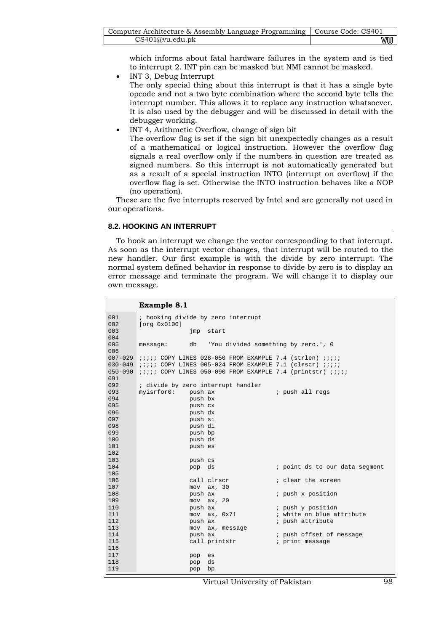| Computer Architecture & Assembly Language Programming   Course Code: CS401 |    |
|----------------------------------------------------------------------------|----|
| CS401@vu.edu.ph                                                            | ₩U |

which informs about fatal hardware failures in the system and is tied to interrupt 2. INT pin can be masked but NMI cannot be masked.

- INT 3, Debug Interrupt The only special thing about this interrupt is that it has a single byte opcode and not a two byte combination where the second byte tells the interrupt number. This allows it to replace any instruction whatsoever. It is also used by the debugger and will be discussed in detail with the debugger working.
- INT 4, Arithmetic Overflow, change of sign bit

The overflow flag is set if the sign bit unexpectedly changes as a result of a mathematical or logical instruction. However the overflow flag signals a real overflow only if the numbers in question are treated as signed numbers. So this interrupt is not automatically generated but as a result of a special instruction INTO (interrupt on overflow) if the overflow flag is set. Otherwise the INTO instruction behaves like a NOP (no operation).

These are the five interrupts reserved by Intel and are generally not used in our operations.

## **8.2. HOOKING AN INTERRUPT**

To hook an interrupt we change the vector corresponding to that interrupt. As soon as the interrupt vector changes, that interrupt will be routed to the new handler. Our first example is with the divide by zero interrupt. The normal system defined behavior in response to divide by zero is to display an error message and terminate the program. We will change it to display our own message.

|             | <b>Example 8.1</b>                                                      |                                                |
|-------------|-------------------------------------------------------------------------|------------------------------------------------|
| 001         | ; hooking divide by zero interrupt                                      |                                                |
| 002         | [org 0x0100]                                                            |                                                |
| 003         | imp start                                                               |                                                |
| 004         |                                                                         |                                                |
| 005<br>006  | db 'You divided something by zero.', 0<br>message:                      |                                                |
| $007 - 029$ | <i>iiiii</i> COPY LINES 028-050 FROM EXAMPLE 7.4 (strlen) <i>iiiii</i>  |                                                |
| $030 - 049$ | <i>iiiii</i> COPY LINES 005-024 FROM EXAMPLE 7.1 (clrscr) <i>iiiii</i>  |                                                |
| $050 - 090$ | <i>iiiii</i> COPY LINES 050-090 FROM EXAMPLE 7.4 (printstr) <i>iiii</i> |                                                |
| 091         |                                                                         |                                                |
| 092         | ; divide by zero interrupt handler                                      |                                                |
| 093         | myisrfor0:<br>push ax                                                   | ; push all regs                                |
| 094         | push bx                                                                 |                                                |
| 095         | push cx                                                                 |                                                |
| 096         | push dx                                                                 |                                                |
| 097         | push si                                                                 |                                                |
| 098<br>099  | push di                                                                 |                                                |
| 100         | push bp<br>push ds                                                      |                                                |
| 101         | push es                                                                 |                                                |
| 102         |                                                                         |                                                |
| 103         | push cs                                                                 |                                                |
| 104         | pop ds                                                                  | ; point ds to our data segment                 |
| 105         |                                                                         |                                                |
| 106         | call clrscr                                                             | ; clear the screen                             |
| 107         | $mov$ $ax$ , $30$                                                       |                                                |
| 108         | push ax                                                                 | ; push x position                              |
| 109         | $mov$ $ax$ , $20$                                                       |                                                |
| 110<br>111  | push ax                                                                 | ; push y position<br>; white on blue attribute |
| 112         | $mov$ $ax, 0x71$<br>push ax                                             | ; push attribute                               |
| 113         | mov ax, message                                                         |                                                |
| 114         | push ax                                                                 | ; push offset of message                       |
| 115         | call printstr                                                           | ; print message                                |
| 116         |                                                                         |                                                |
| 117         | pop<br>es                                                               |                                                |
| 118         | ds<br>pop                                                               |                                                |
| 119         | bp<br>pop                                                               |                                                |

Virtual University of Pakistan 98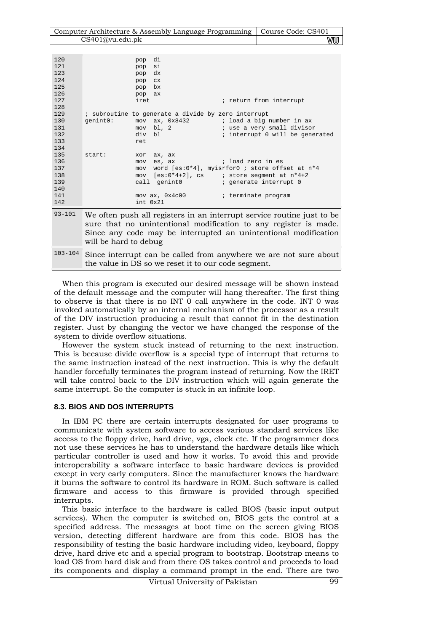| Computer Architecture & Assembly Language Programming   Course Code: CS401 |    |
|----------------------------------------------------------------------------|----|
| CS401@vu.edu.ph                                                            | WU |

| 120         | pop                                                                                                                                 | di                                                  |                                                                        |
|-------------|-------------------------------------------------------------------------------------------------------------------------------------|-----------------------------------------------------|------------------------------------------------------------------------|
| 121         | pop                                                                                                                                 | si                                                  |                                                                        |
| 123         | pop                                                                                                                                 | dx                                                  |                                                                        |
| 124         | pop                                                                                                                                 | <b>CX</b>                                           |                                                                        |
| 125         | pop                                                                                                                                 | bx                                                  |                                                                        |
| 126         | pop                                                                                                                                 | ax                                                  |                                                                        |
| 127         | iret                                                                                                                                |                                                     | ; return from interrupt                                                |
| 128         |                                                                                                                                     |                                                     |                                                                        |
| 129         |                                                                                                                                     | ; subroutine to generate a divide by zero interrupt |                                                                        |
| 130         | qenint0:                                                                                                                            |                                                     | $mov$ ax, $0x8432$ ; load a big number in ax                           |
| 131         |                                                                                                                                     | $mov$ bl, 2                                         | ; use a very small divisor                                             |
| 132         |                                                                                                                                     | div bl                                              | ; interrupt 0 will be generated                                        |
| 133         | ret                                                                                                                                 |                                                     |                                                                        |
| 134         |                                                                                                                                     |                                                     |                                                                        |
| 135         | start:<br>xor                                                                                                                       | ax, ax                                              |                                                                        |
| 136         | mov                                                                                                                                 | es, ax                                              | ; load zero in es                                                      |
| 137         |                                                                                                                                     |                                                     | mov word [es:0*4], myisrfor0 ; store offset at n*4                     |
| 138         |                                                                                                                                     |                                                     |                                                                        |
| 139         |                                                                                                                                     | call genint0                                        | ; generate interrupt 0                                                 |
| 140         |                                                                                                                                     |                                                     |                                                                        |
| 141         |                                                                                                                                     | mov ax, 0x4c00                                      | ; terminate program                                                    |
| 142         |                                                                                                                                     | $int_{0}$ $0x21$                                    |                                                                        |
| $93 - 101$  |                                                                                                                                     |                                                     |                                                                        |
|             |                                                                                                                                     |                                                     | We often push all registers in an interrupt service routine just to be |
|             | sure that no unintentional modification to any register is made.<br>Since any code may be interrupted an unintentional modification |                                                     |                                                                        |
|             |                                                                                                                                     |                                                     |                                                                        |
|             | will be hard to debug                                                                                                               |                                                     |                                                                        |
|             |                                                                                                                                     |                                                     |                                                                        |
| $103 - 104$ |                                                                                                                                     |                                                     | Since interrupt can be called from anywhere we are not sure about      |

the value in DS so we reset it to our code segment.

When this program is executed our desired message will be shown instead of the default message and the computer will hang thereafter. The first thing to observe is that there is no INT 0 call anywhere in the code. INT 0 was invoked automatically by an internal mechanism of the processor as a result of the DIV instruction producing a result that cannot fit in the destination register. Just by changing the vector we have changed the response of the system to divide overflow situations.

However the system stuck instead of returning to the next instruction. This is because divide overflow is a special type of interrupt that returns to the same instruction instead of the next instruction. This is why the default handler forcefully terminates the program instead of returning. Now the IRET will take control back to the DIV instruction which will again generate the same interrupt. So the computer is stuck in an infinite loop.

## **8.3. BIOS AND DOS INTERRUPTS**

In IBM PC there are certain interrupts designated for user programs to communicate with system software to access various standard services like access to the floppy drive, hard drive, vga, clock etc. If the programmer does not use these services he has to understand the hardware details like which particular controller is used and how it works. To avoid this and provide interoperability a software interface to basic hardware devices is provided except in very early computers. Since the manufacturer knows the hardware it burns the software to control its hardware in ROM. Such software is called firmware and access to this firmware is provided through specified interrupts.

This basic interface to the hardware is called BIOS (basic input output services). When the computer is switched on, BIOS gets the control at a specified address. The messages at boot time on the screen giving BIOS version, detecting different hardware are from this code. BIOS has the responsibility of testing the basic hardware including video, keyboard, floppy drive, hard drive etc and a special program to bootstrap. Bootstrap means to load OS from hard disk and from there OS takes control and proceeds to load its components and display a command prompt in the end. There are two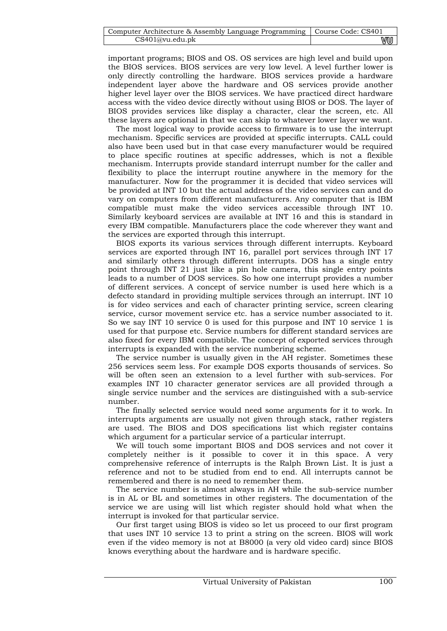| Computer Architecture & Assembly Language Programming   Course Code: CS401 |    |
|----------------------------------------------------------------------------|----|
| CS401@vu.edu.ph                                                            | wu |

important programs; BIOS and OS. OS services are high level and build upon the BIOS services. BIOS services are very low level. A level further lower is only directly controlling the hardware. BIOS services provide a hardware independent layer above the hardware and OS services provide another higher level layer over the BIOS services. We have practiced direct hardware access with the video device directly without using BIOS or DOS. The layer of BIOS provides services like display a character, clear the screen, etc. All these layers are optional in that we can skip to whatever lower layer we want.

The most logical way to provide access to firmware is to use the interrupt mechanism. Specific services are provided at specific interrupts. CALL could also have been used but in that case every manufacturer would be required to place specific routines at specific addresses, which is not a flexible mechanism. Interrupts provide standard interrupt number for the caller and flexibility to place the interrupt routine anywhere in the memory for the manufacturer. Now for the programmer it is decided that video services will be provided at INT 10 but the actual address of the video services can and do vary on computers from different manufacturers. Any computer that is IBM compatible must make the video services accessible through INT 10. Similarly keyboard services are available at INT 16 and this is standard in every IBM compatible. Manufacturers place the code wherever they want and the services are exported through this interrupt.

BIOS exports its various services through different interrupts. Keyboard services are exported through INT 16, parallel port services through INT 17 and similarly others through different interrupts. DOS has a single entry point through INT 21 just like a pin hole camera, this single entry points leads to a number of DOS services. So how one interrupt provides a number of different services. A concept of service number is used here which is a defecto standard in providing multiple services through an interrupt. INT 10 is for video services and each of character printing service, screen clearing service, cursor movement service etc. has a service number associated to it. So we say INT 10 service 0 is used for this purpose and INT 10 service 1 is used for that purpose etc. Service numbers for different standard services are also fixed for every IBM compatible. The concept of exported services through interrupts is expanded with the service numbering scheme.

The service number is usually given in the AH register. Sometimes these 256 services seem less. For example DOS exports thousands of services. So will be often seen an extension to a level further with sub-services. For examples INT 10 character generator services are all provided through a single service number and the services are distinguished with a sub-service number.

The finally selected service would need some arguments for it to work. In interrupts arguments are usually not given through stack, rather registers are used. The BIOS and DOS specifications list which register contains which argument for a particular service of a particular interrupt.

We will touch some important BIOS and DOS services and not cover it completely neither is it possible to cover it in this space. A very comprehensive reference of interrupts is the Ralph Brown List. It is just a reference and not to be studied from end to end. All interrupts cannot be remembered and there is no need to remember them.

The service number is almost always in AH while the sub-service number is in AL or BL and sometimes in other registers. The documentation of the service we are using will list which register should hold what when the interrupt is invoked for that particular service.

Our first target using BIOS is video so let us proceed to our first program that uses INT 10 service 13 to print a string on the screen. BIOS will work even if the video memory is not at B8000 (a very old video card) since BIOS knows everything about the hardware and is hardware specific.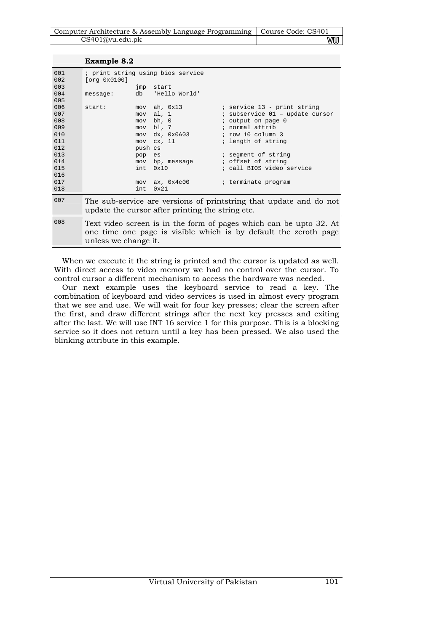| Computer Architecture & Assembly Language Programming   Course Code: CS401 |   |
|----------------------------------------------------------------------------|---|
| CS401@vu.edu.pdf                                                           | M |

|            | <b>Example 8.2</b>                                                                                                     |         |                                    |                                                                                                                                        |
|------------|------------------------------------------------------------------------------------------------------------------------|---------|------------------------------------|----------------------------------------------------------------------------------------------------------------------------------------|
| 001<br>002 | [org 0x0100]                                                                                                           |         | ; print string using bios service  |                                                                                                                                        |
| 003        |                                                                                                                        |         | jmp start                          |                                                                                                                                        |
| 004<br>005 | message:                                                                                                               |         | db 'Hello World'                   |                                                                                                                                        |
| 006        | start:                                                                                                                 |         | mov ah, 0x13                       | ; service 13 - print string                                                                                                            |
| 007        |                                                                                                                        |         | mov al, 1                          | ; subservice 01 - update cursor                                                                                                        |
| 008        |                                                                                                                        |         | mov bh, 0                          | ; output on page 0                                                                                                                     |
| 009        |                                                                                                                        |         | mov bl, 7                          | ; normal attrib                                                                                                                        |
| 010        |                                                                                                                        |         | mov dx, 0x0A03 ; row 10 column 3   |                                                                                                                                        |
| 011        |                                                                                                                        |         | $mov$ $cx$ , $11$                  | ; length of string                                                                                                                     |
| 012        |                                                                                                                        | push cs |                                    |                                                                                                                                        |
| 013        |                                                                                                                        | pop es  |                                    | ; segment of string                                                                                                                    |
| 014        |                                                                                                                        |         | mov bp, message                    | ; offset of string                                                                                                                     |
| 015        |                                                                                                                        |         | int 0x10                           | ; call BIOS video service                                                                                                              |
| 016        |                                                                                                                        |         |                                    |                                                                                                                                        |
| 017        |                                                                                                                        |         | mov ax, 0x4c00 ; terminate program |                                                                                                                                        |
| 018        |                                                                                                                        | int.    | $0 \times 21$                      |                                                                                                                                        |
| 007        | The sub-service are versions of printstring that update and do not<br>update the cursor after printing the string etc. |         |                                    |                                                                                                                                        |
| 008        | unless we change it.                                                                                                   |         |                                    | Text video screen is in the form of pages which can be upto 32. At<br>one time one page is visible which is by default the zeroth page |

When we execute it the string is printed and the cursor is updated as well. With direct access to video memory we had no control over the cursor. To control cursor a different mechanism to access the hardware was needed.

Our next example uses the keyboard service to read a key. The combination of keyboard and video services is used in almost every program that we see and use. We will wait for four key presses; clear the screen after the first, and draw different strings after the next key presses and exiting after the last. We will use INT 16 service 1 for this purpose. This is a blocking service so it does not return until a key has been pressed. We also used the blinking attribute in this example.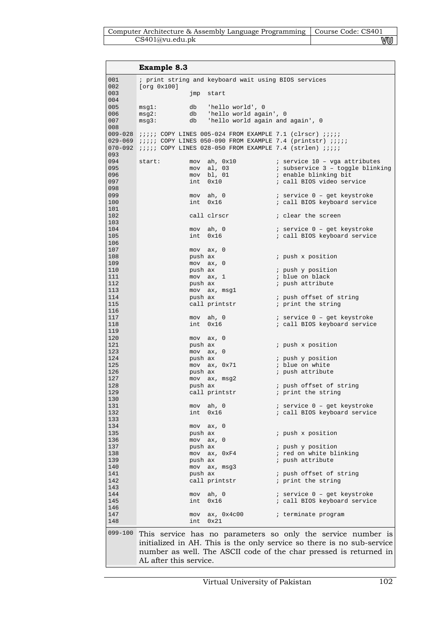| Computer Architecture & Assembly Language Programming   Course Code: CS401 |     |
|----------------------------------------------------------------------------|-----|
| CS401@vu.edu.ph                                                            | V∪U |

|             | <b>Example 8.3</b>                                                           |                                                                        |                                                                                 |
|-------------|------------------------------------------------------------------------------|------------------------------------------------------------------------|---------------------------------------------------------------------------------|
| 001         |                                                                              | ; print string and keyboard wait using BIOS services                   |                                                                                 |
| 002<br>003  | [org 0x100]                                                                  | jmp start                                                              |                                                                                 |
| 004<br>005  | db<br>msg1:                                                                  | 'hello world', 0                                                       |                                                                                 |
| 006         | msg2:                                                                        | db 'hello world again', 0                                              |                                                                                 |
| 007         | msg3:<br>db                                                                  | 'hello world again and again', 0                                       |                                                                                 |
| 008         | 009-028 <i>iiii</i> COPY LINES 005-024 FROM EXAMPLE 7.1 (clrscr) <i>iiii</i> |                                                                        |                                                                                 |
|             |                                                                              |                                                                        | 029-069 <i>iiiii</i> COPY LINES 050-090 FROM EXAMPLE 7.4 (printstr) <i>iiii</i> |
| $070 - 092$ |                                                                              | <i>iiiii</i> COPY LINES 028-050 FROM EXAMPLE 7.4 (strlen) <i>iiiii</i> |                                                                                 |
| 093<br>094  | start:<br>mov                                                                | ah, 0x10                                                               | ; service 10 - vga attributes                                                   |
| 095         | mov                                                                          | al, 03                                                                 | ; subservice 3 - toggle blinking                                                |
| 096         |                                                                              | mov bl, 01                                                             | ; enable blinking bit                                                           |
| 097         | int                                                                          | 0x10                                                                   | ; call BIOS video service                                                       |
| 098<br>099  |                                                                              |                                                                        |                                                                                 |
| 100         |                                                                              | mov ah, 0<br>int 0x16                                                  | ; service 0 - get keystroke<br>; call BIOS keyboard service                     |
| 101         |                                                                              |                                                                        |                                                                                 |
| 102         |                                                                              | call clrscr                                                            | ; clear the screen                                                              |
| 103         |                                                                              |                                                                        |                                                                                 |
| 104<br>105  |                                                                              | mov ah, 0<br>int 0x16                                                  | ; service 0 - get keystroke<br>; call BIOS keyboard service                     |
| 106         |                                                                              |                                                                        |                                                                                 |
| 107         |                                                                              | $mov$ $ax, 0$                                                          |                                                                                 |
| 108         | push ax                                                                      |                                                                        | ; push x position                                                               |
| 109<br>110  | push ax                                                                      | $mov$ $ax, 0$                                                          | ; push y position                                                               |
| 111         |                                                                              | $mov$ $ax, 1$                                                          | ; blue on black                                                                 |
| 112         | push ax                                                                      |                                                                        | ; push attribute                                                                |
| 113         |                                                                              | mov ax, msgl                                                           |                                                                                 |
| 114<br>115  | push ax                                                                      | call printstr                                                          | ; push offset of string<br>; print the string                                   |
| 116         |                                                                              |                                                                        |                                                                                 |
| 117         |                                                                              | mov ah, 0                                                              | ; service 0 - get keystroke                                                     |
| 118         |                                                                              | int 0x16                                                               | ; call BIOS keyboard service                                                    |
| 119<br>120  |                                                                              | $mov$ $ax, 0$                                                          |                                                                                 |
| 121         | push ax                                                                      |                                                                        | ; push x position                                                               |
| 123         |                                                                              | $mov$ $ax, 0$                                                          |                                                                                 |
| 124<br>125  | push ax                                                                      | mov ax, 0x71                                                           | ; push y position<br>; blue on white                                            |
| 126         | push ax                                                                      |                                                                        | ; push attribute                                                                |
| 127         |                                                                              | mov ax, msg2                                                           |                                                                                 |
| 128         | push ax                                                                      |                                                                        | ; push offset of string                                                         |
| 129<br>130  |                                                                              | call printstr                                                          | ; print the string                                                              |
| 131         |                                                                              | mov ah, 0                                                              | ; service 0 - get keystroke                                                     |
| 132         |                                                                              | int 0x16                                                               | ; call BIOS keyboard service                                                    |
| 133<br>134  |                                                                              |                                                                        |                                                                                 |
| 135         | push ax                                                                      | $mov$ $ax, 0$                                                          | ; push x position                                                               |
| 136         |                                                                              | $mov$ $ax, 0$                                                          |                                                                                 |
| 137         | push ax                                                                      |                                                                        | ; push y position                                                               |
| 138<br>139  |                                                                              | mov ax, 0xF4                                                           | ; red on white blinking<br>; push attribute                                     |
| 140         | push ax                                                                      | mov ax, msg3                                                           |                                                                                 |
| 141         | push ax                                                                      |                                                                        | ; push offset of string                                                         |
| 142         |                                                                              | call printstr                                                          | ; print the string                                                              |
| 143         |                                                                              |                                                                        |                                                                                 |
| 144<br>145  |                                                                              | mov ah, 0<br>int 0x16                                                  | ; service 0 - get keystroke<br>; call BIOS keyboard service                     |
| 146         |                                                                              |                                                                        |                                                                                 |
| 147         |                                                                              | mov ax, 0x4c00                                                         | ; terminate program                                                             |
| 148         |                                                                              | int 0x21                                                               |                                                                                 |
| 099-100     |                                                                              |                                                                        | This service has no parameters so only the service number is                    |
|             |                                                                              |                                                                        | initialized in AH. This is the only service so there is no sub-service          |
|             |                                                                              |                                                                        | number as well. The ASCII code of the char pressed is returned in               |
|             | AL after this service.                                                       |                                                                        |                                                                                 |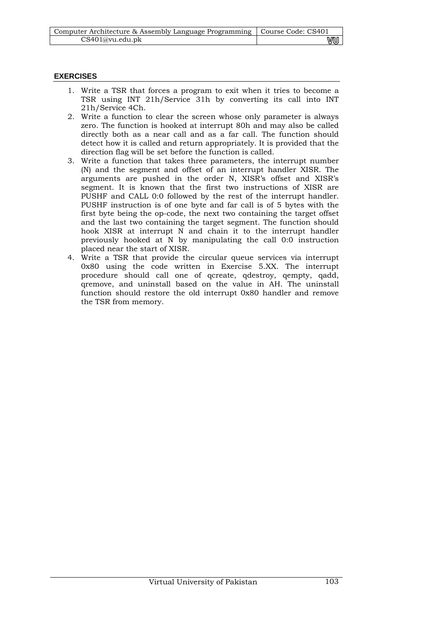| Computer Architecture & Assembly Language Programming   Course Code: CS401 |    |
|----------------------------------------------------------------------------|----|
| CS401@vu.edu.pdf                                                           | vu |

# **EXERCISES**

- 1. Write a TSR that forces a program to exit when it tries to become a TSR using INT 21h/Service 31h by converting its call into INT 21h/Service 4Ch.
- 2. Write a function to clear the screen whose only parameter is always zero. The function is hooked at interrupt 80h and may also be called directly both as a near call and as a far call. The function should detect how it is called and return appropriately. It is provided that the direction flag will be set before the function is called.
- 3. Write a function that takes three parameters, the interrupt number (N) and the segment and offset of an interrupt handler XISR. The arguments are pushed in the order N, XISR's offset and XISR's segment. It is known that the first two instructions of XISR are PUSHF and CALL 0:0 followed by the rest of the interrupt handler. PUSHF instruction is of one byte and far call is of 5 bytes with the first byte being the op-code, the next two containing the target offset and the last two containing the target segment. The function should hook XISR at interrupt N and chain it to the interrupt handler previously hooked at N by manipulating the call 0:0 instruction placed near the start of XISR.
- 4. Write a TSR that provide the circular queue services via interrupt 0x80 using the code written in Exercise 5.XX. The interrupt procedure should call one of qcreate, qdestroy, qempty, qadd, qremove, and uninstall based on the value in AH. The uninstall function should restore the old interrupt 0x80 handler and remove the TSR from memory.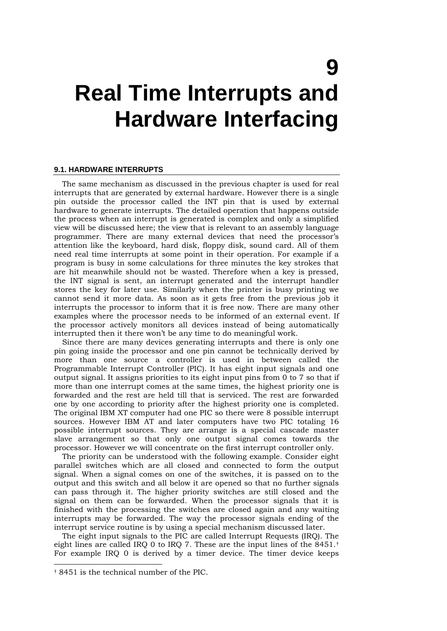# **9 Real Time Interrupts and Hardware Interfacing**

#### **9.1. HARDWARE INTERRUPTS**

The same mechanism as discussed in the previous chapter is used for real interrupts that are generated by external hardware. However there is a single pin outside the processor called the INT pin that is used by external hardware to generate interrupts. The detailed operation that happens outside the process when an interrupt is generated is complex and only a simplified view will be discussed here; the view that is relevant to an assembly language programmer. There are many external devices that need the processor's attention like the keyboard, hard disk, floppy disk, sound card. All of them need real time interrupts at some point in their operation. For example if a program is busy in some calculations for three minutes the key strokes that are hit meanwhile should not be wasted. Therefore when a key is pressed, the INT signal is sent, an interrupt generated and the interrupt handler stores the key for later use. Similarly when the printer is busy printing we cannot send it more data. As soon as it gets free from the previous job it interrupts the processor to inform that it is free now. There are many other examples where the processor needs to be informed of an external event. If the processor actively monitors all devices instead of being automatically interrupted then it there won't be any time to do meaningful work.

Since there are many devices generating interrupts and there is only one pin going inside the processor and one pin cannot be technically derived by more than one source a controller is used in between called the Programmable Interrupt Controller (PIC). It has eight input signals and one output signal. It assigns priorities to its eight input pins from 0 to 7 so that if more than one interrupt comes at the same times, the highest priority one is forwarded and the rest are held till that is serviced. The rest are forwarded one by one according to priority after the highest priority one is completed. The original IBM XT computer had one PIC so there were 8 possible interrupt sources. However IBM AT and later computers have two PIC totaling 16 possible interrupt sources. They are arrange is a special cascade master slave arrangement so that only one output signal comes towards the processor. However we will concentrate on the first interrupt controller only.

The priority can be understood with the following example. Consider eight parallel switches which are all closed and connected to form the output signal. When a signal comes on one of the switches, it is passed on to the output and this switch and all below it are opened so that no further signals can pass through it. The higher priority switches are still closed and the signal on them can be forwarded. When the processor signals that it is finished with the processing the switches are closed again and any waiting interrupts may be forwarded. The way the processor signals ending of the interrupt service routine is by using a special mechanism discussed later.

The eight input signals to the PIC are called Interrupt Requests (IRQ). The eight lines are called IRQ 0 to IRQ 7. These are the input lines of the 8451.† For example IRQ 0 is derived by a timer device. The timer device keeps

-

<sup>† 8451</sup> is the technical number of the PIC.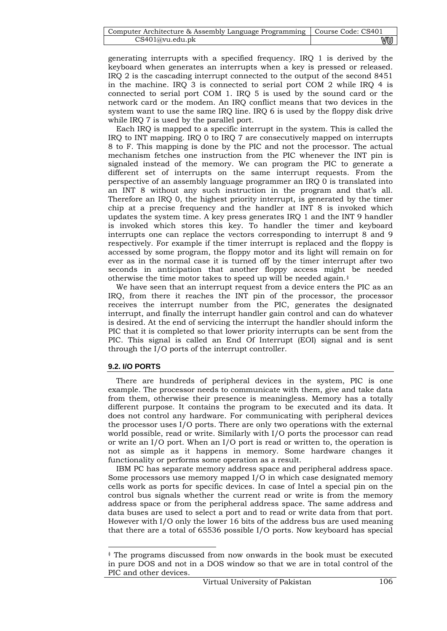| Computer Architecture & Assembly Language Programming   Course Code: CS401 |    |
|----------------------------------------------------------------------------|----|
| CS401@vu.edu.ph                                                            | vu |

generating interrupts with a specified frequency. IRQ 1 is derived by the keyboard when generates an interrupts when a key is pressed or released. IRQ 2 is the cascading interrupt connected to the output of the second 8451 in the machine. IRQ 3 is connected to serial port COM 2 while IRQ 4 is connected to serial port COM 1. IRQ 5 is used by the sound card or the network card or the modem. An IRQ conflict means that two devices in the system want to use the same IRQ line. IRQ 6 is used by the floppy disk drive while IRQ 7 is used by the parallel port.

Each IRQ is mapped to a specific interrupt in the system. This is called the IRQ to INT mapping. IRQ 0 to IRQ 7 are consecutively mapped on interrupts 8 to F. This mapping is done by the PIC and not the processor. The actual mechanism fetches one instruction from the PIC whenever the INT pin is signaled instead of the memory. We can program the PIC to generate a different set of interrupts on the same interrupt requests. From the perspective of an assembly language programmer an IRQ 0 is translated into an INT 8 without any such instruction in the program and that's all. Therefore an IRQ 0, the highest priority interrupt, is generated by the timer chip at a precise frequency and the handler at INT 8 is invoked which updates the system time. A key press generates IRQ 1 and the INT 9 handler is invoked which stores this key. To handler the timer and keyboard interrupts one can replace the vectors corresponding to interrupt 8 and 9 respectively. For example if the timer interrupt is replaced and the floppy is accessed by some program, the floppy motor and its light will remain on for ever as in the normal case it is turned off by the timer interrupt after two seconds in anticipation that another floppy access might be needed otherwise the time motor takes to speed up will be needed again.‡

We have seen that an interrupt request from a device enters the PIC as an IRQ, from there it reaches the INT pin of the processor, the processor receives the interrupt number from the PIC, generates the designated interrupt, and finally the interrupt handler gain control and can do whatever is desired. At the end of servicing the interrupt the handler should inform the PIC that it is completed so that lower priority interrupts can be sent from the PIC. This signal is called an End Of Interrupt (EOI) signal and is sent through the I/O ports of the interrupt controller.

### **9.2. I/O PORTS**

-

There are hundreds of peripheral devices in the system, PIC is one example. The processor needs to communicate with them, give and take data from them, otherwise their presence is meaningless. Memory has a totally different purpose. It contains the program to be executed and its data. It does not control any hardware. For communicating with peripheral devices the processor uses I/O ports. There are only two operations with the external world possible, read or write. Similarly with I/O ports the processor can read or write an I/O port. When an I/O port is read or written to, the operation is not as simple as it happens in memory. Some hardware changes it functionality or performs some operation as a result.

IBM PC has separate memory address space and peripheral address space. Some processors use memory mapped I/O in which case designated memory cells work as ports for specific devices. In case of Intel a special pin on the control bus signals whether the current read or write is from the memory address space or from the peripheral address space. The same address and data buses are used to select a port and to read or write data from that port. However with I/O only the lower 16 bits of the address bus are used meaning that there are a total of 65536 possible I/O ports. Now keyboard has special

<sup>‡</sup> The programs discussed from now onwards in the book must be executed in pure DOS and not in a DOS window so that we are in total control of the PIC and other devices.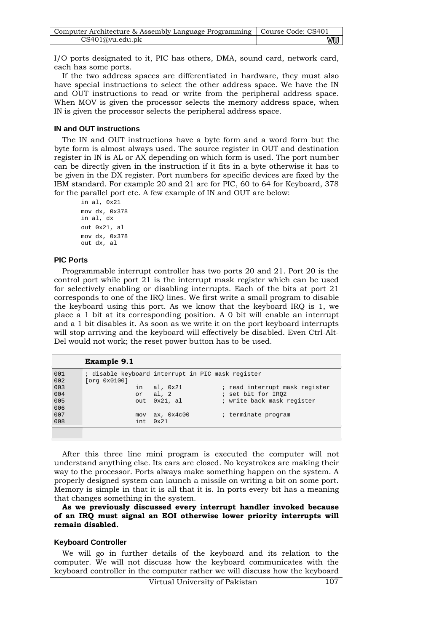| Computer Architecture & Assembly Language Programming   Course Code: CS401 |    |
|----------------------------------------------------------------------------|----|
| CS401@vu.edu.pdf                                                           | vu |

I/O ports designated to it, PIC has others, DMA, sound card, network card, each has some ports.

If the two address spaces are differentiated in hardware, they must also have special instructions to select the other address space. We have the IN and OUT instructions to read or write from the peripheral address space. When MOV is given the processor selects the memory address space, when IN is given the processor selects the peripheral address space.

#### **IN and OUT instructions**

The IN and OUT instructions have a byte form and a word form but the byte form is almost always used. The source register in OUT and destination register in IN is AL or AX depending on which form is used. The port number can be directly given in the instruction if it fits in a byte otherwise it has to be given in the DX register. Port numbers for specific devices are fixed by the IBM standard. For example 20 and 21 are for PIC, 60 to 64 for Keyboard, 378 for the parallel port etc. A few example of IN and OUT are below:

in al, 0x21 mov dx, 0x378 in al, dx out 0x21, al mov dx, 0x378 out dx, al

### **PIC Ports**

Programmable interrupt controller has two ports 20 and 21. Port 20 is the control port while port 21 is the interrupt mask register which can be used for selectively enabling or disabling interrupts. Each of the bits at port 21 corresponds to one of the IRQ lines. We first write a small program to disable the keyboard using this port. As we know that the keyboard IRQ is 1, we place a 1 bit at its corresponding position. A 0 bit will enable an interrupt and a 1 bit disables it. As soon as we write it on the port keyboard interrupts will stop arriving and the keyboard will effectively be disabled. Even Ctrl-Alt-Del would not work; the reset power button has to be used.

|            | Example 9.1                                                       |               |                                |
|------------|-------------------------------------------------------------------|---------------|--------------------------------|
| 001<br>002 | ; disable keyboard interrupt in PIC mask register<br>[org 0x0100] |               |                                |
| 003        | in                                                                | al, 0x21      | ; read interrupt mask register |
| 004        |                                                                   | or al, 2      | ; set bit for IRO2             |
| 005        | out                                                               | 0x21, al      | ; write back mask register     |
| 006        |                                                                   |               |                                |
| 007        | mov                                                               | ax, 0x4c00    | ; terminate program            |
| 008        | int.                                                              | $0 \times 21$ |                                |
|            |                                                                   |               |                                |

After this three line mini program is executed the computer will not understand anything else. Its ears are closed. No keystrokes are making their way to the processor. Ports always make something happen on the system. A properly designed system can launch a missile on writing a bit on some port. Memory is simple in that it is all that it is. In ports every bit has a meaning that changes something in the system.

**As we previously discussed every interrupt handler invoked because of an IRQ must signal an EOI otherwise lower priority interrupts will remain disabled.** 

#### **Keyboard Controller**

We will go in further details of the keyboard and its relation to the computer. We will not discuss how the keyboard communicates with the keyboard controller in the computer rather we will discuss how the keyboard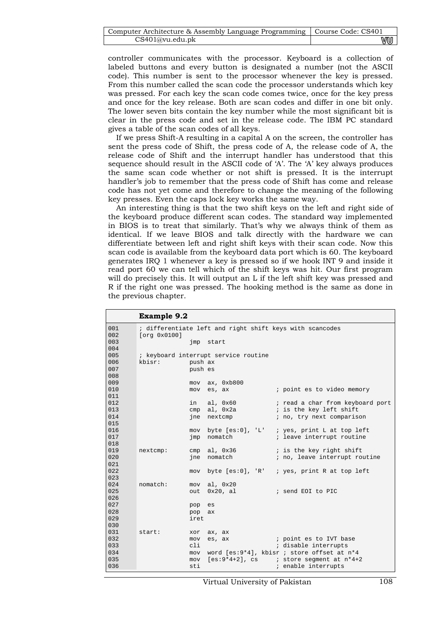| Computer Architecture & Assembly Language Programming   Course Code: CS401 |    |
|----------------------------------------------------------------------------|----|
| CS401@vu.edu.ph                                                            | wu |

controller communicates with the processor. Keyboard is a collection of labeled buttons and every button is designated a number (not the ASCII code). This number is sent to the processor whenever the key is pressed. From this number called the scan code the processor understands which key was pressed. For each key the scan code comes twice, once for the key press and once for the key release. Both are scan codes and differ in one bit only. The lower seven bits contain the key number while the most significant bit is clear in the press code and set in the release code. The IBM PC standard gives a table of the scan codes of all keys.

If we press Shift-A resulting in a capital A on the screen, the controller has sent the press code of Shift, the press code of A, the release code of A, the release code of Shift and the interrupt handler has understood that this sequence should result in the ASCII code of 'A'. The 'A' key always produces the same scan code whether or not shift is pressed. It is the interrupt handler's job to remember that the press code of Shift has come and release code has not yet come and therefore to change the meaning of the following key presses. Even the caps lock key works the same way.

An interesting thing is that the two shift keys on the left and right side of the keyboard produce different scan codes. The standard way implemented in BIOS is to treat that similarly. That's why we always think of them as identical. If we leave BIOS and talk directly with the hardware we can differentiate between left and right shift keys with their scan code. Now this scan code is available from the keyboard data port which is 60. The keyboard generates IRQ 1 whenever a key is pressed so if we hook INT 9 and inside it read port 60 we can tell which of the shift keys was hit. Our first program will do precisely this. It will output an L if the left shift key was pressed and R if the right one was pressed. The hooking method is the same as done in the previous chapter.

| 001<br>; differentiate left and right shift keys with scancodes<br>002<br>[org 0x0100]<br>003<br>jmp start<br>004<br>005<br>; keyboard interrupt service routine<br>006<br>kbisr:<br>push ax<br>007<br>push es<br>008<br>009<br>ax, 0xb800<br>mov<br>010<br>; point es to video memory<br>mov es, ax<br>011<br>012<br>al, $0x60$<br>in<br>; read a char from keyboard port<br>is the key left shift<br>013<br>$cmp$ al, $0x2a$<br>014<br>ine nextcmp<br>; no, try next comparison<br>015<br>016<br>byte [es:0], 'L' ; yes, print L at top left<br>mov<br>017<br>nomatch<br>; leave interrupt routine<br>jmp |
|-------------------------------------------------------------------------------------------------------------------------------------------------------------------------------------------------------------------------------------------------------------------------------------------------------------------------------------------------------------------------------------------------------------------------------------------------------------------------------------------------------------------------------------------------------------------------------------------------------------|
|                                                                                                                                                                                                                                                                                                                                                                                                                                                                                                                                                                                                             |
|                                                                                                                                                                                                                                                                                                                                                                                                                                                                                                                                                                                                             |
|                                                                                                                                                                                                                                                                                                                                                                                                                                                                                                                                                                                                             |
|                                                                                                                                                                                                                                                                                                                                                                                                                                                                                                                                                                                                             |
|                                                                                                                                                                                                                                                                                                                                                                                                                                                                                                                                                                                                             |
|                                                                                                                                                                                                                                                                                                                                                                                                                                                                                                                                                                                                             |
|                                                                                                                                                                                                                                                                                                                                                                                                                                                                                                                                                                                                             |
|                                                                                                                                                                                                                                                                                                                                                                                                                                                                                                                                                                                                             |
|                                                                                                                                                                                                                                                                                                                                                                                                                                                                                                                                                                                                             |
|                                                                                                                                                                                                                                                                                                                                                                                                                                                                                                                                                                                                             |
|                                                                                                                                                                                                                                                                                                                                                                                                                                                                                                                                                                                                             |
|                                                                                                                                                                                                                                                                                                                                                                                                                                                                                                                                                                                                             |
|                                                                                                                                                                                                                                                                                                                                                                                                                                                                                                                                                                                                             |
|                                                                                                                                                                                                                                                                                                                                                                                                                                                                                                                                                                                                             |
|                                                                                                                                                                                                                                                                                                                                                                                                                                                                                                                                                                                                             |
|                                                                                                                                                                                                                                                                                                                                                                                                                                                                                                                                                                                                             |
|                                                                                                                                                                                                                                                                                                                                                                                                                                                                                                                                                                                                             |
| 018                                                                                                                                                                                                                                                                                                                                                                                                                                                                                                                                                                                                         |
| 019<br>$cmp$ al, $0x36$ ; is the key right shift<br>nextcmp:                                                                                                                                                                                                                                                                                                                                                                                                                                                                                                                                                |
| 020<br>ine nomatch<br>; no, leave interrupt routine                                                                                                                                                                                                                                                                                                                                                                                                                                                                                                                                                         |
| 021                                                                                                                                                                                                                                                                                                                                                                                                                                                                                                                                                                                                         |
| 022<br>byte [es:0], 'R' ; yes, print R at top left<br>mov                                                                                                                                                                                                                                                                                                                                                                                                                                                                                                                                                   |
| 023                                                                                                                                                                                                                                                                                                                                                                                                                                                                                                                                                                                                         |
| 024<br>nomatch:<br>mov al, 0x20<br>025                                                                                                                                                                                                                                                                                                                                                                                                                                                                                                                                                                      |
| 026                                                                                                                                                                                                                                                                                                                                                                                                                                                                                                                                                                                                         |
| 027                                                                                                                                                                                                                                                                                                                                                                                                                                                                                                                                                                                                         |
| pop<br>es<br>028<br>pop<br>ax                                                                                                                                                                                                                                                                                                                                                                                                                                                                                                                                                                               |
| 029<br>iret                                                                                                                                                                                                                                                                                                                                                                                                                                                                                                                                                                                                 |
| 030                                                                                                                                                                                                                                                                                                                                                                                                                                                                                                                                                                                                         |
| 031<br>start:<br>ax, ax<br>xor                                                                                                                                                                                                                                                                                                                                                                                                                                                                                                                                                                              |
| 032<br>; point es to IVT base<br>mov<br>es, ax                                                                                                                                                                                                                                                                                                                                                                                                                                                                                                                                                              |
| 033<br>cli<br>; disable interrupts                                                                                                                                                                                                                                                                                                                                                                                                                                                                                                                                                                          |
| 034<br>word [es:9*4], kbisr ; store offset at n*4<br>mov                                                                                                                                                                                                                                                                                                                                                                                                                                                                                                                                                    |
| 035<br>$[es:9*4+2]$ , cs<br>; store segment at n*4+2<br>mov                                                                                                                                                                                                                                                                                                                                                                                                                                                                                                                                                 |
| 036<br>sti<br>; enable interrupts                                                                                                                                                                                                                                                                                                                                                                                                                                                                                                                                                                           |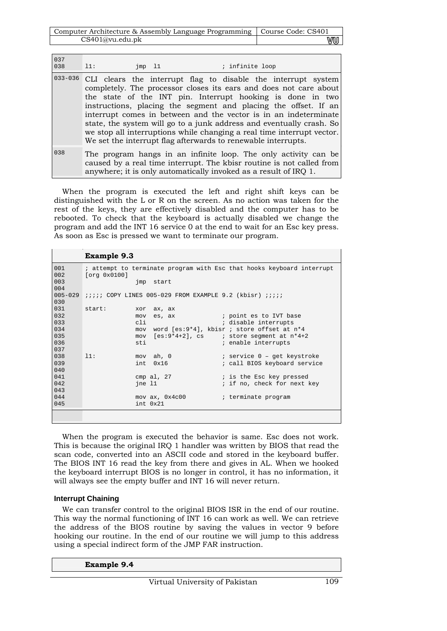| Computer Architecture & Assembly Language Programming   Course Code: CS401 |    |
|----------------------------------------------------------------------------|----|
| CS401@vu.edu.pdf                                                           | vu |

| 037<br>038  | 11:<br>; infinite loop<br>$\text{imp}$ 11                                                                                                                                                                                                                                                                                                                                                                                                                                                                                                                  |
|-------------|------------------------------------------------------------------------------------------------------------------------------------------------------------------------------------------------------------------------------------------------------------------------------------------------------------------------------------------------------------------------------------------------------------------------------------------------------------------------------------------------------------------------------------------------------------|
| $033 - 036$ | CLI clears the interrupt flag to disable the interrupt system<br>completely. The processor closes its ears and does not care about<br>the state of the INT pin. Interrupt hooking is done in two<br>instructions, placing the segment and placing the offset. If an<br>interrupt comes in between and the vector is in an indeterminate<br>state, the system will go to a junk address and eventually crash. So<br>we stop all interruptions while changing a real time interrupt vector.<br>We set the interrupt flag afterwards to renewable interrupts. |
| 038         | The program hangs in an infinite loop. The only activity can be<br>caused by a real time interrupt. The kbisr routine is not called from<br>anywhere; it is only automatically invoked as a result of IRQ 1.                                                                                                                                                                                                                                                                                                                                               |

When the program is executed the left and right shift keys can be distinguished with the L or R on the screen. As no action was taken for the rest of the keys, they are effectively disabled and the computer has to be rebooted. To check that the keyboard is actually disabled we change the program and add the INT 16 service 0 at the end to wait for an Esc key press. As soon as Esc is pressed we want to terminate our program.

|                    | <b>Example 9.3</b> |                                                                       |                                                                       |
|--------------------|--------------------|-----------------------------------------------------------------------|-----------------------------------------------------------------------|
| 001<br>002         | [org 0x0100]       |                                                                       | ; attempt to terminate program with Esc that hooks keyboard interrupt |
| 003<br>004         |                    | jmp start                                                             |                                                                       |
| $005 - 029$<br>030 |                    | <i>iiiii</i> COPY LINES 005-029 FROM EXAMPLE 9.2 (kbisr) <i>iiiii</i> |                                                                       |
| 0.31               | start:<br>xor      | ax, ax                                                                |                                                                       |
| 032                | mov                | es, ax                                                                | ; point es to IVT base                                                |
| 033                | cli                |                                                                       | ; disable interrupts                                                  |
| 034                | mov                |                                                                       | word [es:9*4], kbisr ; store offset at n*4                            |
| 035                | mov                |                                                                       | $[es:9*4+2]$ , cs i store segment at $n*4+2$                          |
| 036<br>037         | sti                |                                                                       | ; enable interrupts                                                   |
| 038                | 11:<br>mov ah, 0   |                                                                       | ; service 0 - get keystroke                                           |
| 039                | int                | 0x16                                                                  | ; call BIOS keyboard service                                          |
| 040                |                    |                                                                       |                                                                       |
| 041                |                    | cmp $al, 27$                                                          | ; is the Esc key pressed                                              |
| 042                | ine 11             |                                                                       | ; if no, check for next key                                           |
| 043                |                    |                                                                       |                                                                       |
| 044                |                    | $mov$ ax, $0x4c00$                                                    | ; terminate program                                                   |
| 045                | int 0x21           |                                                                       |                                                                       |
|                    |                    |                                                                       |                                                                       |

When the program is executed the behavior is same. Esc does not work. This is because the original IRQ 1 handler was written by BIOS that read the scan code, converted into an ASCII code and stored in the keyboard buffer. The BIOS INT 16 read the key from there and gives in AL. When we hooked the keyboard interrupt BIOS is no longer in control, it has no information, it will always see the empty buffer and INT 16 will never return.

### **Interrupt Chaining**

We can transfer control to the original BIOS ISR in the end of our routine. This way the normal functioning of INT 16 can work as well. We can retrieve the address of the BIOS routine by saving the values in vector 9 before hooking our routine. In the end of our routine we will jump to this address using a special indirect form of the JMP FAR instruction.

| <b>Example 9.4</b> |  |
|--------------------|--|
|--------------------|--|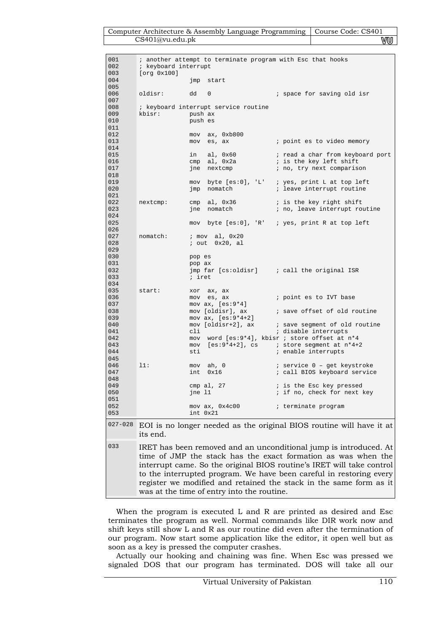| Computer Architecture & Assembly Language Programming   Course Code: CS401 |    |
|----------------------------------------------------------------------------|----|
| CS401@vu.edu.ph                                                            | vu |

| 001<br>002        | ; another attempt to terminate program with Esc that hooks<br>; keyboard interrupt |          |                                          |  |                                                                                                                                                                                                                                                                                                                                                          |  |  |
|-------------------|------------------------------------------------------------------------------------|----------|------------------------------------------|--|----------------------------------------------------------------------------------------------------------------------------------------------------------------------------------------------------------------------------------------------------------------------------------------------------------------------------------------------------------|--|--|
| 003<br>004        | [org 0x100]                                                                        |          | jmp start                                |  |                                                                                                                                                                                                                                                                                                                                                          |  |  |
| 005<br>006<br>007 | oldisr:                                                                            | dd       | $\mathbf{0}$                             |  | i space for saving old isr                                                                                                                                                                                                                                                                                                                               |  |  |
| 008<br>009        | kbisr:                                                                             | push ax  | ; keyboard interrupt service routine     |  |                                                                                                                                                                                                                                                                                                                                                          |  |  |
| 010               |                                                                                    | push es  |                                          |  |                                                                                                                                                                                                                                                                                                                                                          |  |  |
| 011<br>012        |                                                                                    |          | $mov$ ax, $0xb800$                       |  |                                                                                                                                                                                                                                                                                                                                                          |  |  |
| 013<br>014        |                                                                                    |          | mov es, ax                               |  | ; point es to video memory                                                                                                                                                                                                                                                                                                                               |  |  |
| 015<br>016        |                                                                                    | in       | $\text{cmp}$ al, $0x2a$                  |  | ; is the key left shift                                                                                                                                                                                                                                                                                                                                  |  |  |
| 017<br>018        |                                                                                    |          | jne nextcmp                              |  | ; no, try next comparison                                                                                                                                                                                                                                                                                                                                |  |  |
| 019               |                                                                                    |          |                                          |  | mov byte [es:0], 'L' ; yes, print L at top left                                                                                                                                                                                                                                                                                                          |  |  |
| 020<br>021        |                                                                                    | jmp      | nomatch                                  |  | ; leave interrupt routine                                                                                                                                                                                                                                                                                                                                |  |  |
| 022<br>023        | nextcmp:                                                                           |          | $cmp$ al, $0x36$<br>jne nomatch          |  | ; is the key right shift<br>; no, leave interrupt routine                                                                                                                                                                                                                                                                                                |  |  |
| 024<br>025        |                                                                                    |          |                                          |  | mov byte [es:0], 'R' ; yes, print R at top left                                                                                                                                                                                                                                                                                                          |  |  |
| 026<br>027        | nomatch:                                                                           |          | $:$ mov al, $0x20$                       |  |                                                                                                                                                                                                                                                                                                                                                          |  |  |
| 028               |                                                                                    |          | $i$ out $0x20$ , al                      |  |                                                                                                                                                                                                                                                                                                                                                          |  |  |
| 029<br>030        |                                                                                    | pop es   |                                          |  |                                                                                                                                                                                                                                                                                                                                                          |  |  |
| 031<br>032        |                                                                                    | pop ax   |                                          |  | $jmp$ far [cs:oldisr] $i$ call the original ISR                                                                                                                                                                                                                                                                                                          |  |  |
| 033<br>034        |                                                                                    | ; iret   |                                          |  |                                                                                                                                                                                                                                                                                                                                                          |  |  |
| 035<br>036        | start:                                                                             |          | xor ax, ax<br>mov es, ax                 |  | ; point es to IVT base                                                                                                                                                                                                                                                                                                                                   |  |  |
| 037               |                                                                                    |          | mov $ax, [es:9*4]$                       |  |                                                                                                                                                                                                                                                                                                                                                          |  |  |
| 038<br>039        |                                                                                    |          | mov [oldisr], ax<br>mov $ax, [es:9*4+2]$ |  | ; save offset of old routine                                                                                                                                                                                                                                                                                                                             |  |  |
| 040<br>041        |                                                                                    | cli      |                                          |  | mov [oldisr+2], ax ; save segment of old routine<br>; disable interrupts                                                                                                                                                                                                                                                                                 |  |  |
| 042<br>043        |                                                                                    |          |                                          |  | mov word [es:9*4], kbisr ; store offset at n*4<br>mov $[es:9*4+2]$ , cs ; store segment at $n*4+2$                                                                                                                                                                                                                                                       |  |  |
| 044<br>045        |                                                                                    | sti      |                                          |  | ; enable interrupts                                                                                                                                                                                                                                                                                                                                      |  |  |
| 046               | 11:                                                                                |          | mov ah, 0                                |  | ; service 0 - get keystroke                                                                                                                                                                                                                                                                                                                              |  |  |
| 047<br>048        |                                                                                    | int      | 0x16                                     |  | ; call BIOS keyboard service                                                                                                                                                                                                                                                                                                                             |  |  |
| 049<br>050        |                                                                                    | jne 11   | cmp $al, 27$                             |  | ; is the Esc key pressed<br>; if no, check for next key                                                                                                                                                                                                                                                                                                  |  |  |
| 051<br>052        |                                                                                    |          | mov ax, 0x4c00                           |  | ; terminate program                                                                                                                                                                                                                                                                                                                                      |  |  |
| 053               |                                                                                    | int 0x21 |                                          |  |                                                                                                                                                                                                                                                                                                                                                          |  |  |
| $027 - 028$       | its end.                                                                           |          |                                          |  | EOI is no longer needed as the original BIOS routine will have it at                                                                                                                                                                                                                                                                                     |  |  |
| 033               |                                                                                    |          |                                          |  | IRET has been removed and an unconditional jump is introduced. At<br>time of JMP the stack has the exact formation as was when the<br>interrupt came. So the original BIOS routine's IRET will take control<br>to the interrupted program. We have been careful in restoring every<br>register we modified and retained the stack in the same form as it |  |  |

When the program is executed L and R are printed as desired and Esc terminates the program as well. Normal commands like DIR work now and shift keys still show L and R as our routine did even after the termination of our program. Now start some application like the editor, it open well but as soon as a key is pressed the computer crashes.

was at the time of entry into the routine.

Actually our hooking and chaining was fine. When Esc was pressed we signaled DOS that our program has terminated. DOS will take all our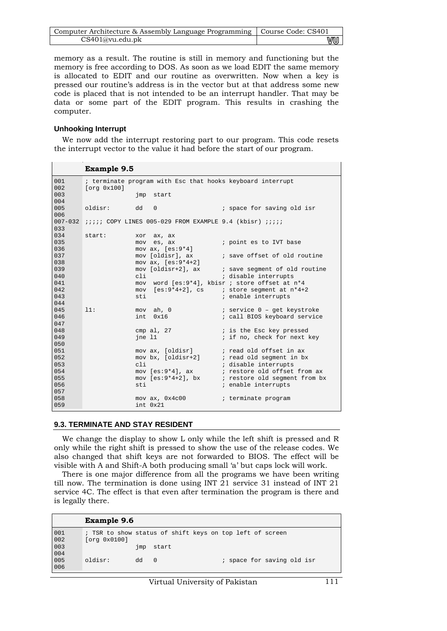| Computer Architecture & Assembly Language Programming   Course Code: CS401 |    |
|----------------------------------------------------------------------------|----|
| CS401@vu.edu.ph                                                            | vu |

memory as a result. The routine is still in memory and functioning but the memory is free according to DOS. As soon as we load EDIT the same memory is allocated to EDIT and our routine as overwritten. Now when a key is pressed our routine's address is in the vector but at that address some new code is placed that is not intended to be an interrupt handler. That may be data or some part of the EDIT program. This results in crashing the computer.

#### **Unhooking Interrupt**

We now add the interrupt restoring part to our program. This code resets the interrupt vector to the value it had before the start of our program.

|             | <b>Example 9.5</b>                                                                                          |
|-------------|-------------------------------------------------------------------------------------------------------------|
| 001<br>002  | ; terminate program with Esc that hooks keyboard interrupt<br>[org 0x100]                                   |
| 003<br>004  | imp start                                                                                                   |
| 005<br>006  | oldisr: dd 0<br>i space for saving old isr                                                                  |
| 033         | 007-032 ;;;;; COPY LINES 005-029 FROM EXAMPLE 9.4 (kbisr) ;;;;;                                             |
| 0.34<br>035 | start:<br>xor ax, ax<br>mov es, ax<br>; point es to IVT base                                                |
| 036<br>037  | mov $ax, [es:9*4]$<br>mov [oldisr], ax<br>; save offset of old routine                                      |
| 038         | mov $ax, [es:9*4+2]$                                                                                        |
| 039<br>040  | mov [oldisr+2], ax ; save segment of old routine<br>; disable interrupts<br>cli                             |
| 041<br>042  | mov word [es: 9*4], kbisr ; store offset at n*4<br>mov $[es:9*4+2]$ , cs ; store seqment at $n*4+2$         |
| 043<br>044  | ; enable interrupts<br>sti                                                                                  |
| 045<br>046  | mov ah, 0<br>; service 0 - get keystroke<br>11:<br>int. 0x16<br>; call BIOS keyboard service                |
| 047<br>048  | cmp al, $27$ $i$ is the Esc key pressed                                                                     |
| 049<br>050  | ; if no, check for next key<br>ine 11                                                                       |
| 051<br>052  | mov ax, [oldisr] ; read old offset in ax                                                                    |
| 053         | mov bx, [oldisr+2] : read old segment in bx<br>cli<br>; disable interrupts                                  |
| 054<br>055  | mov [es:9*4], ax ; restore old offset from ax<br>mov $[es:9*4+2]$ , bx <i>i</i> restore old segment from bx |
| 056<br>057  | ; enable interrupts<br>sti                                                                                  |
| 058<br>059  | $mov$ ax, $0x4c00$<br>; terminate program<br>int. 0x21                                                      |

### **9.3. TERMINATE AND STAY RESIDENT**

We change the display to show L only while the left shift is pressed and R only while the right shift is pressed to show the use of the release codes. We also changed that shift keys are not forwarded to BIOS. The effect will be visible with A and Shift-A both producing small 'a' but caps lock will work.

There is one major difference from all the programs we have been writing till now. The termination is done using INT 21 service 31 instead of INT 21 service 4C. The effect is that even after termination the program is there and is legally there.

|                                           | <b>Example 9.6</b>                                                       |     |       |  |  |  |                            |  |  |
|-------------------------------------------|--------------------------------------------------------------------------|-----|-------|--|--|--|----------------------------|--|--|
| $\begin{array}{c} 001 \\ 002 \end{array}$ | ; TSR to show status of shift keys on top left of screen<br>[org 0x0100] |     |       |  |  |  |                            |  |  |
|                                           |                                                                          | jmp | start |  |  |  |                            |  |  |
| $003$<br>$004$<br>$005$<br>$006$          | oldisr:                                                                  | dd  | - 0   |  |  |  | ; space for saving old isr |  |  |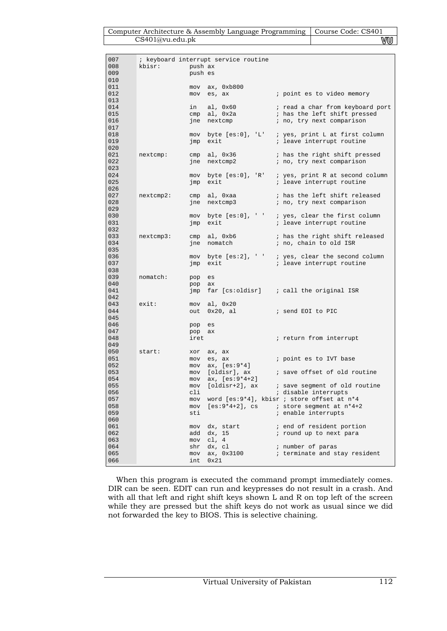#### Computer Architecture & Assembly Language Programming | Course Code: CS401 CS401@vu.edu.pk WU

| 007<br>008 | kbisr:<br><b>Example 1</b> push ax |         | ; keyboard interrupt service routine |                                                      |
|------------|------------------------------------|---------|--------------------------------------|------------------------------------------------------|
| 009        |                                    | push es |                                      |                                                      |
| 010        |                                    |         |                                      |                                                      |
| 011        |                                    |         | mov ax, 0xb800                       |                                                      |
| 012        |                                    |         | mov es, ax                           | ; point es to video memory                           |
| 013        |                                    |         |                                      |                                                      |
| 014        |                                    |         | in al, 0x60                          | ; read a char from keyboard port                     |
| 015        |                                    |         | $cmp \tal, 0x2a$                     | ; has the left shift pressed                         |
| 016        |                                    |         | jne nextcmp                          | ; no, try next comparison                            |
| 017        |                                    |         |                                      |                                                      |
| 018        |                                    |         | mov byte [es:0], 'L'                 | ; yes, print L at first column                       |
| 019        |                                    |         | jmp exit                             | ; leave interrupt routine                            |
| 020        |                                    |         |                                      |                                                      |
| 021        |                                    |         |                                      | nextcmp: cmp al, 0x36 ; has the right shift pressed  |
| 022        |                                    |         | jne nextcmp2                         | ; no, try next comparison                            |
| 023        |                                    |         |                                      |                                                      |
| 024        |                                    |         |                                      | mov byte [es:0], 'R' ; yes, print R at second column |
| 025        |                                    | jmp     | exit                                 | ; leave interrupt routine                            |
| 026        |                                    |         |                                      |                                                      |
| 027        | nextcmp2:                          |         | cmp al, Oxaa                         | ; has the left shift released                        |
| 028        |                                    |         | jne nextcmp3                         | ; no, try next comparison                            |
| 029        |                                    |         |                                      |                                                      |
| 030        |                                    |         |                                      | mov byte [es:0], ' ' ; yes, clear the first column   |
| 031        |                                    |         | jmp exit                             | ; leave interrupt routine                            |
| 032        |                                    |         |                                      |                                                      |
| 033        | nextcmp3:                          |         |                                      | cmp al, 0xb6 ; has the right shift released          |
| 034        |                                    |         | jne nomatch                          | ; no, chain to old ISR                               |
| 035        |                                    |         |                                      |                                                      |
| 036        |                                    |         |                                      | mov byte [es:2], ' ' ; yes, clear the second column  |
| 037        |                                    |         | jmp exit                             | ; leave interrupt routine                            |
| 038        |                                    |         |                                      |                                                      |
| 039        | nomatch:                           | pop     | es                                   |                                                      |
| 040        |                                    | pop     | ax                                   |                                                      |
| 041        |                                    |         |                                      | $jmp$ far [cs:oldisr] ; call the original ISR        |
| 042        |                                    |         |                                      |                                                      |
| 043        | exist:                             |         | mov al, 0x20                         |                                                      |
| 044        |                                    | out     | 0x20, al                             | i send EOI to PIC                                    |
| 045        |                                    |         |                                      |                                                      |
| 046        |                                    | pop     | es                                   |                                                      |
| 047<br>048 |                                    | pop     | ax                                   |                                                      |
| 049        |                                    | iret    |                                      | ; return from interrupt                              |
| 050        | start:                             | xor     | ax, ax                               |                                                      |
| 051        |                                    | mov     | es, ax                               | ; point es to IVT base                               |
| 052        |                                    |         | mov $ax, [es:9*4]$                   |                                                      |
| 053        |                                    |         | mov [oldisr], ax                     | ; save offset of old routine                         |
| 054        |                                    |         | mov $ax, [es:9*4+2]$                 |                                                      |
| 055        |                                    | mov     |                                      | [oldisr+2], ax (i) save segment of old routine       |
| 056        |                                    | cli     |                                      | ; disable interrupts                                 |
| 057        |                                    | mov     |                                      | word $[es:9*4]$ , kbisr ; store offset at $n*4$      |
| 058        |                                    | mov     | [es:9*4+2], cs                       | ; store segment at n*4+2                             |
| 059        |                                    | sti     |                                      | ; enable interrupts                                  |
| 060        |                                    |         |                                      |                                                      |
| 061        |                                    | mov     | dx, start                            | ; end of resident portion                            |
| 062        |                                    | add     | dx, 15                               | ; round up to next para                              |
| 063        |                                    | mov     | cl, 4                                |                                                      |
| 064        |                                    | shr     | dx, cl                               | ; number of paras                                    |
| 065        |                                    | mov     | ax, 0x3100                           | ; terminate and stay resident                        |
| 066        |                                    | int     | 0x21                                 |                                                      |

When this program is executed the command prompt immediately comes. DIR can be seen. EDIT can run and keypresses do not result in a crash. And with all that left and right shift keys shown L and R on top left of the screen while they are pressed but the shift keys do not work as usual since we did not forwarded the key to BIOS. This is selective chaining.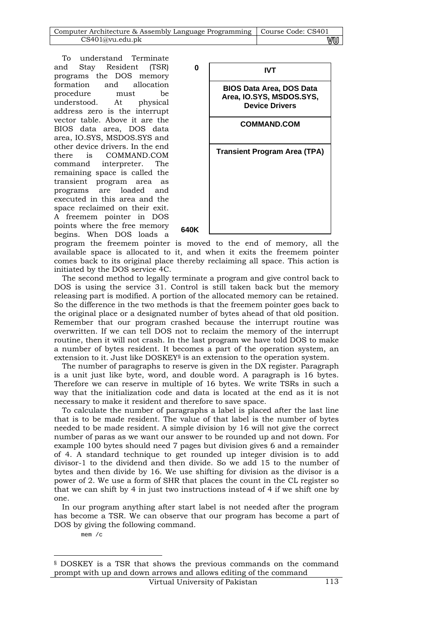| Computer Architecture & Assembly Language Programming   Course Code: CS401 |    |
|----------------------------------------------------------------------------|----|
| CS401@vu.edu.ph                                                            | vu |

To understand Terminate and Stay Resident (TSR) programs the DOS memory formation and allocation procedure must be understood. At physical address zero is the interrupt vector table. Above it are the BIOS data area, DOS data area, IO.SYS, MSDOS.SYS and other device drivers. In the end there is COMMAND.COM command interpreter. The remaining space is called the transient program area as programs are loaded and executed in this area and the space reclaimed on their exit. A freemem pointer in DOS points where the free memory begins. When DOS loads a



program the freemem pointer is moved to the end of memory, all the available space is allocated to it, and when it exits the freemem pointer comes back to its original place thereby reclaiming all space. This action is initiated by the DOS service 4C.

The second method to legally terminate a program and give control back to DOS is using the service 31. Control is still taken back but the memory releasing part is modified. A portion of the allocated memory can be retained. So the difference in the two methods is that the freemem pointer goes back to the original place or a designated number of bytes ahead of that old position. Remember that our program crashed because the interrupt routine was overwritten. If we can tell DOS not to reclaim the memory of the interrupt routine, then it will not crash. In the last program we have told DOS to make a number of bytes resident. It becomes a part of the operation system, an extension to it. Just like DOSKEY§ is an extension to the operation system.

The number of paragraphs to reserve is given in the DX register. Paragraph is a unit just like byte, word, and double word. A paragraph is 16 bytes. Therefore we can reserve in multiple of 16 bytes. We write TSRs in such a way that the initialization code and data is located at the end as it is not necessary to make it resident and therefore to save space.

To calculate the number of paragraphs a label is placed after the last line that is to be made resident. The value of that label is the number of bytes needed to be made resident. A simple division by 16 will not give the correct number of paras as we want our answer to be rounded up and not down. For example 100 bytes should need 7 pages but division gives 6 and a remainder of 4. A standard technique to get rounded up integer division is to add divisor-1 to the dividend and then divide. So we add 15 to the number of bytes and then divide by 16. We use shifting for division as the divisor is a power of 2. We use a form of SHR that places the count in the CL register so that we can shift by 4 in just two instructions instead of 4 if we shift one by one.

In our program anything after start label is not needed after the program has become a TSR. We can observe that our program has become a part of DOS by giving the following command.

mem /c

-

<sup>§</sup> DOSKEY is a TSR that shows the previous commands on the command prompt with up and down arrows and allows editing of the command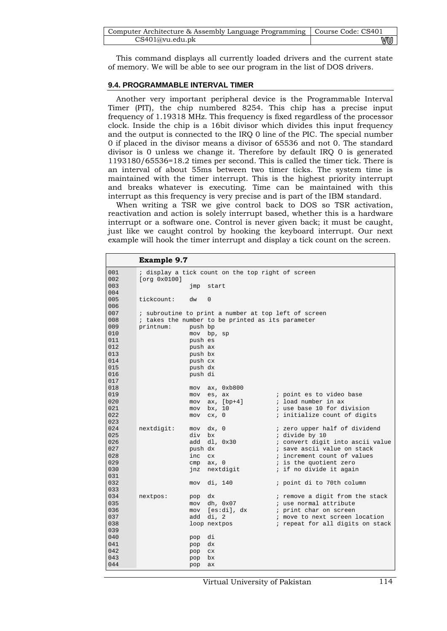| Computer Architecture & Assembly Language Programming   Course Code: CS401 |    |
|----------------------------------------------------------------------------|----|
| CS401@vu.edu.ph                                                            | vu |

This command displays all currently loaded drivers and the current state of memory. We will be able to see our program in the list of DOS drivers.

#### **9.4. PROGRAMMABLE INTERVAL TIMER**

Another very important peripheral device is the Programmable Interval Timer (PIT), the chip numbered 8254. This chip has a precise input frequency of 1.19318 MHz. This frequency is fixed regardless of the processor clock. Inside the chip is a 16bit divisor which divides this input frequency and the output is connected to the IRQ 0 line of the PIC. The special number 0 if placed in the divisor means a divisor of 65536 and not 0. The standard divisor is 0 unless we change it. Therefore by default IRQ 0 is generated 1193180/65536=18.2 times per second. This is called the timer tick. There is an interval of about 55ms between two timer ticks. The system time is maintained with the timer interrupt. This is the highest priority interrupt and breaks whatever is executing. Time can be maintained with this interrupt as this frequency is very precise and is part of the IBM standard.

When writing a TSR we give control back to DOS so TSR activation, reactivation and action is solely interrupt based, whether this is a hardware interrupt or a software one. Control is never given back; it must be caught, just like we caught control by hooking the keyboard interrupt. Our next example will hook the timer interrupt and display a tick count on the screen.

|            | <b>Example 9.7</b>                                |            |                                                      |                                                 |  |  |  |  |  |
|------------|---------------------------------------------------|------------|------------------------------------------------------|-------------------------------------------------|--|--|--|--|--|
| 001        | ; display a tick count on the top right of screen |            |                                                      |                                                 |  |  |  |  |  |
| 002        | [org 0x0100]                                      |            |                                                      |                                                 |  |  |  |  |  |
| 003        |                                                   | jmp        | start                                                |                                                 |  |  |  |  |  |
| 004        |                                                   |            |                                                      |                                                 |  |  |  |  |  |
| 005        | tickcount:                                        | dw         | $\Omega$                                             |                                                 |  |  |  |  |  |
| 006        |                                                   |            |                                                      |                                                 |  |  |  |  |  |
| 007        |                                                   |            | ; subroutine to print a number at top left of screen |                                                 |  |  |  |  |  |
| 008        |                                                   |            | ; takes the number to be printed as its parameter    |                                                 |  |  |  |  |  |
| 009        | printnum:                                         | push bp    |                                                      |                                                 |  |  |  |  |  |
| 010        |                                                   |            | mov bp, sp                                           |                                                 |  |  |  |  |  |
| 011        |                                                   | push es    |                                                      |                                                 |  |  |  |  |  |
| 012        |                                                   | push ax    |                                                      |                                                 |  |  |  |  |  |
| 013        |                                                   | push bx    |                                                      |                                                 |  |  |  |  |  |
| 014        |                                                   | push cx    |                                                      |                                                 |  |  |  |  |  |
| 015        |                                                   | push dx    |                                                      |                                                 |  |  |  |  |  |
| 016        |                                                   | push di    |                                                      |                                                 |  |  |  |  |  |
| 017        |                                                   |            |                                                      |                                                 |  |  |  |  |  |
| 018        |                                                   | mov        | ax, 0xb800                                           |                                                 |  |  |  |  |  |
| 019        |                                                   | mov        | es, ax                                               | ; point es to video base                        |  |  |  |  |  |
| 020        |                                                   | mov        | $ax, [bp+4]$                                         | ; load number in ax                             |  |  |  |  |  |
| 021<br>022 |                                                   | mov        | bx, 10                                               | ; use base 10 for division                      |  |  |  |  |  |
| 023        |                                                   | mov        | cx, 0                                                | ; initialize count of digits                    |  |  |  |  |  |
| 024        |                                                   |            |                                                      |                                                 |  |  |  |  |  |
| 025        | nextdigit:                                        | mov<br>div | dx, 0<br>bx                                          | ; zero upper half of dividend<br>; divide by 10 |  |  |  |  |  |
| 026        |                                                   | add        | dl, 0x30                                             | ; convert digit into ascii value                |  |  |  |  |  |
| 027        |                                                   | push dx    |                                                      | ; save ascii value on stack                     |  |  |  |  |  |
| 028        |                                                   | inc        | cx                                                   | ; increment count of values                     |  |  |  |  |  |
| 029        |                                                   | cmp        | ax, O                                                | ; is the quotient zero                          |  |  |  |  |  |
| 030        |                                                   | jnz        | nextdigit                                            | ; if no divide it again                         |  |  |  |  |  |
| 031        |                                                   |            |                                                      |                                                 |  |  |  |  |  |
| 032        |                                                   | mov        | di, 140                                              | ; point di to 70th column                       |  |  |  |  |  |
| 033        |                                                   |            |                                                      |                                                 |  |  |  |  |  |
| 034        | nextpos:                                          | pop        | dx.                                                  | ; remove a digit from the stack                 |  |  |  |  |  |
| 035        |                                                   | mov        | dh, 0x07                                             | ; use normal attribute                          |  |  |  |  |  |
| 036        |                                                   | mov        | [es:di], dx                                          | ; print char on screen                          |  |  |  |  |  |
| 037        |                                                   | add        | di.2                                                 | ; move to next screen location                  |  |  |  |  |  |
| 038        |                                                   |            | loop nextpos                                         | ; repeat for all digits on stack                |  |  |  |  |  |
| 039        |                                                   |            |                                                      |                                                 |  |  |  |  |  |
| 040        |                                                   | pop        | di                                                   |                                                 |  |  |  |  |  |
| 041        |                                                   | pop        | dx                                                   |                                                 |  |  |  |  |  |
| 042        |                                                   | pop        | cx                                                   |                                                 |  |  |  |  |  |
| 043        |                                                   | pop        | bx                                                   |                                                 |  |  |  |  |  |
| 044        |                                                   | pop        | ax                                                   |                                                 |  |  |  |  |  |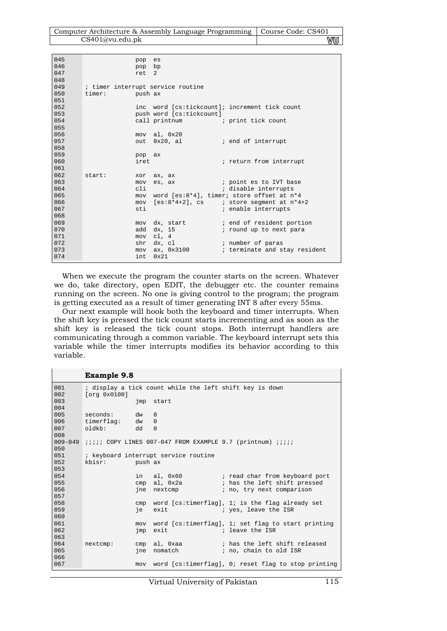| Computer Architecture & Assembly Language Programming   Course Code: CS401 |    |
|----------------------------------------------------------------------------|----|
| CS401@vu.edu.ph                                                            | WU |

| 045  |        | pop     | es                                |                                                       |
|------|--------|---------|-----------------------------------|-------------------------------------------------------|
| 046  |        | pop bp  |                                   |                                                       |
| 047  |        | ret 2   |                                   |                                                       |
| 048  |        |         |                                   |                                                       |
| 049  |        |         | ; timer interrupt service routine |                                                       |
| 050  | timer: | push ax |                                   |                                                       |
| 051  |        |         |                                   |                                                       |
| 0.52 |        |         |                                   | inc word [cs:tickcount]; increment tick count         |
| 053  |        |         | push word [cs:tickcount]          |                                                       |
| 054  |        |         | call printnum                     | ; print tick count                                    |
| 055  |        |         |                                   |                                                       |
| 056  |        |         | mov al, 0x20                      |                                                       |
| 057  |        |         | out 0x20, al                      | ; end of interrupt                                    |
| 058  |        |         |                                   |                                                       |
| 059  |        | pop ax  |                                   |                                                       |
| 060  |        | iret    |                                   | ; return from interrupt                               |
| 061  |        |         |                                   |                                                       |
| 062  | start: | xor     | ax, ax                            |                                                       |
| 063  |        | mov     | es, ax                            | <i>i</i> point es to IVT base                         |
| 064  |        | cli     |                                   | ; disable interrupts                                  |
| 065  |        |         |                                   | mov word [es:8*4], timer; store offset at n*4         |
| 066  |        | mov     |                                   | $[es:8*4+2]$ , cs $\qquad$ i store segment at $n*4+2$ |
| 067  |        | sti     |                                   | ; enable interrupts                                   |
| 068  |        |         |                                   |                                                       |
| 069  |        |         |                                   | mov dx, start (and of resident portion                |
| 070  |        |         | add dx, 15                        | ; round up to next para                               |
| 071  |        |         | mov cl, 4                         |                                                       |
| 072  |        |         | shr dx, cl                        | ; number of paras                                     |
| 073  |        |         |                                   | mov ax, 0x3100 ; terminate and stay resident          |
| 074  |        | int.    | $0 \times 21$                     |                                                       |

When we execute the program the counter starts on the screen. Whatever we do, take directory, open EDIT, the debugger etc. the counter remains running on the screen. No one is giving control to the program; the program is getting executed as a result of timer generating INT 8 after every 55ms.

Our next example will hook both the keyboard and timer interrupts. When the shift key is pressed the tick count starts incrementing and as soon as the shift key is released the tick count stops. Both interrupt handlers are communicating through a common variable. The keyboard interrupt sets this variable while the timer interrupts modifies its behavior according to this variable.

#### **Example 9.8**

| 001         |                                    |     | ; display a tick count while the left shift key is down                 |                                                         |
|-------------|------------------------------------|-----|-------------------------------------------------------------------------|---------------------------------------------------------|
| 002         | [org 0x0100]                       |     |                                                                         |                                                         |
| 003         |                                    | jmp | start                                                                   |                                                         |
| 004         |                                    |     |                                                                         |                                                         |
| 005         | seconds:                           | dw  | $\Omega$                                                                |                                                         |
| 006         | timerflag:                         | dw  | $\Omega$                                                                |                                                         |
| 007         | oldkb:                             | dd  | $\Omega$                                                                |                                                         |
| 008         |                                    |     |                                                                         |                                                         |
| $009 - 049$ |                                    |     | <i>iiiii</i> COPY LINES 007-047 FROM EXAMPLE 9.7 (printnum) <i>iiii</i> |                                                         |
| 050         |                                    |     |                                                                         |                                                         |
| 051         |                                    |     | ; keyboard interrupt service routine                                    |                                                         |
| 052         | kbisr:<br><b>Example 1</b> push ax |     |                                                                         |                                                         |
| 053         |                                    |     |                                                                         |                                                         |
| 054         |                                    |     |                                                                         | in al, 0x60 : read char from keyboard port              |
| 055         |                                    | cmp | al, Ox2a al anno 2014.                                                  | ; has the left shift pressed                            |
| 056         |                                    | ine | nextcmp                                                                 | ; no, try next comparison                               |
| 057         |                                    |     |                                                                         |                                                         |
| 058         |                                    | cmp |                                                                         | word [cs:timerflag], 1; is the flag already set         |
| 059         |                                    | ie  | exit                                                                    | ; yes, leave the ISR                                    |
| 060         |                                    |     |                                                                         |                                                         |
| 061         |                                    | mov |                                                                         | word [cs:timerflag], 1; set flag to start printing      |
| 062         |                                    | jmp | exit                                                                    | ; leave the ISR                                         |
| 063         |                                    |     |                                                                         |                                                         |
| 064         | nextcmp:                           |     | cmp al, Oxaa                                                            | ; has the left shift released                           |
| 065         |                                    | ine | nomatch                                                                 | ; no, chain to old ISR                                  |
| 066         |                                    |     |                                                                         |                                                         |
| 067         |                                    |     |                                                                         | mov word [cs:timerflag], 0; reset flag to stop printing |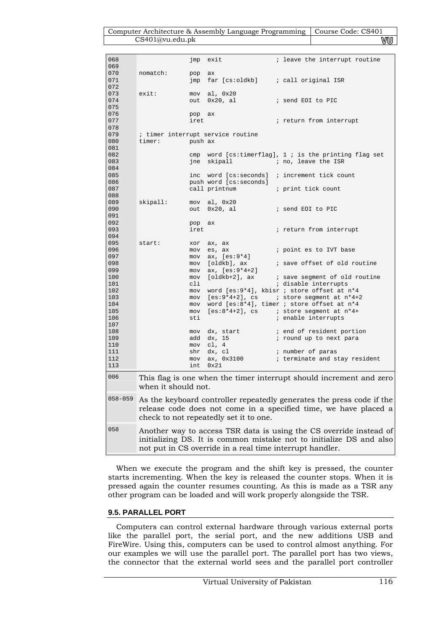#### Computer Architecture & Assembly Language Programming | Course Code: CS401 CS401@vu.edu.pk WU

| 068         |                     | jmp     | exit                                   | ; leave the interrupt routine                                         |
|-------------|---------------------|---------|----------------------------------------|-----------------------------------------------------------------------|
| 069         |                     |         |                                        |                                                                       |
| 070         | nomatch:            | pop     | ax                                     |                                                                       |
| 071         |                     | jmp     | far [cs∶oldkb]                         | ; call original ISR                                                   |
| 072         |                     |         |                                        |                                                                       |
| 073         | exist:              |         | mov al, 0x20                           |                                                                       |
| 074         |                     | out     | $0x20$ , al                            | ; send EOI to PIC                                                     |
| 075         |                     |         |                                        |                                                                       |
| 076         |                     | pop     | ax                                     |                                                                       |
| 077         |                     | iret    |                                        | ; return from interrupt                                               |
| 078         |                     |         |                                        |                                                                       |
| 079         |                     |         | ; timer interrupt service routine      |                                                                       |
| 080         | timer:              | push ax |                                        |                                                                       |
| 081         |                     |         |                                        |                                                                       |
| 082         |                     | cmp     |                                        | word [ $cs:$ timerflag], 1 ; is the printing flag set                 |
| 083         |                     |         | jne skipall                            | ; no, leave the ISR                                                   |
| 084         |                     |         |                                        |                                                                       |
| 085         |                     |         |                                        | inc word [cs:seconds] ; increment tick count                          |
| 086         |                     |         | push word [cs:seconds]                 |                                                                       |
| 087         |                     |         | call printnum                          | ; print tick count                                                    |
| 088         |                     |         |                                        |                                                                       |
| 089         | skipall:            |         | mov al, 0x20                           |                                                                       |
| 090         |                     | out     | 0x20, al                               | ; send EOI to PIC                                                     |
| 091         |                     |         |                                        |                                                                       |
| 092         |                     | pop     | ax                                     |                                                                       |
| 093         |                     | iret    |                                        | ; return from interrupt                                               |
| 094         |                     |         |                                        |                                                                       |
| 095         | start:              | xor     | ax, ax                                 |                                                                       |
| 096         |                     |         | mov es, ax                             | ; point es to IVT base                                                |
| 097         |                     | mov     | ax, [es:9*4]                           |                                                                       |
| 098         |                     | mov     | [oldkb], ax                            | ; save offset of old routine                                          |
| 099         |                     | mov     | ax, [es:9*4+2]                         |                                                                       |
| 100         |                     | mov     | [oldkb+2], ax                          | ; save segment of old routine                                         |
| 101         |                     | cli     |                                        | ; disable interrupts                                                  |
| 102         |                     | mov     |                                        | word [es:9*4], kbisr ; store offset at n*4                            |
| 103         |                     | mov     |                                        | $[es:9*4+2]$ , cs $i$ store segment at $n*4+2$                        |
| 104         |                     | mov     |                                        | word [es:8*4], timer ; store offset at n*4                            |
| 105         |                     | mov     |                                        | $[es:8*4+2]$ , cs i store segment at $n*4+$                           |
| 106         |                     | sti     |                                        |                                                                       |
| 107         |                     |         |                                        | ; enable interrupts                                                   |
| 108         |                     |         |                                        |                                                                       |
|             |                     | mov     | dx, start                              | ; end of resident portion                                             |
| 109         |                     | add     | dx, 15<br>mov cl, 4                    | ; round up to next para                                               |
| 110         |                     |         |                                        |                                                                       |
| 111         |                     | shr     | dx, cl                                 | ; number of paras                                                     |
| 112         |                     | mov     | ax, 0x3100                             | ; terminate and stay resident                                         |
| 113         |                     | int     | 0x21                                   |                                                                       |
| 006         |                     |         |                                        | This flag is one when the timer interrupt should increment and zero   |
|             | when it should not. |         |                                        |                                                                       |
|             |                     |         |                                        |                                                                       |
| $058 - 059$ |                     |         |                                        | As the keyboard controller repeatedly generates the press code if the |
|             |                     |         |                                        | release code does not come in a specified time, we have placed a      |
|             |                     |         |                                        |                                                                       |
|             |                     |         | check to not repeatedly set it to one. |                                                                       |
| 058         |                     |         |                                        | Another way to access TSR data is using the CS override instead of    |
|             |                     |         |                                        |                                                                       |
|             |                     |         |                                        | initializing DS. It is common mistake not to initialize DS and also   |

When we execute the program and the shift key is pressed, the counter starts incrementing. When the key is released the counter stops. When it is pressed again the counter resumes counting. As this is made as a TSR any other program can be loaded and will work properly alongside the TSR.

not put in CS override in a real time interrupt handler.

### **9.5. PARALLEL PORT**

Computers can control external hardware through various external ports like the parallel port, the serial port, and the new additions USB and FireWire. Using this, computers can be used to control almost anything. For our examples we will use the parallel port. The parallel port has two views, the connector that the external world sees and the parallel port controller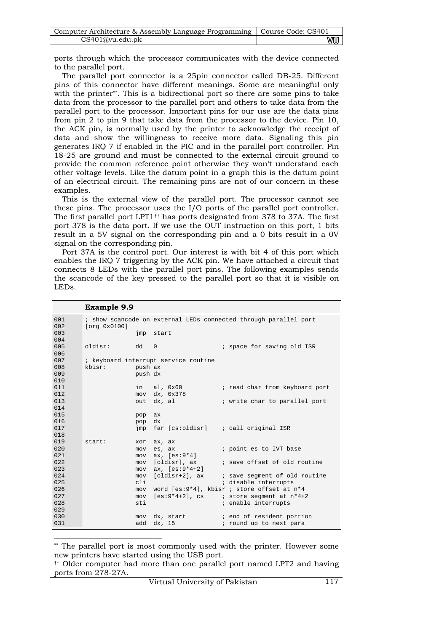| Computer Architecture & Assembly Language Programming   Course Code: CS401 |    |
|----------------------------------------------------------------------------|----|
| CS401@vu.edu.ph                                                            | vw |

ports through which the processor communicates with the device connected to the parallel port.

The parallel port connector is a 25pin connector called DB-25. Different pins of this connector have different meanings. Some are meaningful only with the printer\*\*. This is a bidirectional port so there are some pins to take data from the processor to the parallel port and others to take data from the parallel port to the processor. Important pins for our use are the data pins from pin 2 to pin 9 that take data from the processor to the device. Pin 10, the ACK pin, is normally used by the printer to acknowledge the receipt of data and show the willingness to receive more data. Signaling this pin generates IRQ 7 if enabled in the PIC and in the parallel port controller. Pin 18-25 are ground and must be connected to the external circuit ground to provide the common reference point otherwise they won't understand each other voltage levels. Like the datum point in a graph this is the datum point of an electrical circuit. The remaining pins are not of our concern in these examples.

This is the external view of the parallel port. The processor cannot see these pins. The processor uses the I/O ports of the parallel port controller. The first parallel port LPT1†† has ports designated from 378 to 37A. The first port 378 is the data port. If we use the OUT instruction on this port, 1 bits result in a 5V signal on the corresponding pin and a 0 bits result in a 0V signal on the corresponding pin.

Port 37A is the control port. Our interest is with bit 4 of this port which enables the IRQ 7 triggering by the ACK pin. We have attached a circuit that connects 8 LEDs with the parallel port pins. The following examples sends the scancode of the key pressed to the parallel port so that it is visible on LEDs.

**Example 9.9** 

-

|            | <b>Example 9.9</b> |            |                                      |                                                                  |
|------------|--------------------|------------|--------------------------------------|------------------------------------------------------------------|
| 001        |                    |            |                                      | ; show scancode on external LEDs connected through parallel port |
| 002        | [org 0x0100]       |            |                                      |                                                                  |
| 003        |                    |            | imp start                            |                                                                  |
| 004        |                    |            |                                      |                                                                  |
| 005        | oldisr:            | $dd \t 0$  |                                      | ; space for saving old ISR                                       |
| 006        |                    |            |                                      |                                                                  |
| 007        |                    |            | ; keyboard interrupt service routine |                                                                  |
| 008        | kbisr:             | push ax    |                                      |                                                                  |
| 009        |                    | push dx    |                                      |                                                                  |
| 010        |                    |            |                                      |                                                                  |
| 011        |                    | in         | al, 0x60                             | ; read char from keyboard port                                   |
| 012        |                    | mov        | dx, 0x378                            |                                                                  |
| 013        |                    |            | out dx, al                           | ; write char to parallel port                                    |
| 014        |                    |            |                                      |                                                                  |
| 015        |                    | pop        | ax                                   |                                                                  |
| 016        |                    | pop        | dx                                   |                                                                  |
| 017        |                    | jmp        |                                      | far [cs:oldisr] ; call original ISR                              |
| 018        |                    |            |                                      |                                                                  |
| 019        | start:             | xor        | ax, ax                               |                                                                  |
| 020        |                    | mov        | es, ax                               | ; point es to IVT base                                           |
| 021        |                    | mov        | ax, [es:9*4]                         |                                                                  |
| 022        |                    | mov        | [oldisr], ax                         | ; save offset of old routine                                     |
| 023        |                    | mov        | $ax, [es:9*4+2]$                     |                                                                  |
| 024        |                    | mov        | [oldisr+2], ax                       | ; save segment of old routine                                    |
| 025<br>026 |                    | cli        |                                      | ; disable interrupts                                             |
| 027        |                    | mov<br>mov |                                      | word [es:9*4], kbisr ; store offset at n*4                       |
| 028        |                    | sti        |                                      | $[es:9*4+2]$ , cs ; store seqment at $n*4+2$                     |
| 029        |                    |            |                                      | ; enable interrupts                                              |
| 030        |                    | mov        |                                      |                                                                  |
| 031        |                    | add        | dx, start                            | ; end of resident portion                                        |
|            |                    |            | dx, 15                               | ; round up to next para                                          |

<sup>\*\*</sup> The parallel port is most commonly used with the printer. However some new printers have started using the USB port.

<sup>††</sup> Older computer had more than one parallel port named LPT2 and having ports from 278-27A.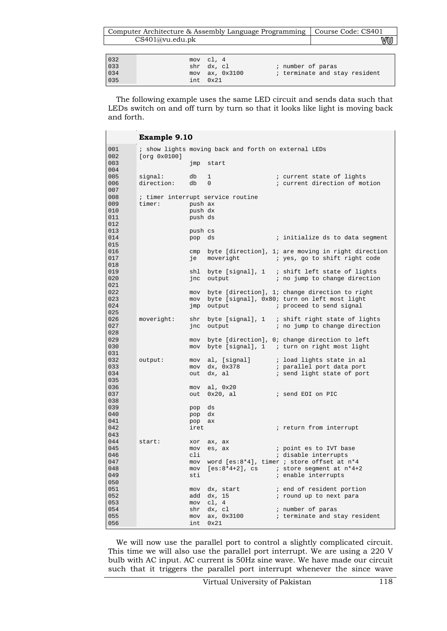|      | Computer Architecture & Assembly Language Programming | Course Code: CS401 |    |
|------|-------------------------------------------------------|--------------------|----|
|      | CS401@vu.edu.ph                                       |                    | WW |
|      |                                                       |                    |    |
| 0.32 | mov                                                   | $CL$ .             |    |

|                          | $int \ 0x21$   |                               |
|--------------------------|----------------|-------------------------------|
| 032<br>033<br>034<br>035 | mov ax, 0x3100 | ; terminate and stay resident |
|                          | shr dx, cl     | ; number of paras             |
|                          | mov cl. 4      |                               |

The following example uses the same LED circuit and sends data such that LEDs switch on and off turn by turn so that it looks like light is moving back and forth.

 $\blacksquare$ 

|            | <b>Example 9.10</b> |         |                                                      |                                                        |  |  |
|------------|---------------------|---------|------------------------------------------------------|--------------------------------------------------------|--|--|
| 001        |                     |         | ; show lights moving back and forth on external LEDs |                                                        |  |  |
| 002        | [org 0x0100]        |         |                                                      |                                                        |  |  |
| 003        |                     | jmp     | start                                                |                                                        |  |  |
| 004        |                     |         |                                                      |                                                        |  |  |
| 005        | signal:             | db      | 1                                                    | ; current state of lights                              |  |  |
| 006        | direction:          | db      | $\mathbf{0}$                                         | ; current direction of motion                          |  |  |
| 007        |                     |         |                                                      |                                                        |  |  |
| 008        |                     |         | ; timer interrupt service routine                    |                                                        |  |  |
| 009        | timer:              | push ax |                                                      |                                                        |  |  |
| 010        |                     | push dx |                                                      |                                                        |  |  |
| 011        |                     | push ds |                                                      |                                                        |  |  |
| 012        |                     |         |                                                      |                                                        |  |  |
| 013        |                     | push cs |                                                      |                                                        |  |  |
| 014        |                     | pop     | ds                                                   | ; initialize ds to data segment                        |  |  |
| 015        |                     |         |                                                      |                                                        |  |  |
| 016        |                     | cmp     |                                                      | byte [direction], 1; are moving in right direction     |  |  |
| 017        |                     | je      | moveright                                            | ; yes, go to shift right code                          |  |  |
| 018<br>019 |                     |         |                                                      |                                                        |  |  |
| 020        |                     | shl     |                                                      | byte [signal], 1 ; shift left state of lights          |  |  |
| 021        |                     | jnc     | output                                               | ; no jump to change direction                          |  |  |
| 022        |                     | mov     |                                                      | byte [direction], 1; change direction to right         |  |  |
| 023        |                     |         |                                                      | mov byte [signal], 0x80; turn on left most light       |  |  |
| 024        |                     | jmp     | output                                               | ; proceed to send signal                               |  |  |
| 025        |                     |         |                                                      |                                                        |  |  |
| 026        | moveright:          | shr     |                                                      | byte [signal], $1$ ; shift right state of lights       |  |  |
| 027        |                     | jnc     | output                                               | ; no jump to change direction                          |  |  |
| 028        |                     |         |                                                      |                                                        |  |  |
| 029        |                     | mov     |                                                      | byte [direction], 0; change direction to left          |  |  |
| 030        |                     | mov     |                                                      | byte [signal], $1$ ; turn on right most light          |  |  |
| 031        |                     |         |                                                      |                                                        |  |  |
| 032        | output:             |         | mov al, [signal]                                     | ; load lights state in al                              |  |  |
| 033        |                     |         | mov dx, 0x378                                        | ; parallel port data port                              |  |  |
| 034        |                     | out     | dx, al                                               | ; send light state of port                             |  |  |
| 035        |                     |         |                                                      |                                                        |  |  |
| 036        |                     |         | mov al, 0x20                                         |                                                        |  |  |
| 037        |                     |         | out 0x20, al                                         | i send EOI on PIC                                      |  |  |
| 038        |                     |         |                                                      |                                                        |  |  |
| 039        |                     | pop     | ds                                                   |                                                        |  |  |
| 040        |                     | pop     | dx                                                   |                                                        |  |  |
| 041        |                     | pop     | ax                                                   |                                                        |  |  |
| 042        |                     | iret    |                                                      | ; return from interrupt                                |  |  |
| 043        |                     |         |                                                      |                                                        |  |  |
| 044        | start:              | xor     | ax, ax                                               |                                                        |  |  |
| 045        |                     | mov     | es, ax                                               | ; point es to IVT base                                 |  |  |
| 046        |                     | cli     |                                                      | ; disable interrupts                                   |  |  |
| 047        |                     | mov     |                                                      | word [es:8*4], timer ; store offset at $n*4$           |  |  |
| 048        |                     |         |                                                      | mov [es:8*4+2], cs $\qquad$ ; store segment at $n*4+2$ |  |  |
| 049        |                     | sti     |                                                      | ; enable interrupts                                    |  |  |
| 050        |                     |         |                                                      |                                                        |  |  |
| 051        |                     |         | mov dx, start                                        | ; end of resident portion                              |  |  |
| 052        |                     |         | add dx, 15                                           | ; round up to next para                                |  |  |
| 053        |                     |         | mov cl, 4                                            |                                                        |  |  |
| 054        |                     |         | shr dx, cl                                           | ; number of paras                                      |  |  |
| 055        |                     |         | mov ax, 0x3100                                       | ; terminate and stay resident                          |  |  |
| 056        |                     | int     | 0x21                                                 |                                                        |  |  |

We will now use the parallel port to control a slightly complicated circuit. This time we will also use the parallel port interrupt. We are using a 220 V bulb with AC input. AC current is 50Hz sine wave. We have made our circuit such that it triggers the parallel port interrupt whenever the since wave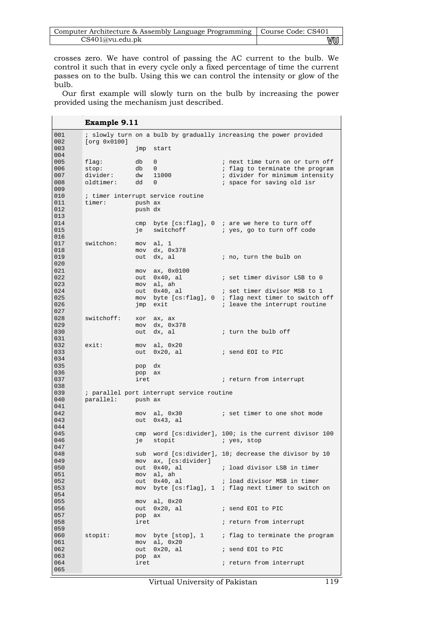| Computer Architecture & Assembly Language Programming   Course Code: CS401 |    |
|----------------------------------------------------------------------------|----|
| CS401@vu.edu.ph                                                            | wu |

crosses zero. We have control of passing the AC current to the bulb. We control it such that in every cycle only a fixed percentage of time the current passes on to the bulb. Using this we can control the intensity or glow of the bulb.

Our first example will slowly turn on the bulb by increasing the power provided using the mechanism just described.

 $\mathbf{r}$ 

|            | <b>Example 9.11</b> |            |                                           |                                                                              |
|------------|---------------------|------------|-------------------------------------------|------------------------------------------------------------------------------|
| 001        |                     |            |                                           | ; slowly turn on a bulb by gradually increasing the power provided           |
| 002        | [org 0x0100]        |            |                                           |                                                                              |
| 003        |                     | jmp        | start                                     |                                                                              |
| 004        |                     |            |                                           |                                                                              |
| 005        | $flaq$ :            | db         | $\mathbf{0}$                              | ; next time turn on or turn off                                              |
| 006<br>007 | stop:<br>divider:   | db         | $\mathbf{0}$<br>dw 11000                  | ; flag to terminate the program<br>; divider for minimum intensity           |
| 008        | oldtimer:           | dd         | $\Omega$                                  | i space for saving old isr                                                   |
| 009        |                     |            |                                           |                                                                              |
| 010        |                     |            | ; timer interrupt service routine         |                                                                              |
| 011        | timer:              | push ax    |                                           |                                                                              |
| 012        |                     | push dx    |                                           |                                                                              |
| 013        |                     |            |                                           |                                                                              |
| 014<br>015 |                     | cmp<br>je  | switchoff                                 | byte $[cs:flag]$ , 0 ; are we here to turn off<br>; yes, go to turn off code |
| 016        |                     |            |                                           |                                                                              |
| 017        | switchon:           |            | mov al, 1                                 |                                                                              |
| 018        |                     | mov        | dx, 0x378                                 |                                                                              |
| 019        |                     | out        | dx, al                                    | ; no, turn the bulb on                                                       |
| 020        |                     |            |                                           |                                                                              |
| 021        |                     |            | $mov$ ax, $0x0100$                        |                                                                              |
| 022<br>023 |                     |            | out 0x40, al<br>mov al, ah                | i set timer divisor LSB to 0                                                 |
| 024        |                     |            | out 0x40, al                              | ; set timer divisor MSB to 1                                                 |
| 025        |                     |            |                                           | mov byte [cs:flag], 0 ; flag next timer to switch off                        |
| 026        |                     | jmp        | exit                                      | ; leave the interrupt routine                                                |
| 027        |                     |            |                                           |                                                                              |
| 028        | switchoff:          | xor        | ax, ax                                    |                                                                              |
| 029        |                     |            | mov dx, 0x378                             |                                                                              |
| 030<br>031 |                     | out        | dx, al                                    | ; turn the bulb off                                                          |
| 032        | exist:              |            | mov al, 0x20                              |                                                                              |
| 033        |                     |            | out 0x20, al                              | i send EOI to PIC                                                            |
| 034        |                     |            |                                           |                                                                              |
| 035        |                     | pop dx     |                                           |                                                                              |
| 036        |                     | pop        | ax                                        |                                                                              |
| 037        |                     | iret       |                                           | ; return from interrupt                                                      |
| 038<br>039 |                     |            | ; parallel port interrupt service routine |                                                                              |
| 040        | parallel:           | push ax    |                                           |                                                                              |
| 041        |                     |            |                                           |                                                                              |
| 042        |                     |            | mov al, 0x30                              | i set timer to one shot mode                                                 |
| 043        |                     |            | out 0x43, al                              |                                                                              |
| 044        |                     |            |                                           |                                                                              |
| 045<br>046 |                     |            |                                           | cmp word [cs:divider], 100; is the current divisor 100                       |
| 047        |                     | je         | stopit                                    | ; yes, stop                                                                  |
| 048        |                     |            |                                           | sub word [cs:divider], 10; decrease the divisor by 10                        |
| 049        |                     |            | mov ax, [cs:divider]                      |                                                                              |
| 050        |                     |            | out 0x40, al                              | i load divisor LSB in timer                                                  |
| 051        |                     |            | mov al, ah                                |                                                                              |
| 052        |                     |            | out 0x40, al                              | ; load divisor MSB in timer                                                  |
| 053        |                     |            |                                           | mov byte [cs:flag], 1 ; flag next timer to switch on                         |
| 054<br>055 |                     |            | mov al, 0x20                              |                                                                              |
| 056        |                     |            | out 0x20, al                              | ; send EOI to PIC                                                            |
| 057        |                     | pop        | ax                                        |                                                                              |
| 058        |                     | iret       |                                           | ; return from interrupt                                                      |
| 059        |                     |            |                                           |                                                                              |
| 060        | stopit:             |            |                                           | mov byte [stop], 1 ; flag to terminate the program                           |
| 061        |                     |            | $mov \quad a1, 0x20$                      |                                                                              |
| 062<br>063 |                     | out<br>pop | 0x20, al<br>ax                            | ; send EOI to PIC                                                            |
| 064        |                     | iret       |                                           | ; return from interrupt                                                      |
| 065        |                     |            |                                           |                                                                              |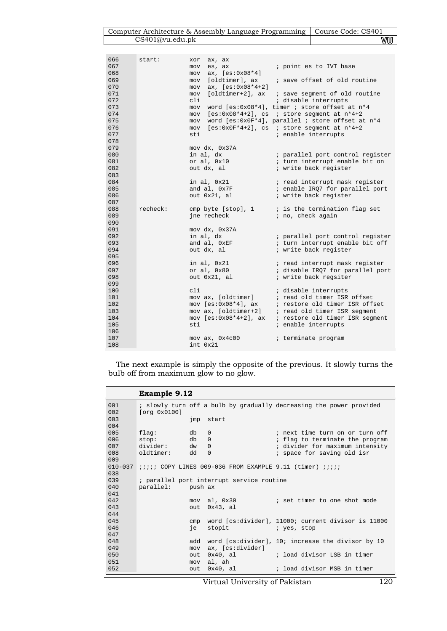| Computer Architecture & Assembly Language Programming   Course Code: CS401 |    |
|----------------------------------------------------------------------------|----|
| CS401@vu.edu.ph                                                            | V₩ |

| 066 | start:   | xor<br>ax, ax                                                                                                  |                                                                                                                                |
|-----|----------|----------------------------------------------------------------------------------------------------------------|--------------------------------------------------------------------------------------------------------------------------------|
| 067 |          | <u>a matang pa</u><br>es, ax<br>mov                                                                            | ; point es to IVT base                                                                                                         |
| 068 |          | $ax, [es:0x08*4]$<br>mov                                                                                       |                                                                                                                                |
| 069 |          | mov                                                                                                            | [oldtimer], ax ; save offset of old routine                                                                                    |
| 070 |          | $ax, [es:0x08*4+2]$<br>mov                                                                                     |                                                                                                                                |
| 071 |          | mov                                                                                                            |                                                                                                                                |
| 072 |          | cli                                                                                                            | ; disable interrupts                                                                                                           |
| 073 |          | mov                                                                                                            | word [es:0x08*4], timer ; store offset at n*4                                                                                  |
| 074 |          | mov                                                                                                            | $[es:0x08*4+2]$ , cs ; store segment at $n*4+2$                                                                                |
| 075 |          | mov                                                                                                            | word [es:0x0F*4], parallel ; store offset at n*4                                                                               |
| 076 |          |                                                                                                                | mov [es:0x0F*4+2], cs ; store segment at n*4+2                                                                                 |
| 077 |          | sti                                                                                                            | ; enable interrupts                                                                                                            |
| 078 |          |                                                                                                                |                                                                                                                                |
| 079 |          | mov dx, 0x37A                                                                                                  |                                                                                                                                |
| 080 |          | in al, dx                                                                                                      | ; parallel port control register                                                                                               |
| 081 |          | or al, $0x10$                                                                                                  | ; turn interrupt enable bit on                                                                                                 |
| 082 |          | out dx, al and the state of the state of the state of the state of the state of the state of the state of the  | ; write back register                                                                                                          |
| 083 |          |                                                                                                                |                                                                                                                                |
| 084 |          | in al, $0x21$                                                                                                  | i read interrupt mask register                                                                                                 |
| 085 |          | and al, 0x7F                                                                                                   | ; enable IRQ7 for parallel port                                                                                                |
| 086 |          | out 0x21, al                                                                                                   | ; write back register                                                                                                          |
| 087 |          |                                                                                                                |                                                                                                                                |
| 088 | recheck: |                                                                                                                | cmp byte [ $stop$ ], 1 $\qquad$ is the termination flag set                                                                    |
| 089 |          | ine recheck and the state of the state of the state of the state of the state of the state of the state of the | ; no, check again                                                                                                              |
| 090 |          |                                                                                                                |                                                                                                                                |
| 091 |          | mov dx, 0x37A                                                                                                  |                                                                                                                                |
| 092 |          | in al, dx                                                                                                      | ; parallel port control register                                                                                               |
| 093 |          | and al, 0xEF                                                                                                   | ; turn interrupt enable bit off                                                                                                |
| 094 |          | out dx, al                                                                                                     | ; write back register                                                                                                          |
| 095 |          |                                                                                                                |                                                                                                                                |
| 096 |          | in al, $0x21$                                                                                                  | ; read interrupt mask register                                                                                                 |
| 097 |          | or al, 0x80                                                                                                    | ; disable IRQ7 for parallel port                                                                                               |
| 098 |          | out 0x21, al                                                                                                   | ; write back regsiter                                                                                                          |
| 099 |          |                                                                                                                |                                                                                                                                |
| 100 |          | cli                                                                                                            | ; disable interrupts                                                                                                           |
| 101 |          |                                                                                                                | mov ax, [oldtimer]<br>$\therefore$ read old timer ISR offset<br>mov [es:0x08*4], ax<br>$\therefore$ restore old timer ISR offs |
| 102 |          |                                                                                                                | ; restore old timer ISR offset                                                                                                 |
| 103 |          | mov ax, [oldtimer+2]                                                                                           | ; read old timer ISR segment                                                                                                   |
| 104 |          | $mov [es:0x08*4+2], ax$                                                                                        | ; restore old timer ISR segment                                                                                                |
| 105 |          | sti                                                                                                            | ; enable interrupts                                                                                                            |
| 106 |          |                                                                                                                |                                                                                                                                |
| 107 |          | mov ax, 0x4c00                                                                                                 | ; terminate program                                                                                                            |
| 108 |          | int. 0x21                                                                                                      |                                                                                                                                |

The next example is simply the opposite of the previous. It slowly turns the bulb off from maximum glow to no glow.

|             | Example 9.12      |      |                                                                    |                                                                     |
|-------------|-------------------|------|--------------------------------------------------------------------|---------------------------------------------------------------------|
| 001<br>002  | [org 0x0100]      |      |                                                                    | ; slowly turn off a bulb by gradually decreasing the power provided |
| 003<br>004  |                   |      | jmp start                                                          |                                                                     |
| 005         | db d<br>flaq:     |      | $\mathbf{0}$                                                       | ; next time turn on or turn off                                     |
| 006         | stop:<br>db d     |      | $\Omega$                                                           | ; flag to terminate the program                                     |
| 007         | divider:          | dw   | $\Omega$                                                           | ; divider for maximum intensity                                     |
| 008<br>009  | oldtimer: dd      |      | $\Omega$                                                           | ; space for saving old isr                                          |
| $010 - 037$ |                   |      | $i i i i j$ COPY LINES 009-036 FROM EXAMPLE 9.11 (timer) $i i i j$ |                                                                     |
| 038         |                   |      |                                                                    |                                                                     |
| 039         |                   |      | ; parallel port interrupt service routine                          |                                                                     |
| 040         | parallel: push ax |      |                                                                    |                                                                     |
| 041         |                   |      |                                                                    |                                                                     |
| 042         |                   |      | mov al, 0x30                                                       | ; set timer to one shot mode                                        |
| 043         |                   | out. | 0x43, al                                                           |                                                                     |
| 044         |                   |      |                                                                    |                                                                     |
| 045         |                   | cmp  |                                                                    | word [cs:divider], 11000; current divisor is 11000                  |
| 046         |                   | ie   | stopit                                                             | and the stop in yes, stop                                           |
| 047         |                   |      |                                                                    |                                                                     |
| 048         |                   | bbs  |                                                                    | word [cs:divider], 10; increase the divisor by 10                   |
| 049         |                   | mov  | ax, [cs:divider]                                                   |                                                                     |
| 050         |                   | out  | 0x40, al                                                           | ; load divisor LSB in timer                                         |
| 051         |                   | mov  | al, ah                                                             |                                                                     |
| 0.52        |                   | out  | $0x40$ , al                                                        | ; load divisor MSB in timer                                         |

Virtual University of Pakistan 120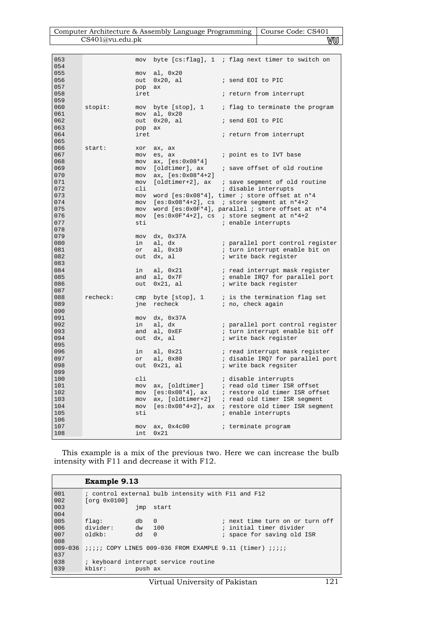| Computer Architecture & Assembly Language Programming   Course Code: CS401 |    |
|----------------------------------------------------------------------------|----|
| CS401@vu.edu.ph                                                            | wu |

| 053 |          | mov  |                                   | byte $[cs:flag]$ , 1 ; flag next timer to switch on |
|-----|----------|------|-----------------------------------|-----------------------------------------------------|
| 054 |          |      |                                   |                                                     |
| 055 |          | mov  | al, 0x20                          |                                                     |
| 056 |          | out  | $0x20$ , al                       | ; send EOI to PIC                                   |
| 057 |          | pop  | ax                                |                                                     |
| 058 |          | iret |                                   | ; return from interrupt                             |
| 059 |          |      |                                   |                                                     |
| 060 | stopit:  | mov  | byte [stop], 1                    | ; flag to terminate the program                     |
| 061 |          | mov  | al, 0x20                          |                                                     |
| 062 |          | out  | $0x20$ , al                       | ; send EOI to PIC                                   |
| 063 |          | pop  | ax                                |                                                     |
| 064 |          | iret |                                   | ; return from interrupt                             |
| 065 |          |      |                                   |                                                     |
| 066 | start:   |      |                                   |                                                     |
| 067 |          | xor  | ax, ax                            |                                                     |
|     |          | mov  | es, ax                            | ; point es to IVT base                              |
| 068 |          | mov  | ax, [es:0x08*4]                   |                                                     |
| 069 |          | mov  |                                   | [oldtimer], ax ; save offset of old routine         |
| 070 |          | mov  | $ax, [es:0x08*4+2]$               |                                                     |
| 071 |          | mov  | [oldtimer+2], ax                  | ; save segment of old routine                       |
| 072 |          | cli  |                                   | ; disable interrupts                                |
| 073 |          | mov  |                                   | word [es:0x08*4], timer ; store offset at n*4       |
| 074 |          | mov  |                                   | $[es:0x08*4+2]$ , cs ; store segment at $n*4+2$     |
| 075 |          | mov  |                                   | word [es:0x0F*4], parallel ; store offset at n*4    |
| 076 |          | mov  |                                   | $[es:0x0F*4+2]$ , cs ; store segment at $n*4+2$     |
| 077 |          | sti  |                                   | ; enable interrupts                                 |
| 078 |          |      |                                   |                                                     |
| 079 |          | mov  | dx, 0x37A                         |                                                     |
| 080 |          | in   | al, dx                            | ; parallel port control register                    |
| 081 |          | or   | al, 0x10                          | ; turn interrupt enable bit on                      |
| 082 |          | out  | dx, al                            | ; write back register                               |
| 083 |          |      |                                   |                                                     |
| 084 |          | in   | al, 0x21                          | ; read interrupt mask register                      |
| 085 |          | and  | al, Ox7F                          | ; enable IRQ7 for parallel port                     |
| 086 |          | out  | $0x21$ , al                       | ; write back register                               |
| 087 |          |      |                                   |                                                     |
| 088 | recheck: | cmp  |                                   | byte $[stop]$ , 1 ; is the termination flag set     |
| 089 |          | jne  | recheck                           | ; no, check again                                   |
| 090 |          |      |                                   |                                                     |
| 091 |          | mov  | dx, 0x37A                         |                                                     |
| 092 |          | in   | al, dx                            | ; parallel port control register                    |
| 093 |          | and  | al, OxEF                          | ; turn interrupt enable bit off                     |
| 094 |          | out  | dx, al                            | ; write back register                               |
| 095 |          |      |                                   |                                                     |
| 096 |          | in   | al, 0x21                          | ; read interrupt mask register                      |
| 097 |          | or   | al, 0x80                          | ; disable IRQ7 for parallel port                    |
| 098 |          | out  | $0x21$ , al                       | ; write back regsiter                               |
| 099 |          |      |                                   |                                                     |
| 100 |          | cli  |                                   | ; disable interrupts                                |
| 101 |          | mov  |                                   | ; read old timer ISR offset                         |
| 102 |          | mov  | ax, [oldtimer]<br>[es:0x08*4], ax | ; restore old timer ISR offset                      |
| 103 |          | mov  |                                   | ax, [oldtimer+2] ; read old timer ISR segment       |
| 104 |          | mov  |                                   | [es:0x08*4+2], ax ; restore old timer ISR segment   |
| 105 |          | sti  |                                   | ; enable interrupts                                 |
| 106 |          |      |                                   |                                                     |
| 107 |          | mov  | ax, 0x4c00                        | ; terminate program                                 |
| 108 |          | int  | 0x21                              |                                                     |
|     |          |      |                                   |                                                     |

This example is a mix of the previous two. Here we can increase the bulb intensity with F11 and decrease it with F12.

|             | Example 9.13                                       |         |                                                                       |                                 |  |  |
|-------------|----------------------------------------------------|---------|-----------------------------------------------------------------------|---------------------------------|--|--|
| 001         | ; control external bulb intensity with F11 and F12 |         |                                                                       |                                 |  |  |
| $002$       | [org 0x0100]                                       |         |                                                                       |                                 |  |  |
| 003         |                                                    | jmp     | start                                                                 |                                 |  |  |
| 004         |                                                    |         |                                                                       |                                 |  |  |
| 005         | flag:                                              | db      | $\Omega$                                                              | ; next time turn on or turn off |  |  |
| 006         | divider:                                           | dw      | 100                                                                   | ; initial timer divider         |  |  |
| 007         | 01dk                                               | hb      | $\Omega$                                                              | ; space for saving old ISR      |  |  |
| 008         |                                                    |         |                                                                       |                                 |  |  |
| $009 - 036$ |                                                    |         | <i>iiiii</i> COPY LINES 009-036 FROM EXAMPLE 9.11 (timer) <i>iiii</i> |                                 |  |  |
| 037         |                                                    |         |                                                                       |                                 |  |  |
| 038         |                                                    |         | ; keyboard interrupt service routine                                  |                                 |  |  |
| 039         | kbisr:                                             | push ax |                                                                       |                                 |  |  |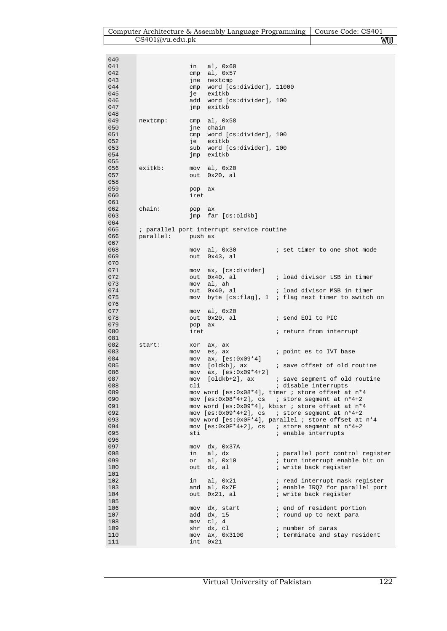| Computer Architecture & Assembly Language Programming   Course Code: CS401 |    |
|----------------------------------------------------------------------------|----|
| CS401@vu.edu.ph                                                            | vu |

| 040        |                   |            |                                           |                                                                                                                 |
|------------|-------------------|------------|-------------------------------------------|-----------------------------------------------------------------------------------------------------------------|
| 041        |                   | in         | al, 0x60                                  |                                                                                                                 |
| 042<br>043 |                   | cmp<br>jne | al, 0x57<br>nextcmp                       |                                                                                                                 |
| 044        |                   | cmp        | word [cs:divider], 11000                  |                                                                                                                 |
| 045        |                   | je         | exitkb                                    |                                                                                                                 |
| 046        |                   |            | add word [cs:divider], 100                |                                                                                                                 |
| 047<br>048 |                   | jmp        | exitkb                                    |                                                                                                                 |
| 049        | nextcmp:          | cmp        | al, 0x58                                  |                                                                                                                 |
| 050        |                   |            | jne chain                                 |                                                                                                                 |
| 051        |                   |            | cmp word [cs:divider], 100                |                                                                                                                 |
| 052<br>053 |                   | je         | exitkb<br>sub word [cs:divider], 100      |                                                                                                                 |
| 054        |                   | jmp        | exitkb                                    |                                                                                                                 |
| 055        |                   |            |                                           |                                                                                                                 |
| 056        | exitkb:           | mov        | al, 0x20                                  |                                                                                                                 |
| 057<br>058 |                   | out        | $0x20$ , al                               |                                                                                                                 |
| 059        |                   | pop        | ax                                        |                                                                                                                 |
| 060        |                   | iret       |                                           |                                                                                                                 |
| 061        |                   |            |                                           |                                                                                                                 |
| 062<br>063 | chain:            | pop        | ax<br>jmp far [cs:oldkb]                  |                                                                                                                 |
| 064        |                   |            |                                           |                                                                                                                 |
| 065        |                   |            | ; parallel port interrupt service routine |                                                                                                                 |
| 066        | parallel: push ax |            |                                           |                                                                                                                 |
| 067<br>068 |                   | mov        | al, 0x30                                  | ; set timer to one shot mode                                                                                    |
| 069        |                   | out        | $0x43$ , al                               |                                                                                                                 |
| 070        |                   |            |                                           |                                                                                                                 |
| 071<br>072 |                   |            | mov ax, [cs:divider]                      | ; load divisor LSB in timer                                                                                     |
| 073        |                   |            | out 0x40, al<br>mov al, ah                |                                                                                                                 |
| 074        |                   | out        | 0x40, al                                  | ; load divisor MSB in timer                                                                                     |
| 075        |                   | mov        |                                           | byte $[cs:flag]$ , 1 ; flag next timer to switch on                                                             |
| 076<br>077 |                   |            | al, 0x20                                  |                                                                                                                 |
| 078        |                   | mov<br>out | $0x20$ , al                               | ; send EOI to PIC                                                                                               |
| 079        |                   | pop        | ax                                        |                                                                                                                 |
| 080        |                   | iret       |                                           | ; return from interrupt                                                                                         |
| 081<br>082 | start:            | xor        |                                           |                                                                                                                 |
| 083        |                   | mov        | ax, ax<br>es, ax                          | ; point es to IVT base                                                                                          |
| 084        |                   | mov        | $ax, [es:0x09*4]$                         |                                                                                                                 |
| 085        |                   | mov        | [oldkb], ax                               | ; save offset of old routine                                                                                    |
| 086<br>087 |                   | mov<br>mov | ax, $[es:0x09*4+2]$<br>$[oldkb+2]$ , ax   | ; save segment of old routine                                                                                   |
| 088        |                   | cli        |                                           | ; disable interrupts                                                                                            |
| 089        |                   |            |                                           | mov word [es:0x08*4], timer ; store offset at n*4                                                               |
| 090<br>091 |                   |            |                                           | mov $[es:0x08*4+2]$ , cs <i>i</i> store segment at $n*4+2$<br>mov word [es:0x09*4], kbisr ; store offset at n*4 |
| 092        |                   |            |                                           | mov $[es:0x09*4+2]$ , cs <i>i</i> store seqment at $n*4+2$                                                      |
| 093        |                   |            |                                           | mov word [es:0x0F*4], parallel ; store offset at n*4                                                            |
| 094        |                   |            |                                           | mov [es:0x0F*4+2], cs ; store segment at n*4+2                                                                  |
| 095<br>096 |                   | sti        |                                           | ; enable interrupts                                                                                             |
| 097        |                   | mov        | dx, 0x37A                                 |                                                                                                                 |
| 098        |                   | in         | al, dx                                    | ; parallel port control register                                                                                |
| 099<br>100 |                   | or<br>out  | al, 0x10<br>dx, al                        | ; turn interrupt enable bit on<br>; write back register                                                         |
| 101        |                   |            |                                           |                                                                                                                 |
| 102        |                   | in         | al, 0x21                                  | ; read interrupt mask register                                                                                  |
| 103        |                   | and        | al, Ox7F                                  | ; enable IRQ7 for parallel port                                                                                 |
| 104<br>105 |                   | out        | $0x21$ , al                               | ; write back register                                                                                           |
| 106        |                   | mov        | dx, start                                 | ; end of resident portion                                                                                       |
| 107        |                   | add        | dx, 15                                    | ; round up to next para                                                                                         |
| 108<br>109 |                   | mov<br>shr | cl, $4$<br>$dx$ , $c1$                    |                                                                                                                 |
| 110        |                   | mov        | ax, 0x3100                                | ; number of paras<br>; terminate and stay resident                                                              |
| 111        |                   | int        | 0x21                                      |                                                                                                                 |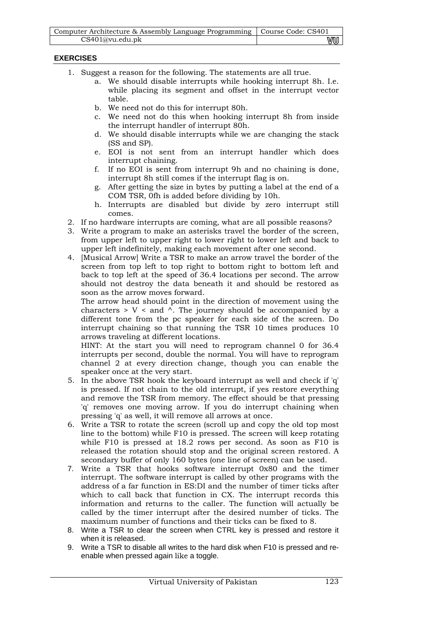| Computer Architecture & Assembly Language Programming   Course Code: CS401 |    |
|----------------------------------------------------------------------------|----|
| CS401@vu.edu.pdf                                                           | vu |

# **EXERCISES**

- 1. Suggest a reason for the following. The statements are all true.
	- a. We should disable interrupts while hooking interrupt 8h. I.e. while placing its segment and offset in the interrupt vector table.
	- b. We need not do this for interrupt 80h.
	- c. We need not do this when hooking interrupt 8h from inside the interrupt handler of interrupt 80h.
	- d. We should disable interrupts while we are changing the stack (SS and SP).
	- e. EOI is not sent from an interrupt handler which does interrupt chaining.
	- f. If no EOI is sent from interrupt 9h and no chaining is done, interrupt 8h still comes if the interrupt flag is on.
	- g. After getting the size in bytes by putting a label at the end of a COM TSR, 0fh is added before dividing by 10h.
	- h. Interrupts are disabled but divide by zero interrupt still comes.
- 2. If no hardware interrupts are coming, what are all possible reasons?
- 3. Write a program to make an asterisks travel the border of the screen, from upper left to upper right to lower right to lower left and back to upper left indefinitely, making each movement after one second.
- 4. [Musical Arrow] Write a TSR to make an arrow travel the border of the screen from top left to top right to bottom right to bottom left and back to top left at the speed of 36.4 locations per second. The arrow should not destroy the data beneath it and should be restored as soon as the arrow moves forward.

The arrow head should point in the direction of movement using the characters  $> V <$  and  $\wedge$ . The journey should be accompanied by a different tone from the pc speaker for each side of the screen. Do interrupt chaining so that running the TSR 10 times produces 10 arrows traveling at different locations.

HINT: At the start you will need to reprogram channel 0 for 36.4 interrupts per second, double the normal. You will have to reprogram channel 2 at every direction change, though you can enable the speaker once at the very start.

- 5. In the above TSR hook the keyboard interrupt as well and check if 'q' is pressed. If not chain to the old interrupt, if yes restore everything and remove the TSR from memory. The effect should be that pressing 'q' removes one moving arrow. If you do interrupt chaining when pressing 'q' as well, it will remove all arrows at once.
- 6. Write a TSR to rotate the screen (scroll up and copy the old top most line to the bottom) while F10 is pressed. The screen will keep rotating while F10 is pressed at 18.2 rows per second. As soon as F10 is released the rotation should stop and the original screen restored. A secondary buffer of only 160 bytes (one line of screen) can be used.
- 7. Write a TSR that hooks software interrupt 0x80 and the timer interrupt. The software interrupt is called by other programs with the address of a far function in ES:DI and the number of timer ticks after which to call back that function in CX. The interrupt records this information and returns to the caller. The function will actually be called by the timer interrupt after the desired number of ticks. The maximum number of functions and their ticks can be fixed to 8.
- 8. Write a TSR to clear the screen when CTRL key is pressed and restore it when it is released.
- 9. Write a TSR to disable all writes to the hard disk when F10 is pressed and reenable when pressed again like a toggle.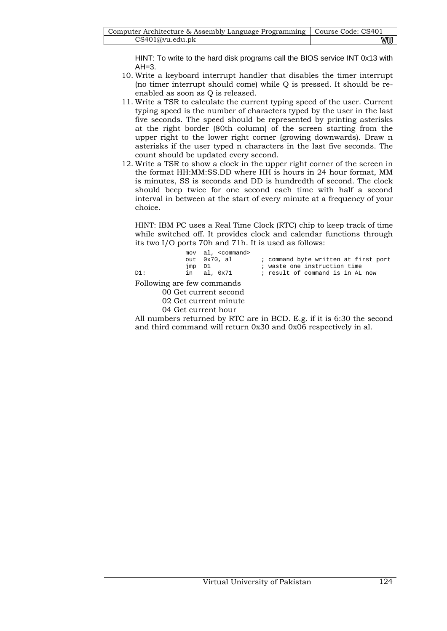HINT: To write to the hard disk programs call the BIOS service INT 0x13 with  $AH=3$ .

- 10. Write a keyboard interrupt handler that disables the timer interrupt (no timer interrupt should come) while Q is pressed. It should be reenabled as soon as Q is released.
- 11. Write a TSR to calculate the current typing speed of the user. Current typing speed is the number of characters typed by the user in the last five seconds. The speed should be represented by printing asterisks at the right border (80th column) of the screen starting from the upper right to the lower right corner (growing downwards). Draw n asterisks if the user typed n characters in the last five seconds. The count should be updated every second.
- 12. Write a TSR to show a clock in the upper right corner of the screen in the format HH:MM:SS.DD where HH is hours in 24 hour format, MM is minutes, SS is seconds and DD is hundredth of second. The clock should beep twice for one second each time with half a second interval in between at the start of every minute at a frequency of your choice.

HINT: IBM PC uses a Real Time Clock (RTC) chip to keep track of time while switched off. It provides clock and calendar functions through its two I/O ports 70h and 71h. It is used as follows:

| D1:                                 | imp D1 | mov al, <command/><br>out 0x70, al<br>in al. 0x71 | ; command byte written at first port<br>; waste one instruction time<br>; result of command is in AL now |
|-------------------------------------|--------|---------------------------------------------------|----------------------------------------------------------------------------------------------------------|
| $E_2$ llamina a ana fam aanamaanada |        |                                                   |                                                                                                          |

Following are few commands

00 Get current second

02 Get current minute

04 Get current hour

All numbers returned by RTC are in BCD. E.g. if it is 6:30 the second and third command will return 0x30 and 0x06 respectively in al.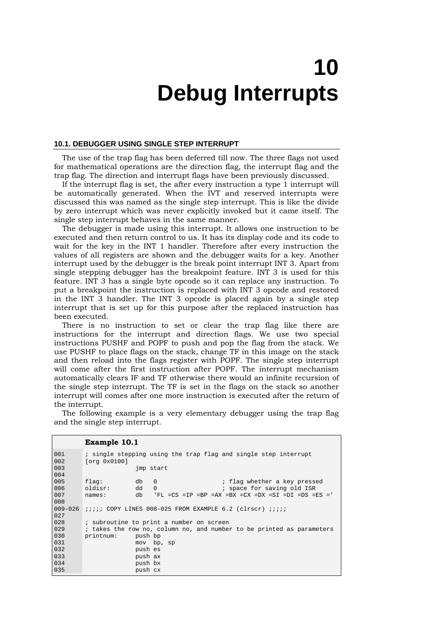# **10 Debug Interrupts**

#### **10.1. DEBUGGER USING SINGLE STEP INTERRUPT**

The use of the trap flag has been deferred till now. The three flags not used for mathematical operations are the direction flag, the interrupt flag and the trap flag. The direction and interrupt flags have been previously discussed.

If the interrupt flag is set, the after every instruction a type 1 interrupt will be automatically generated. When the IVT and reserved interrupts were discussed this was named as the single step interrupt. This is like the divide by zero interrupt which was never explicitly invoked but it came itself. The single step interrupt behaves in the same manner.

The debugger is made using this interrupt. It allows one instruction to be executed and then return control to us. It has its display code and its code to wait for the key in the INT 1 handler. Therefore after every instruction the values of all registers are shown and the debugger waits for a key. Another interrupt used by the debugger is the break point interrupt INT 3. Apart from single stepping debugger has the breakpoint feature. INT 3 is used for this feature. INT 3 has a single byte opcode so it can replace any instruction. To put a breakpoint the instruction is replaced with INT 3 opcode and restored in the INT 3 handler. The INT 3 opcode is placed again by a single step interrupt that is set up for this purpose after the replaced instruction has been executed.

There is no instruction to set or clear the trap flag like there are instructions for the interrupt and direction flags. We use two special instructions PUSHF and POPF to push and pop the flag from the stack. We use PUSHF to place flags on the stack, change TF in this image on the stack and then reload into the flags register with POPF. The single step interrupt will come after the first instruction after POPF. The interrupt mechanism automatically clears IF and TF otherwise there would an infinite recursion of the single step interrupt. The TF is set in the flags on the stack so another interrupt will comes after one more instruction is executed after the return of the interrupt.

|             | Example 10.1                                                                 |
|-------------|------------------------------------------------------------------------------|
| 001         | ; single stepping using the trap flag and single step interrupt              |
| 002         | [org 0x0100]                                                                 |
| 003         | imp start                                                                    |
| 004         |                                                                              |
| 005         | $\Omega$<br>flaq:<br>db<br>; flag whether a key pressed                      |
| 006         | dd<br>oldisr:<br>; space for saving old ISR<br>$\Omega$                      |
| 007         | db<br>$'FL = CS = IP = BP = AX =BX = CX =DX = SI =DI =DS = ES = '$<br>names: |
| 008         |                                                                              |
| $009 - 026$ | <i>iiiii</i> COPY LINES 008-025 FROM EXAMPLE 6.2 (clrscr) <i>iiii</i>        |
| 027         |                                                                              |
| 028         | ; subroutine to print a number on screen                                     |
| 029         | ; takes the row no, column no, and number to be printed as parameters        |
| 030         | printnum:<br>push bp                                                         |
| 031         | mov bp, sp                                                                   |
| 032         | push es                                                                      |
| 033         | push ax                                                                      |
| 034         | push bx                                                                      |
| 035         | push cx                                                                      |

The following example is a very elementary debugger using the trap flag and the single step interrupt.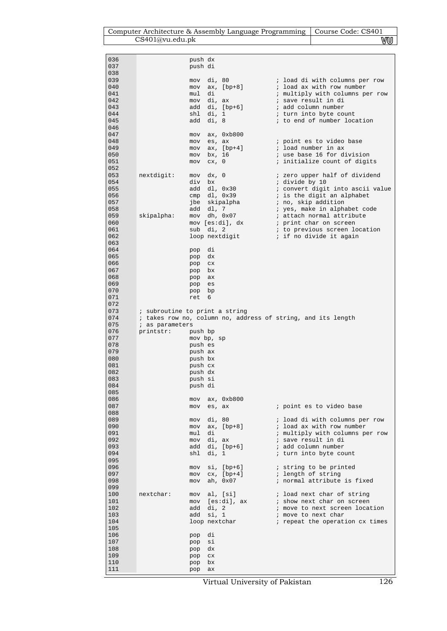# Computer Architecture & Assembly Language Programming Course Code: CS401 CS401@vu.edu.pk WU CS401@vu.edu.pk

| 036        |                                | push dx    |                        |                                                              |
|------------|--------------------------------|------------|------------------------|--------------------------------------------------------------|
| 037        |                                | push di    |                        |                                                              |
| 038        |                                |            |                        |                                                              |
| 039        |                                | mov        | di, 80                 | ; load di with columns per row                               |
| 040        |                                | mov        | ax, [bp+8]             | ; load ax with row number                                    |
| 041        |                                | mul        | di                     | ; multiply with columns per row                              |
| 042        |                                |            | mov di, ax             | ; save result in di                                          |
| 043        |                                |            | add di, [bp+6]         | ; add column number                                          |
| 044        |                                |            | shl di, 1              | ; turn into byte count                                       |
| 045        |                                |            | add di, 8              | ; to end of number location                                  |
| 046        |                                |            |                        |                                                              |
| 047        |                                | mov        | ax, 0xb800             |                                                              |
| 048        |                                | mov        | es, ax                 | ; point es to video base                                     |
| 049        |                                | mov        | $ax, [bp+4]$           | ; load number in ax                                          |
| 050        |                                | mov        | bx, 16                 | ; use base 16 for division                                   |
| 051        |                                | mov        | cx, 0                  | ; initialize count of digits                                 |
| 052        |                                |            |                        |                                                              |
| 053        | nextdigit:                     | mov        | dx, 0                  | ; zero upper half of dividend                                |
| 054        |                                | div bx     |                        | ; divide by 10                                               |
| 055        |                                |            | add dl, 0x30           | ; convert digit into ascii value                             |
| 056        |                                |            | $cmp$ $dl$ , $0x39$    | ; is the digit an alphabet                                   |
| 057        |                                |            | jbe skipalpha          | ; no, skip addition                                          |
| 058        |                                |            | add dl, 7              | ; yes, make in alphabet code                                 |
| 059        | skipalpha:                     |            | mov dh, 0x07           | ; attach normal attribute                                    |
| 060        |                                |            | mov [es:di], dx        | ; print char on screen                                       |
| 061        |                                |            | sub di, 2              | ; to previous screen location                                |
| 062        |                                |            | loop nextdigit         | i if no divide it again                                      |
| 063        |                                |            |                        |                                                              |
| 064        |                                | pop        | di                     |                                                              |
| 065        |                                | pop        | dx                     |                                                              |
| 066        |                                | pop        | C X                    |                                                              |
| 067        |                                | pop bx     |                        |                                                              |
| 068        |                                | pop ax     |                        |                                                              |
| 069        |                                | pop        | es                     |                                                              |
| 070        |                                | pop        | bp                     |                                                              |
| 071        |                                | ret        | 6                      |                                                              |
| 072        |                                |            |                        |                                                              |
| 073        | ; subroutine to print a string |            |                        |                                                              |
|            |                                |            |                        |                                                              |
| 074        |                                |            |                        | ; takes row no, column no, address of string, and its length |
| 075        | ; as parameters                |            |                        |                                                              |
| 076        | printstr:                      | push bp    |                        |                                                              |
| 077        |                                |            | mov bp, sp             |                                                              |
| 078        |                                | push es    |                        |                                                              |
| 079        |                                | push ax    |                        |                                                              |
| 080        |                                | push bx    |                        |                                                              |
| 081        |                                | push cx    |                        |                                                              |
| 082        |                                | push dx    |                        |                                                              |
| 083        |                                | push si    |                        |                                                              |
| 084        |                                | push di    |                        |                                                              |
| 085        |                                |            |                        |                                                              |
| 086        |                                | mov        | ax, 0xb800             |                                                              |
| 087        |                                | mov        | es, ax                 | ; point es to video base                                     |
| 088<br>089 |                                |            |                        |                                                              |
| 090        |                                | mov<br>mov | di, 80<br>$ax, [bp+8]$ | ; load di with columns per row<br>; load ax with row number  |
| 091        |                                | mul        | di                     | ; multiply with columns per row                              |
| 092        |                                |            | mov di, ax             | ; save result in di                                          |
| 093        |                                |            | add di, [bp+6]         | ; add column number                                          |
| 094        |                                | shl        | di, 1                  | ; turn into byte count                                       |
| 095        |                                |            |                        |                                                              |
| 096        |                                | mov        | $si$ , [ $bp+6$ ]      | ; string to be printed                                       |
| 097        |                                |            | $mov$ $cx$ , $[bp+4]$  | ; length of string                                           |
| 098        |                                | mov        | ah, 0x07               | ; normal attribute is fixed                                  |
| 099        |                                |            |                        |                                                              |
| 100        | nextchar:                      | mov        | al, [si]               | ; load next char of string                                   |
| 101        |                                |            | mov [es:di], ax        | ; show next char on screen                                   |
| 102        |                                | add        | di, 2                  | ; move to next screen location                               |
| 103        |                                | add        | si, 1                  | ; move to next char                                          |
| 104        |                                |            | loop nextchar          | ; repeat the operation cx times                              |
| 105        |                                |            |                        |                                                              |
| 106        |                                | pop        | di                     |                                                              |
| 107        |                                | pop        | si                     |                                                              |
| 108        |                                | pop        | dx                     |                                                              |
| 109        |                                | pop        | ${\rm cx}$             |                                                              |
| 110        |                                | pop        | bx                     |                                                              |
| 111        |                                | pop        | ax                     |                                                              |

Virtual University of Pakistan 126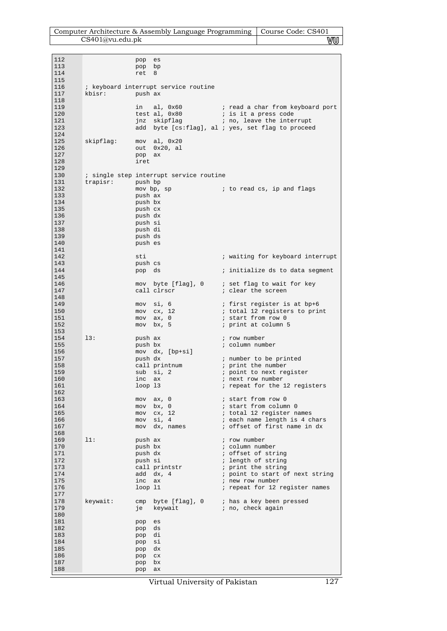| Computer Architecture & Assembly Language Programming   Course Code: CS401 |     |
|----------------------------------------------------------------------------|-----|
| CS401@vu.edu.pdf                                                           | vuu |

| 112        |           | pop                 | es                                      |                                                                                                 |
|------------|-----------|---------------------|-----------------------------------------|-------------------------------------------------------------------------------------------------|
| 113<br>114 |           | pop bp<br>ret       | 8                                       |                                                                                                 |
| 115        |           |                     |                                         |                                                                                                 |
| 116        |           |                     | ; keyboard interrupt service routine    |                                                                                                 |
| 117<br>118 | kbisr:    | push ax             |                                         |                                                                                                 |
| 119        |           | in                  | al, 0x60                                | i read a char from keyboard port                                                                |
| 120        |           |                     | test al, 0x80                           | ; is it a press code                                                                            |
| 121<br>123 |           |                     |                                         | jnz skipflag (a) i no, leave the interrupt<br>add byte [cs:flag], al ; yes, set flag to proceed |
| 124        |           |                     |                                         |                                                                                                 |
| 125        | skipflag: |                     | mov al, 0x20                            |                                                                                                 |
| 126        |           | out                 | 0x20, al                                |                                                                                                 |
| 127<br>128 |           | pop<br>iret         | ax                                      |                                                                                                 |
| 129        |           |                     |                                         |                                                                                                 |
| 130        |           |                     | ; single step interrupt service routine |                                                                                                 |
| 131<br>132 | trapisr:  | push bp             | mov bp, sp                              | to read cs, ip and flags (                                                                      |
| 133        |           | push ax             |                                         |                                                                                                 |
| 134        |           | push bx             |                                         |                                                                                                 |
| 135<br>136 |           | push cx<br>push dx  |                                         |                                                                                                 |
| 137        |           | push si             |                                         |                                                                                                 |
| 138        |           | push di             |                                         |                                                                                                 |
| 139<br>140 |           | push ds             |                                         |                                                                                                 |
| 141        |           | push es             |                                         |                                                                                                 |
| 142        |           | sti                 |                                         | ; waiting for keyboard interrupt                                                                |
| 143        |           | push cs             |                                         |                                                                                                 |
| 144<br>145 |           | pop ds              |                                         | ; initialize ds to data segment                                                                 |
| 146        |           |                     | mov byte [flag], 0                      | ; set flag to wait for key                                                                      |
| 147        |           |                     | call clrscr                             | ; clear the screen                                                                              |
| 148<br>149 |           |                     | mov si, 6                               | ; first register is at bp+6                                                                     |
| 150        |           | mov                 | cx, 12                                  | ; total 12 registers to print                                                                   |
| 151        |           | mov                 | ax, 0                                   | ; start from row 0                                                                              |
| 152<br>153 |           | mov                 | bx, 5                                   | ; print at column 5                                                                             |
| 154        | 13:       | push ax             |                                         | ; row number                                                                                    |
| 155        |           | push bx             |                                         | ; column number                                                                                 |
| 156<br>157 |           | push dx             | mov dx, [bp+si]                         | ; number to be printed                                                                          |
| 158        |           |                     | call printnum                           | ; print the number                                                                              |
| 159        |           |                     | sub si, 2                               | ; point to next register                                                                        |
| 160<br>161 |           | inc ax<br>$loop$ 13 |                                         | ; next row number<br>; repeat for the 12 registers                                              |
| 162        |           |                     |                                         |                                                                                                 |
| 163        |           | mov                 | ax, 0                                   | ; start from row 0                                                                              |
| 164<br>165 |           | mov<br>mov          | bx, 0<br>cx, 12                         | ; start from column 0<br>; total 12 register names                                              |
| 166        |           | mov                 | si, 4                                   | ; each name length is 4 chars                                                                   |
| 167        |           | mov                 | dx, names                               | ; offset of first name in dx                                                                    |
| 168<br>169 | 11:       | push ax             |                                         | ; row number                                                                                    |
| 170        |           | push bx             |                                         | ; column number                                                                                 |
| 171        |           | push dx             |                                         | ; offset of string                                                                              |
| 172<br>173 |           | push si             |                                         | ; length of string<br>; print the string                                                        |
| 174        |           |                     | call printstr<br>add dx, 4              | ; point to start of next string                                                                 |
| 175        |           | inc ax              |                                         | ; new row number                                                                                |
| 176<br>177 |           | $loop$ $11$         |                                         | ; repeat for 12 register names                                                                  |
| 178        | keywait:  |                     | cmp byte [flag], 0                      | ; has a key been pressed                                                                        |
| 179        |           | je                  | keywait                                 | ; no, check again                                                                               |
| 180        |           |                     |                                         |                                                                                                 |
| 181<br>182 |           | pop<br>pop          | es<br>ds                                |                                                                                                 |
| 183        |           | pop                 | di                                      |                                                                                                 |
| 184        |           | pop                 | si                                      |                                                                                                 |
| 185<br>186 |           | pop<br>pop          | dx<br>$_{\rm CX}$                       |                                                                                                 |
| 187        |           | pop                 | bx                                      |                                                                                                 |
| 188        |           | pop                 | ax                                      |                                                                                                 |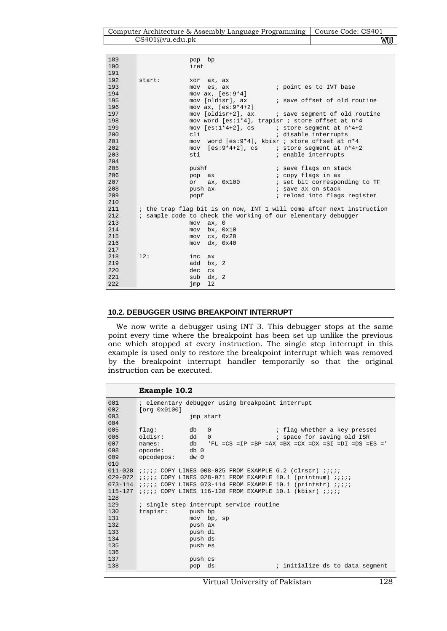Computer Architecture & Assembly Language Programming | Course Code: CS401 CS401@vu.edu.pk WU

| 189<br>190<br>191 |        | pop bp<br>iret                                                                |
|-------------------|--------|-------------------------------------------------------------------------------|
| 192<br>193<br>194 | start: | ax, ax<br>xor<br>; point es to IVT base<br>mov es, ax<br>mov $ax, [es:9*4]$   |
| 195               |        | mov [oldisr], ax ; save offset of old routine                                 |
| 196<br>197        |        | mov $ax, [es:9*4+2]$<br>mov [oldisr+2], ax ; save segment of old routine      |
| 198               |        | mov word [es:1*4], trapisr ; store offset at n*4                              |
| 199               |        | mov $[es:1*4+2]$ , cs<br>; store seqment at $n*4+2$                           |
| 200               |        | cli<br>; disable interrupts                                                   |
| 201               |        | mov word [es:9*4], kbisr ; store offset at n*4                                |
| 202               |        | mov $[es:9*4+2]$ , cs $\qquad$ i store segment at $n*4+2$                     |
| 203               |        | ; enable interrupts<br>sti                                                    |
| 204               |        |                                                                               |
| 205<br>206        |        | pushf<br>; save flags on stack                                                |
| 207               |        | ; copy flags in ax<br>pop ax<br>ax, 0x100 ; set bit corresponding to TF<br>or |
| 208               |        | ; save ax on stack<br>push ax                                                 |
| 209               |        | ; reload into flags register<br>popf                                          |
| 210               |        |                                                                               |
| 211               |        | ; the trap flag bit is on now, INT 1 will come after next instruction         |
| 212               |        | ; sample code to check the working of our elementary debugger                 |
| 213               |        | $mov$ $ax, 0$                                                                 |
| 214               |        | bx, 0x10<br>mov                                                               |
| 215               |        | cx, 0x20<br>mov                                                               |
| 216               |        | mov dx, 0x40                                                                  |
| 217               |        |                                                                               |
| 218               | 12:    | inc<br>ax                                                                     |
| 219               |        | add<br>bx, 2                                                                  |
| 220               |        | dec<br>CX.                                                                    |
| 221               |        | dx, 2<br>sub                                                                  |
| 222               |        | 12<br>jmp                                                                     |

### **10.2. DEBUGGER USING BREAKPOINT INTERRUPT**

è

We now write a debugger using INT 3. This debugger stops at the same point every time where the breakpoint has been set up unlike the previous one which stopped at every instruction. The single step interrupt in this example is used only to restore the breakpoint interrupt which was removed by the breakpoint interrupt handler temporarily so that the original instruction can be executed.

|             | <b>Example 10.2</b>                                                           |
|-------------|-------------------------------------------------------------------------------|
| 001         | : elementary debugger using breakpoint interrupt                              |
| 002         | [org 0x0100]                                                                  |
| 003         | jmp start                                                                     |
| 004         |                                                                               |
| 005         | db<br>$\Omega$<br>; flag whether a key pressed<br>flag:                       |
| 006         | oldisr:<br>; space for saving old ISR<br>dd<br>$\Omega$                       |
| 007         | $'FL = CS = IP = BP =AX = BX = CX = DX = SI =DI =DS = ES = '$<br>db<br>names: |
| 008         | opcode:<br>db 0                                                               |
| 009         | opcodepos:<br>$dw$ 0                                                          |
| 010         |                                                                               |
| $011 - 028$ | <i>iiiii</i> COPY LINES 008-025 FROM EXAMPLE 6.2 (clrscr) <i>iiii</i>         |
| $029 - 072$ | <i>iiiii</i> COPY LINES 028-071 FROM EXAMPLE 10.1 (printnum) <i>iiii</i>      |
|             | 073-114 $\;$ ;;;; COPY LINES 073-114 FROM EXAMPLE 10.1 (printstr) ;;;;;       |
| $115 - 127$ | <i>iiiii</i> COPY LINES 116-128 FROM EXAMPLE 10.1 (kbisr) <i>iiii</i>         |
| 128         |                                                                               |
| 129         | ; single step interrupt service routine                                       |
| 130         | trapisr:<br>push bp                                                           |
| 131         | mov bp, sp                                                                    |
| 132         | push ax                                                                       |
| 133         | push di                                                                       |
| 134         | push ds                                                                       |
| 135         | push es                                                                       |
| 136         |                                                                               |
| 137         | push cs                                                                       |
| 138         | ds<br>; initialize ds to data segment<br>pop                                  |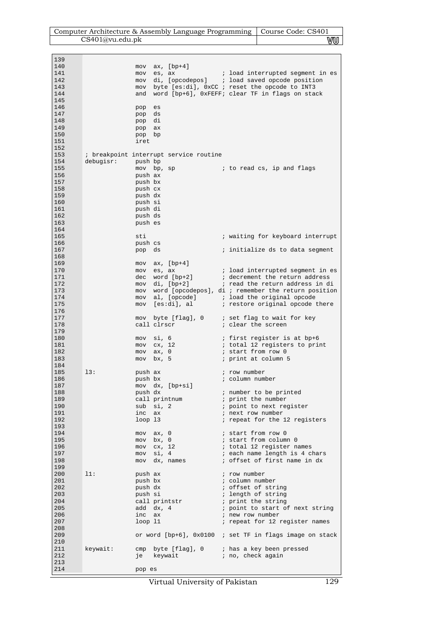| Computer Architecture & Assembly Language Programming   Course Code: CS401 |    |
|----------------------------------------------------------------------------|----|
| CS401@vu.edu.pk                                                            | vu |

| 139<br>140<br>141<br>142<br>143<br>144<br>145               | mov<br>mov         | ax, $[bp+4]$<br>es, ax                                                                                  | ; load interrupted segment in es<br>mov di, [opcodepos] ; load saved opcode position<br>mov byte [es:di], 0xCC ; reset the opcode to INT3<br>and word [bp+6], 0xFEFF; clear TF in flags on stack                                                                                                         |
|-------------------------------------------------------------|--------------------|---------------------------------------------------------------------------------------------------------|----------------------------------------------------------------------------------------------------------------------------------------------------------------------------------------------------------------------------------------------------------------------------------------------------------|
| 146<br>147<br>148<br>149<br>150<br>151<br>152               | pop<br>pop<br>iret | es<br>ds<br>pop di<br>pop ax<br>pop bp                                                                  |                                                                                                                                                                                                                                                                                                          |
| 153<br>154<br>155<br>156<br>157<br>158                      | debugisr:          | ; breakpoint interrupt service routine<br>push bp<br>push ax<br>push bx<br>push cx                      | mov bp, sp and i to read cs, ip and flags                                                                                                                                                                                                                                                                |
| 159<br>160<br>161<br>162<br>163<br>164                      |                    | push dx<br>push si<br>push di<br>push ds<br>push es                                                     |                                                                                                                                                                                                                                                                                                          |
| 165<br>166<br>167<br>168                                    | sti<br>pop         | push cs<br>ds                                                                                           | ; waiting for keyboard interrupt<br>; initialize ds to data segment                                                                                                                                                                                                                                      |
| 169<br>170<br>171<br>172<br>173<br>174<br>175               | mov<br>mov         | ax, [bp+4]<br>mov es, ax                                                                                | ; load interrupted segment in es<br>dec word $[bp+2]$ ; decrement the return address<br>mov di, $[bp+2]$ ; read the return address in di<br>mov word [opcodepos], di ; remember the return position<br>mov al, [opcode] $\qquad$ ; load the original opcode<br>[es:di], al (estore original opcode there |
| 176<br>177<br>178<br>179                                    |                    | call clrscr                                                                                             | mov byte [flag], 0 ; set flag to wait for key<br>; clear the screen                                                                                                                                                                                                                                      |
| 180<br>181<br>182<br>183<br>184                             | mov                | mov si, 6<br>$mov$ $cx$ , 12<br>$mov$ $ax, 0$<br>bx, 5                                                  | ; first register is at bp+6<br>; total 12 registers to print<br>; start from row 0<br>; print at column 5                                                                                                                                                                                                |
| 185<br>186<br>187<br>188<br>189<br>190<br>191<br>192        | 13:                | push ax<br>push bx<br>mov dx, [bp+si]<br>push dx<br>call printnum<br>sub si, 2<br>inc ax<br>$loop$ $13$ | ; row number<br>; column number<br>; number to be printed<br>; print the number<br>; point to next register<br>; next row number<br>; repeat for the 12 registers                                                                                                                                        |
| 193<br>194<br>195<br>196<br>197<br>198<br>199               |                    | mov ax, 0<br>mov bx, 0<br>$mov$ $cx, 12$<br>mov si, 4<br>mov dx, names                                  | ; start from row 0<br>; start from column 0<br>; total 12 register names<br>; each name length is 4 chars<br>; offset of first name in dx                                                                                                                                                                |
| 200<br>201<br>202<br>203<br>204<br>205<br>206<br>207<br>208 | 11:                | push ax<br>push bx<br>push dx<br>push si<br>call printstr<br>add dx, 4<br>inc ax<br>$loop$ $11$         | ; row number<br>; column number<br>; offset of string<br>; length of string<br>; print the string<br>; point to start of next string<br>; new row number<br>; repeat for 12 register names                                                                                                               |
| 209<br>210<br>211<br>212<br>213<br>214                      | keywait:<br>pop es | cmp byte [flag], 0<br>je keywait                                                                        | or word $[bp+6]$ , $0x0100$ ; set TF in flags image on stack<br>; has a key been pressed<br>; no, check again                                                                                                                                                                                            |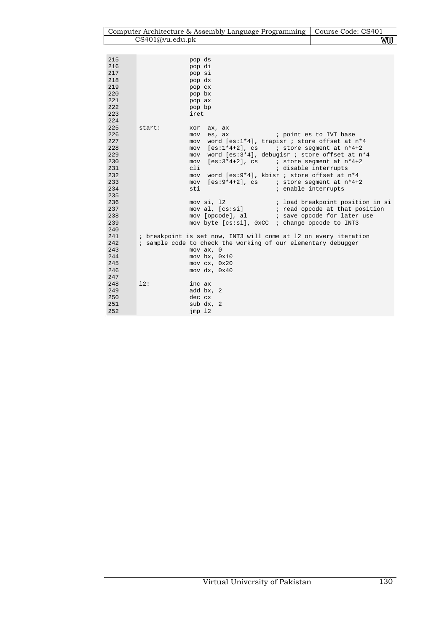|     |                 | Computer Architecture & Assembly Language Programming   Course Code: CS401 |                                  |
|-----|-----------------|----------------------------------------------------------------------------|----------------------------------|
|     | CS401@vu.edu.bk |                                                                            | vw                               |
|     |                 |                                                                            |                                  |
| 215 |                 |                                                                            |                                  |
| 216 |                 | pop ds                                                                     |                                  |
| 217 |                 | pop di                                                                     |                                  |
| 218 |                 | pop si                                                                     |                                  |
| 219 |                 | pop dx                                                                     |                                  |
| 220 |                 | pop cx                                                                     |                                  |
| 221 |                 | pop bx<br>pop ax                                                           |                                  |
| 222 |                 | pop bp                                                                     |                                  |
| 223 |                 | iret                                                                       |                                  |
| 224 |                 |                                                                            |                                  |
| 225 | start:          | ax, ax<br>xor                                                              |                                  |
| 226 |                 | ; point es to IVT base<br>es, ax<br>mov                                    |                                  |
| 227 |                 | word [es:1*4], trapisr ; store offset at n*4<br>mov                        |                                  |
| 228 |                 | [es:1*4+2], cs<br>mov                                                      | ; store segment at n*4+2         |
| 229 |                 | word [es:3*4], debugisr ; store offset at n*4<br>mov                       |                                  |
| 230 |                 | $[es:3*4+2]$ , cs ; store segment at $n*4+2$<br>mov                        |                                  |
| 231 |                 | cli<br>; disable interrupts                                                |                                  |
| 232 |                 | word [es:9*4], kbisr ; store offset at n*4<br>mov                          |                                  |
| 233 |                 | $[es:9*4+2]$ , cs $\qquad$ i store segment at $n*4+2$<br>mov               |                                  |
| 234 |                 | sti<br>; enable interrupts                                                 |                                  |
| 235 |                 |                                                                            |                                  |
| 236 |                 | mov si, 12                                                                 | ; load breakpoint position in si |
| 237 |                 | mov al, [cs:si]                                                            | ; read opcode at that position   |
| 238 |                 | mov [opcode], al                                                           | ; save opcode for later use      |
| 239 |                 | mov byte [cs:si], 0xCC ; change opcode to INT3                             |                                  |
| 240 |                 |                                                                            |                                  |
| 241 |                 | ; breakpoint is set now, INT3 will come at 12 on every iteration           |                                  |
| 242 |                 | ; sample code to check the working of our elementary debugger              |                                  |
| 243 |                 | $mov$ $ax$ , $0$                                                           |                                  |
| 244 |                 | mov bx, 0x10                                                               |                                  |
| 245 |                 | mov cx, 0x20                                                               |                                  |
| 246 |                 | mov dx, 0x40                                                               |                                  |
| 247 |                 |                                                                            |                                  |
| 248 | 12:             | inc ax                                                                     |                                  |
| 249 |                 | add bx, 2                                                                  |                                  |
| 250 |                 | dec cx                                                                     |                                  |
| 251 |                 | sub dx, 2                                                                  |                                  |
| 252 |                 | $\text{imp}$ 12                                                            |                                  |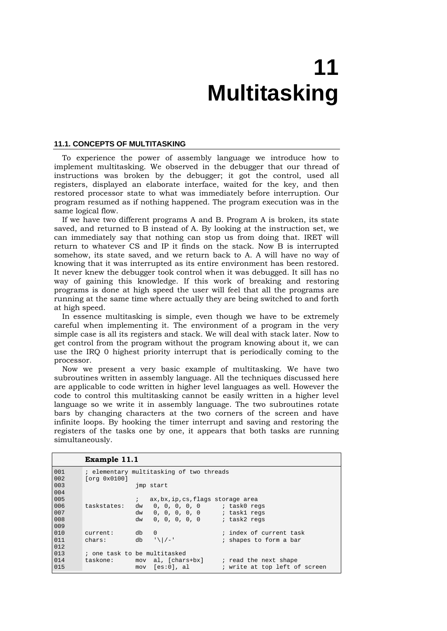# **11 Multitasking**

#### **11.1. CONCEPTS OF MULTITASKING**

To experience the power of assembly language we introduce how to implement multitasking. We observed in the debugger that our thread of instructions was broken by the debugger; it got the control, used all registers, displayed an elaborate interface, waited for the key, and then restored processor state to what was immediately before interruption. Our program resumed as if nothing happened. The program execution was in the same logical flow.

If we have two different programs A and B. Program A is broken, its state saved, and returned to B instead of A. By looking at the instruction set, we can immediately say that nothing can stop us from doing that. IRET will return to whatever CS and IP it finds on the stack. Now B is interrupted somehow, its state saved, and we return back to A. A will have no way of knowing that it was interrupted as its entire environment has been restored. It never knew the debugger took control when it was debugged. It sill has no way of gaining this knowledge. If this work of breaking and restoring programs is done at high speed the user will feel that all the programs are running at the same time where actually they are being switched to and forth at high speed.

In essence multitasking is simple, even though we have to be extremely careful when implementing it. The environment of a program in the very simple case is all its registers and stack. We will deal with stack later. Now to get control from the program without the program knowing about it, we can use the IRQ 0 highest priority interrupt that is periodically coming to the processor.

Now we present a very basic example of multitasking. We have two subroutines written in assembly language. All the techniques discussed here are applicable to code written in higher level languages as well. However the code to control this multitasking cannot be easily written in a higher level language so we write it in assembly language. The two subroutines rotate bars by changing characters at the two corners of the screen and have infinite loops. By hooking the timer interrupt and saving and restoring the registers of the tasks one by one, it appears that both tasks are running simultaneously.

```
Example 11.1 
001 
002 
003 
004005 
006 
007 
008 
009 
010011 
012 
013 
014 
015 
          ; elementary multitasking of two threads 
          [org 0x0100] 
                           jmp start 
                           ; ax,bx,ip,cs,flags storage area 
          taskstates: dw 0, 0, 0, 0, 0 ; task0 regs<br>dw 0, 0, 0, 0, 0 ; task1 regs
                         dw 0, 0, 0, 0, 0 ; task1 regs<br>dw 0, 0, 0, 0, 0 ; task2 regs
                             0, 0, 0, 0, 0current: db 0 ; index of current task<br>chars: db '\|/-' ; shapes to form a bar
                                                     ; shapes to form a bar
          ; one task to be multitasked 
          taskone: mov al, [chars+bx] ; read the next shape
                         mov [es:0], al ; write at top left of screen
```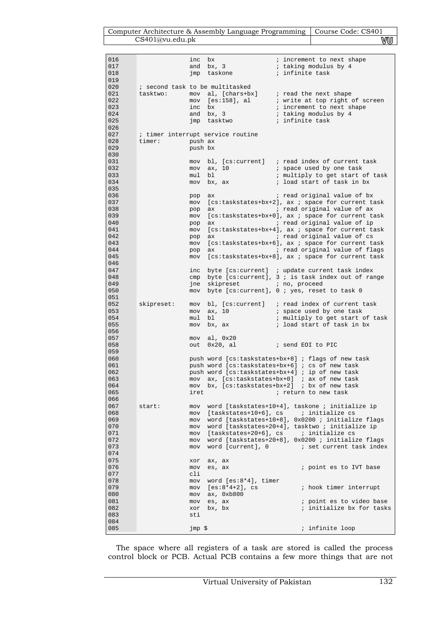Computer Architecture & Assembly Language Programming | Course Code: CS401 CS401@vu.edu.pk WU

| 016 |                                 | inc     | bx                                | ; increment to next shape                                                                                |
|-----|---------------------------------|---------|-----------------------------------|----------------------------------------------------------------------------------------------------------|
| 017 |                                 | and     | $\frac{bx}{b^2}$ , 3              | ; taking modulus by 4                                                                                    |
| 018 |                                 | jmp     | taskone                           | ; infinite task                                                                                          |
| 019 |                                 |         |                                   |                                                                                                          |
| 020 | ; second task to be multitasked |         |                                   |                                                                                                          |
| 021 | tasktwo:                        |         |                                   | mov al, [chars+bx] ; read the next shape                                                                 |
|     |                                 |         |                                   |                                                                                                          |
| 022 |                                 |         |                                   |                                                                                                          |
| 023 |                                 |         |                                   | mov [es:158], al<br>increment to next shape<br>increment to next shape<br>and by 3 : taking modulus by 4 |
| 024 |                                 |         | and bx, 3                         | ; taking modulus by 4                                                                                    |
| 025 |                                 | jmp     | tasktwo                           | ; infinite task                                                                                          |
| 026 |                                 |         |                                   |                                                                                                          |
| 027 |                                 |         | ; timer interrupt service routine |                                                                                                          |
| 028 | timer:                          | push ax |                                   |                                                                                                          |
| 029 |                                 | push bx |                                   |                                                                                                          |
| 030 |                                 |         |                                   |                                                                                                          |
|     |                                 |         |                                   |                                                                                                          |
| 031 |                                 | mov     |                                   | bl, [cs:current] ; read index of current task                                                            |
| 032 |                                 | mov     | ax, 10                            | space used by one task<br>windliply to get start of                                                      |
| 033 |                                 | mul     | bl                                | ; multiply to get start of task                                                                          |
| 034 |                                 | mov     | bx, ax                            | ; load start of task in bx                                                                               |
| 035 |                                 |         |                                   |                                                                                                          |
| 036 |                                 | pop     | ax                                | ; read original value of bx                                                                              |
| 037 |                                 | mov     |                                   | [cs:taskstates+bx+2], ax ; space for current task                                                        |
| 038 |                                 | pop     | ax                                | ; read original value of ax                                                                              |
| 039 |                                 |         |                                   |                                                                                                          |
| 040 |                                 | mov     |                                   | [cs:taskstates+bx+0], ax ; space for current task                                                        |
|     |                                 | pop     | ax                                | ; read original value of ip                                                                              |
| 041 |                                 | mov     |                                   | [cs:taskstates+bx+4], ax ; space for current task                                                        |
| 042 |                                 | pop     | ax                                | ; read original value of cs                                                                              |
| 043 |                                 | mov     |                                   | [cs:taskstates+bx+6], ax ; space for current task                                                        |
| 044 |                                 | pop     | ax                                | ; read original value of flags                                                                           |
| 045 |                                 | mov     |                                   | [cs:taskstates+bx+8], ax ; space for current task                                                        |
| 046 |                                 |         |                                   |                                                                                                          |
| 047 |                                 | inc     |                                   | byte [cs: current] ; update current task index                                                           |
| 048 |                                 | cmp     |                                   | byte [ $cs: current$ ], 3 ; is task index out of range                                                   |
| 049 |                                 | jne     | skipreset                         | ; no, proceed                                                                                            |
| 050 |                                 | mov     |                                   | byte [cs:current], 0 ; yes, reset to task 0                                                              |
| 051 |                                 |         |                                   |                                                                                                          |
| 052 | skipreset:                      | mov     |                                   | bl, $[cs:current]$ ; read index of current task                                                          |
| 053 |                                 | mov     | ax, 10                            | ; space used by one task                                                                                 |
| 054 |                                 | mul     | bl                                | ; multiply to get start of task                                                                          |
| 055 |                                 | mov     | bx, ax                            | ; load start of task in bx                                                                               |
| 056 |                                 |         |                                   |                                                                                                          |
|     |                                 |         |                                   |                                                                                                          |
| 057 |                                 | mov     | al, 0x20                          |                                                                                                          |
| 058 |                                 | out     | $0x20$ , al                       | ; send EOI to PIC                                                                                        |
| 059 |                                 |         |                                   |                                                                                                          |
| 060 |                                 |         |                                   | push word [cs:taskstates+bx+8] ; flags of new task                                                       |
| 061 |                                 |         |                                   | push word [cs:taskstates+bx+6] ; cs of new task                                                          |
| 062 |                                 |         |                                   | push word [cs:taskstates+bx+4] ; ip of new task                                                          |
| 063 |                                 |         |                                   | mov ax, [cs:taskstates+bx+0] ; ax of new task                                                            |
| 064 |                                 | mov     |                                   | bx, [cs:taskstates+bx+2] ; bx of new task                                                                |
| 065 |                                 | iret    |                                   | ; return to new task                                                                                     |
| 066 |                                 |         |                                   |                                                                                                          |
| 067 | start:                          | mov     |                                   | word [taskstates+10+4], taskone ; initialize ip                                                          |
| 068 |                                 | mov     |                                   |                                                                                                          |
| 069 |                                 | mov     |                                   | word [taskstates+10+8], 0x0200 ; initialize flags                                                        |
| 070 |                                 |         |                                   | mov word [taskstates+20+4], tasktwo ; initialize ip                                                      |
| 071 |                                 | mov     |                                   |                                                                                                          |
| 072 |                                 | mov     |                                   | word [taskstates+20+8], 0x0200 ; initialize flags                                                        |
| 073 |                                 |         |                                   |                                                                                                          |
|     |                                 | mov     |                                   |                                                                                                          |
| 074 |                                 |         |                                   |                                                                                                          |
| 075 |                                 | xor     | ax, ax                            |                                                                                                          |
| 076 |                                 | mov     | es, ax                            | ; point es to IVT base                                                                                   |
| 077 |                                 | cli     |                                   |                                                                                                          |
| 078 |                                 | mov     | word $[es:8*4]$ , timer           |                                                                                                          |
| 079 |                                 | mov     | [es:8*4+2], cs                    | ; hook timer interrupt                                                                                   |
| 080 |                                 | mov     | ax, 0xb800                        |                                                                                                          |
| 081 |                                 | mov     | es, ax                            | ; point es to video base                                                                                 |
| 082 |                                 | xor     | bx, bx                            | ; initialize bx for tasks                                                                                |
| 083 |                                 | sti     |                                   |                                                                                                          |
| 084 |                                 |         |                                   |                                                                                                          |
| 085 |                                 | jmp \$  |                                   | ; infinite loop                                                                                          |
|     |                                 |         |                                   |                                                                                                          |

The space where all registers of a task are stored is called the process control block or PCB. Actual PCB contains a few more things that are not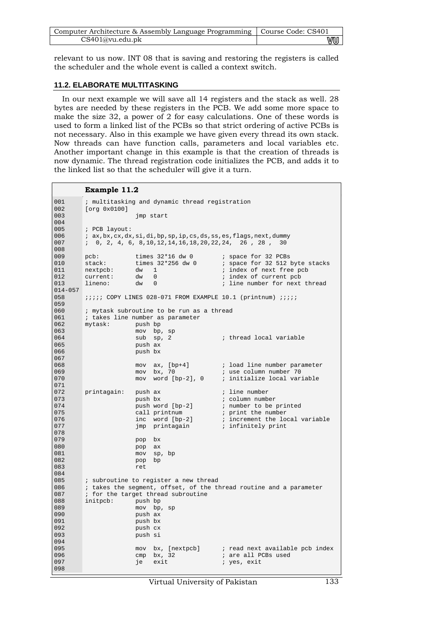| Computer Architecture & Assembly Language Programming   Course Code: CS401 |    |
|----------------------------------------------------------------------------|----|
| CS401@vu.edu.ph                                                            | vu |

relevant to us now. INT 08 that is saving and restoring the registers is called the scheduler and the whole event is called a context switch.

### **11.2. ELABORATE MULTITASKING**

In our next example we will save all 14 registers and the stack as well. 28 bytes are needed by these registers in the PCB. We add some more space to make the size 32, a power of 2 for easy calculations. One of these words is used to form a linked list of the PCBs so that strict ordering of active PCBs is not necessary. Also in this example we have given every thread its own stack. Now threads can have function calls, parameters and local variables etc. Another important change in this example is that the creation of threads is now dynamic. The thread registration code initializes the PCB, and adds it to the linked list so that the scheduler will give it a turn.

## **Example 11.2**

| 001         |               |                    | ; multitasking and dynamic thread registration              |                                                                          |
|-------------|---------------|--------------------|-------------------------------------------------------------|--------------------------------------------------------------------------|
| 002         | [org 0x0100]  |                    |                                                             |                                                                          |
| 003         | jmp start     |                    |                                                             |                                                                          |
| 004         |               |                    |                                                             |                                                                          |
| 005         | ; PCB layout: |                    |                                                             |                                                                          |
| 006         |               |                    |                                                             | ; ax, bx, cx, dx, si, di, bp, sp, ip, cs, ds, ss, es, flags, next, dummy |
| 007<br>008  |               |                    | $1, 0, 2, 4, 6, 8, 10, 12, 14, 16, 18, 20, 22, 24, 26, 28,$ | 30                                                                       |
| 009         | $pcb$ :       |                    |                                                             | ; space for 32 PCBs                                                      |
| 010         | stack:        |                    | times 32*16 dw 0<br>times 32*256 dw 0                       | ; space for 32 512 byte stacks                                           |
| 011         | nextpcb:      | dw                 | $\mathbf{1}$                                                | ; index of next free pcb                                                 |
| 012         | current:      | dw                 | $\mathbf 0$                                                 | ; index of current pcb                                                   |
| 013         | lineno:       | dw                 | $\Omega$                                                    | ; line number for next thread                                            |
| $014 - 057$ |               |                    |                                                             |                                                                          |
| 058         |               |                    |                                                             | <i>iiiii</i> COPY LINES 028-071 FROM EXAMPLE 10.1 (printnum) <i>iiii</i> |
| 059         |               |                    |                                                             |                                                                          |
| 060         |               |                    | ; mytask subroutine to be run as a thread                   |                                                                          |
| 061         |               |                    | ; takes line number as parameter                            |                                                                          |
| 062         | mytask:       | push bp            |                                                             |                                                                          |
| 063         |               | mov                | bp, sp                                                      |                                                                          |
| 064         |               | sub                | sp, 2                                                       | ; thread local variable                                                  |
| 065         |               | push ax            |                                                             |                                                                          |
| 066         |               | push bx            |                                                             |                                                                          |
| 067         |               |                    |                                                             |                                                                          |
| 068         |               |                    | mov $ax$ , $[bp+4]$                                         | ; load line number parameter                                             |
| 069         |               |                    | mov bx, 70                                                  | ; use column number 70                                                   |
| 070         |               | mov                | word $[bp-2]$ , $0$                                         | ; initialize local variable                                              |
| 071<br>072  | printagain:   |                    |                                                             | ; line number                                                            |
| 073         |               | push ax<br>push bx |                                                             | ; column number                                                          |
| 074         |               |                    | push word [bp-2]                                            | ; number to be printed                                                   |
| 075         |               |                    | call printnum                                               | ; print the number                                                       |
| 076         |               |                    | inc word [bp-2]                                             | ; increment the local variable                                           |
| 077         |               |                    | jmp printagain                                              | ; infinitely print                                                       |
| 078         |               |                    |                                                             |                                                                          |
| 079         |               | pop                | bx                                                          |                                                                          |
| 080         |               | pop                | ax                                                          |                                                                          |
| 081         |               | mov                | sp, bp                                                      |                                                                          |
| 082         |               | pop                | bp                                                          |                                                                          |
| 083         |               | ret                |                                                             |                                                                          |
| 084         |               |                    |                                                             |                                                                          |
| 085         |               |                    | ; subroutine to register a new thread                       |                                                                          |
| 086         |               |                    |                                                             | ; takes the segment, offset, of the thread routine and a parameter       |
| 087         |               |                    | ; for the target thread subroutine                          |                                                                          |
| 088         | initpcb:      | push bp            |                                                             |                                                                          |
| 089<br>090  |               |                    | mov bp, sp                                                  |                                                                          |
| 091         |               | push ax<br>push bx |                                                             |                                                                          |
| 092         |               | push cx            |                                                             |                                                                          |
| 093         |               | push si            |                                                             |                                                                          |
| 094         |               |                    |                                                             |                                                                          |
| 095         |               |                    |                                                             | mov bx, [nextpcb] ; read next available pcb index                        |
| 096         |               |                    | $cmp$ bx, 32                                                | ; are all PCBs used                                                      |
| 097         |               | je                 | exit                                                        | ; yes, exit                                                              |
| 098         |               |                    |                                                             |                                                                          |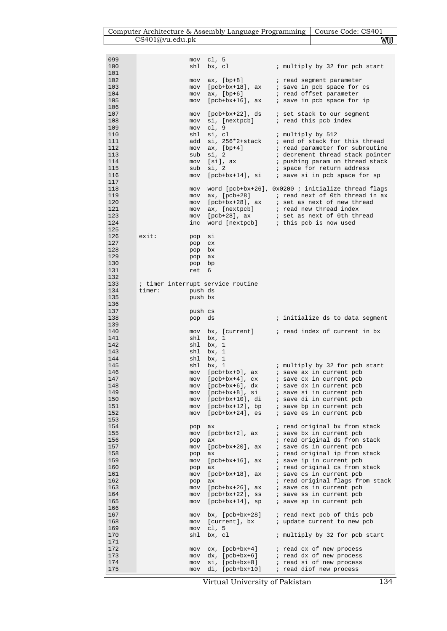| Computer Architecture & Assembly Language Programming   Course Code: CS401 |    |
|----------------------------------------------------------------------------|----|
| CS401@vu.edu.ph                                                            | vu |

| 099        | mov                               | cl, $5$                            |                                                         |
|------------|-----------------------------------|------------------------------------|---------------------------------------------------------|
| 100        | shl                               | bx, cl                             | ; multiply by 32 for pcb start                          |
| 101        |                                   |                                    |                                                         |
| 102        | mov                               | ax, [bp+8]                         | ; read segment parameter                                |
| 103        | mov                               |                                    |                                                         |
| 104        | mov                               | ax, [bp+6]                         | ; read offset parameter                                 |
| 105        | mov                               | $[{\rm pcb+bx+16}]$ , ax           | ; save in pcb space for ip                              |
| 106        |                                   |                                    |                                                         |
| 107        | mov                               | [pcb+bx+22], ds                    | ; set stack to our segment                              |
| 108        | mov                               | si, [nextpcb]                      | ; read this pcb index                                   |
| 109        | mov                               | c1, 9                              |                                                         |
| 110        | shl                               | si, cl                             | ; multiply by 512                                       |
| 111        | add                               | si, 256*2+stack                    | ; end of stack for this thread                          |
| 112        |                                   |                                    |                                                         |
|            | mov                               | $ax, [bp+4]$                       | ; read parameter for subroutine                         |
| 113        |                                   | sub si, 2                          | ; decrement thread stack pointer                        |
| 114        | mov                               | [si], ax                           | ; pushing param on thread stack                         |
| 115        | sub                               | si, 2                              | ; space for return address                              |
| 116        | mov                               |                                    |                                                         |
| 117        |                                   |                                    |                                                         |
| 118        | mov                               |                                    | word $[peb+bx+26]$ , $0x0200$ ; initialize thread flags |
| 119        | mov                               |                                    | $ax, [pcb+28]$ ; read next of 0th thread in ax          |
| 120        | mov                               |                                    |                                                         |
| 121        | mov                               | ax, [nextpcb]                      | ; read new thread index                                 |
| 123        | mov                               | [pcb+28], ax                       | ; set as next of 0th thread                             |
| 124        | inc                               | word [nextpcb]                     | ; this pcb is now used                                  |
| 125        |                                   |                                    |                                                         |
| 126        | exist:<br>pop                     | si                                 |                                                         |
| 127        | pop                               | C X                                |                                                         |
| 128        | pop                               | bx                                 |                                                         |
| 129        | pop                               | ax                                 |                                                         |
| 130        | pop                               | bp                                 |                                                         |
| 131        | ret                               | 6                                  |                                                         |
| 132        |                                   |                                    |                                                         |
| 133        | ; timer interrupt service routine |                                    |                                                         |
| 134        | timer:<br>push ds                 |                                    |                                                         |
| 135        | push bx                           |                                    |                                                         |
| 136        |                                   |                                    |                                                         |
| 137        | push cs                           |                                    |                                                         |
| 138        | pop ds                            |                                    | ; initialize ds to data segment                         |
| 139        |                                   |                                    |                                                         |
| 140        | mov                               |                                    |                                                         |
| 141        | shl                               | bx, 1                              |                                                         |
| 142        | shl                               | bx, 1                              |                                                         |
| 143        | shl                               | bx, 1                              |                                                         |
| 144        | shl                               | bx, 1                              |                                                         |
| 145        | shl                               | bx, 1                              | ; multiply by 32 for pcb start                          |
| 146        | mov                               | [pcb+bx+0], ax                     | ; save ax in current pcb                                |
| 147        | mov                               | $[{\rm \,pb+bx+4}]$ , ${\rm \,cx}$ | ; save cx in current pcb                                |
| 148        | mov                               | $[{\rm pcb+bx+6}]$ , dx            | ; save dx in current pcb                                |
|            |                                   |                                    |                                                         |
| 149        | mov                               | $[{\rm pcb+bx+8}]$ , si            | ; save si in current pcb                                |
| 150        | mov                               | $[{\rm pcb+bx+10}]$ , di           | ; save di in current pcb                                |
| 151        | mov                               | $[{\rm pcb+bx+12}]$ , bp           | ; save bp in current pcb                                |
| 152        | mov                               | $[{\rm pcb+bx+24}]$ , es           | ; save es in current pcb                                |
| 153<br>154 |                                   |                                    | ; read original bx from stack                           |
|            | pop                               | ax                                 |                                                         |
| 155        | mov                               | $[{\rm pcb+bx+2}]$ , ax            | ; save bx in current pcb                                |
| 156        | pop                               | ax                                 | ; read original ds from stack                           |
| 157        | mov                               | $[{\rm pcb+bx+20}]$ , ax           | ; save ds in current pcb                                |
| 158        | pop                               | ax                                 | ; read original ip from stack                           |
| 159        | mov                               | $[{\rm pcb+bx+16}]$ , ax           | ; save ip in current pcb                                |
| 160        | pop                               | ax                                 | ; read original cs from stack                           |
| 161        | mov                               | $[{\rm pcb+bx+18}]$ , ax           | ; save cs in current pcb                                |
| 162        | pop                               | ax                                 | ; read original flags from stack                        |
| 163        | mov                               | $[{\rm pcb+bx+26}]$ , ax           | ; save cs in current pcb                                |
| 164        | mov                               | $[{\rm pcb+bx+22}]$ , ss           | ; save ss in current pcb                                |
| 165        | mov                               | $[{\rm pcb+bx+14}]$ , sp           | ; save sp in current pcb                                |
| 166        |                                   |                                    |                                                         |
| 167        | mov                               | $bx, [pcb+bx+28]$                  | ; read next pcb of this pcb                             |
| 168        | mov                               | [current], bx                      | ; update current to new pcb                             |
| 169        | mov                               | cl, 5                              |                                                         |
| 170        | shl                               | bx, cl                             | ; multiply by 32 for pcb start                          |
| 171        |                                   |                                    |                                                         |
| 172        | mov                               | $cx, [pcb+bx+4]$                   | ; read cx of new process                                |
| 173        | mov                               | $dx$ , $[{\rm pcb+bx+6}]$          | ; read dx of new process                                |
| 174        | mov                               | si, [pcb+bx+8]                     | ; read si of new process                                |
| 175        | mov                               | $di, [pcb+bx+10]$                  | ; read diof new process                                 |

Virtual University of Pakistan 134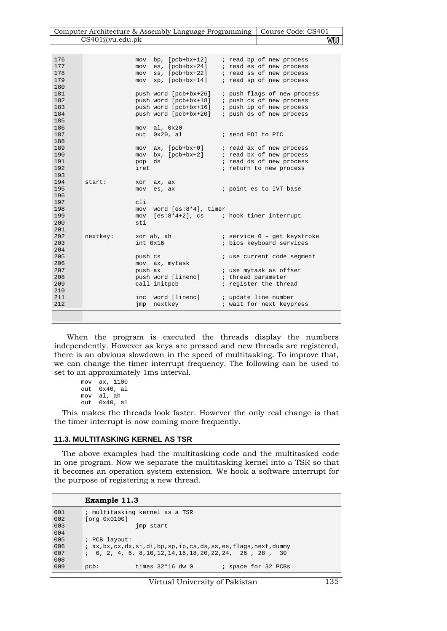| Computer Architecture & Assembly Language Programming   Course Code: CS401 |    |
|----------------------------------------------------------------------------|----|
| CS401@vu.edu.ph                                                            | vu |
|                                                                            |    |

| 176 |          | mov            | bp, $[{\rm pcb+bx+12}]$ | ; read bp of new process                 |
|-----|----------|----------------|-------------------------|------------------------------------------|
| 177 |          | mov            |                         | es, [pcb+bx+24] ; read es of new process |
| 178 |          |                | $ss, [pcb+bx+22]$       |                                          |
|     |          | mov            |                         | ; read ss of new process                 |
| 179 |          | mov            | $sp$ , $[pcb+bx+14]$    | ; read sp of new process                 |
| 180 |          |                |                         |                                          |
| 181 |          |                | push word [pcb+bx+26]   | ; push flags of new process              |
| 182 |          |                | push word [pcb+bx+18]   | ; push cs of new process                 |
| 183 |          |                | push word [pcb+bx+16]   | ; push ip of new process                 |
| 184 |          |                | push word [pcb+bx+20]   | ; push ds of new process                 |
| 185 |          |                |                         |                                          |
| 186 |          |                | mov al, 0x20            |                                          |
| 187 |          |                | out 0x20, al            | ; send EOI to PIC                        |
| 188 |          |                |                         |                                          |
| 189 |          |                | $mov$ ax, $[pcb+bx+0]$  | ; read ax of new process                 |
| 190 |          |                | mov bx, [pcb+bx+2]      | ; read bx of new process                 |
| 191 |          | pop            | ds                      | ; read ds of new process                 |
| 192 |          | iret           |                         | ; return to new process                  |
| 193 |          |                |                         |                                          |
| 194 | start:   | xor            | ax, ax                  |                                          |
| 195 |          | mov            | es, ax                  | ; point es to IVT base                   |
| 196 |          |                |                         |                                          |
| 197 |          | cli            |                         |                                          |
| 198 |          | mov            | word [es:8*4], timer    |                                          |
| 199 |          | mov            |                         | $[es:8*4+2]$ , cs ; hook timer interrupt |
| 200 |          | sti            |                         |                                          |
| 201 |          |                |                         |                                          |
| 202 | nextkey: |                | xor ah, ah              | ; service 0 - get keystroke              |
| 203 |          | int 0x16       |                         | ; bios keyboard services                 |
| 204 |          |                |                         |                                          |
| 205 |          |                |                         |                                          |
| 206 |          | push cs        |                         | ; use current code segment               |
|     |          |                | mov ax, mytask          |                                          |
| 207 |          | push ax        |                         | ; use mytask as offset                   |
| 208 |          |                | push word [lineno]      | ; thread parameter                       |
| 209 |          |                | call initpcb            | ; register the thread                    |
| 210 |          |                |                         |                                          |
| 211 |          | inc            | word [lineno]           | ; update line number                     |
| 212 |          | $\mathsf{imp}$ | nextkey                 | ; wait for next keypress                 |
|     |          |                |                         |                                          |
|     |          |                |                         |                                          |

 When the program is executed the threads display the numbers independently. However as keys are pressed and new threads are registered, there is an obvious slowdown in the speed of multitasking. To improve that, we can change the timer interrupt frequency. The following can be used to set to an approximately 1ms interval.

```
mov ax, 1100 
out 0x40, al 
mov al, ah 
out 0x40, al
```
This makes the threads look faster. However the only real change is that the timer interrupt is now coming more frequently.

#### **11.3. MULTITASKING KERNEL AS TSR**

The above examples had the multitasking code and the multitasked code in one program. Now we separate the multitasking kernel into a TSR so that it becomes an operation system extension. We hook a software interrupt for the purpose of registering a new thread.

#### **Example 11.3**

```
001 
002 
003 
004 
005 
006 
007 
008 
009 
        ; multitasking kernel as a TSR 
        [org 0x0100] 
                        jmp start 
        ; PCB layout: 
        ; ax,bx,cx,dx,si,di,bp,sp,ip,cs,ds,ss,es,flags,next,dummy 
        ; 0, 2, 4, 6, 8,10,12,14,16,18,20,22,24, 26 , 28 , 30 
        pcb: times 32*16 dw 0 ; space for 32 PCBs
```
### Virtual University of Pakistan 135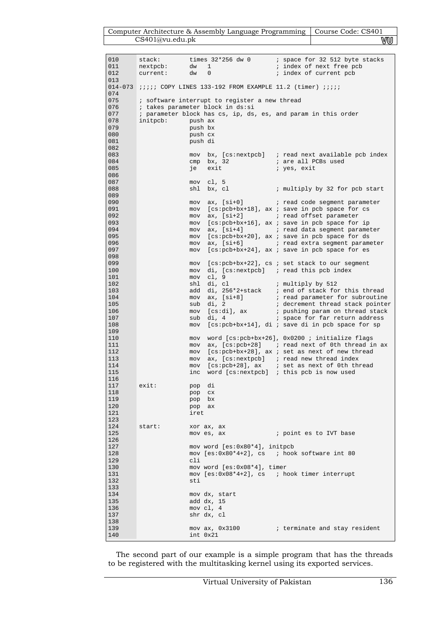| Computer Architecture & Assembly Language Programming   Course Code: CS401 |    |
|----------------------------------------------------------------------------|----|
| CS401@vu.edu.ph                                                            | vu |

| 010<br>011<br>012                                    | stack:<br>nextpcb:<br>dw<br>current:<br>dw                                                                                                                                                                                                                                                   | times 32*256 dw 0<br>$\mathbf{1}$<br>0                             | ; space for 32 512 byte stacks<br>; index of next free pcb<br>; index of current pcb                                                                                                            |
|------------------------------------------------------|----------------------------------------------------------------------------------------------------------------------------------------------------------------------------------------------------------------------------------------------------------------------------------------------|--------------------------------------------------------------------|-------------------------------------------------------------------------------------------------------------------------------------------------------------------------------------------------|
| 013                                                  |                                                                                                                                                                                                                                                                                              |                                                                    |                                                                                                                                                                                                 |
| 074<br>075<br>076<br>077<br>078<br>079<br>080<br>081 | $014-073$ <i>iiii</i> COPY LINES 133-192 FROM EXAMPLE 11.2 (timer) <i>iiii</i><br>; software interrupt to register a new thread<br>; takes parameter block in ds:si<br>; parameter block has cs, ip, ds, es, and param in this order<br>initpcb:<br>push ax<br>push bx<br>push cx<br>push di |                                                                    |                                                                                                                                                                                                 |
| 082<br>083<br>084<br>085<br>086                      | mov<br>cmp<br>je                                                                                                                                                                                                                                                                             | bx, 32<br>exit                                                     | bx, $[cs:nextpcb]$ ; read next available pcb index<br>; are all PCBs used<br>; yes, exit                                                                                                        |
| 087<br>088<br>089<br>090                             | shl                                                                                                                                                                                                                                                                                          | mov cl, 5<br>bx, cl<br>$mov$ ax, $[si+0]$                          | ; multiply by 32 for pcb start<br>; read code segment parameter                                                                                                                                 |
| 091<br>092<br>093<br>094                             | mov<br>mov                                                                                                                                                                                                                                                                                   | $mov$ $ax, [si+2]$<br>ax, [si+4]                                   | mov [cs:pcb+bx+18], ax ; save in pcb space for cs<br>; read offset parameter<br>[cs:pcb+bx+16], ax ; save in pcb space for ip<br>i read data segment parameter                                  |
| 095<br>096<br>097<br>098                             | mov<br>mov                                                                                                                                                                                                                                                                                   | $mov$ ax, $[si+6]$                                                 | [cs:pcb+bx+20], ax ; save in pcb space for ds<br>; read extra segment parameter<br>[cs:pcb+bx+24], ax ; save in pcb space for es                                                                |
| 099<br>100<br>101<br>102                             | mov<br>mov<br>mov<br>shl                                                                                                                                                                                                                                                                     | c1, 9<br>di, cl                                                    | $[cs:pcb+bx+22]$ , cs ; set stack to our segment<br>$di, [cs:nextpcb]$ ; read this pcb index<br>; multiply by 512                                                                               |
| 103<br>104<br>105<br>106<br>107                      | add<br>mov<br>sub<br>mov<br>sub                                                                                                                                                                                                                                                              | di, $256*2+stack$<br>$ax, [si+8]$<br>di, 2<br>[cs:di], ax<br>di, 4 | ; end of stack for this thread<br>; read parameter for subroutine<br>; decrement thread stack pointer<br>; pushing param on thread stack<br>; space for far return address                      |
| 108<br>109<br>110<br>111                             | mov<br>mov<br>mov                                                                                                                                                                                                                                                                            |                                                                    | [cs:pcb+bx+14], di ; save di in pcb space for sp<br>word [cs:pcb+bx+26], 0x0200 ; initialize flags<br>$ax, [cs:pcb+28]$ ; read next of 0th thread in ax                                         |
| 112<br>113<br>114<br>115                             | mov<br>mov<br>mov<br>inc                                                                                                                                                                                                                                                                     |                                                                    | [cs:pcb+bx+28], ax ; set as next of new thread<br>ax, [cs:nextpcb] $\;$ ; read new thread index<br>[cs:pcb+28], ax $\;$ ; set as next of 0th thread<br>word [cs:nextpcb] ; this pcb is now used |
| 116<br>117<br>118<br>119<br>120                      | exit:<br>pop<br>pop                                                                                                                                                                                                                                                                          | di<br>CX.<br>pop bx<br>pop ax                                      |                                                                                                                                                                                                 |
| 121<br>123<br>124<br>125                             | iret<br>start:                                                                                                                                                                                                                                                                               | xor ax, ax<br>mov es, ax                                           | ; point es to IVT base                                                                                                                                                                          |
| 126<br>127<br>128<br>129                             | cli                                                                                                                                                                                                                                                                                          | mov word [es:0x80*4], initpcb                                      | mov $[es:0x80*4+2]$ , cs ; hook software int 80                                                                                                                                                 |
| 130<br>131<br>132<br>133                             | sti                                                                                                                                                                                                                                                                                          | mov word $[es:0x08*4]$ , timer                                     | mov $[es:0x08*4+2]$ , cs ; hook timer interrupt                                                                                                                                                 |
| 134<br>135<br>136<br>137<br>138                      |                                                                                                                                                                                                                                                                                              | mov dx, start<br>add dx, 15<br>mov cl, 4<br>shr dx, cl             |                                                                                                                                                                                                 |
| 139<br>140                                           |                                                                                                                                                                                                                                                                                              | int 0x21                                                           | mov ax, 0x3100 (b) i terminate and stay resident                                                                                                                                                |

The second part of our example is a simple program that has the threads to be registered with the multitasking kernel using its exported services.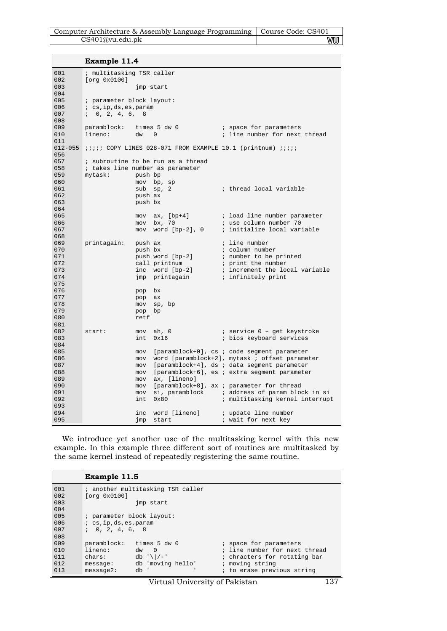| Computer Architecture & Assembly Language Programming   Course Code: CS401 |     |
|----------------------------------------------------------------------------|-----|
| CS401@vu.edu.ph                                                            | vuu |

**Example 11.4** 

| 001         | ; multitasking TSR caller |            |                                    |  |                                                                           |
|-------------|---------------------------|------------|------------------------------------|--|---------------------------------------------------------------------------|
| 002         | [org 0x0100]              |            |                                    |  |                                                                           |
| 003         | jmp start                 |            |                                    |  |                                                                           |
| 004         |                           |            |                                    |  |                                                                           |
| 005         | ; parameter block layout: |            |                                    |  |                                                                           |
| 006         | ; cs,ip,ds,es,param       |            |                                    |  |                                                                           |
| 007         | 1, 0, 2, 4, 6, 8          |            |                                    |  |                                                                           |
| 008         |                           |            |                                    |  |                                                                           |
| 009         |                           |            | paramblock: times 5 dw 0           |  | ; space for parameters                                                    |
| 010         | lineno:                   | dw         | $\Omega$                           |  | ; line number for next thread                                             |
| 011         |                           |            |                                    |  |                                                                           |
| $012 - 055$ |                           |            |                                    |  | <i>iiiii</i> COPY LINES 028-071 FROM EXAMPLE 10.1 (printnum) <i>iiiii</i> |
| 056         |                           |            |                                    |  |                                                                           |
| 057         |                           |            | ; subroutine to be run as a thread |  |                                                                           |
| 058         |                           |            | ; takes line number as parameter   |  |                                                                           |
| 059         | mytask:                   | push bp    |                                    |  |                                                                           |
| 060         |                           | mov        | bp, sp                             |  |                                                                           |
| 061         |                           | sub        | sp, 2                              |  | ; thread local variable                                                   |
| 062         |                           | push ax    |                                    |  |                                                                           |
| 063         |                           | push bx    |                                    |  |                                                                           |
| 064         |                           |            |                                    |  |                                                                           |
| 065         |                           |            |                                    |  | mov ax, [bp+4] ; load line number parameter                               |
| 066         |                           |            | mov bx, 70                         |  | ; use column number 70                                                    |
| 067         |                           |            | mov word [bp-2], 0                 |  | ; initialize local variable                                               |
| 068         |                           |            |                                    |  |                                                                           |
| 069         | printagain:               | push ax    |                                    |  | ; line number                                                             |
| 070         |                           | push bx    |                                    |  | ; column number                                                           |
| 071         |                           |            | push word [bp-2]                   |  | ; number to be printed                                                    |
| 072<br>073  |                           |            | call printnum                      |  | ; print the number                                                        |
| 074         |                           |            | inc word [bp-2]                    |  | ; increment the local variable                                            |
| 075         |                           |            | jmp printagain                     |  | ; infinitely print                                                        |
| 076         |                           |            | bx                                 |  |                                                                           |
| 077         |                           | pop        | ax                                 |  |                                                                           |
| 078         |                           | pop<br>mov | sp, bp                             |  |                                                                           |
| 079         |                           | pop        | bp                                 |  |                                                                           |
| 080         |                           | retf       |                                    |  |                                                                           |
| 081         |                           |            |                                    |  |                                                                           |
| 082         | start:                    | mov        | ah, 0                              |  | ; service 0 - get keystroke                                               |
| 083         |                           | int        | 0x16                               |  | ; bios keyboard services                                                  |
| 084         |                           |            |                                    |  |                                                                           |
| 085         |                           | mov        |                                    |  | [paramblock+0], cs ; code segment parameter                               |
| 086         |                           | mov        |                                    |  | word [paramblock+2], mytask ; offset parameter                            |
| 087         |                           | mov        |                                    |  | [paramblock+4], ds ; data segment parameter                               |
| 088         |                           | mov        |                                    |  | [paramblock+6], es ; extra segment parameter                              |
| 089         |                           | mov        | ax, [lineno]                       |  |                                                                           |
| 090         |                           | mov        |                                    |  | [paramblock+8], ax ; parameter for thread                                 |
| 091         |                           | mov        |                                    |  | si, paramblock i address of param block in si                             |
| 092         |                           | int        | 0x80                               |  | ; multitasking kernel interrupt                                           |
| 093         |                           |            |                                    |  |                                                                           |
| 094         |                           | inc        |                                    |  | word [lineno] ; update line number                                        |
| 095         |                           | jmp        | start                              |  | ; wait for next key                                                       |

We introduce yet another use of the multitasking kernel with this new example. In this example three different sort of routines are multitasked by the same kernel instead of repeatedly registering the same routine.

## **Example 11.5**

| 001 |                           | ; another multitasking TSR caller |                               |
|-----|---------------------------|-----------------------------------|-------------------------------|
| 002 | [org 0x0100]              |                                   |                               |
| 003 |                           | imp start                         |                               |
| 004 |                           |                                   |                               |
| 005 | ; parameter block layout: |                                   |                               |
| 006 | $i$ cs, ip, ds, es, param |                                   |                               |
| 007 | 1, 0, 2, 4, 6, 8          |                                   |                               |
| 008 |                           |                                   |                               |
| 009 | paramblock:               | times 5 dw 0                      | ; space for parameters        |
| 010 | lineno:                   | $\bigcirc$<br>dw                  | ; line number for next thread |
| 011 | chars:                    | $db'$ ' $\frac{1}{-}$ '           | ; chracters for rotating bar  |
| 012 | message:                  | db 'moving hello'                 | ; moving string               |
| 013 | $message2$ :              | db '                              | ; to erase previous string    |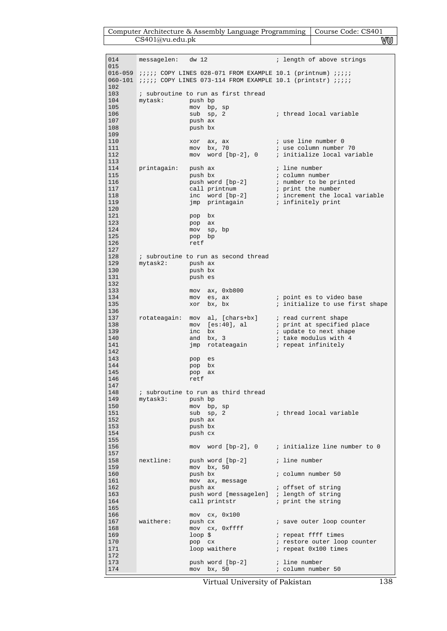| Computer Architecture & Assembly Language Programming   Course Code: CS401 |    |
|----------------------------------------------------------------------------|----|
| CS401@vu.edu.ph                                                            | WU |

| 014                             | messagelen: dw 12 |                                                                                                                                                                        | ; length of above strings                                                                                          |
|---------------------------------|-------------------|------------------------------------------------------------------------------------------------------------------------------------------------------------------------|--------------------------------------------------------------------------------------------------------------------|
| 015<br>102                      |                   | $016-059$ $iiii$ COPY LINES 028-071 FROM EXAMPLE 10.1 (printnum) $iiii$<br>060-101 <i>;;;;;</i> COPY LINES 073-114 FROM EXAMPLE 10.1 (printstr) <i>;;;;</i>            |                                                                                                                    |
| 103                             |                   | ; subroutine to run as first thread                                                                                                                                    |                                                                                                                    |
| 104<br>105<br>106<br>107<br>108 | mytask:           | push bp<br>mov bp, sp<br>$sub$ $sp, 2$<br>push ax<br>push bx                                                                                                           | ; thread local variable                                                                                            |
| 109<br>110<br>111<br>112        |                   | xor ax, ax<br>mov bx, 70                                                                                                                                               | ; use line number 0<br>; use column number 70<br>mov word [bp-2], 0 ; initialize local variable                    |
| 113                             |                   |                                                                                                                                                                        |                                                                                                                    |
| 114<br>115<br>116<br>117<br>118 | printagain:       | push ax<br>push bx<br>push word [bp-2]<br>call printnum                                                                                                                | ; line number<br>; column number<br>; number to be printed<br>; print the number<br>; increment the local variable |
| 119                             |                   | $\begin{tabular}{llll} \bf{inc} & word & bp-2 & & \tt{ic} & \tt{increment} & the \tt{lo} \\ \bf{imp} & \tt{printagain} & & \tt{;\; infinitely \; print} \end{tabular}$ |                                                                                                                    |
| 120<br>121<br>123               |                   | pop bx<br>pop ax                                                                                                                                                       |                                                                                                                    |
| 124<br>125                      |                   | mov sp, bp<br>pop bp                                                                                                                                                   |                                                                                                                    |
| 126                             |                   | retf                                                                                                                                                                   |                                                                                                                    |
| 127<br>128                      |                   | ; subroutine to run as second thread                                                                                                                                   |                                                                                                                    |
| 129                             | mytask2:          | push ax                                                                                                                                                                |                                                                                                                    |
| 130<br>131                      |                   | push bx<br>push es                                                                                                                                                     |                                                                                                                    |
| 132<br>133                      |                   | $mov$ ax, $0xb800$                                                                                                                                                     |                                                                                                                    |
| 134                             |                   | es, ax<br>mov                                                                                                                                                          | ; point es to video base                                                                                           |
| 135<br>136                      |                   | bx, bx<br>xor                                                                                                                                                          | ; initialize to use first shape                                                                                    |
| 137                             | rotateagain:      | mov al, [chars+bx] ; read current shape                                                                                                                                |                                                                                                                    |
| 138<br>139                      |                   | mov [es:40], al<br>bx<br>inc                                                                                                                                           | ; print at specified place<br>; update to next shape                                                               |
| 140                             |                   | and bx, 3                                                                                                                                                              | ; take modulus with 4                                                                                              |
| 141<br>142                      |                   | $\mathsf{imp}$                                                                                                                                                         | rotateagain a repeat infinitely                                                                                    |
| 143<br>144                      |                   | pop<br>es                                                                                                                                                              |                                                                                                                    |
| 145                             |                   | bx<br>pop<br>pop<br>ax                                                                                                                                                 |                                                                                                                    |
| 146<br>147                      |                   | retf                                                                                                                                                                   |                                                                                                                    |
| 148                             |                   | ; subroutine to run as third thread                                                                                                                                    |                                                                                                                    |
| 149<br>150                      | mytask3:          | push bp<br>mov bp, sp                                                                                                                                                  |                                                                                                                    |
| 151                             |                   | sub sp, 2                                                                                                                                                              | ; thread local variable                                                                                            |
| 152<br>153                      |                   | push ax<br>push bx                                                                                                                                                     |                                                                                                                    |
| 154<br>155                      |                   | push cx                                                                                                                                                                |                                                                                                                    |
| 156                             |                   |                                                                                                                                                                        | mov word $[bp-2]$ , 0 ; initialize line number to 0                                                                |
| 157<br>158                      | nextline:         | push word [bp-2]                                                                                                                                                       | ; line number                                                                                                      |
| 159                             |                   | mov bx, 50                                                                                                                                                             |                                                                                                                    |
| 160<br>161                      |                   | push bx<br>mov ax, message                                                                                                                                             | ; column number 50                                                                                                 |
| 162<br>163                      |                   | push ax                                                                                                                                                                | ; offset of string                                                                                                 |
| 164                             |                   | push word [messagelen] ; length of string<br>call printstr                                                                                                             | ; print the string                                                                                                 |
| 165<br>166                      |                   | $mov$ $cx$ , $0x100$                                                                                                                                                   |                                                                                                                    |
| 167<br>168                      | waithere:         | push cx                                                                                                                                                                | ; save outer loop counter                                                                                          |
| 169                             |                   | mov cx, 0xffff<br>$loop$ \$                                                                                                                                            | ; repeat ffff times                                                                                                |
| 170<br>171                      |                   | pop cx<br>loop waithere                                                                                                                                                | ; restore outer loop counter<br>; repeat 0x100 times                                                               |
| 172                             |                   |                                                                                                                                                                        |                                                                                                                    |
| 173<br>174                      |                   | push word [bp-2]<br>mov bx, 50                                                                                                                                         | ; line number<br>; column number 50                                                                                |

Virtual University of Pakistan 138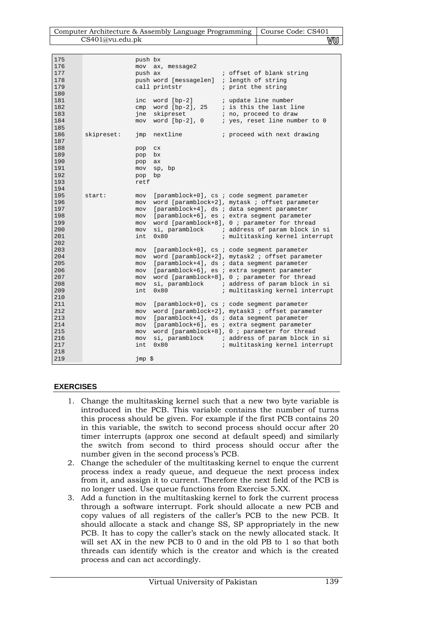| Computer Architecture & Assembly Language Programming   Course Code: CS401 |    |
|----------------------------------------------------------------------------|----|
| CS401@vu.edu.ph                                                            | VU |

| 175 |            | push bx |                        |                                                 |
|-----|------------|---------|------------------------|-------------------------------------------------|
| 176 |            |         | mov ax, message2       |                                                 |
| 177 |            | push ax |                        | ; offset of blank string                        |
| 178 |            |         | push word [messagelen] | ; length of string                              |
| 179 |            |         | call printstr          | ; print the string                              |
| 180 |            |         |                        |                                                 |
|     |            |         |                        |                                                 |
| 181 |            | inc     | word [bp-2]            | ; update line number                            |
| 182 |            | cmp     | word [bp-2], 25        | ; is this the last line                         |
| 183 |            | ine     | skipreset              | ; no, proceed to draw                           |
| 184 |            |         | mov word [bp-2], 0     | ; yes, reset line number to 0                   |
| 185 |            |         |                        |                                                 |
| 186 | skipreset: | jmp     | nextline               | ; proceed with next drawing                     |
| 187 |            |         |                        |                                                 |
| 188 |            | pop     | C X                    |                                                 |
| 189 |            | pop     | bx                     |                                                 |
| 190 |            | pop     | ax                     |                                                 |
| 191 |            | mov     | sp, bp                 |                                                 |
| 192 |            | pop     | bp                     |                                                 |
| 193 |            | retf    |                        |                                                 |
| 194 |            |         |                        |                                                 |
| 195 | start:     |         |                        | [paramblock+0], cs ; code segment parameter     |
|     |            | mov     |                        |                                                 |
| 196 |            | mov     |                        | word [paramblock+2], mytask ; offset parameter  |
| 197 |            | mov     |                        | [paramblock+4], ds ; data segment parameter     |
| 198 |            | mov     |                        | [paramblock+6], es ; extra segment parameter    |
| 199 |            | mov     |                        | word [paramblock+8], 0 ; parameter for thread   |
| 200 |            | mov     |                        | si, paramblock ; address of param block in si   |
| 201 |            | int     | 0x80                   | ; multitasking kernel interrupt                 |
| 202 |            |         |                        |                                                 |
| 203 |            | mov     |                        | [paramblock+0], cs ; code segment parameter     |
| 204 |            | mov     |                        | word [paramblock+2], mytask2 ; offset parameter |
| 205 |            | mov     |                        | [paramblock+4], ds ; data segment parameter     |
| 206 |            | mov     |                        | [paramblock+6], es ; extra segment parameter    |
| 207 |            | mov     |                        | word [paramblock+8], 0 ; parameter for thread   |
| 208 |            | mov     |                        | si, paramblock ; address of param block in si   |
| 209 |            | int     | 0x80                   | ; multitasking kernel interrupt                 |
| 210 |            |         |                        |                                                 |
| 211 |            | mov     |                        | [paramblock+0], cs ; code segment parameter     |
| 212 |            | mov     |                        | word [paramblock+2], mytask3 ; offset parameter |
| 213 |            | mov     |                        | [paramblock+4], ds ; data segment parameter     |
| 214 |            |         |                        | [paramblock+6], es ; extra segment parameter    |
|     |            | mov     |                        |                                                 |
| 215 |            | mov     |                        | word [paramblock+8], 0 ; parameter for thread   |
| 216 |            | mov     |                        | si, paramblock i address of param block in si   |
| 217 |            | int     | $0 \times 80$          | ; multitasking kernel interrupt                 |
| 218 |            |         |                        |                                                 |
| 219 |            | jmp \$  |                        |                                                 |

## **EXERCISES**

- 1. Change the multitasking kernel such that a new two byte variable is introduced in the PCB. This variable contains the number of turns this process should be given. For example if the first PCB contains 20 in this variable, the switch to second process should occur after 20 timer interrupts (approx one second at default speed) and similarly the switch from second to third process should occur after the number given in the second process's PCB.
- 2. Change the scheduler of the multitasking kernel to enque the current process index a ready queue, and dequeue the next process index from it, and assign it to current. Therefore the next field of the PCB is no longer used. Use queue functions from Exercise 5.XX.
- 3. Add a function in the multitasking kernel to fork the current process through a software interrupt. Fork should allocate a new PCB and copy values of all registers of the caller's PCB to the new PCB. It should allocate a stack and change SS, SP appropriately in the new PCB. It has to copy the caller's stack on the newly allocated stack. It will set AX in the new PCB to 0 and in the old PB to 1 so that both threads can identify which is the creator and which is the created process and can act accordingly.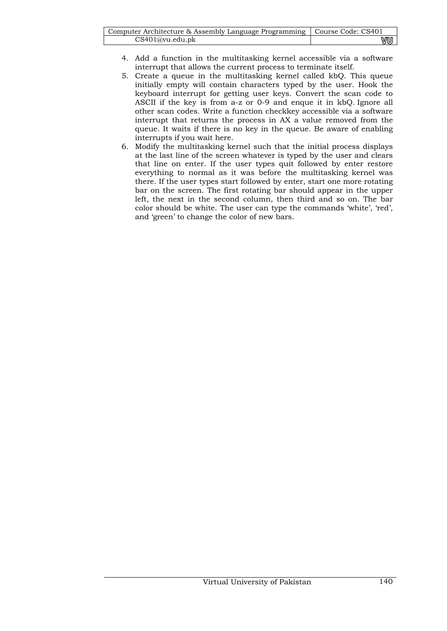| Computer Architecture & Assembly Language Programming   Course Code: CS401 |    |
|----------------------------------------------------------------------------|----|
| CS401@vu.edu.pdf                                                           | vu |

- 4. Add a function in the multitasking kernel accessible via a software interrupt that allows the current process to terminate itself.
- 5. Create a queue in the multitasking kernel called kbQ. This queue initially empty will contain characters typed by the user. Hook the keyboard interrupt for getting user keys. Convert the scan code to ASCII if the key is from a-z or 0-9 and enque it in kbQ. Ignore all other scan codes. Write a function checkkey accessible via a software interrupt that returns the process in AX a value removed from the queue. It waits if there is no key in the queue. Be aware of enabling interrupts if you wait here.
- 6. Modify the multitasking kernel such that the initial process displays at the last line of the screen whatever is typed by the user and clears that line on enter. If the user types quit followed by enter restore everything to normal as it was before the multitasking kernel was there. If the user types start followed by enter, start one more rotating bar on the screen. The first rotating bar should appear in the upper left, the next in the second column, then third and so on. The bar color should be white. The user can type the commands 'white', 'red', and 'green' to change the color of new bars.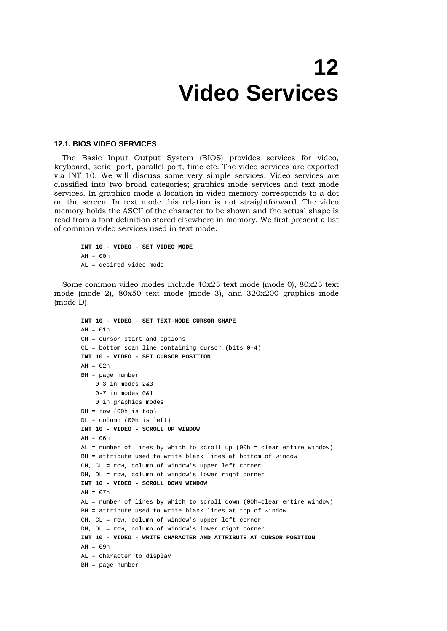## **12 Video Services**

#### **12.1. BIOS VIDEO SERVICES**

The Basic Input Output System (BIOS) provides services for video, keyboard, serial port, parallel port, time etc. The video services are exported via INT 10. We will discuss some very simple services. Video services are classified into two broad categories; graphics mode services and text mode services. In graphics mode a location in video memory corresponds to a dot on the screen. In text mode this relation is not straightforward. The video memory holds the ASCII of the character to be shown and the actual shape is read from a font definition stored elsewhere in memory. We first present a list of common video services used in text mode.

```
INT 10 - VIDEO - SET VIDEO MODE 
AH = 00hAL = desired video mode
```
Some common video modes include 40x25 text mode (mode 0), 80x25 text mode (mode 2), 80x50 text mode (mode 3), and 320x200 graphics mode (mode D).

```
INT 10 - VIDEO - SET TEXT-MODE CURSOR SHAPE 
AH = 01hCH = cursor start and options 
CL = bottom scan line containing cursor (bits 0-4)INT 10 - VIDEO - SET CURSOR POSITION 
AH = 0.2hBH = page number 
    0-3 in modes 2&3 0-7 in modes 0&1 
     0 in graphics modes 
DH = row (00h is top)DL = column (00h is left) 
INT 10 - VIDEO - SCROLL UP WINDOW 
AH = 06hAL = number of lines by which to scroll up (00h = clear entire window) 
BH = attribute used to write blank lines at bottom of window 
CH, CL = row, column of window's upper left corner 
DH, DL = row, column of window's lower right corner 
INT 10 - VIDEO - SCROLL DOWN WINDOW 
AH = 0.7hAL = number of lines by which to scroll down (00h=clear entire window) 
BH = attribute used to write blank lines at top of window 
CH, CL = row, column of window's upper left corner 
DH, DL = row, column of window's lower right corner 
INT 10 - VIDEO - WRITE CHARACTER AND ATTRIBUTE AT CURSOR POSITION 
AH = 09hAL = character to display 
BH = page number
```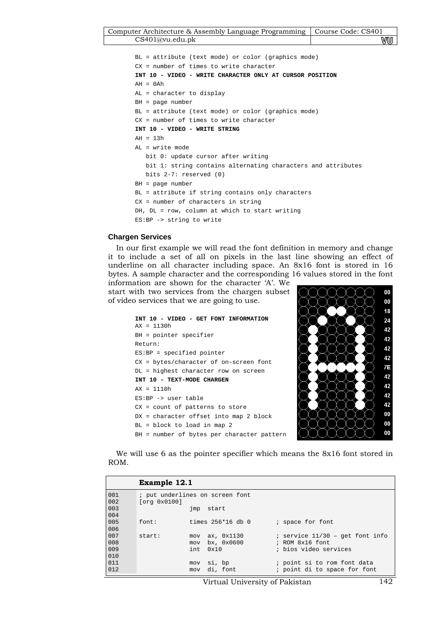| Computer Architecture & Assembly Language Programming   Course Code: CS401 |    |
|----------------------------------------------------------------------------|----|
| CS401@vu.edu.ph                                                            | wu |

```
BL = attribute (text mode) or color (graphics mode) 
CX = number of times to write character 
INT 10 - VIDEO - WRITE CHARACTER ONLY AT CURSOR POSITION 
AH = 0AhAL = character to display 
BH = page number 
BL = attribute (text mode) or color (graphics mode) 
CX = number of times to write character 
INT 10 - VIDEO - WRITE STRING 
AH = 13hAL = write mode 
   bit 0: update cursor after writing 
   bit 1: string contains alternating characters and attributes 
    bits 2-7: reserved (0) 
BH = page number 
BL = attribute if string contains only characters 
CX = number of characters in string 
DH, DL = row, column at which to start writing
ES:BP -> string to write
```
#### **Chargen Services**

In our first example we will read the font definition in memory and change it to include a set of all on pixels in the last line showing an effect of underline on all character including space. An 8x16 font is stored in 16 bytes. A sample character and the corresponding 16 values stored in the font

information are shown for the character 'A'. We start with two services from the chargen subset of video services that we are going to use.

```
INT 10 - VIDEO - GET FONT INFORMATION 
AX = 1130h 
BH = pointer specifier 
Return: 
ES:BP = specified pointer 
CX = bytes/character of on-screen font 
DL = highest character row on screen 
INT 10 - TEXT-MODE CHARGEN 
AX = 1110h 
ES:BP -> user table 
CX = count of patterns to store 
DX = character offset into map 2 block
BL = block to load in map 2 
BH = number of bytes per character pattern
```


We will use 6 as the pointer specifier which means the 8x16 font stored in ROM.

|                   | Example 12.1 |                                                       |                                                                                   |
|-------------------|--------------|-------------------------------------------------------|-----------------------------------------------------------------------------------|
| 001<br>002        | [org 0x0100] | ; put underlines on screen font                       |                                                                                   |
| 003<br>004        |              | start<br>jmp                                          |                                                                                   |
| 005<br>006        | font:        | times $256*16$ db 0                                   | ; space for font                                                                  |
| 007<br>008<br>009 | start:       | ax, 0x1130<br>mov<br>bx, 0x0600<br>mov<br>0x10<br>int | ; service $11/30$ - get font info<br>$;$ ROM $8x16$ font<br>; bios video services |
| 010<br>011<br>012 |              | si, bp<br>mov<br>di, font<br>mov                      | ; point si to rom font data<br>; point di to space for font                       |

Virtual University of Pakistan 142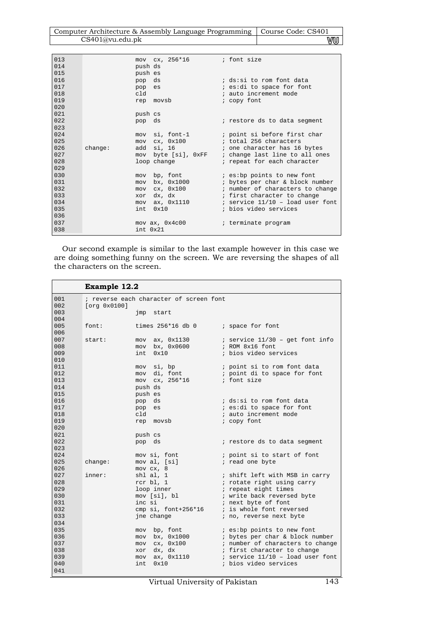| Computer Architecture & Assembly Language Programming   Course Code: CS401 |    |
|----------------------------------------------------------------------------|----|
| CS401@vu.edu.ph                                                            | WU |

 $\overline{\phantom{a}}$ 

| 013  |                | mov cx, 256*16                                                                                                  | ; font size                        |
|------|----------------|-----------------------------------------------------------------------------------------------------------------|------------------------------------|
| 014  |                | push ds                                                                                                         |                                    |
| 015  |                | push es                                                                                                         |                                    |
| 016  | pop            | ds                                                                                                              | ; ds:si to rom font data           |
| 017  |                | pop es                                                                                                          | i es:di to space for font          |
| 018  | cld            |                                                                                                                 | ; auto increment mode              |
| 019  |                | rep movsb                                                                                                       | ; copy font                        |
| 020  |                |                                                                                                                 |                                    |
| 021  |                | push cs                                                                                                         |                                    |
| 022  |                | pop ds                                                                                                          | ; restore ds to data segment       |
| 023  |                |                                                                                                                 |                                    |
| 024  |                | si, font-1<br>mov                                                                                               | ; point si before first char       |
| 025  | mov            | cx, 0x100                                                                                                       | ; total 256 characters             |
| 026  | change:<br>add | si, 16<br>and the control of the control of                                                                     | ; one character has 16 bytes       |
| 027  | mov            | byte [si], OxFF                                                                                                 | ; change last line to all ones     |
| 028  |                | loop change that the state of the state of the state of the state of the state of the state of the state of the | ; repeat for each character        |
| 029  |                |                                                                                                                 |                                    |
| 030  | mov            | bp, font                                                                                                        | <i>i</i> es: bp points to new font |
| 031  | mov            | bx, 0x1000                                                                                                      | ; bytes per char & block number    |
| 0.32 | mov            | cx, 0x100                                                                                                       | ; number of characters to change   |
| 033  | xor            | dx, dx                                                                                                          | ; first character to change        |
| 0.34 | mov            | ax, 0x1110                                                                                                      | ; service $11/10$ - load user font |
| 035  | int.           | $0 \times 10$                                                                                                   | ; bios video services              |
| 036  |                |                                                                                                                 |                                    |
| 037  |                | $mov$ ax, $0x4c00$                                                                                              | ; terminate program                |
| 038  |                | int. 0x21                                                                                                       |                                    |

Our second example is similar to the last example however in this case we are doing something funny on the screen. We are reversing the shapes of all the characters on the screen.

|            | Example 12.2 |                                         |                                                   |
|------------|--------------|-----------------------------------------|---------------------------------------------------|
| 001        |              | ; reverse each character of screen font |                                                   |
| 002        | [org 0x0100] |                                         |                                                   |
| 003        |              | jmp<br>start                            |                                                   |
| 004        |              |                                         |                                                   |
| 005        | font:        | times $256*16$ db $0$                   | ; space for font                                  |
| 006        |              |                                         |                                                   |
| 007        | start:       | $mov$ ax, $0x1130$                      | $i$ service $11/30$ - get font info               |
| 008        |              | mov bx, 0x0600                          | ; ROM 8x16 font                                   |
| 009        |              | 0x10<br>int.                            | ; bios video services                             |
| 010        |              |                                         |                                                   |
| 011        |              | si, bp<br>mov                           | ; point si to rom font data                       |
| 012        |              | di, font<br>mov                         | ; point di to space for font                      |
| 013        |              | mov cx, 256*16                          | ; font size                                       |
| 014        |              | push ds                                 |                                                   |
| 015        |              | push es                                 |                                                   |
| 016        |              | pop ds                                  | ; ds:si to rom font data                          |
| 017        |              | pop es                                  | ; es:di to space for font                         |
| 018        |              | cld                                     | ; auto increment mode                             |
| 019        |              | rep movsb                               | ; copy font                                       |
| 020        |              |                                         |                                                   |
| 021        |              | push cs                                 |                                                   |
| 022        |              | pop ds                                  | ; restore ds to data segment                      |
| 023        |              |                                         |                                                   |
| 024        |              | mov si, font                            | ; point si to start of font                       |
| 025        | change:      | mov al, [si]                            | ; read one byte                                   |
| 026<br>027 |              | $mov$ $cx$ , $8$                        |                                                   |
|            | inner:       | shl al, 1                               | ; shift left with MSB in carry                    |
| 028<br>029 |              | rcr bl, 1                               | ; rotate right using carry                        |
| 0.30       |              | loop inner                              | ; repeat eight times                              |
| 0.31       |              | mov [si], bl<br>inc si                  | ; write back reversed byte<br>; next byte of font |
| 0.32       |              | cmp si, font+256*16                     | ; is whole font reversed                          |
| 033        |              | jne change                              | ; no, reverse next byte                           |
| 0.34       |              |                                         |                                                   |
| 035        |              | bp, font<br>mov                         | <i>i</i> es: bp points to new font                |
| 036        |              | bx, 0x1000<br>mov                       | ; bytes per char & block number                   |
| 037        |              | cx, 0x100<br>mov                        | ; number of characters to change                  |
| 038        |              | dx, dx<br>xor                           | ; first character to change                       |
| 039        |              | ax, 0x1110<br>mov                       | ; service $11/10$ - load user font                |
| 040        |              | 0x10<br>int                             | ; bios video services                             |
| 041        |              |                                         |                                                   |
|            |              |                                         |                                                   |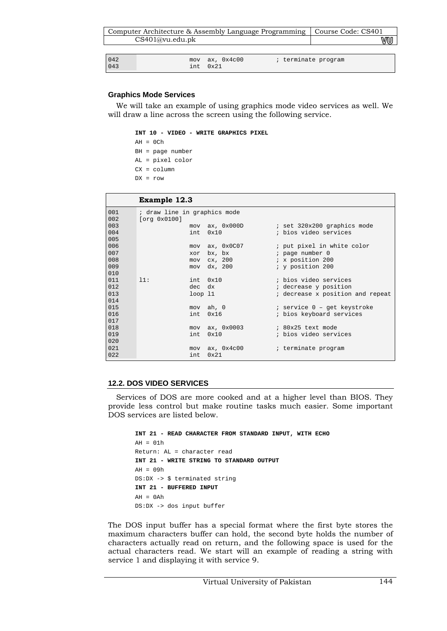|                | Computer Architecture & Assembly Language Programming |                    |                     | Course Code: CS401 |
|----------------|-------------------------------------------------------|--------------------|---------------------|--------------------|
|                | CS401@vu.edu.ph                                       |                    |                     |                    |
|                |                                                       |                    |                     |                    |
| $042$<br>$043$ | mov<br>int                                            | ax, 0x4c00<br>0x21 | ; terminate program |                    |

## **Graphics Mode Services**

We will take an example of using graphics mode video services as well. We will draw a line across the screen using the following service.

**INT 10 - VIDEO - WRITE GRAPHICS PIXEL** 

 $AH = OCh$ 

- BH = page number AL = pixel color
- CX = column
- $DX = row$

|            | <b>Example 12.3</b>                          |                    |                                  |
|------------|----------------------------------------------|--------------------|----------------------------------|
| 001<br>002 | ; draw line in graphics mode<br>[org 0x0100] |                    |                                  |
| 003        |                                              | mov ax, 0x000D     | ; set 320x200 graphics mode      |
| 004        | int                                          | 0x10               | ; bios video services            |
| 005        |                                              |                    |                                  |
| 006        |                                              | mov ax, 0x0C07     | ; put pixel in white color       |
| 007        | xor                                          | bx, bx             | ; page number 0                  |
| 008        | mov                                          | cx, 200            | ; x position 200                 |
| 009        | mov                                          | dx, 200            | ; y position 200                 |
| 010        |                                              |                    |                                  |
| 011        | 11:                                          | int 0x10           | ; bios video services            |
| 012        | dec                                          | dx                 | ; decrease y position            |
| 013        | $loop$ $11$                                  |                    | ; decrease x position and repeat |
| 014        |                                              |                    |                                  |
| 015        |                                              | mov ah, 0          | ; service 0 - get keystroke      |
| 016        | int                                          | 0x16               | ; bios keyboard services         |
| 017        |                                              |                    |                                  |
| 018        |                                              | mov ax, 0x0003     | ; 80x25 text mode                |
| 019        | int                                          | 0x10               | ; bios video services            |
| 020        |                                              |                    |                                  |
| 021        |                                              | $mov$ ax, $0x4c00$ | ; terminate program              |
| 022        | int                                          | 0x21               |                                  |

## **12.2. DOS VIDEO SERVICES**

Services of DOS are more cooked and at a higher level than BIOS. They provide less control but make routine tasks much easier. Some important DOS services are listed below.

```
INT 21 - READ CHARACTER FROM STANDARD INPUT, WITH ECHO 
\Delta H = 0.1hReturn: AL = character read 
INT 21 - WRITE STRING TO STANDARD OUTPUT 
AH = 09hDS:DX -> $ terminated string 
INT 21 - BUFFERED INPUT 
AH = 0AhDS:DX -> dos input buffer
```
The DOS input buffer has a special format where the first byte stores the maximum characters buffer can hold, the second byte holds the number of characters actually read on return, and the following space is used for the actual characters read. We start will an example of reading a string with service 1 and displaying it with service 9.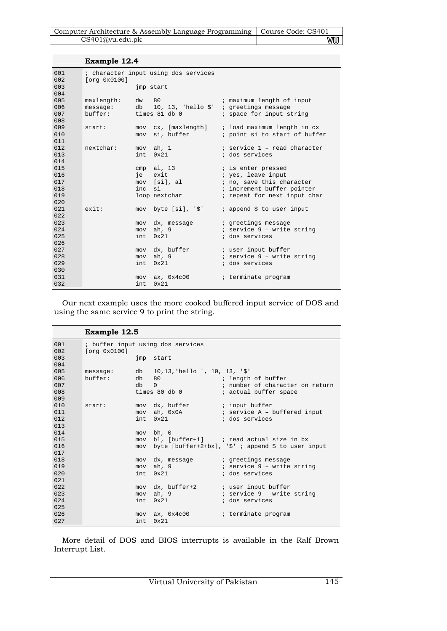| Computer Architecture & Assembly Language Programming   Course Code: CS401 |    |
|----------------------------------------------------------------------------|----|
| CS401@vu.edu.ph                                                            | vu |

|            | Example 12.4          |             |                                                             |                                          |
|------------|-----------------------|-------------|-------------------------------------------------------------|------------------------------------------|
| 001<br>002 | [org 0x0100]          |             | ; character input using dos services                        |                                          |
| 003<br>004 |                       |             | imp start                                                   |                                          |
| 005        | maxlength: dw 80      |             |                                                             | ; maximum length of input                |
| 006        |                       |             | message: $db = 10, 13,$ 'hello $\zeta'$ ; greetings message |                                          |
| 007<br>008 | buffer: times 81 db 0 |             |                                                             | ; space for input string                 |
| 009        | start:                |             | mov cx, [maxlength]                                         | ; load maximum length in cx              |
| 010        |                       |             | mov si, buffer                                              | ; point si to start of buffer            |
| 011        |                       |             |                                                             |                                          |
| 012        | nextchar:             |             | mov ah, 1                                                   | ; service 1 - read character             |
| 013        |                       |             | int 0x21                                                    | ; dos services                           |
| 014<br>015 |                       |             |                                                             |                                          |
| 016        |                       |             | $cmp \tal, 13$<br>je exit                                   | ; is enter pressed<br>; yes, leave input |
| 017        |                       |             | mov [si], al                                                | ; no, save this character                |
| 018        |                       | inc         | si                                                          | ; increment buffer pointer               |
| 019        |                       |             | loop nextchar                                               | ; repeat for next input char             |
| 020        |                       |             |                                                             |                                          |
| 021        | exist:                |             | mov byte [si], '\$'                                         | ; append \$ to user input                |
| 022        |                       |             |                                                             |                                          |
| 023        |                       |             | mov dx, message                                             | ; greetings message                      |
| 024        |                       | mov         | ah, 9                                                       | ; service 9 - write string               |
| 025        |                       | int         | $0 \times 21$                                               | ; dos services                           |
| 026        |                       |             |                                                             |                                          |
| 027        |                       |             | mov dx, buffer                                              | ; user input buffer                      |
| 028        |                       |             | mov ah, 9                                                   | ; service 9 - write string               |
| 029        |                       | int         | 0x21                                                        | ; dos services                           |
| 030<br>031 |                       |             |                                                             |                                          |
| 032        |                       | mov<br>int. | ax, 0x4c00<br>0x21                                          | ; terminate program                      |
|            |                       |             |                                                             |                                          |

Our next example uses the more cooked buffered input service of DOS and using the same service 9 to print the string.

|            | <b>Example 12.5</b> |       |                                          |                                                        |  |  |
|------------|---------------------|-------|------------------------------------------|--------------------------------------------------------|--|--|
| 001<br>002 | [org 0x0100]        |       | ; buffer input using dos services        |                                                        |  |  |
| 003<br>004 |                     |       | jmp start                                |                                                        |  |  |
| 005        |                     |       | message: db 10,13, hello ', 10, 13, '\$' |                                                        |  |  |
| 006        | buffer:             | db 80 |                                          | and the set of the set of buffer                       |  |  |
| 007        |                     | db    | $\Omega$                                 | i number of character on return                        |  |  |
| 008        |                     |       | times 80 db 0                            | ; actual buffer space                                  |  |  |
| 009        |                     |       |                                          |                                                        |  |  |
| 010        | start:              |       | mov dx, buffer ; input buffer            |                                                        |  |  |
| 011        |                     |       |                                          |                                                        |  |  |
| 012<br>013 |                     |       | int 0x21                                 | ; dos services                                         |  |  |
| 014        |                     |       | mov bh, 0                                |                                                        |  |  |
| 015        |                     |       |                                          | mov bl, [buffer+1] ; read actual size in bx            |  |  |
| 016        |                     |       |                                          | mov byte [buffer+2+bx], '\$' ; append \$ to user input |  |  |
| 017        |                     |       |                                          |                                                        |  |  |
| 018        |                     |       |                                          | mov dx, message igreetings message                     |  |  |
| 019        |                     |       |                                          | mov ah, 9 i service 9 - write string                   |  |  |
| 020        |                     |       | $int_{0}$ $0x21$                         | ; dos services                                         |  |  |
| 021        |                     |       |                                          |                                                        |  |  |
| 022        |                     |       |                                          | mov dx, buffer+2 ; user input buffer                   |  |  |
| 023        |                     |       | mov ah, 9                                | ; service 9 - write string                             |  |  |
| 024        |                     |       | int 0x21                                 | ; dos services                                         |  |  |
| 025        |                     |       |                                          |                                                        |  |  |
| 026        |                     |       | mov ax, 0x4c00                           | ; terminate program                                    |  |  |
| 027        |                     | int.  | $0 \times 21$                            |                                                        |  |  |

More detail of DOS and BIOS interrupts is available in the Ralf Brown Interrupt List.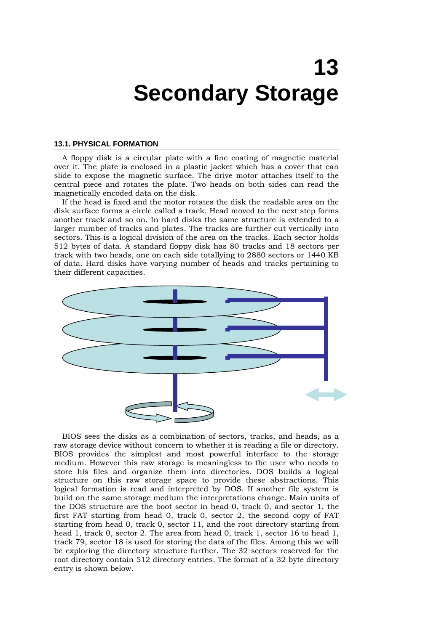# **13 Secondary Storage**

#### **13.1. PHYSICAL FORMATION**

A floppy disk is a circular plate with a fine coating of magnetic material over it. The plate is enclosed in a plastic jacket which has a cover that can slide to expose the magnetic surface. The drive motor attaches itself to the central piece and rotates the plate. Two heads on both sides can read the magnetically encoded data on the disk.

If the head is fixed and the motor rotates the disk the readable area on the disk surface forms a circle called a track. Head moved to the next step forms another track and so on. In hard disks the same structure is extended to a larger number of tracks and plates. The tracks are further cut vertically into sectors. This is a logical division of the area on the tracks. Each sector holds 512 bytes of data. A standard floppy disk has 80 tracks and 18 sectors per track with two heads, one on each side totallying to 2880 sectors or 1440 KB of data. Hard disks have varying number of heads and tracks pertaining to their different capacities.



BIOS sees the disks as a combination of sectors, tracks, and heads, as a raw storage device without concern to whether it is reading a file or directory. BIOS provides the simplest and most powerful interface to the storage medium. However this raw storage is meaningless to the user who needs to store his files and organize them into directories. DOS builds a logical structure on this raw storage space to provide these abstractions. This logical formation is read and interpreted by DOS. If another file system is build on the same storage medium the interpretations change. Main units of the DOS structure are the boot sector in head 0, track 0, and sector 1, the first FAT starting from head 0, track 0, sector 2, the second copy of FAT starting from head 0, track 0, sector 11, and the root directory starting from head 1, track 0, sector 2. The area from head 0, track 1, sector 16 to head 1, track 79, sector 18 is used for storing the data of the files. Among this we will be exploring the directory structure further. The 32 sectors reserved for the root directory contain 512 directory entries. The format of a 32 byte directory entry is shown below.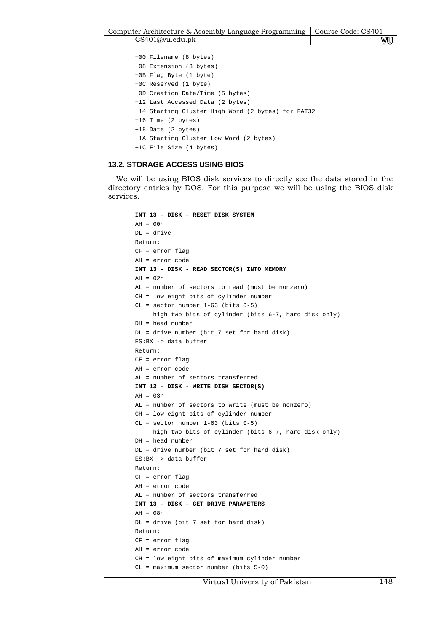```
+00 Filename (8 bytes) 
+08 Extension (3 bytes) 
+0B Flag Byte (1 byte)
+0C Reserved (1 byte) 
+0D Creation Date/Time (5 bytes) 
+12 Last Accessed Data (2 bytes) 
+14 Starting Cluster High Word (2 bytes) for FAT32 
+16 Time (2 bytes) 
+18 Date (2 bytes) 
+1A Starting Cluster Low Word (2 bytes) 
+1C File Size (4 bytes)
```
### **13.2. STORAGE ACCESS USING BIOS**

We will be using BIOS disk services to directly see the data stored in the directory entries by DOS. For this purpose we will be using the BIOS disk services.

```
INT 13 - DISK - RESET DISK SYSTEM 
AH = 00hDL = drive 
Return: 
CF = error flag 
AH = error code 
INT 13 - DISK - READ SECTOR(S) INTO MEMORY 
AH = 0.2hAL = number of sectors to read (must be nonzero) 
CH = low eight bits of cylinder number 
CL = sector number 1-63 (bits 0-5) high two bits of cylinder (bits 6-7, hard disk only) 
DH = head number 
DL = drive number (bit 7 set for hard disk) 
ES:BX -> data buffer 
Return: 
CF = error flag 
AH = error code 
AL = number of sectors transferred 
INT 13 - DISK - WRITE DISK SECTOR(S) 
AH = 03hAL = number of sectors to write (must be nonzero) 
CH = low eight bits of cylinder number 
CL = sector number 1-63 (bits 0-5) high two bits of cylinder (bits 6-7, hard disk only) 
DH = head number 
DL = drive number (bit 7 set for hard disk) 
ES:BX -> data buffer 
Return: 
CF = error flag 
AH = error code 
AL = number of sectors transferred 
INT 13 - DISK - GET DRIVE PARAMETERS 
AH = 08hDL = drive (bit 7 set for hard disk) 
Return: 
CF = error flag 
AH = error code 
CH = low eight bits of maximum cylinder number 
CL = maximum sector number (bits 5-0)
```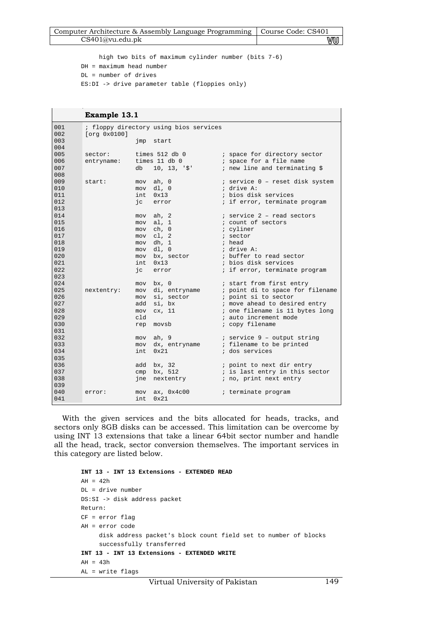| Computer Architecture & Assembly Language Programming   Course Code: CS401 |    |
|----------------------------------------------------------------------------|----|
| CS401@vu.edu.ph                                                            | wu |

 high two bits of maximum cylinder number (bits 7-6) DH = maximum head number DL = number of drives ES:DI -> drive parameter table (floppies only)

|            | Example 13.1          |     |                                        |                                                                            |
|------------|-----------------------|-----|----------------------------------------|----------------------------------------------------------------------------|
| 001<br>002 | [org 0x0100]          |     | ; floppy directory using bios services |                                                                            |
| 003<br>004 |                       | jmp | start                                  |                                                                            |
| 005<br>006 | sector:<br>entryname: |     | times $11$ db $0$                      | times 512 db 0 (b) ; space for directory sector<br>; space for a file name |
| 007<br>008 |                       |     | db 10, 13, '\$'                        | ; new line and terminating \$                                              |
| 009        | start:                | mov | ah, 0                                  | ; service 0 - reset disk system                                            |
| 010        |                       |     | $mov$ $dl$ , $0$                       | ; drive A:                                                                 |
| 011        |                       |     | int 0x13                               | ; bios disk services                                                       |
| 012<br>013 |                       |     | jc error                               | ; if error, terminate program                                              |
| 014        |                       |     | mov ah, 2                              | ; service 2 - read sectors                                                 |
| 015        |                       | mov | al, 1                                  | ; count of sectors                                                         |
| 016        |                       | mov | ch, 0                                  | ; cyliner                                                                  |
| 017        |                       | mov | c1, 2                                  | ; sector                                                                   |
| 018        |                       | mov | dh, 1                                  | ; head                                                                     |
| 019        |                       | mov | dl, 0                                  | ; drive A:                                                                 |
| 020        |                       | mov | bx, sector                             | ; buffer to read sector                                                    |
| 021        |                       | int | 0x13                                   | ; bios disk services                                                       |
| 022        |                       | ic  | error                                  | ; if error, terminate program                                              |
| 023        |                       |     |                                        |                                                                            |
| 024        |                       |     | mov bx, 0                              | ; start from first entry                                                   |
| 025        | nextentry:            |     | mov di, entryname                      | ; point di to space for filename                                           |
| 026        |                       |     | mov si, sector                         | ; point si to sector                                                       |
| 027        |                       | add | si, bx                                 | ; move ahead to desired entry                                              |
| 028        |                       | mov | cx, 11                                 | ; one filename is 11 bytes long                                            |
| 029<br>030 |                       | cld |                                        | ; auto increment mode                                                      |
| 031        |                       | rep | movsb                                  | ; copy filename                                                            |
| 032        |                       |     | mov ah, 9                              | ; service 9 - output string                                                |
| 033        |                       |     |                                        | mov dx, entryname : filename to be printed                                 |
| 034        |                       | int | 0x21                                   | ; dos services                                                             |
| 035        |                       |     |                                        |                                                                            |
| 036        |                       | add | bx, 32                                 | ; point to next dir entry                                                  |
| 037        |                       | cmp | bx, 512                                | ; is last entry in this sector                                             |
| 038        |                       | jne | nextentry                              | ; no, print next entry                                                     |
| 039        |                       |     |                                        |                                                                            |
| 040        | error:                | mov | ax, 0x4c00                             | ; terminate program                                                        |
| 041        |                       | int | 0x21                                   |                                                                            |

With the given services and the bits allocated for heads, tracks, and sectors only 8GB disks can be accessed. This limitation can be overcome by using INT 13 extensions that take a linear 64bit sector number and handle all the head, track, sector conversion themselves. The important services in this category are listed below.

```
INT 13 - INT 13 Extensions - EXTENDED READ 
AH = 42hDL = drive number 
DS:SI -> disk address packet 
Return: 
CF = error flag 
AH = error code 
      disk address packet's block count field set to number of blocks 
      successfully transferred 
INT 13 - INT 13 Extensions - EXTENDED WRITE 
AH = 43hAL = write flags
```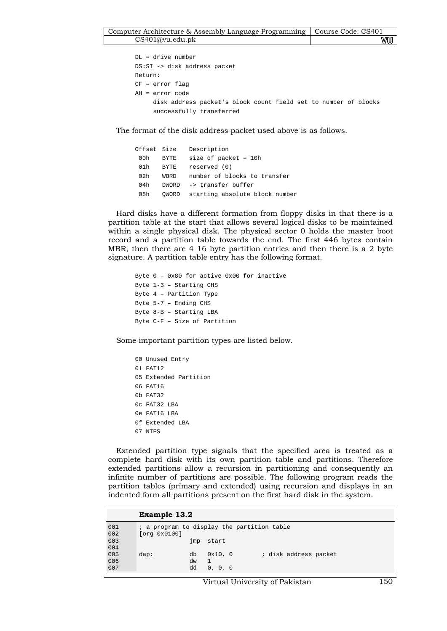DL = drive number DS:SI -> disk address packet Return: CF = error flag AH = error code disk address packet's block count field set to number of blocks successfully transferred

The format of the disk address packet used above is as follows.

|     |             | Offset Size Description              |
|-----|-------------|--------------------------------------|
| 00h | BYTE        | size of packet = $10h$               |
| 01h | BYTE        | reserved (0)                         |
| 02h | <b>WORD</b> | number of blocks to transfer         |
| 04h | DWORD       | -> transfer buffer                   |
| 08h |             | OWORD starting absolute block number |

Hard disks have a different formation from floppy disks in that there is a partition table at the start that allows several logical disks to be maintained within a single physical disk. The physical sector 0 holds the master boot record and a partition table towards the end. The first 446 bytes contain MBR, then there are 4 16 byte partition entries and then there is a 2 byte signature. A partition table entry has the following format.

```
Byte 0 – 0x80 for active 0x00 for inactive 
Byte 1-3 – Starting CHS 
Byte 4 – Partition Type 
Byte 5-7 – Ending CHS 
Byte 8-B – Starting LBA 
Byte C-F – Size of Partition
```
Some important partition types are listed below.

```
00 Unused Entry 
01 FAT12 
05 Extended Partition 
06 FAT16 
0b FAT32 
0c FAT32 LBA 
0e FAT16 LBA 
0f Extended LBA 
07 NTFS
```
Extended partition type signals that the specified area is treated as a complete hard disk with its own partition table and partitions. Therefore extended partitions allow a recursion in partitioning and consequently an infinite number of partitions are possible. The following program reads the partition tables (primary and extended) using recursion and displays in an indented form all partitions present on the first hard disk in the system.

|                   | Example 13.2                                                                   |
|-------------------|--------------------------------------------------------------------------------|
| 001               | ; a program to display the partition table                                     |
| 002               | [org 0x0100]                                                                   |
| 003               | start                                                                          |
| 004               | jmp                                                                            |
| 005<br>006<br>007 | 0x10, 0<br>; disk address packet<br>$\text{dap}:$<br>db<br>dw<br>dd<br>0, 0, 0 |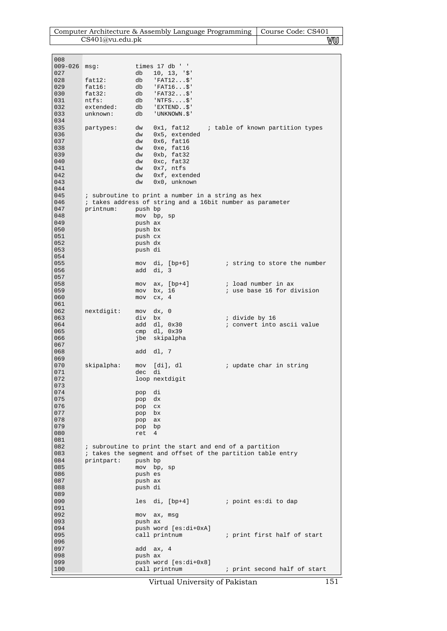|             |                  |                    |                                                             |                      | Computer Architecture & Assembly Language Programming   Course Code: CS401 |
|-------------|------------------|--------------------|-------------------------------------------------------------|----------------------|----------------------------------------------------------------------------|
|             | CS401@vu.edu.pdf |                    |                                                             |                      | ₩U                                                                         |
|             |                  |                    |                                                             |                      |                                                                            |
| 008         |                  |                    |                                                             |                      |                                                                            |
| $009 - 026$ | msq:             |                    | times 17 db ' '                                             |                      |                                                                            |
| 027         |                  | db                 | 10, 13, 9                                                   |                      |                                                                            |
| 028         | fat12:           | db                 | $"FAT12$ \$'                                                |                      |                                                                            |
| 029         | fat16:           | db                 | $'FAT16$ \$'                                                |                      |                                                                            |
| 030         | fat32:           | db                 | $'FAT32$ \$'                                                |                      |                                                                            |
| 031         | $n$ tfs:         | db                 | $'NTFS$ \$'                                                 |                      |                                                                            |
| 032         | extended:        | db                 | 'EXTEND\$'                                                  |                      |                                                                            |
| 033<br>034  | unknown:         | db                 | 'UNKNOWN.\$'                                                |                      |                                                                            |
| 035         | partypes:        | dw                 | $0x1$ , fat $12$                                            |                      | ; table of known partition types                                           |
| 036         |                  | dw                 | 0x5, extended                                               |                      |                                                                            |
| 037         |                  | dw                 | $0x6$ , fat16                                               |                      |                                                                            |
| 038         |                  | dw                 | 0xe, fat16                                                  |                      |                                                                            |
| 039         |                  | dw                 | $0xb$ , fat32                                               |                      |                                                                            |
| 040         |                  | dw                 | Oxc, fat32                                                  |                      |                                                                            |
| 041<br>042  |                  | dw<br>dw           | $0x7$ , ntfs<br>0xf, extended                               |                      |                                                                            |
| 043         |                  | dw                 | 0x0, unknown                                                |                      |                                                                            |
| 044         |                  |                    |                                                             |                      |                                                                            |
| 045         |                  |                    | ; subroutine to print a number in a string as hex           |                      |                                                                            |
| 046         |                  |                    | ; takes address of string and a 16bit number as parameter   |                      |                                                                            |
| 047         | printnum:        | push bp            |                                                             |                      |                                                                            |
| 048         |                  |                    | mov bp, sp                                                  |                      |                                                                            |
| 049<br>050  |                  | push ax            |                                                             |                      |                                                                            |
| 051         |                  | push bx<br>push cx |                                                             |                      |                                                                            |
| 052         |                  | push dx            |                                                             |                      |                                                                            |
| 053         |                  | push di            |                                                             |                      |                                                                            |
| 054         |                  |                    |                                                             |                      |                                                                            |
| 055         |                  |                    | mov di, [bp+6]                                              |                      | i string to store the number                                               |
| 056         |                  |                    | add di, 3                                                   |                      |                                                                            |
| 057         |                  |                    |                                                             |                      |                                                                            |
| 058<br>059  |                  | mov                | $ax, [bp+4]$<br>bx, 16                                      |                      | ; load number in ax<br>; use base 16 for division                          |
| 060         |                  | mov<br>mov         | cx, 4                                                       |                      |                                                                            |
| 061         |                  |                    |                                                             |                      |                                                                            |
| 062         | nextdigit:       | mov                | dx, 0                                                       |                      |                                                                            |
| 063         |                  | div                | bx                                                          | ; divide by 16       |                                                                            |
| 064         |                  |                    | add dl, 0x30                                                |                      | ; convert into ascii value                                                 |
| 065         |                  |                    | $cmp \, dl, 0x39$                                           |                      |                                                                            |
| 066         |                  |                    | jbe skipalpha                                               |                      |                                                                            |
| 067<br>068  |                  | add                | dl, 7                                                       |                      |                                                                            |
| 069         |                  |                    |                                                             |                      |                                                                            |
| 070         | skipalpha:       |                    | mov [di], dl                                                |                      | ; update char in string                                                    |
| 071         |                  | dec di             |                                                             |                      |                                                                            |
| 072         |                  |                    | loop nextdigit                                              |                      |                                                                            |
| 073         |                  |                    |                                                             |                      |                                                                            |
| 074         |                  | pop                | di                                                          |                      |                                                                            |
| 075<br>076  |                  | pop                | dx<br>CX                                                    |                      |                                                                            |
| 077         |                  | pop<br>pop bx      |                                                             |                      |                                                                            |
| 078         |                  | pop                | ax                                                          |                      |                                                                            |
| 079         |                  | pop bp             |                                                             |                      |                                                                            |
| 080         |                  | ret                | 4                                                           |                      |                                                                            |
| 081         |                  |                    |                                                             |                      |                                                                            |
| 082         |                  |                    | ; subroutine to print the start and end of a partition      |                      |                                                                            |
| 083         | printpart:       |                    | ; takes the segment and offset of the partition table entry |                      |                                                                            |
| 084<br>085  |                  | push bp            | mov bp, sp                                                  |                      |                                                                            |
| 086         |                  | push es            |                                                             |                      |                                                                            |
| 087         |                  | push ax            |                                                             |                      |                                                                            |
| 088         |                  | push di            |                                                             |                      |                                                                            |
| 089         |                  |                    |                                                             |                      |                                                                            |
| 090         |                  |                    | les di, [bp+4]                                              | point es:di to dap ; |                                                                            |
| 091         |                  |                    |                                                             |                      |                                                                            |
| 092         |                  |                    | mov ax, msg                                                 |                      |                                                                            |
| 093<br>094  |                  | push ax            | push word [es:di+0xA]                                       |                      |                                                                            |
| 095         |                  |                    | call printnum                                               |                      | ; print first half of start                                                |
| 096         |                  |                    |                                                             |                      |                                                                            |
| 097         |                  |                    | add ax, 4                                                   |                      |                                                                            |
| 098         |                  | push ax            |                                                             |                      |                                                                            |
| 099         |                  |                    | push word [es:di+0x8]                                       |                      |                                                                            |
| 100         |                  |                    | call printnum                                               |                      | ; print second half of start                                               |

Virtual University of Pakistan 151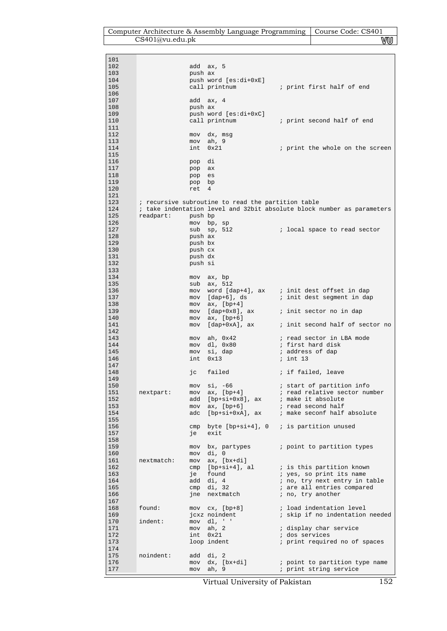| Computer Architecture & Assembly Language Programming   Course Code: CS401 |    |
|----------------------------------------------------------------------------|----|
| CS401@vu.edu.ph                                                            | vu |

 $\mathbf{I}$ 

| 101 |            |         |                                                    |                                                                        |
|-----|------------|---------|----------------------------------------------------|------------------------------------------------------------------------|
| 102 |            |         | add ax, 5                                          |                                                                        |
| 103 |            | push ax |                                                    |                                                                        |
|     |            |         |                                                    |                                                                        |
| 104 |            |         | push word [es:di+0xE]                              |                                                                        |
| 105 |            |         | call printnum                                      | ; print first half of end                                              |
| 106 |            |         |                                                    |                                                                        |
| 107 |            |         | add ax, 4                                          |                                                                        |
| 108 |            | push ax |                                                    |                                                                        |
| 109 |            |         | push word [es:di+0xC]                              |                                                                        |
|     |            |         |                                                    |                                                                        |
| 110 |            |         | call printnum                                      | ; print second half of end                                             |
| 111 |            |         |                                                    |                                                                        |
| 112 |            | mov     | dx, msg                                            |                                                                        |
| 113 |            | mov     | ah, 9                                              |                                                                        |
| 114 |            | int     | 0x21                                               | ; print the whole on the screen                                        |
|     |            |         |                                                    |                                                                        |
| 115 |            |         |                                                    |                                                                        |
| 116 |            | pop     | di                                                 |                                                                        |
| 117 |            | pop ax  |                                                    |                                                                        |
| 118 |            | pop     | es                                                 |                                                                        |
| 119 |            | pop bp  |                                                    |                                                                        |
| 120 |            | ret     | 4                                                  |                                                                        |
|     |            |         |                                                    |                                                                        |
| 121 |            |         |                                                    |                                                                        |
| 123 |            |         | ; recursive subroutine to read the partition table |                                                                        |
| 124 |            |         |                                                    | ; take indentation level and 32bit absolute block number as parameters |
| 125 | readpart:  | push bp |                                                    |                                                                        |
| 126 |            |         | mov bp, sp                                         |                                                                        |
| 127 |            |         | $sub$ sp, $512$                                    | i local space to read sector                                           |
|     |            |         |                                                    |                                                                        |
| 128 |            | push ax |                                                    |                                                                        |
| 129 |            | push bx |                                                    |                                                                        |
| 130 |            | push cx |                                                    |                                                                        |
| 131 |            | push dx |                                                    |                                                                        |
| 132 |            | push si |                                                    |                                                                        |
| 133 |            |         |                                                    |                                                                        |
|     |            |         |                                                    |                                                                        |
| 134 |            |         | mov ax, bp                                         |                                                                        |
| 135 |            | sub     | ax, 512                                            |                                                                        |
| 136 |            |         |                                                    | mov word [dap+4], ax ; init dest offset in dap                         |
| 137 |            |         |                                                    | mov [dap+6], ds ; init dest segment in dap                             |
| 138 |            |         | mov $ax$ , $[bp+4]$                                |                                                                        |
|     |            |         |                                                    |                                                                        |
| 139 |            |         |                                                    | mov [dap+0x8], ax ; init sector no in dap                              |
| 140 |            | mov     | ax, [bp+6]                                         |                                                                        |
| 141 |            | mov     |                                                    | [dap+0xA], ax ; init second half of sector no                          |
| 142 |            |         |                                                    |                                                                        |
| 143 |            | mov     | ah, 0x42                                           | ; read sector in LBA mode                                              |
|     |            |         |                                                    |                                                                        |
| 144 |            | mov     | dl, 0x80                                           | ; first hard disk                                                      |
| 145 |            | mov     | si, dap                                            | ; address of dap                                                       |
| 146 |            | int     | 0x13                                               | ; int 13                                                               |
| 147 |            |         |                                                    |                                                                        |
| 148 |            | jс      | failed                                             | ; if failed, leave                                                     |
| 149 |            |         |                                                    |                                                                        |
| 150 |            | mov     | $si, -66$                                          |                                                                        |
|     |            |         |                                                    | ; start of partition info                                              |
| 151 | nextpart:  | mov     | $ax, [bp+4]$                                       | ; read relative sector number                                          |
| 152 |            | add     | $[bp+si+0x8]$ , ax                                 | ; make it absolute                                                     |
| 153 |            | mov     | ax, $[bp+6]$                                       | ; read second half                                                     |
| 154 |            | adc     |                                                    | [bp+si+0xA], ax ; make seconf half absolute                            |
| 155 |            |         |                                                    |                                                                        |
| 156 |            | cmp     | byte $[bp+si+4]$ , 0 ; is partition unused         |                                                                        |
|     |            |         |                                                    |                                                                        |
| 157 |            | је      | exit                                               |                                                                        |
| 158 |            |         |                                                    |                                                                        |
| 159 |            | mov     | bx, partypes                                       | ; point to partition types                                             |
| 160 |            | mov     | di, 0                                              |                                                                        |
| 161 | nextmatch: | mov     | $ax, [bx+di]$                                      |                                                                        |
| 162 |            |         |                                                    |                                                                        |
|     |            | cmp     | [bp+si+4], al                                      | ; is this partition known                                              |
| 163 |            | je      | found                                              | ; yes, so print its name                                               |
| 164 |            |         | add di, 4                                          | ; no, try next entry in table                                          |
| 165 |            | cmp     | di, 32                                             | ; are all entries compared                                             |
| 166 |            | jne     | nextmatch                                          | ; no, try another                                                      |
| 167 |            |         |                                                    |                                                                        |
| 168 | found:     |         |                                                    | ; load indentation level                                               |
|     |            |         | $mov$ $cx$ , $[bp+8]$                              |                                                                        |
| 169 |            |         | jcxz noindent                                      | ; skip if no indentation needed                                        |
| 170 | indent:    | mov     | dl, ' '                                            |                                                                        |
| 171 |            | mov     | ah, $2$                                            | ; display char service                                                 |
| 172 |            | int     | 0x21                                               | ; dos services                                                         |
| 173 |            |         | loop indent                                        | ; print required no of spaces                                          |
| 174 |            |         |                                                    |                                                                        |
|     |            |         |                                                    |                                                                        |
| 175 | noindent:  |         | add di, 2                                          |                                                                        |
| 176 |            | mov     | dx, [bx+di]                                        | ; point to partition type name                                         |
| 177 |            | mov     | ah, 9                                              | ; print string service                                                 |
|     |            |         |                                                    |                                                                        |

Virtual University of Pakistan 152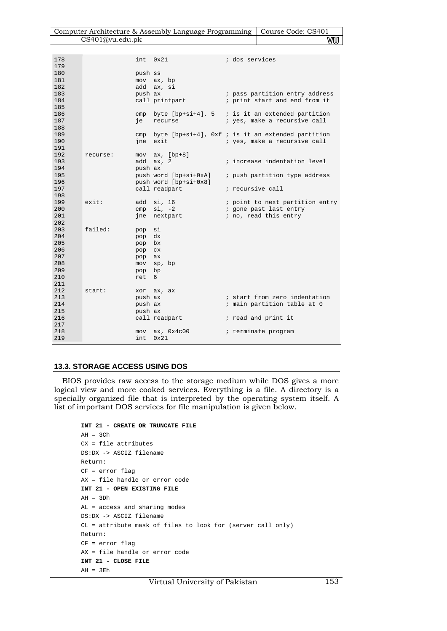| Computer Architecture & Assembly Language Programming   Course Code: CS401 |    |
|----------------------------------------------------------------------------|----|
| CS401@vu.edu.ph                                                            | WW |

| 179<br>180<br>push ss<br>181<br>mov ax, bp<br>182<br>add<br>ax, si<br>183<br>push ax<br>; pass partition entry address<br>184<br>call printpart<br>; print start and end from it<br>185<br>186<br>cmp byte $[bp+si+4]$ , 5 ; is it an extended partition<br>187<br>; yes, make a recursive call<br>ie<br>recurse<br>188<br>189<br>byte [ $bp+si+4$ ], Oxf ; is it an extended partition<br>cmp<br>190<br>exit<br>; yes, make a recursive call<br>ine<br>191<br>192<br>mov $ax, [bp+8]$<br>recurse:<br>193<br>add ax, 2<br>; increase indentation level<br>194<br>push ax |
|--------------------------------------------------------------------------------------------------------------------------------------------------------------------------------------------------------------------------------------------------------------------------------------------------------------------------------------------------------------------------------------------------------------------------------------------------------------------------------------------------------------------------------------------------------------------------|
|                                                                                                                                                                                                                                                                                                                                                                                                                                                                                                                                                                          |
|                                                                                                                                                                                                                                                                                                                                                                                                                                                                                                                                                                          |
|                                                                                                                                                                                                                                                                                                                                                                                                                                                                                                                                                                          |
|                                                                                                                                                                                                                                                                                                                                                                                                                                                                                                                                                                          |
|                                                                                                                                                                                                                                                                                                                                                                                                                                                                                                                                                                          |
|                                                                                                                                                                                                                                                                                                                                                                                                                                                                                                                                                                          |
|                                                                                                                                                                                                                                                                                                                                                                                                                                                                                                                                                                          |
|                                                                                                                                                                                                                                                                                                                                                                                                                                                                                                                                                                          |
|                                                                                                                                                                                                                                                                                                                                                                                                                                                                                                                                                                          |
|                                                                                                                                                                                                                                                                                                                                                                                                                                                                                                                                                                          |
|                                                                                                                                                                                                                                                                                                                                                                                                                                                                                                                                                                          |
|                                                                                                                                                                                                                                                                                                                                                                                                                                                                                                                                                                          |
|                                                                                                                                                                                                                                                                                                                                                                                                                                                                                                                                                                          |
|                                                                                                                                                                                                                                                                                                                                                                                                                                                                                                                                                                          |
|                                                                                                                                                                                                                                                                                                                                                                                                                                                                                                                                                                          |
| 195<br>push word [bp+si+0xA]<br>; push partition type address                                                                                                                                                                                                                                                                                                                                                                                                                                                                                                            |
| 196<br>push word [bp+si+0x8]<br>197<br>call readpart<br>; recursive call                                                                                                                                                                                                                                                                                                                                                                                                                                                                                                 |
| 198                                                                                                                                                                                                                                                                                                                                                                                                                                                                                                                                                                      |
| 199<br>exist:<br>si, 16<br>; point to next partition entry<br>add                                                                                                                                                                                                                                                                                                                                                                                                                                                                                                        |
| 200<br>si, -2<br>i gone past last entry<br>cmp                                                                                                                                                                                                                                                                                                                                                                                                                                                                                                                           |
| 201<br>; no, read this entry<br>nextpart<br>ine                                                                                                                                                                                                                                                                                                                                                                                                                                                                                                                          |
| 202                                                                                                                                                                                                                                                                                                                                                                                                                                                                                                                                                                      |
| 203<br>failed:<br>si<br>pop                                                                                                                                                                                                                                                                                                                                                                                                                                                                                                                                              |
| 204<br>dx<br>pop                                                                                                                                                                                                                                                                                                                                                                                                                                                                                                                                                         |
| 205<br>bx<br>pop                                                                                                                                                                                                                                                                                                                                                                                                                                                                                                                                                         |
| 206<br>pop<br>CX                                                                                                                                                                                                                                                                                                                                                                                                                                                                                                                                                         |
| 207<br>pop<br>ax                                                                                                                                                                                                                                                                                                                                                                                                                                                                                                                                                         |
| 208<br>mov<br>sp, bp                                                                                                                                                                                                                                                                                                                                                                                                                                                                                                                                                     |
| 209<br>bp<br>pop                                                                                                                                                                                                                                                                                                                                                                                                                                                                                                                                                         |
| 210<br>ret<br>6                                                                                                                                                                                                                                                                                                                                                                                                                                                                                                                                                          |
| 211                                                                                                                                                                                                                                                                                                                                                                                                                                                                                                                                                                      |
| 212<br>start:<br>xor ax, ax                                                                                                                                                                                                                                                                                                                                                                                                                                                                                                                                              |
| 213<br>push ax<br>; start from zero indentation                                                                                                                                                                                                                                                                                                                                                                                                                                                                                                                          |
| 214<br>push ax<br>; main partition table at 0<br>215                                                                                                                                                                                                                                                                                                                                                                                                                                                                                                                     |
| push ax<br>216<br>call readpart                                                                                                                                                                                                                                                                                                                                                                                                                                                                                                                                          |
| ; read and print it<br>217                                                                                                                                                                                                                                                                                                                                                                                                                                                                                                                                               |
| 218<br>ax, 0x4c00<br>; terminate program<br>mov                                                                                                                                                                                                                                                                                                                                                                                                                                                                                                                          |
| 219<br>int<br>0x21                                                                                                                                                                                                                                                                                                                                                                                                                                                                                                                                                       |

## **13.3. STORAGE ACCESS USING DOS**

BIOS provides raw access to the storage medium while DOS gives a more logical view and more cooked services. Everything is a file. A directory is a specially organized file that is interpreted by the operating system itself. A list of important DOS services for file manipulation is given below.

```
INT 21 - CREATE OR TRUNCATE FILE 
AH = 3ChCX = file attributes 
DS:DX -> ASCIZ filename 
Return: 
CF = error flag 
AX = file handle or error code 
INT 21 - OPEN EXISTING FILE 
AH = 3DhAL = access and sharing modes 
DS:DX -> ASCIZ filename 
CL = attribute mask of files to look for (server call only) 
Return: 
CF = error flag 
AX = file handle or error code 
INT 21 - CLOSE FILE 
AH = 3Eh
```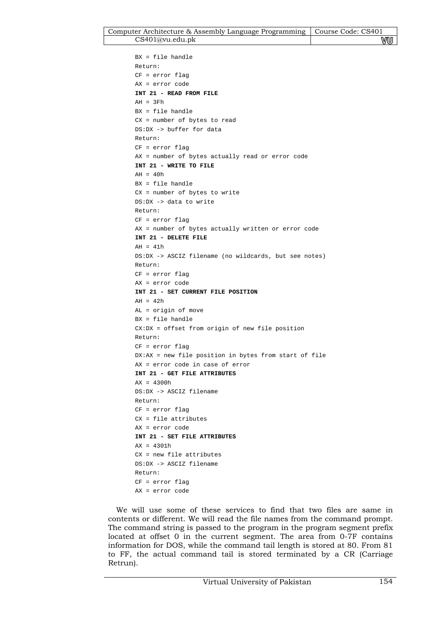```
BX = file handle 
Return: 
CF = error flag 
AX = error code 
INT 21 - READ FROM FILE 
AH = 3FhBX = file handle 
CX = number of bytes to read 
DS:DX -> buffer for data 
Return: 
CF = error flag 
AX = number of bytes actually read or error code 
INT 21 - WRITE TO FILE 
AH = 40hBX = file handle 
CX = number of bytes to write 
DS:DX -> data to write 
Return: 
CF = error flag 
AX = number of bytes actually written or error code 
INT 21 - DELETE FILE 
AH = 41hDS:DX -> ASCIZ filename (no wildcards, but see notes) 
Return: 
CF = error flag 
AX = error code 
INT 21 - SET CURRENT FILE POSITION 
AH = 42hAL = origin of move 
BX = file handle 
CX:DX = offset from origin of new file position 
Return: 
CF = error flag 
DX:AX = new file position in bytes from start of file 
AX = error code in case of error 
INT 21 - GET FILE ATTRIBUTES 
AX = 4300hDS:DX -> ASCIZ filename 
Return: 
CF = error flag 
CX = file attributes 
AX = error code 
INT 21 - SET FILE ATTRIBUTES 
AX = 4301h 
CX = new file attributes 
DS:DX -> ASCIZ filename 
Return: 
CF = error flag 
AX = error code
```
We will use some of these services to find that two files are same in contents or different. We will read the file names from the command prompt. The command string is passed to the program in the program segment prefix located at offset 0 in the current segment. The area from 0-7F contains information for DOS, while the command tail length is stored at 80. From 81 to FF, the actual command tail is stored terminated by a CR (Carriage Retrun).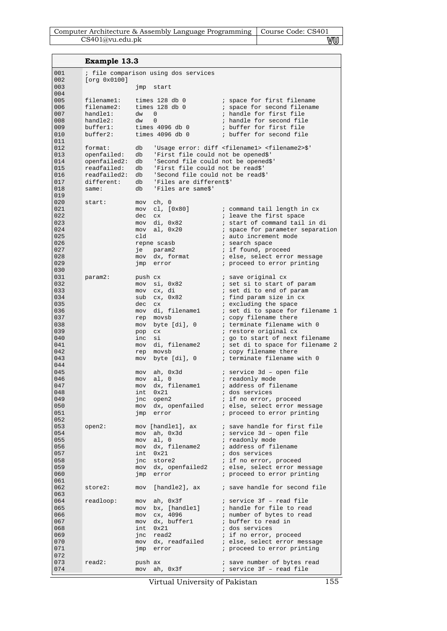| Computer Architecture & Assembly Language Programming   Course Code: CS401 |    |
|----------------------------------------------------------------------------|----|
| CS401@vu.edu.ph                                                            | WU |

**Example 13.3** 

n.

| 001        |                             |            | ; file comparison using dos services                                     |                                                                       |
|------------|-----------------------------|------------|--------------------------------------------------------------------------|-----------------------------------------------------------------------|
| 002        | [org 0x0100]                |            |                                                                          |                                                                       |
| 003        |                             | jmp        | start                                                                    |                                                                       |
| 004<br>005 | filename1:                  |            |                                                                          |                                                                       |
| 006        | filename2:                  |            | times 128 db 0<br>times $128$ db $0$                                     | ; space for first filename<br>; space for second filename             |
| 007        | handle1:                    | $dw = 0$   |                                                                          | ; handle for first file                                               |
| 008        | handle2:                    | dw         | $\mathbf{0}$                                                             | ; handle for second file                                              |
| 009        | buffer1:                    |            | times $4096$ db $0$                                                      | ; buffer for first file                                               |
| 010        | buffer2:                    |            | times 4096 db 0                                                          | ; buffer for second file                                              |
| 011        |                             |            |                                                                          |                                                                       |
| 012        | format:                     | db         |                                                                          | 'Usage error: diff <filename1> <filename2>\$'</filename2></filename1> |
| 013        | openfailed:                 | db         | 'First file could not be opened\$'                                       |                                                                       |
| 014        | openfailed2:                | db         | 'Second file could not be opened\$'                                      |                                                                       |
| 015<br>016 | readfailed:<br>readfailed2: | db         | 'First file could not be read\$'<br>db 'Second file could not be read\$' |                                                                       |
| 017        | different:                  | db         | 'Files are different\$'                                                  |                                                                       |
| 018        | same:                       | db         | 'Files are same\$'                                                       |                                                                       |
| 019        |                             |            |                                                                          |                                                                       |
| 020        | start:                      | mov        | ch, 0                                                                    |                                                                       |
| 021        |                             | mov        | cl, [0x80]                                                               | ; command tail length in cx                                           |
| 022        |                             | dec        | C X                                                                      | ; leave the first space                                               |
| 023        |                             |            | mov di, 0x82                                                             | ; start of command tail in di                                         |
| 024        |                             | mov        | al, 0x20                                                                 | ; space for parameter separation                                      |
| 025        |                             | cld        |                                                                          | ; auto increment mode                                                 |
| 026<br>027 |                             | je         | repne scasb<br>param2                                                    | ; search space<br>; if found, proceed                                 |
| 028        |                             |            | mov dx, format                                                           | ; else, select error message                                          |
| 029        |                             | jmp        | error                                                                    | ; proceed to error printing                                           |
| 030        |                             |            |                                                                          |                                                                       |
| 031        | param2:                     | push cx    |                                                                          | ; save original cx                                                    |
| 032        |                             |            | mov si, 0x82                                                             | ; set si to start of param                                            |
| 033        |                             |            | mov cx, di                                                               | ; set di to end of param                                              |
| 034        |                             |            | $sub$ $cx$ , $0x82$                                                      | ; find param size in cx                                               |
| 035        |                             | dec cx     |                                                                          | ; excluding the space                                                 |
| 036<br>037 |                             |            | mov di, filename1<br>rep movsb                                           | ; set di to space for filename 1<br>; copy filename there             |
| 038        |                             | mov        | byte [di], 0                                                             | ; terminate filename with 0                                           |
| 039        |                             | pop        | C X                                                                      | ; restore original cx                                                 |
| 040        |                             | inc        | si                                                                       | ; go to start of next filename                                        |
| 041        |                             |            | mov di, filename2                                                        | ; set di to space for filename 2                                      |
| 042        |                             | rep        | movsb                                                                    | ; copy filename there                                                 |
| 043        |                             |            | mov byte [di], 0                                                         | ; terminate filename with 0                                           |
| 044        |                             |            |                                                                          |                                                                       |
| 045        |                             |            | mov ah, 0x3d                                                             | ; service 3d - open file                                              |
| 046<br>047 |                             | mov        | al, 0                                                                    | ; readonly mode<br>; address of filename                              |
| 048        |                             | mov<br>int | dx, filename1<br>0x21                                                    | ; dos services                                                        |
| 049        |                             |            | jnc open2                                                                | ; if no error, proceed                                                |
| 050        |                             |            | mov dx, openfailed                                                       | ; else, select error message                                          |
| 051        |                             | jmp        | error                                                                    | ; proceed to error printing                                           |
| 052        |                             |            |                                                                          |                                                                       |
| 053        | $open2$ :                   |            | mov [handle1], ax                                                        | ; save handle for first file                                          |
| 054        |                             | mov        | ah, Ox3d                                                                 | ; service 3d - open file                                              |
| 055        |                             |            | mov al, 0                                                                | ; readonly mode                                                       |
| 056<br>057 |                             |            | mov dx, filename2                                                        | ; address of filename<br>; dos services                               |
| 058        |                             |            | int 0x21<br>jnc store2                                                   | ; if no error, proceed                                                |
| 059        |                             |            | mov dx, openfailed2                                                      | ; else, select error message                                          |
| 060        |                             | jmp        | error                                                                    | ; proceed to error printing                                           |
| 061        |                             |            |                                                                          |                                                                       |
| 062        | store2:                     | mov        | [handle2], ax                                                            | ; save handle for second file                                         |
| 063        |                             |            |                                                                          |                                                                       |
| 064        | readloop:                   | mov        | ah, Ox3f                                                                 | ; service 3f - read file                                              |
| 065        |                             |            | mov bx, [handle1]                                                        | ; handle for file to read                                             |
| 066        |                             |            | mov cx, 4096                                                             | ; number of bytes to read                                             |
| 067<br>068 |                             | mov<br>int | dx, bufferl<br>0x21                                                      | ; buffer to read in<br>; dos services                                 |
| 069        |                             | jnc        | read2                                                                    | ; if no error, proceed                                                |
| 070        |                             |            | mov dx, readfailed                                                       | ; else, select error message                                          |
| 071        |                             | jmp        | error                                                                    | ; proceed to error printing                                           |
| 072        |                             |            |                                                                          |                                                                       |
| 073        | $read2$ :                   | push ax    |                                                                          | ; save number of bytes read                                           |
| 074        |                             | mov        | ah, Ox3f                                                                 | ; service 3f - read file                                              |

Virtual University of Pakistan 155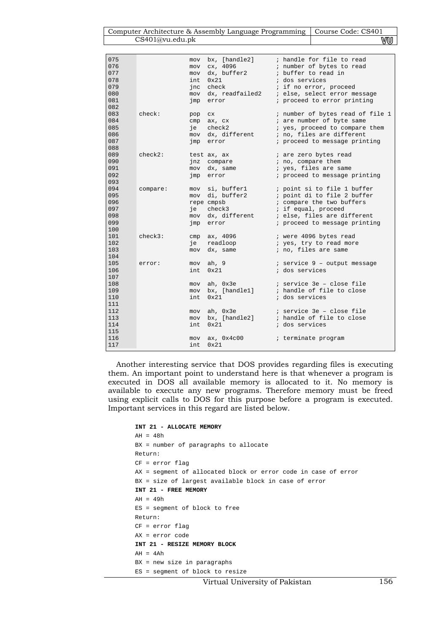Computer Architecture & Assembly Language Programming | Course Code: CS401 CS401@vu.edu.pk WU

| 075<br>076<br>077<br>078<br>079<br>080<br>081<br>082 |            | mov<br>mov<br>mov<br>int<br>mov<br>jmp | bx, [handle2]<br>cx, 4096<br>dx, buffer2<br>0x21<br>jnc check<br>dx, readfailed2<br>error | ; dos services | ; handle for file to read<br>; number of bytes to read<br>; buffer to read in<br>; if no error, proceed<br>; else, select error message<br>; proceed to error printing         |
|------------------------------------------------------|------------|----------------------------------------|-------------------------------------------------------------------------------------------|----------------|--------------------------------------------------------------------------------------------------------------------------------------------------------------------------------|
| 083<br>084<br>085<br>086<br>087<br>088               | check:     | pop<br>cmp<br>je<br>mov<br>jmp         | CX.<br>ax, cx<br>check2<br>dx, different<br>error                                         |                | ; number of bytes read of file 1<br>; are number of byte same<br>; yes, proceed to compare them<br>; no, files are different<br>; proceed to message printing                  |
| 089<br>090<br>091<br>092<br>093                      | $check2$ : | jnz<br>mov<br>jmp                      | test ax, ax<br>compare<br>dx, same<br>error                                               |                | ; are zero bytes read<br>; no, compare them<br>; yes, files are same<br>; proceed to message printing                                                                          |
| 094<br>095<br>096<br>097<br>098<br>099<br>100        | compare:   | mov<br>је<br>mov<br>jmp                | si, bufferl<br>mov di, buffer2<br>repe cmpsb<br>check3<br>dx, different<br>error          |                | ; point si to file 1 buffer<br>; point di to file 2 buffer<br>; compare the two buffers<br>; if equal, proceed<br>; else, files are different<br>; proceed to message printing |
| 101<br>102<br>103<br>104                             | $check3$ : | cmp<br>је<br>mov                       | ax, 4096<br>readloop<br>dx, same                                                          |                | ; were 4096 bytes read<br>; yes, try to read more<br>; no, files are same                                                                                                      |
| 105<br>106<br>107                                    | error:     | mov<br>int.                            | ah, 9<br>0x21                                                                             | ; dos services | $i$ service $9$ - output message                                                                                                                                               |
| 108<br>109<br>110<br>111                             |            | mov<br>mov<br>int                      | ah, Ox3e<br>bx, [handle1]<br>0x21                                                         | ; dos services | ; service 3e - close file<br>; handle of file to close                                                                                                                         |
| 112<br>113<br>114<br>115                             |            | mov<br>mov<br>int                      | ah, Ox3e<br>bx, [handle2]<br>0x21                                                         | ; dos services | ; service 3e - close file<br>; handle of file to close                                                                                                                         |
| 116<br>117                                           |            | mov<br>int.                            | ax, 0x4c00<br>0x21                                                                        |                | ; terminate program                                                                                                                                                            |

Another interesting service that DOS provides regarding files is executing them. An important point to understand here is that whenever a program is executed in DOS all available memory is allocated to it. No memory is available to execute any new programs. Therefore memory must be freed using explicit calls to DOS for this purpose before a program is executed. Important services in this regard are listed below.

```
INT 21 - ALLOCATE MEMORY 
AH = 48hBX = number of paragraphs to allocate 
Return: 
CF = error flag 
AX = segment of allocated block or error code in case of error 
BX = size of largest available block in case of error 
INT 21 - FREE MEMORY 
AH = 49hES = segment of block to free 
Return: 
CF = error flag 
AX = error code 
INT 21 - RESIZE MEMORY BLOCK 
AH = 4AhBX = new size in paragraphs 
ES = segment of block to resize
```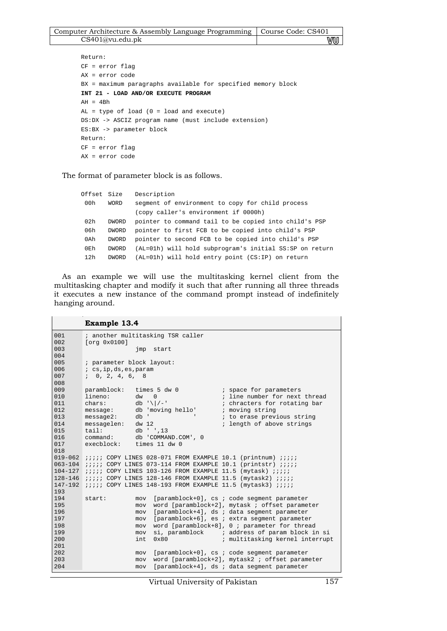| Computer Architecture & Assembly Language Programming   Course Code: CS401 |    |
|----------------------------------------------------------------------------|----|
| CS401@vu.edu.pdf                                                           | vu |

```
Return: 
CF = error flag 
AX = error code 
BX = maximum paragraphs available for specified memory block 
INT 21 - LOAD AND/OR EXECUTE PROGRAM 
AH = 4BhAL = type of load (0 = load and execute) 
DS:DX -> ASCIZ program name (must include extension) 
ES:BX -> parameter block 
Return: 
CF = error flag 
AX = error code
```
The format of parameter block is as follows.

| Offset Size |              | Description                                             |
|-------------|--------------|---------------------------------------------------------|
| 00h         | WORD         | seqment of environment to copy for child process        |
|             |              | (copy caller's environment if 0000h)                    |
| 02h         | <b>DWORD</b> | pointer to command tail to be copied into child's PSP   |
| 06h         | DWORD        | pointer to first FCB to be copied into child's PSP      |
| 0Ah         | DWORD        | pointer to second FCB to be copied into child's PSP     |
| 0Eh         | <b>DWORD</b> | (AL=01h) will hold subprogram's initial SS:SP on return |
| 12h         | <b>DWORD</b> | $(AL=01h)$ will hold entry point $(CS:IP)$ on return    |

As an example we will use the multitasking kernel client from the multitasking chapter and modify it such that after running all three threads it executes a new instance of the command prompt instead of indefinitely hanging around.

```
Example 13.4 
001002 
003 
004 
005 
006 
007 
008 
009 
010011 
012 
013 
014 
015 
016 
017 
018 
019-062 iiii COPY LINES 028-071 FROM EXAMPLE 10.1 (printnum) iiii063-104 ;;;;; COPY LINES 073-114 FROM EXAMPLE 10.1 (printstr) ;;;;;
104-127 
128-146 ;;;;; COPY LINES 128-146 FROM EXAMPLE 11.5 (mytask2) ;;;;;
147-192 ;;;;; COPY LINES 148-193 FROM EXAMPLE 11.5 (mytask3) ;;;;;
193 
194 
195 
196 
197 
198 
199 
200 
201 
202 
203 
204 
          ; another multitasking TSR caller 
          [org 0x0100] 
                            jmp start 
          ; parameter block layout: 
          ; cs,ip,ds,es,param 
          ; 0, 2, 4, 6, 8 
          paramblock: times 5 dw 0 ; space for parameters<br>lineno: dw 0 ; line number for next.
          lineno: dw = 0 ; line number for next thread chars: db' \sqrt{|} / - ; chracters for rotating bar
          chars: db' \sqrt{|/-'} ; chracters for rotating bar message: db' moving hello' ; moving string
          message: db 'moving hello'<br>message2: db '
                                                       ; to erase previous string
          messagelen: dw 12 ; length of above strings tail: db ' ',13
          tail: db ' ',13<br>command: db ' COMMAN
                          db 'COMMAND.COM', 0<br>times 11 dw 0
          execblock:
          i ;;;;; COPY LINES 103-126 FROM EXAMPLE 11.5 (mytask) i;;;;
          start: mov [paramblock+0], cs ; code segment parameter 
                            mov word [paramblock+2], mytask ; offset parameter 
                            mov [paramblock+4], ds ; data segment parameter 
                            mov [paramblock+6], es ; extra segment parameter 
                           mov word [paramblock+8], 0 ; parameter for thread<br>mov si, paramblock ; address of param block is
                           mov si, paramblock ; address of param block in si<br>int 0x80 ; multitasking kernel interrup
                                                        ; multitasking kernel interrupt
                           mov [paramblock+0], cs ; code segment parameter<br>mov word [paramblock+2], mytask2 ; offset param
                                 word [paramblock+2], mytask2 ; offset parameter
                            mov [paramblock+4], ds ; data segment parameter
```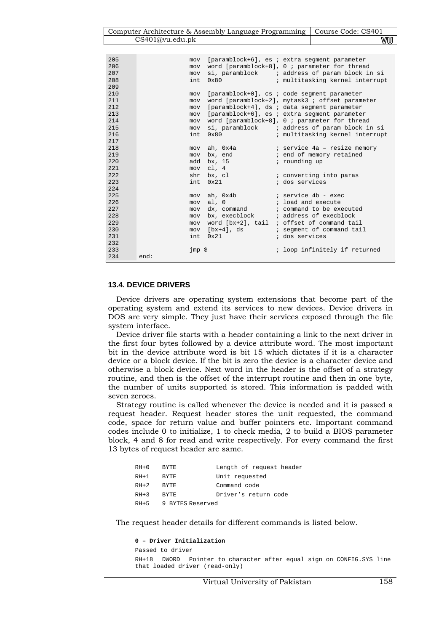| Computer Architecture & Assembly Language Programming   Course Code: CS401 |    |
|----------------------------------------------------------------------------|----|
| CS401@vu.edu.ph                                                            | VU |

| 205    | mov    |               | [paramblock+6], es ; extra seqment parameter        |
|--------|--------|---------------|-----------------------------------------------------|
| 206    | mov    |               | word [paramblock+8], $0$ ; parameter for thread     |
| 207    | mov    |               | si, paramblock i address of param block in si       |
| 208    | int    | $0 \times 80$ | ; multitasking kernel interrupt                     |
| 209    |        |               |                                                     |
| 210    | mov    |               | [paramblock+0], cs ; code segment parameter         |
| 211    | mov    |               | word [paramblock+2], mytask3 ; offset parameter     |
| 212    | mov    |               | [paramblock+4], ds ; data segment parameter         |
| 213    | mov    |               | [paramblock+6], es ; extra seqment parameter        |
| 214    | mov    |               | word [paramblock+8], $0$ ; parameter for thread     |
| 215    | mov    |               | si, paramblock i address of param block in si       |
| 216    | int    | 0x80          | ; multitasking kernel interrupt                     |
| 217    |        |               |                                                     |
| 218    | mov    |               | ah, Ox4a               ; service 4a – resize memory |
| 219    |        | mov bx, end   | i end of memory retained                            |
| 2.20   | add    | bx, 15        | ; rounding up                                       |
| 2.2.1  |        | mov cl, 4     |                                                     |
| 2.2.2. | shr    | bx, cl        | ; converting into paras                             |
| 223    | int.   | $0 \times 21$ | ; dos services                                      |
| 2.2.4  |        |               |                                                     |
| 225    | mov    |               |                                                     |
| 226    | mov    | al, 0         | ; load and execute                                  |
| 2.2.7  | mov    |               | dx, command : command to be executed                |
| 2.28   | mov    |               | bx, execblock : address of execblock                |
| 229    | mov    |               | word $[bx+2]$ , tail ; offset of command tail       |
| 230    |        |               | mov [bx+4], ds (based is sequent of command tail    |
| 231    | int    | 0x21          | ; dos services                                      |
| 2.32   |        |               |                                                     |
| 233    | jmp \$ |               | ; loop infinitely if returned                       |
| 234    | end:   |               |                                                     |

#### **13.4. DEVICE DRIVERS**

Device drivers are operating system extensions that become part of the operating system and extend its services to new devices. Device drivers in DOS are very simple. They just have their services exposed through the file system interface.

Device driver file starts with a header containing a link to the next driver in the first four bytes followed by a device attribute word. The most important bit in the device attribute word is bit 15 which dictates if it is a character device or a block device. If the bit is zero the device is a character device and otherwise a block device. Next word in the header is the offset of a strategy routine, and then is the offset of the interrupt routine and then in one byte, the number of units supported is stored. This information is padded with seven zeroes.

Strategy routine is called whenever the device is needed and it is passed a request header. Request header stores the unit requested, the command code, space for return value and buffer pointers etc. Important command codes include 0 to initialize, 1 to check media, 2 to build a BIOS parameter block, 4 and 8 for read and write respectively. For every command the first 13 bytes of request header are same.

| $RH+0$ | RYTE.            | Length of request header |
|--------|------------------|--------------------------|
| $RH+1$ | <b>BYTE</b>      | Unit requested           |
| $RH+2$ | <b>BYTE</b>      | Command code             |
| $RH+3$ | RYTE.            | Driver's return code     |
| $RH+5$ | 9 BYTES Reserved |                          |

The request header details for different commands is listed below.

```
0 – Driver Initialization 
Passed to driver 
RH+18 DWORD Pointer to character after equal sign on CONFIG.SYS line 
that loaded driver (read-only)
```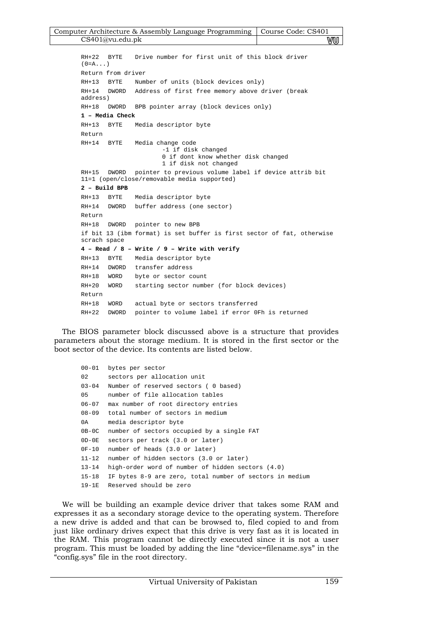| Computer Architecture & Assembly Language Programming   Course Code: CS401 |    |
|----------------------------------------------------------------------------|----|
| CS401@vu.edu.ph                                                            | vu |

```
RH+22 BYTE Drive number for first unit of this block driver 
(0= A \ldots)Return from driver 
RH+13 BYTE Number of units (block devices only) 
RH+14 DWORD Address of first free memory above driver (break 
address) 
RH+18 DWORD BPB pointer array (block devices only) 
1 – Media Check 
RH+13 BYTE Media descriptor byte 
Return 
RH+14 BYTE Media change code 
                       -1 if disk changed 
                       0 if dont know whether disk changed 
                       1 if disk not changed 
RH+15 DWORD pointer to previous volume label if device attrib bit 
11=1 (open/close/removable media supported) 
2 – Build BPB 
RH+13 BYTE Media descriptor byte 
RH+14 DWORD buffer address (one sector) 
Return 
RH+18 DWORD pointer to new BPB 
if bit 13 (ibm format) is set buffer is first sector of fat, otherwise 
scrach space 
4 – Read / 8 – Write / 9 – Write with verify 
RH+13 BYTE Media descriptor byte 
RH+14 DWORD transfer address 
RH+18 WORD byte or sector count 
RH+20 WORD starting sector number (for block devices) 
Return 
RH+18 WORD actual byte or sectors transferred 
RH+22 DWORD pointer to volume label if error 0Fh is returned
```
The BIOS parameter block discussed above is a structure that provides parameters about the storage medium. It is stored in the first sector or the boot sector of the device. Its contents are listed below.

```
00-01 bytes per sector 
02 sectors per allocation unit 
03-04 Number of reserved sectors ( 0 based) 
05 number of file allocation tables 
06-07 max number of root directory entries 
08-09 total number of sectors in medium 
0A media descriptor byte 
0B-0C number of sectors occupied by a single FAT 
0D-0E sectors per track (3.0 or later) 
0F-10 number of heads (3.0 or later) 
11-12 number of hidden sectors (3.0 or later) 
13-14 high-order word of number of hidden sectors (4.0) 
15-18 IF bytes 8-9 are zero, total number of sectors in medium 
19-1E Reserved should be zero
```
We will be building an example device driver that takes some RAM and expresses it as a secondary storage device to the operating system. Therefore a new drive is added and that can be browsed to, filed copied to and from just like ordinary drives expect that this drive is very fast as it is located in the RAM. This program cannot be directly executed since it is not a user program. This must be loaded by adding the line "device=filename.sys" in the "config.sys" file in the root directory.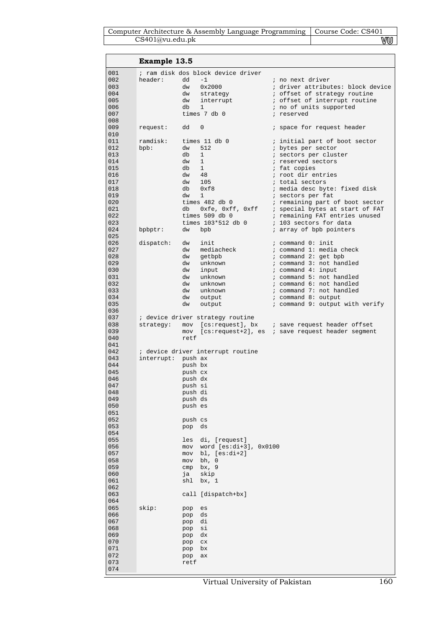|                                                                                                | Example 13.5        |                                                                                                                                                                                                                 |                                                                                                                                                                                                                                                                                                                                                                      |
|------------------------------------------------------------------------------------------------|---------------------|-----------------------------------------------------------------------------------------------------------------------------------------------------------------------------------------------------------------|----------------------------------------------------------------------------------------------------------------------------------------------------------------------------------------------------------------------------------------------------------------------------------------------------------------------------------------------------------------------|
| 001<br>002<br>003<br>004<br>005<br>006<br>007                                                  | header:             | ; ram disk dos block device driver<br>dd<br>$-1$<br>0x2000<br>dw<br>dw<br>strategy<br>dw<br>interrupt<br>db<br>$\mathbf 1$<br>times 7 db 0                                                                      | ; no next driver<br>; driver attributes: block device<br>; offset of strategy routine<br>; offset of interrupt routine<br>; no of units supported<br>; reserved                                                                                                                                                                                                      |
| 008<br>009                                                                                     | request:            | dd<br>0                                                                                                                                                                                                         | ; space for request header                                                                                                                                                                                                                                                                                                                                           |
| 010<br>011<br>012<br>013<br>014<br>015<br>016<br>017<br>018<br>019<br>020<br>021<br>022<br>023 | ramdisk:<br>$bpb$ : | times 11 db 0<br>512<br>dw<br>db<br>$\mathbf{1}$<br>dw<br><sup>1</sup><br>db<br>1<br>$dw = 48$<br>105<br>dw<br>db<br>0xf8<br>dw<br>$\mathbf{1}$<br>times 482 db 0<br>db<br>times 509 db 0<br>times 103*512 db 0 | ; initial part of boot sector<br>; bytes per sector<br>; sectors per cluster<br>; reserved sectors<br>; fat copies<br>; root dir entries<br>; total sectors<br>; media desc byte: fixed disk<br>; sectors per fat<br>; remaining part of boot sector<br>Oxfe, Oxff, Oxff ; special bytes at start of FAT<br>; remaining FAT entries unused<br>; 103 sectors for data |
| 024<br>025                                                                                     | bpbptr:             | dw<br>bpb                                                                                                                                                                                                       | ; array of bpb pointers                                                                                                                                                                                                                                                                                                                                              |
| 026<br>027<br>028<br>029<br>030<br>031<br>032<br>033<br>034<br>035<br>036                      | dispatch:           | dw<br>init<br>dw<br>mediacheck<br>dw<br>getbpb<br>unknown<br>dw<br>input<br>dw<br>unknown<br>dw<br>dw<br>unknown<br>dw<br>unknown<br>dw<br>output<br>dw<br>output                                               | ; command 0: init<br>; command 1: media check<br>; command 2: get bpb<br>; command 3: not handled<br>$:$ command $4:$ input<br>; command 5: not handled<br>; command 6: not handled<br>; command 7: not handled<br>; command 8: output<br>; command 9: output with verify                                                                                            |
| 037                                                                                            |                     | ; device driver strategy routine                                                                                                                                                                                |                                                                                                                                                                                                                                                                                                                                                                      |
| 038<br>039<br>040<br>041                                                                       | strategy:           | mov<br>retf                                                                                                                                                                                                     | [cs:request+2], es ; save request header segment                                                                                                                                                                                                                                                                                                                     |
| 042<br>043<br>044<br>045<br>046<br>047<br>048<br>049<br>050<br>051<br>052<br>053               | interrupt: push ax  | ; device driver interrupt routine<br>push bx<br>push cx<br>push dx<br>push si<br>push di<br>push ds<br>push es<br>push cs<br>pop<br>ds                                                                          |                                                                                                                                                                                                                                                                                                                                                                      |
| 054<br>055<br>056<br>057<br>058<br>059<br>060<br>061<br>062<br>063<br>064<br>065<br>066<br>067 | skip:               | di, [request]<br>les<br>word $[es:di+3]$ , $0x0100$<br>mov<br>bl, $[es:di+2]$<br>mov<br>bh, 0<br>mov<br>bx, 9<br>cmp<br>skip<br>ja<br>shl<br>bx, 1<br>call [dispatch+bx]<br>pop<br>es<br>ds<br>pop<br>di<br>pop |                                                                                                                                                                                                                                                                                                                                                                      |
| 068<br>069<br>070<br>071<br>072<br>073<br>074                                                  |                     | si<br>pop<br>dx<br>pop<br>$_{\rm CX}$<br>pop<br>pop<br>bx<br>ax<br>pop<br>retf                                                                                                                                  |                                                                                                                                                                                                                                                                                                                                                                      |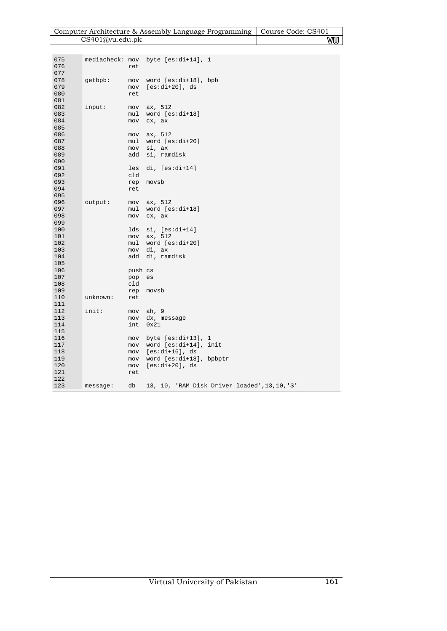| Computer Architecture & Assembly Language Programming   Course Code: CS401 |    |
|----------------------------------------------------------------------------|----|
| CS401@vu.edu.ph                                                            | vu |

| 075        |          |            |                                                |
|------------|----------|------------|------------------------------------------------|
| 076        |          | ret        | mediacheck: mov byte [es:di+14], 1             |
| 077        |          |            |                                                |
| 078        | getbpb:  | mov        | word $[es:di+18]$ , bpb                        |
| 079        |          | mov        | $[es:di+20]$ , ds                              |
| 080        |          | ret        |                                                |
| 081        |          |            |                                                |
|            |          |            |                                                |
| 082        | input:   | mov        | ax, 512                                        |
| 083        |          | mul        | word $[es:di+18]$                              |
| 084        |          | mov        | cx, ax                                         |
| 085        |          |            |                                                |
| 086        |          | mov        | ax, 512                                        |
| 087        |          | mul        | word $[es:di+20]$                              |
| 088        |          | mov        | si, ax                                         |
| 089        |          | add        | si, ramdisk                                    |
| 090        |          |            |                                                |
| 091        |          | les        | $di, [es:di+14]$                               |
| 092        |          | cld        |                                                |
| 093        |          | rep        | movsb                                          |
| 094        |          | ret        |                                                |
| 095        |          |            |                                                |
| 096        | output:  | mov        | ax, 512                                        |
| 097        |          | mul        | word $[es:di+18]$                              |
| 098        |          | mov        | cx, ax                                         |
| 099        |          |            |                                                |
| 100        |          | lds        | $si, [es:di+14]$                               |
| 101        |          | mov        | ax, 512                                        |
| 102<br>103 |          | mul        | word $[es:di+20]$<br>di, ax                    |
| 104        |          | mov<br>add |                                                |
| 105        |          |            | di, ramdisk                                    |
| 106        |          | push cs    |                                                |
| 107        |          |            | es                                             |
| 108        |          | pop<br>cld |                                                |
| 109        |          | rep        | movsb                                          |
| 110        | unknown: | ret        |                                                |
| 111        |          |            |                                                |
| 112        | init:    | mov        | ah, 9                                          |
| 113        |          | mov        | dx, message                                    |
| 114        |          | int        | 0x21                                           |
| 115        |          |            |                                                |
| 116        |          | mov        | byte $[es:di+13]$ , 1                          |
| 117        |          | mov        | word [es:di+14], init                          |
| 118        |          | mov        | [es:di+16], ds                                 |
| 119        |          | mov        | word [es:di+18], bpbptr                        |
| 120        |          | mov        | $[es:di+20]$ , ds                              |
| 121        |          | ret        |                                                |
| 122        |          |            |                                                |
| 123        | message: | db         | 13, 10, 'RAM Disk Driver loaded', 13, 10, '\$' |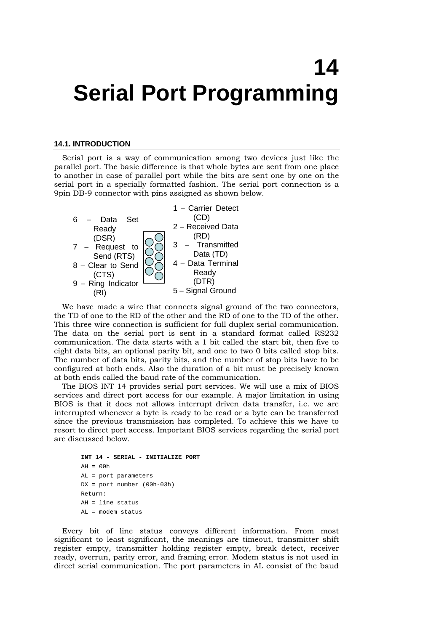# **14 Serial Port Programming**

#### **14.1. INTRODUCTION**

Serial port is a way of communication among two devices just like the parallel port. The basic difference is that whole bytes are sent from one place to another in case of parallel port while the bits are sent one by one on the serial port in a specially formatted fashion. The serial port connection is a 9pin DB-9 connector with pins assigned as shown below.



We have made a wire that connects signal ground of the two connectors, the TD of one to the RD of the other and the RD of one to the TD of the other. This three wire connection is sufficient for full duplex serial communication. The data on the serial port is sent in a standard format called RS232 communication. The data starts with a 1 bit called the start bit, then five to eight data bits, an optional parity bit, and one to two 0 bits called stop bits. The number of data bits, parity bits, and the number of stop bits have to be configured at both ends. Also the duration of a bit must be precisely known at both ends called the baud rate of the communication.

The BIOS INT 14 provides serial port services. We will use a mix of BIOS services and direct port access for our example. A major limitation in using BIOS is that it does not allows interrupt driven data transfer, i.e. we are interrupted whenever a byte is ready to be read or a byte can be transferred since the previous transmission has completed. To achieve this we have to resort to direct port access. Important BIOS services regarding the serial port are discussed below.

```
INT 14 - SERIAL - INITIALIZE PORT 
AH = 00hAL = port parameters 
DX = port number (00h-03h) 
Return: 
AH = line statusAL = modem status
```
Every bit of line status conveys different information. From most significant to least significant, the meanings are timeout, transmitter shift register empty, transmitter holding register empty, break detect, receiver ready, overrun, parity error, and framing error. Modem status is not used in direct serial communication. The port parameters in AL consist of the baud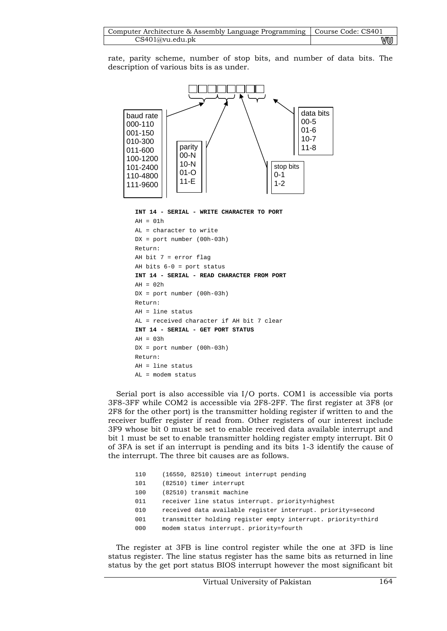| Computer Architecture & Assembly Language Programming   Course Code: CS401 |    |
|----------------------------------------------------------------------------|----|
| CS401@vu.edu.ph                                                            | wu |

rate, parity scheme, number of stop bits, and number of data bits. The description of various bits is as under.



**INT 14 - SERIAL - WRITE CHARACTER TO PORT** 

```
AH = 01hAL = character to write 
DX = port number (00h-03h) 
Return: 
AH bit 7 = error flag 
AH bits 6-0 = port status 
INT 14 - SERIAL - READ CHARACTER FROM PORT 
AH = 0.2hDX = port number (00h-03h) 
Return: 
AH = line status 
AL = received character if AH bit 7 clear 
INT 14 - SERIAL - GET PORT STATUS 
AH = 03hDX = port number (00h-03h) 
Return: 
AH = line status 
AL = modem status
```
Serial port is also accessible via I/O ports. COM1 is accessible via ports 3F8-3FF while COM2 is accessible via 2F8-2FF. The first register at 3F8 (or 2F8 for the other port) is the transmitter holding register if written to and the receiver buffer register if read from. Other registers of our interest include 3F9 whose bit 0 must be set to enable received data available interrupt and bit 1 must be set to enable transmitter holding register empty interrupt. Bit 0 of 3FA is set if an interrupt is pending and its bits 1-3 identify the cause of the interrupt. The three bit causes are as follows.

| 110 | (16550, 82510) timeout interrupt pending                     |
|-----|--------------------------------------------------------------|
| 101 | (82510) timer interrupt                                      |
| 100 | (82510) transmit machine                                     |
| 011 | receiver line status interrupt. priority=highest             |
| 010 | received data available register interrupt. priority=second  |
| 001 | transmitter holding register empty interrupt. priority=third |
| 000 | modem status interrupt. priority=fourth                      |

The register at 3FB is line control register while the one at 3FD is line status register. The line status register has the same bits as returned in line status by the get port status BIOS interrupt however the most significant bit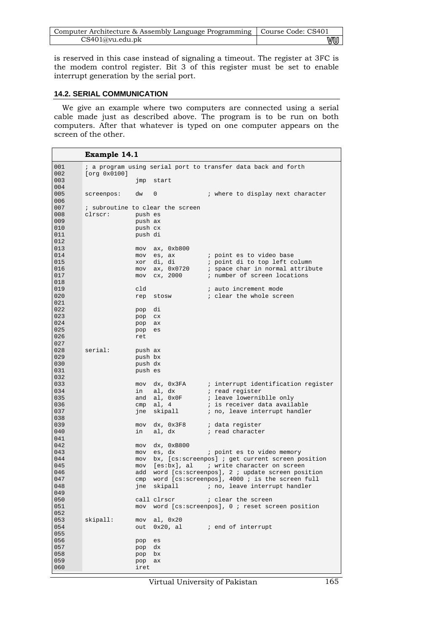| Computer Architecture & Assembly Language Programming   Course Code: CS401 |    |
|----------------------------------------------------------------------------|----|
| CS401@vu.edu.pdf                                                           | vu |

is reserved in this case instead of signaling a timeout. The register at 3FC is the modem control register. Bit 3 of this register must be set to enable interrupt generation by the serial port.

## **14.2. SERIAL COMMUNICATION**

We give an example where two computers are connected using a serial cable made just as described above. The program is to be run on both computers. After that whatever is typed on one computer appears on the screen of the other.

|            | Example 14.1                     |           |                   |                                                               |
|------------|----------------------------------|-----------|-------------------|---------------------------------------------------------------|
| 001        |                                  |           |                   | ; a program using serial port to transfer data back and forth |
| 002        | [org 0x0100]                     |           |                   |                                                               |
| 003        |                                  |           | jmp start         |                                                               |
| 004        |                                  |           |                   |                                                               |
| 005        | screenpos:                       | dw<br>0   |                   | ; where to display next character                             |
| 006        |                                  |           |                   |                                                               |
| 007        | ; subroutine to clear the screen |           |                   |                                                               |
| 008        | clrscr:                          | push es   |                   |                                                               |
| 009        |                                  | push ax   |                   |                                                               |
| 010        |                                  | push cx   |                   |                                                               |
| 011        |                                  | push di   |                   |                                                               |
| 012        |                                  |           |                   |                                                               |
| 013        |                                  | mov       | ax, 0xb800        |                                                               |
| 014        |                                  |           | mov es, ax        | ; point es to video base                                      |
| 015        |                                  |           | xor di, di        | ; point di to top left column                                 |
| 016        |                                  |           | mov ax, 0x0720    | ; space char in normal attribute                              |
| 017        |                                  |           | mov cx, 2000      | ; number of screen locations                                  |
| 018        |                                  |           |                   |                                                               |
| 019        | cld                              |           |                   | ; auto increment mode                                         |
| 020        |                                  | rep       | stosw             | ; clear the whole screen                                      |
| 021        |                                  |           |                   |                                                               |
| 022        | pop                              |           | di                |                                                               |
| 023        | pop                              |           | CX                |                                                               |
| 024        |                                  | pop       | ax                |                                                               |
| 025        | pop                              |           | es                |                                                               |
| 026        | ret                              |           |                   |                                                               |
| 027        |                                  |           |                   |                                                               |
| 028        | serial:                          | push ax   |                   |                                                               |
| 029        |                                  | push bx   |                   |                                                               |
| 030        |                                  | push dx   |                   |                                                               |
| 031        |                                  | push es   |                   |                                                               |
| 032        |                                  |           |                   |                                                               |
| 033        |                                  | mov       |                   | dx, 0x3FA ; interrupt identification register                 |
| 034        |                                  | in        | al, dx            | ; read register                                               |
| 035        |                                  |           | and al, 0x0F      | <i>i</i> leave lowerniblle only                               |
| 036        |                                  |           | $cmp \quad a1, 4$ | ; is receiver data available                                  |
| 037        |                                  |           | jne skipall       | ; no, leave interrupt handler                                 |
| 038        |                                  |           |                   |                                                               |
| 039        |                                  |           | mov dx, 0x3F8     | ; data register                                               |
| 040        |                                  | in        | al, dx            | ; read character                                              |
| 041        |                                  |           |                   |                                                               |
| 042        |                                  | mov       | dx, 0xB800        |                                                               |
| 043        |                                  |           | mov es, dx        | ; point es to video memory                                    |
| 044        |                                  |           |                   | mov bx, [cs:screenpos] ; get current screen position          |
| 045        |                                  |           |                   | mov [es:bx], al ; write character on screen                   |
| 046        |                                  |           |                   | add word [cs:screenpos], 2 ; update screen position           |
| 047        | cmp                              |           |                   | word [cs:screenpos], $4000$ ; is the screen full              |
| 048        |                                  | jne       |                   | skipall $\qquad$ ; no, leave interrupt handler                |
| 049        |                                  |           |                   |                                                               |
| 050<br>051 |                                  |           | call clrscr       | <i>i</i> clear the screen                                     |
|            |                                  |           |                   | mov word [cs:screenpos], 0 ; reset screen position            |
| 052<br>053 | skipall:                         |           | mov al, 0x20      |                                                               |
| 054        |                                  |           |                   |                                                               |
| 055        |                                  | out       |                   | $0x20$ , al $\qquad$ ; end of interrupt                       |
| 056        |                                  | pop<br>es |                   |                                                               |
| 057        | pop                              | dx        |                   |                                                               |
| 058        |                                  | pop bx    |                   |                                                               |
| 059        |                                  | pop       | ax                |                                                               |
| 060        |                                  | iret      |                   |                                                               |
|            |                                  |           |                   |                                                               |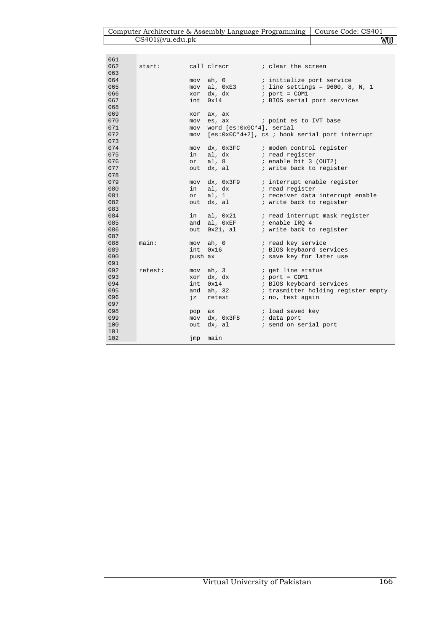| Computer Architecture & Assembly Language Programming   Course Code: CS401 |    |
|----------------------------------------------------------------------------|----|
| CS401@vu.edu.pdf                                                           | VU |

ſ

| 061 |         |         |                               |                                                                         |
|-----|---------|---------|-------------------------------|-------------------------------------------------------------------------|
| 062 | start:  |         |                               | call clrscr (a) i clear the screen                                      |
| 063 |         |         |                               |                                                                         |
| 064 |         | mov     |                               | ah, 0 ; initialize port service                                         |
| 065 |         |         |                               | mov al, $0xE3$ ; line settings = 9600, 8, N, 1                          |
| 066 |         |         | xor dx, dx                    | $i$ port = COM1                                                         |
| 067 |         |         | int 0x14                      | ; BIOS serial port services                                             |
| 068 |         |         |                               |                                                                         |
| 069 |         | xor     | ax, ax                        |                                                                         |
| 070 |         |         | mov es, ax                    | i point es to IVT base                                                  |
| 071 |         |         | mov word [es:0x0C*4], serial  |                                                                         |
| 072 |         |         |                               | mov [es:0x0C*4+2], cs ; hook serial port interrupt                      |
| 073 |         |         |                               |                                                                         |
| 074 |         |         |                               | mov dx, 0x3FC ; modem control register                                  |
| 075 |         | in      |                               |                                                                         |
| 076 |         | or      |                               | al, dx $\qquad$ ; read register<br>al, 8 $\qquad$ ; enable bit 3 (OUT2) |
| 077 |         | out     |                               | dx, al i write back to register                                         |
| 078 |         |         |                               |                                                                         |
| 079 |         |         |                               |                                                                         |
| 080 |         |         | in al, dx                     |                                                                         |
| 081 |         |         |                               | or al, 1 <i>i</i> receiver data interrupt enable                        |
| 082 |         |         |                               | out dx, al (a) i write back to register                                 |
| 083 |         |         |                               |                                                                         |
| 084 |         |         |                               | in al, 0x21 : read interrupt mask register                              |
| 085 |         |         | and al, $0xEF$ ; enable IRQ 4 |                                                                         |
| 086 |         | out     |                               | $0x21$ , al $\qquad$ ; write back to register                           |
| 087 |         |         |                               |                                                                         |
| 088 | main:   |         |                               | mov ah, 0 $i$ read key service                                          |
| 089 |         |         |                               | int 0x16 : BIOS keybaord services                                       |
| 090 |         | push ax |                               | ; save key for later use                                                |
| 091 |         |         |                               |                                                                         |
| 092 | retest: |         | mov ah, 3                     | ; get line status<br>; port = COM1                                      |
| 093 |         |         | xor dx, dx                    |                                                                         |
| 094 |         |         | int 0x14                      | ; BIOS keyboard services                                                |
| 095 |         |         |                               | and ah, 32 : trasmitter holding register empty                          |
| 096 |         |         |                               | jz retest <i>i</i> no, test again                                       |
| 097 |         |         |                               |                                                                         |
| 098 |         | pop ax  |                               | ; load saved key                                                        |
| 099 |         |         | mov dx, 0x3F8 ; data port     |                                                                         |
| 100 |         |         |                               | out dx, al (i) send on serial port                                      |
| 101 |         |         |                               |                                                                         |
| 102 |         |         | jmp main                      |                                                                         |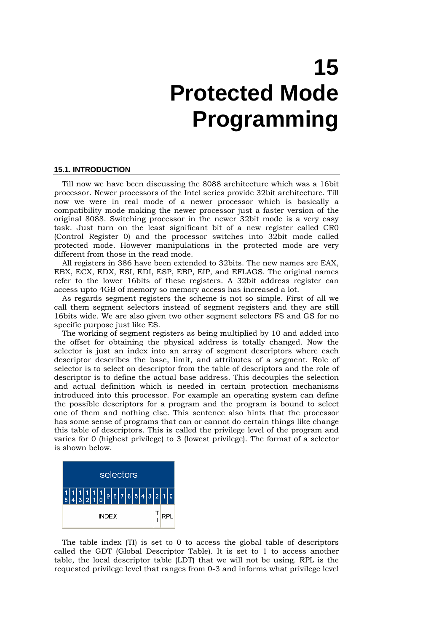# **15 Protected Mode Programming**

#### **15.1. INTRODUCTION**

Till now we have been discussing the 8088 architecture which was a 16bit processor. Newer processors of the Intel series provide 32bit architecture. Till now we were in real mode of a newer processor which is basically a compatibility mode making the newer processor just a faster version of the original 8088. Switching processor in the newer 32bit mode is a very easy task. Just turn on the least significant bit of a new register called CR0 (Control Register 0) and the processor switches into 32bit mode called protected mode. However manipulations in the protected mode are very different from those in the read mode.

All registers in 386 have been extended to 32bits. The new names are EAX, EBX, ECX, EDX, ESI, EDI, ESP, EBP, EIP, and EFLAGS. The original names refer to the lower 16bits of these registers. A 32bit address register can access upto 4GB of memory so memory access has increased a lot.

As regards segment registers the scheme is not so simple. First of all we call them segment selectors instead of segment registers and they are still 16bits wide. We are also given two other segment selectors FS and GS for no specific purpose just like ES.

The working of segment registers as being multiplied by 10 and added into the offset for obtaining the physical address is totally changed. Now the selector is just an index into an array of segment descriptors where each descriptor describes the base, limit, and attributes of a segment. Role of selector is to select on descriptor from the table of descriptors and the role of descriptor is to define the actual base address. This decouples the selection and actual definition which is needed in certain protection mechanisms introduced into this processor. For example an operating system can define the possible descriptors for a program and the program is bound to select one of them and nothing else. This sentence also hints that the processor has some sense of programs that can or cannot do certain things like change this table of descriptors. This is called the privilege level of the program and varies for 0 (highest privilege) to 3 (lowest privilege). The format of a selector is shown below.



The table index (TI) is set to 0 to access the global table of descriptors called the GDT (Global Descriptor Table). It is set to 1 to access another table, the local descriptor table (LDT) that we will not be using. RPL is the requested privilege level that ranges from 0-3 and informs what privilege level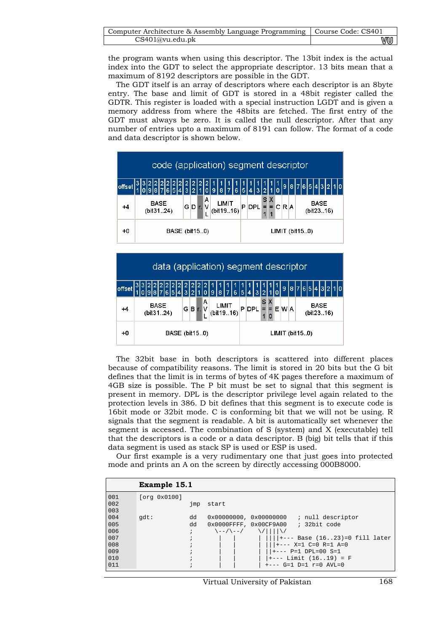| Computer Architecture & Assembly Language Programming   Course Code: CS401 |    |
|----------------------------------------------------------------------------|----|
| CS401@vu.edu.ph                                                            | wu |

the program wants when using this descriptor. The 13bit index is the actual index into the GDT to select the appropriate descriptor. 13 bits mean that a maximum of 8192 descriptors are possible in the GDT.

The GDT itself is an array of descriptors where each descriptor is an 8byte entry. The base and limit of GDT is stored in a 48bit register called the GDTR. This register is loaded with a special instruction LGDT and is given a memory address from where the 48bits are fetched. The first entry of the GDT must always be zero. It is called the null descriptor. After that any number of entries upto a maximum of 8191 can follow. The format of a code and data descriptor is shown below.



The 32bit base in both descriptors is scattered into different places because of compatibility reasons. The limit is stored in 20 bits but the G bit defines that the limit is in terms of bytes of 4K pages therefore a maximum of 4GB size is possible. The P bit must be set to signal that this segment is present in memory. DPL is the descriptor privilege level again related to the protection levels in 386. D bit defines that this segment is to execute code is 16bit mode or 32bit mode. C is conforming bit that we will not be using. R signals that the segment is readable. A bit is automatically set whenever the segment is accessed. The combination of S (system) and X (executable) tell that the descriptors is a code or a data descriptor. B (big) bit tells that if this data segment is used as stack SP is used or ESP is used.

Our first example is a very rudimentary one that just goes into protected mode and prints an A on the screen by directly accessing 000B8000.

|            | Example 15.1 |              |                                     |                        |                                           |
|------------|--------------|--------------|-------------------------------------|------------------------|-------------------------------------------|
| 001<br>002 | [org 0x0100] |              | start                               |                        |                                           |
| 003        |              | jmp          |                                     |                        |                                           |
| 004        | qdt:         | dd           |                                     | 0x00000000, 0x00000000 | ; null descriptor                         |
| 005        |              | dd           |                                     |                        | $0x0000$ FFFF, $0x00$ CF9A00 ; 32bit code |
| 006        |              | $\ddot{i}$   | $\setminus$ - - / $\setminus$ - - / | $\sqrt{11111}$         |                                           |
| 007        |              | $\ddot{i}$   |                                     |                        | $     _{+---}$ Base (1623)=0 fill later   |
| 008        |              |              |                                     |                        | $   +--- X=1 C=0 R=1 A=0$                 |
| 009        |              |              |                                     |                        | $   +--- P=1 DPL=00 S=1$                  |
| 010        |              | i            |                                     |                        | $ +---$ Limit (1619) = F                  |
| 011        |              | $\mathbf{r}$ |                                     |                        | $+---$ G=1 D=1 $r=0$ AVL=0                |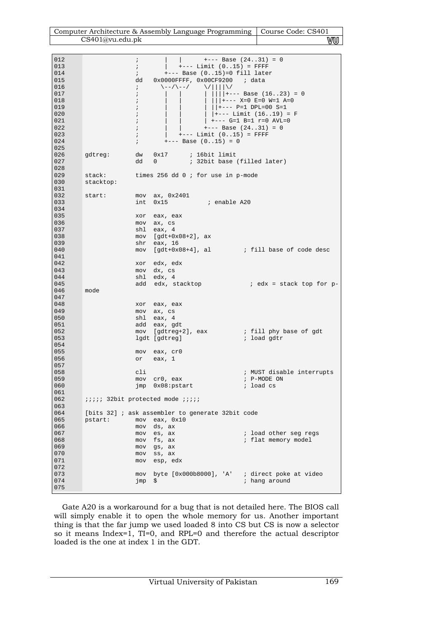| Computer Architecture & Assembly Language Programming   Course Code: CS401 |    |
|----------------------------------------------------------------------------|----|
| CS401@vu.edu.pdf                                                           | wu |

| 012        | $\ddot{i}$                              | $+---$ Base $(2431) = 0$                                                             |
|------------|-----------------------------------------|--------------------------------------------------------------------------------------|
| 013        | $\ddot{i}$                              | $+---$ Limit $(015) =$ FFFF                                                          |
| 014        | $\ddot{i}$                              | $---$ Base $(015)=0$ fill later                                                      |
| 015        | dd                                      | $0x0000$ FFFF, $0x00$ CF9200 ; data                                                  |
| 016        | $\ddot{i}$                              | $\setminus$ - - / $\setminus$ - - /<br>$\setminus / \mid \mid \mid \mid \setminus /$ |
| 017        | $\ddot{i}$                              | +--- Base (1623) = 0                                                                 |
| 018        | $\ddot{i}$                              | +--- X=0 E=0 W=1 A=0                                                                 |
| 019        | $\ddot{i}$                              | $ $ $ $ +--- P=1 DPL=00 S=1                                                          |
| 020        | $\ddot{i}$                              | $ +---$ Limit (1619) = F                                                             |
| 021        | $\ddot{i}$                              | $+---$ G=1 B=1 $r=0$ AVL=0                                                           |
| 022        | $\ddot{i}$                              | $+---$ Base $(2431) = 0$                                                             |
| 023        | $\ddot{i}$                              | $+---$ Limit $(015) =$ FFFF                                                          |
| 024        | $\ddot{i}$                              | $+---$ Base $(015) = 0$                                                              |
| 025        |                                         |                                                                                      |
| 026<br>027 | gdtreg:<br>dw                           | $0x17$ ; 16bit limit                                                                 |
| 028        | dd                                      | ; 32bit base (filled later)<br>0                                                     |
| 029        | stack:                                  |                                                                                      |
| 030        |                                         | times 256 dd $0$ ; for use in p-mode                                                 |
| 031        | stacktop:                               |                                                                                      |
| 032        | start:                                  | $mov$ ax, $0x2401$                                                                   |
| 033        | int                                     | 0x15<br>; enable A20                                                                 |
| 034        |                                         |                                                                                      |
| 035        | xor                                     | eax, eax                                                                             |
| 036        |                                         | mov ax, cs                                                                           |
| 037        | shl                                     | eax, 4                                                                               |
| 038        |                                         | $mov$ [gdt+0x08+2], ax                                                               |
| 039        | shr                                     | eax, 16                                                                              |
| 040        | mov                                     | [gdt+0x08+4], al ; fill base of code desc                                            |
| 041        |                                         |                                                                                      |
| 042        |                                         | xor edx, edx                                                                         |
| 043        |                                         | mov dx, cs                                                                           |
| 044        | shl                                     | edx, 4                                                                               |
| 045        | add                                     | i edx = stack top for p-<br>edx, stacktop                                            |
| 046        | mode                                    |                                                                                      |
| 047        |                                         |                                                                                      |
| 048        |                                         | xor eax, eax                                                                         |
| 049<br>050 | mov                                     | ax, cs                                                                               |
| 051        | shl                                     | eax, 4<br>add eax, gdt                                                               |
| 052        |                                         | mov [gdtreg+2], eax  ; fill phy base of gdt                                          |
| 053        |                                         | lgdt [gdtreg]<br>; load gdtr                                                         |
| 054        |                                         |                                                                                      |
| 055        |                                         | mov eax, cr0                                                                         |
| 056        | or                                      | eax, 1                                                                               |
| 057        |                                         |                                                                                      |
| 058        | cli                                     | ; MUST disable interrupts                                                            |
| 059        | mov                                     | ; P-MODE ON<br>cr0, eax                                                              |
| 060        | jmp                                     | ; load cs<br>$0x08:$ pstart                                                          |
| 061        |                                         |                                                                                      |
| 062        | iiiii 32bit protected mode <i>iiiii</i> |                                                                                      |
| 063        |                                         |                                                                                      |
| 064        |                                         | [bits 32] ; ask assembler to generate 32bit code                                     |
| 065        | pstart:<br>mov                          | eax, $0x10$                                                                          |
| 066        | mov                                     | ds, ax                                                                               |
| 067        | mov                                     | es, ax<br>; load other seg regs                                                      |
| 068<br>069 | mov                                     | ; flat memory model<br>fs, ax                                                        |
| 070        | mov                                     | gs, ax<br>ss, ax                                                                     |
| 071        | mov<br>mov                              | esp, edx                                                                             |
| 072        |                                         |                                                                                      |
| 073        | mov                                     | byte $[0x000b8000]$ , 'A' ; direct poke at video                                     |
| 074        | jmp                                     | \$<br>; hang around                                                                  |
| 075        |                                         |                                                                                      |
|            |                                         |                                                                                      |

Gate A20 is a workaround for a bug that is not detailed here. The BIOS call will simply enable it to open the whole memory for us. Another important thing is that the far jump we used loaded 8 into CS but CS is now a selector so it means Index=1, TI=0, and RPL=0 and therefore the actual descriptor loaded is the one at index 1 in the GDT.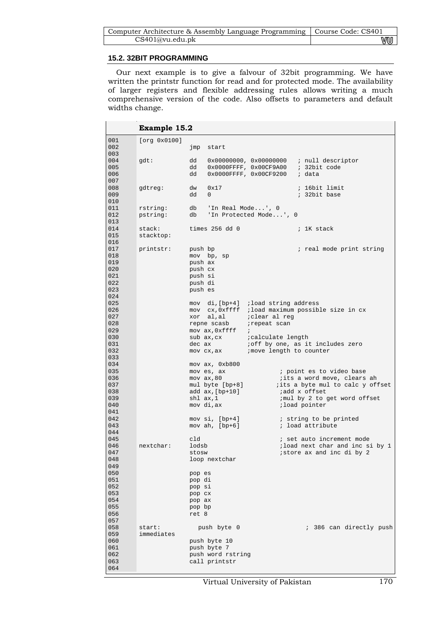| Computer Architecture & Assembly Language Programming   Course Code: CS401 |    |
|----------------------------------------------------------------------------|----|
| CS401@vu.edu.ph                                                            | wu |

## **15.2. 32BIT PROGRAMMING**

Our next example is to give a falvour of 32bit programming. We have written the printstr function for read and for protected mode. The availability of larger registers and flexible addressing rules allows writing a much comprehensive version of the code. Also offsets to parameters and default widths change.

|            | Example 15.2 |                  |                                      |                       |               |                                                          |  |
|------------|--------------|------------------|--------------------------------------|-----------------------|---------------|----------------------------------------------------------|--|
| 001        | [org 0x0100] |                  |                                      |                       |               |                                                          |  |
| 002        |              | jmp              | start                                |                       |               |                                                          |  |
| 003        |              |                  |                                      |                       |               |                                                          |  |
| 004        | gdt:         | dd               |                                      |                       |               | $0x00000000$ , $0x000000000$ ; null descriptor           |  |
| 005        |              | dd               |                                      |                       |               | 0x0000FFFF, 0x00CF9A00 ; 32bit code                      |  |
| 006        |              | dd               | 0x0000FFFF, 0x00CF9200 ; data        |                       |               |                                                          |  |
| 007        |              |                  |                                      |                       |               |                                                          |  |
| 008        | gdtreg:      | dw               | 0x17                                 |                       |               | ; 16bit limit                                            |  |
| 009        |              | dd               | $\Omega$                             |                       |               | ; 32bit base                                             |  |
| 010        |              |                  |                                      |                       |               |                                                          |  |
| 011        | rstring:     |                  | db 'In Real Mode', 0                 |                       |               |                                                          |  |
| 012        | pstring:     | db               | 'In Protected Mode', 0               |                       |               |                                                          |  |
| 013        |              |                  |                                      |                       |               |                                                          |  |
| 014        | stack:       |                  | times 256 dd 0                       |                       |               | ; 1K stack                                               |  |
| 015        | stacktop:    |                  |                                      |                       |               |                                                          |  |
| 016        |              |                  |                                      |                       |               |                                                          |  |
| 017        | printstr:    | push bp          |                                      |                       |               | ; real mode print string                                 |  |
| 018        |              |                  | mov bp, sp                           |                       |               |                                                          |  |
| 019        |              | push ax          |                                      |                       |               |                                                          |  |
| 020        |              | push cx          |                                      |                       |               |                                                          |  |
| 021        |              | push si          |                                      |                       |               |                                                          |  |
| 022        |              | push di          |                                      |                       |               |                                                          |  |
| 023        |              | push es          |                                      |                       |               |                                                          |  |
| 024        |              |                  |                                      |                       |               |                                                          |  |
| 025        |              |                  | mov di, [bp+4] ; load string address |                       |               |                                                          |  |
| 026        |              |                  |                                      |                       |               | mov cx, 0xffff ; load maximum possible size in cx        |  |
| 027        |              |                  | xor al, al                           | <i>i</i> clear al reg |               |                                                          |  |
| 028        |              |                  | repne scasb                          | irepeat scan          |               |                                                          |  |
| 029        |              |                  | mov ax, Oxffff                       | $\ddot{i}$            |               |                                                          |  |
| 030        |              |                  |                                      |                       |               |                                                          |  |
| 031        |              |                  | dec ax                               |                       |               | ioff by one, as it includes zero                         |  |
| 032        |              |                  | mov cx, ax imove length to counter   |                       |               |                                                          |  |
| 033        |              |                  |                                      |                       |               |                                                          |  |
| 034        |              |                  | mov ax, 0xb800                       |                       |               |                                                          |  |
| 035        |              |                  | mov es, ax                           |                       |               | ; point es to video base                                 |  |
| 036        |              |                  | $mov$ $ax, 80$                       |                       |               | iits a word move, clears ah                              |  |
| 037        |              |                  |                                      |                       |               | mul byte [bp+8] <i>i</i> its a byte mul to calc y offset |  |
| 038        |              |                  | add ax, [bp+10]                      |                       | add x offset; |                                                          |  |
| 039        |              | shl ax,1         |                                      |                       |               | ; mul by 2 to get word offset                            |  |
| 040        |              |                  | mov di,ax                            |                       | iload pointer |                                                          |  |
| 041        |              |                  |                                      |                       |               |                                                          |  |
| 042        |              |                  | mov $si$ , [bp+4]                    |                       |               | i string to be printed                                   |  |
| 043        |              |                  | mov ah, $[bp+6]$                     |                       |               | ; load attribute                                         |  |
| 044        |              |                  |                                      |                       |               |                                                          |  |
| 045<br>046 |              | cld              |                                      |                       |               | ; set auto increment mode                                |  |
| 047        | nextchar:    | lodsb            |                                      |                       |               | iload next char and inc si by 1                          |  |
| 048        |              | stosw            |                                      |                       |               | istore ax and inc di by 2                                |  |
| 049        |              |                  | loop nextchar                        |                       |               |                                                          |  |
| 050        |              |                  |                                      |                       |               |                                                          |  |
| 051        |              | pop es<br>pop di |                                      |                       |               |                                                          |  |
| 052        |              | pop si           |                                      |                       |               |                                                          |  |
| 053        |              | pop cx           |                                      |                       |               |                                                          |  |
| 054        |              | pop ax           |                                      |                       |               |                                                          |  |
| 055        |              | pop bp           |                                      |                       |               |                                                          |  |
| 056        |              | ret 8            |                                      |                       |               |                                                          |  |
| 057        |              |                  |                                      |                       |               |                                                          |  |
| 058        | start:       |                  | push byte 0                          |                       |               | ; 386 can directly push                                  |  |
| 059        | immediates   |                  |                                      |                       |               |                                                          |  |
| 060        |              |                  | push byte 10                         |                       |               |                                                          |  |
| 061        |              |                  | push byte 7                          |                       |               |                                                          |  |
| 062        |              |                  | push word rstring                    |                       |               |                                                          |  |
| 063        |              |                  | call printstr                        |                       |               |                                                          |  |
| 064        |              |                  |                                      |                       |               |                                                          |  |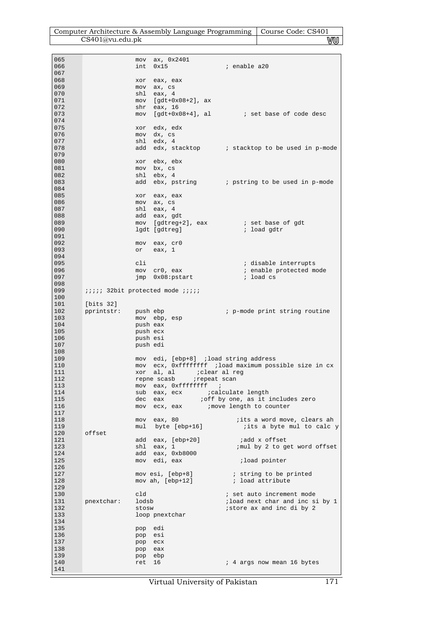| Computer Architecture & Assembly Language Programming   Course Code: CS401 |    |
|----------------------------------------------------------------------------|----|
| CS401@vu.edu.pdf                                                           | wu |

| 065 |                                         |          | $mov$ ax, $0x2401$                     |                                                        |
|-----|-----------------------------------------|----------|----------------------------------------|--------------------------------------------------------|
|     |                                         |          |                                        |                                                        |
| 066 |                                         | int      | 0x15                                   | <i>i</i> enable a20                                    |
| 067 |                                         |          |                                        |                                                        |
|     |                                         |          |                                        |                                                        |
| 068 |                                         | xor      | eax, eax                               |                                                        |
| 069 |                                         |          | mov ax, cs                             |                                                        |
| 070 |                                         |          | shl eax, 4                             |                                                        |
|     |                                         |          |                                        |                                                        |
| 071 |                                         |          | $mov$ [gdt+0x08+2], ax                 |                                                        |
| 072 |                                         |          | shr eax, 16                            |                                                        |
|     |                                         |          |                                        |                                                        |
| 073 |                                         |          |                                        | $mov$ [gdt+0x08+4], al $div$ is set base of code desc  |
| 074 |                                         |          |                                        |                                                        |
|     |                                         |          |                                        |                                                        |
| 075 |                                         | xor      | edx, edx                               |                                                        |
| 076 |                                         |          | mov dx, cs                             |                                                        |
| 077 |                                         |          | shl edx, 4                             |                                                        |
|     |                                         |          |                                        |                                                        |
| 078 |                                         |          |                                        | add edx, stacktop : stacktop to be used in p-mode      |
| 079 |                                         |          |                                        |                                                        |
|     |                                         |          |                                        |                                                        |
| 080 |                                         |          | xor ebx, ebx                           |                                                        |
| 081 |                                         |          | mov bx, cs                             |                                                        |
|     |                                         |          |                                        |                                                        |
| 082 |                                         |          | shl ebx, 4                             |                                                        |
| 083 |                                         |          |                                        | add ebx, pstring (b) i pstring to be used in p-mode    |
| 084 |                                         |          |                                        |                                                        |
|     |                                         |          |                                        |                                                        |
| 085 |                                         |          | xor eax, eax                           |                                                        |
| 086 |                                         |          | mov ax, cs                             |                                                        |
|     |                                         |          |                                        |                                                        |
| 087 |                                         |          | shl eax, 4                             |                                                        |
| 088 |                                         |          | add eax, gdt                           |                                                        |
|     |                                         |          |                                        |                                                        |
| 089 |                                         |          |                                        | mov [gdtreg+2], eax i set base of gdt                  |
| 090 |                                         |          | lgdt [gdtreg]                          | ; load gdtr                                            |
| 091 |                                         |          |                                        |                                                        |
|     |                                         |          |                                        |                                                        |
| 092 |                                         |          | mov eax, cr0                           |                                                        |
| 093 |                                         |          | or eax, 1                              |                                                        |
|     |                                         |          |                                        |                                                        |
| 094 |                                         |          |                                        |                                                        |
| 095 |                                         | cli      |                                        | i disable interrupts                                   |
|     |                                         |          |                                        |                                                        |
| 096 |                                         |          | mov cr0, eax                           | ; enable protected mode                                |
| 097 |                                         |          | jmp 0x08:pstart                        | i load cs                                              |
| 098 |                                         |          |                                        |                                                        |
|     |                                         |          |                                        |                                                        |
| 099 | iiiii 32bit protected mode <i>iiiii</i> |          |                                        |                                                        |
| 100 |                                         |          |                                        |                                                        |
|     |                                         |          |                                        |                                                        |
| 101 | [bits 32]                               |          |                                        |                                                        |
| 102 | pprintstr:                              | push ebp |                                        | ; p-mode print string routine                          |
|     |                                         |          |                                        |                                                        |
| 103 |                                         |          | mov ebp, esp                           |                                                        |
| 104 |                                         | push eax |                                        |                                                        |
|     |                                         |          |                                        |                                                        |
| 105 |                                         | push ecx |                                        |                                                        |
| 106 |                                         | push esi |                                        |                                                        |
| 107 |                                         |          |                                        |                                                        |
|     |                                         | push edi |                                        |                                                        |
| 108 |                                         |          |                                        |                                                        |
| 109 |                                         |          | mov edi, [ebp+8] ; load string address |                                                        |
|     |                                         |          |                                        |                                                        |
| 110 |                                         |          |                                        | mov ecx, 0xffffffff ; load maximum possible size in cx |
| 111 |                                         |          | xor al, al <i>i</i> clear al reg       |                                                        |
| 112 |                                         |          |                                        |                                                        |
|     |                                         |          | repne scasb <i>repeat</i> scan         |                                                        |
| 113 |                                         |          | mov eax, 0xffffffff ;                  |                                                        |
| 114 |                                         | sub      | eax, ecx                               | calculate length;                                      |
|     |                                         |          |                                        |                                                        |
| 115 |                                         | dec      | eax                                    | ioff by one, as it includes zero                       |
| 116 |                                         | mov      | ecx, eax imove length to counter       |                                                        |
|     |                                         |          |                                        |                                                        |
| 117 |                                         |          |                                        |                                                        |
| 118 |                                         |          | mov eax, 80                            | <i>i</i> its a word move, clears ah                    |
| 119 |                                         |          | mul byte [ebp+16]                      | its a byte mul to calc y                               |
|     |                                         |          |                                        |                                                        |
| 120 | offset                                  |          |                                        |                                                        |
| 121 |                                         |          | add eax, [ebp+20]                      | ;add x offset                                          |
| 123 |                                         |          |                                        | ; mul by 2 to get word offset                          |
|     |                                         |          | shl eax, 1                             |                                                        |
| 124 |                                         |          | add eax, 0xb8000                       |                                                        |
| 125 |                                         |          |                                        |                                                        |
|     |                                         |          | mov edi, eax                           | iload pointer                                          |
| 126 |                                         |          |                                        |                                                        |
| 127 |                                         |          | mov esi, [ebp+8]                       | ; string to be printed                                 |
|     |                                         |          |                                        |                                                        |
| 128 |                                         |          | mov ah, $[ebp+12]$                     | ; load attribute                                       |
| 129 |                                         |          |                                        |                                                        |
|     |                                         |          |                                        |                                                        |
| 130 |                                         | cld      |                                        | ; set auto increment mode                              |
| 131 | pnextchar:                              | lodsb    |                                        | ; load next char and inc si by 1                       |
|     |                                         |          |                                        |                                                        |
| 132 |                                         | stosw    |                                        | istore ax and inc di by 2                              |
| 133 |                                         |          | loop pnextchar                         |                                                        |
|     |                                         |          |                                        |                                                        |
| 134 |                                         |          |                                        |                                                        |
| 135 |                                         | pop edi  |                                        |                                                        |
| 136 |                                         |          |                                        |                                                        |
|     |                                         | pop esi  |                                        |                                                        |
| 137 |                                         | pop ecx  |                                        |                                                        |
| 138 |                                         | pop eax  |                                        |                                                        |
|     |                                         |          |                                        |                                                        |
| 139 |                                         | pop ebp  |                                        |                                                        |
| 140 |                                         | ret      | 16                                     | ; 4 args now mean 16 bytes                             |
|     |                                         |          |                                        |                                                        |
| 141 |                                         |          |                                        |                                                        |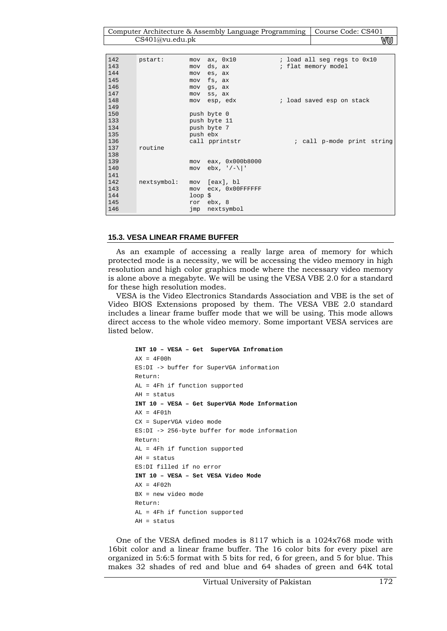Computer Architecture & Assembly Language Programming | Course Code: CS401 CS401@vu.edu.pk **WU** 

| 142 | pstart:            | $mov$ $ax$ , $0x10$ | ; load all seg regs to 0x10 |
|-----|--------------------|---------------------|-----------------------------|
| 143 | mov                | ds, ax              | ; flat memory model         |
| 144 | mov                | es, ax              |                             |
| 145 | mov                | fs, ax              |                             |
| 146 | mov                | gs, ax              |                             |
| 147 | mov                | ss, ax              |                             |
| 148 | mov                | esp, edx            | ; load saved esp on stack   |
| 149 |                    |                     |                             |
| 150 |                    | push byte 0         |                             |
| 133 |                    | push byte 11        |                             |
| 134 |                    | push byte 7         |                             |
| 135 |                    | push ebx            |                             |
| 136 |                    | call pprintstr      | ; call p-mode print string  |
| 137 | routine            |                     |                             |
| 138 |                    |                     |                             |
| 139 | mov                | eax, 0x000b8000     |                             |
| 140 | mov                | $ebx, '/-\ '$       |                             |
| 141 |                    |                     |                             |
| 142 | nextsymbol:<br>mov | [eax], bl           |                             |
| 143 | mov                | ecx, 0x00FFFFFFF    |                             |
| 144 |                    | $loop$ $\ddot{s}$   |                             |
| 145 |                    | ror ebx, 8          |                             |
| 146 |                    | imp nextsymbol      |                             |

#### **15.3. VESA LINEAR FRAME BUFFER**

As an example of accessing a really large area of memory for which protected mode is a necessity, we will be accessing the video memory in high resolution and high color graphics mode where the necessary video memory is alone above a megabyte. We will be using the VESA VBE 2.0 for a standard for these high resolution modes.

VESA is the Video Electronics Standards Association and VBE is the set of Video BIOS Extensions proposed by them. The VESA VBE 2.0 standard includes a linear frame buffer mode that we will be using. This mode allows direct access to the whole video memory. Some important VESA services are listed below.

```
INT 10 – VESA – Get SuperVGA Infromation 
AX = 4F00hES:DI -> buffer for SuperVGA information 
Return: 
AL = 4Fh if function supported 
AH = status 
INT 10 – VESA – Get SuperVGA Mode Information 
AX = 4F01hCX = SuperVGA video mode 
ES:DI -> 256-byte buffer for mode information 
Return: 
AL = 4Fh if function supported 
AH = status 
ES:DI filled if no error 
INT 10 – VESA – Set VESA Video Mode 
AX = 4F02hBX = new video mode 
Return: 
AL = 4Fh if function supported 
AH = status
```
One of the VESA defined modes is 8117 which is a 1024x768 mode with 16bit color and a linear frame buffer. The 16 color bits for every pixel are organized in 5:6:5 format with 5 bits for red, 6 for green, and 5 for blue. This makes 32 shades of red and blue and 64 shades of green and 64K total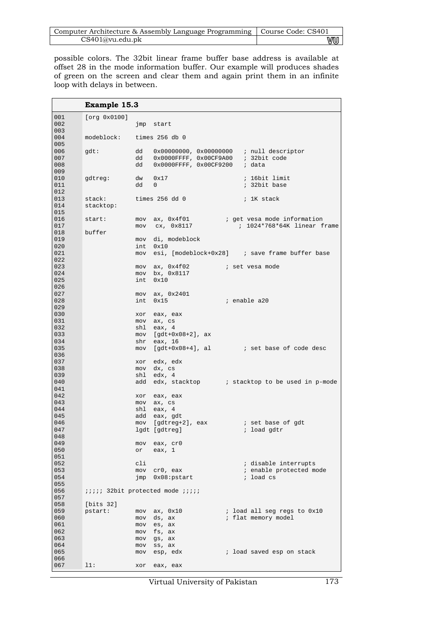| Computer Architecture & Assembly Language Programming   Course Code: CS401 |    |
|----------------------------------------------------------------------------|----|
| CS401@vu.edu.pdf                                                           | wu |

possible colors. The 32bit linear frame buffer base address is available at offset 28 in the mode information buffer. Our example will produces shades of green on the screen and clear them and again print them in an infinite loop with delays in between.

|            | Example 15.3              |            |                                                                                        |                                                                                |
|------------|---------------------------|------------|----------------------------------------------------------------------------------------|--------------------------------------------------------------------------------|
| 001        | [org 0x0100]              |            |                                                                                        |                                                                                |
| 002        |                           |            | jmp start                                                                              |                                                                                |
| 003        |                           |            |                                                                                        |                                                                                |
| 004        | modeblock: times 256 db 0 |            |                                                                                        |                                                                                |
| 005        |                           |            |                                                                                        |                                                                                |
| 006        | gdt:                      |            | dd 0x00000000, 0x000000000 ; null descriptor<br>dd 0x0000FFFF, 0x00CF9A00 ; 32bit code |                                                                                |
| 007<br>008 |                           | dd         | 0x0000FFFF, 0x00CF9200 ; data                                                          |                                                                                |
| 009        |                           |            |                                                                                        |                                                                                |
| 010        | gdtreg:                   |            | $dw$ $0x17$                                                                            | ; 16bit limit                                                                  |
| 011        |                           | dd         | $\mathbf{0}$                                                                           | ; 32bit base                                                                   |
| 012        |                           |            |                                                                                        |                                                                                |
| 013        | stack:                    |            | times 256 dd 0                                                                         | ; 1K stack                                                                     |
| 014        | stacktop:                 |            |                                                                                        |                                                                                |
| 015<br>016 | start:                    |            |                                                                                        |                                                                                |
| 017        |                           |            | mov cx, 0x8117                                                                         | mov $ax$ , $0x4f01$ ; get vesa mode information<br>; 1024*768*64K linear frame |
| 018        | buffer                    |            |                                                                                        |                                                                                |
| 019        |                           |            | mov di, modeblock                                                                      |                                                                                |
| 020        |                           | int        | 0x10                                                                                   |                                                                                |
| 021        |                           |            |                                                                                        | mov esi, [modeblock+0x28] ; save frame buffer base                             |
| 022        |                           |            |                                                                                        |                                                                                |
| 023<br>024 |                           |            | mov ax, 0x4f02<br>mov bx, 0x8117                                                       | i set vesa mode                                                                |
| 025        |                           | int.       | 0x10                                                                                   |                                                                                |
| 026        |                           |            |                                                                                        |                                                                                |
| 027        |                           |            | mov ax, 0x2401                                                                         |                                                                                |
| 028        |                           | int        | 0x15                                                                                   | ; enable a20                                                                   |
| 029        |                           |            |                                                                                        |                                                                                |
| 030        |                           |            | xor eax, eax                                                                           |                                                                                |
| 031<br>032 |                           |            | mov ax, cs<br>shl eax, 4                                                               |                                                                                |
| 033        |                           | mov        | [gdt+0x08+2], ax                                                                       |                                                                                |
| 034        |                           | shr        | eax, 16                                                                                |                                                                                |
| 035        |                           | mov        |                                                                                        | [gdt+0x08+4], al i set base of code desc                                       |
| 036        |                           |            |                                                                                        |                                                                                |
| 037<br>038 |                           |            | xor edx, edx                                                                           |                                                                                |
| 039        |                           | shl        | mov dx, cs<br>edx, 4                                                                   |                                                                                |
| 040        |                           | add        |                                                                                        | edx, stacktop : stacktop to be used in p-mode                                  |
| 041        |                           |            |                                                                                        |                                                                                |
| 042        |                           |            | xor eax, eax                                                                           |                                                                                |
| 043        |                           |            | mov ax, cs                                                                             |                                                                                |
| 044<br>045 |                           |            | shl eax, 4<br>add eax, gdt                                                             |                                                                                |
| 046        |                           | mov        | [gdtreg+2], eax i set base of gdt                                                      |                                                                                |
| 047        |                           |            | lgdt [gdtreg]                                                                          | ; load gdtr                                                                    |
| 048        |                           |            |                                                                                        |                                                                                |
| 049        |                           | mov        | eax, cr0                                                                               |                                                                                |
| 050        |                           | or         | eax, $1$                                                                               |                                                                                |
| 051<br>052 |                           | cli        |                                                                                        |                                                                                |
| 053        |                           | mov        | cr0, eax                                                                               | ; disable interrupts<br>; enable protected mode                                |
| 054        |                           | jmp        | $0x08:$ pstart                                                                         | ; load cs                                                                      |
| 055        |                           |            |                                                                                        |                                                                                |
| 056        |                           |            | iiiii 32bit protected mode iiiii                                                       |                                                                                |
| 057        |                           |            |                                                                                        |                                                                                |
| 058<br>059 | [bits 32]                 |            |                                                                                        | ; load all seg regs to 0x10                                                    |
| 060        | pstart:                   | mov<br>mov | ax, 0x10<br>ds, ax                                                                     | ; flat memory model                                                            |
| 061        |                           | mov        | es, ax                                                                                 |                                                                                |
| 062        |                           | mov        | fs, ax                                                                                 |                                                                                |
| 063        |                           | mov        | gs, ax                                                                                 |                                                                                |
| 064        |                           | mov        | ss, ax                                                                                 |                                                                                |
| 065        |                           | mov        | esp, edx                                                                               | i load saved esp on stack                                                      |
| 066<br>067 |                           |            |                                                                                        |                                                                                |
|            | 11:                       | xor        | eax, eax                                                                               |                                                                                |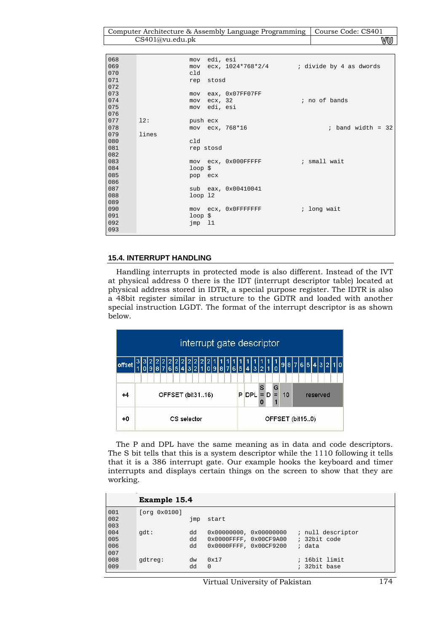Computer Architecture & Assembly Language Programming | Course Code: CS401 CS401@vu.edu.pk **WU** 

| 068<br>069<br>070 |       | mov<br>cld           | mov edi, esi | $ex, 1024*768*2/4$ ; divide by 4 as dwords |               |                     |  |  |
|-------------------|-------|----------------------|--------------|--------------------------------------------|---------------|---------------------|--|--|
| 071<br>072        |       |                      | rep stosd    |                                            |               |                     |  |  |
| 073               |       |                      |              | mov eax, 0x07FF07FF                        |               |                     |  |  |
| 074               |       | mov                  | ecx, 32      |                                            | ; no of bands |                     |  |  |
| 075               |       |                      | mov edi, esi |                                            |               |                     |  |  |
| 076               |       |                      |              |                                            |               |                     |  |  |
| 077               | 12:   | push ecx             |              |                                            |               |                     |  |  |
| 078               |       |                      |              | mov ecx, 768*16                            |               | $:$ band width = 32 |  |  |
| 079               | lines |                      |              |                                            |               |                     |  |  |
| 080               |       | cld                  |              |                                            |               |                     |  |  |
| 081               |       |                      | rep stosd    |                                            |               |                     |  |  |
| 082               |       |                      |              |                                            |               |                     |  |  |
| 083               |       |                      |              | mov ecx, 0x000FFFFFF ; small wait          |               |                     |  |  |
| 084               |       | $loop$ \$            |              |                                            |               |                     |  |  |
| 085               |       | pop ecx              |              |                                            |               |                     |  |  |
| 086               |       |                      |              |                                            |               |                     |  |  |
| 087               |       |                      |              | sub eax, 0x00410041                        |               |                     |  |  |
| 088               |       | $loop$ $12$          |              |                                            |               |                     |  |  |
| 089               |       |                      |              |                                            |               |                     |  |  |
| 090               |       |                      |              | mov ecx, 0x0FFFFFFFF                       | ; long wait   |                     |  |  |
| 091               |       | $loop$ $\frac{1}{2}$ |              |                                            |               |                     |  |  |
| 092               |       | $\text{imp}$ 11      |              |                                            |               |                     |  |  |
| 093               |       |                      |              |                                            |               |                     |  |  |

# **15.4. INTERRUPT HANDLING**

Handling interrupts in protected mode is also different. Instead of the IVT at physical address 0 there is the IDT (interrupt descriptor table) located at physical address stored in IDTR, a special purpose register. The IDTR is also a 48bit register similar in structure to the GDTR and loaded with another special instruction LGDT. The format of the interrupt descriptor is as shown below.



The P and DPL have the same meaning as in data and code descriptors. The S bit tells that this is a system descriptor while the 1110 following it tells that it is a 386 interrupt gate. Our example hooks the keyboard and timer interrupts and displays certain things on the screen to show that they are working.

|                          | Example 15.4 |                |                                                                             |                                             |
|--------------------------|--------------|----------------|-----------------------------------------------------------------------------|---------------------------------------------|
| 001<br>002<br>003        | [org 0x0100] | $\mathsf{imp}$ | start                                                                       |                                             |
| 004<br>005<br>006<br>007 | qdt:         | dd<br>dd<br>dd | 0x000000000, 0x00000000<br>0x0000FFFF, 0x00CF9A00<br>0x0000FFFF, 0x00CF9200 | ; null descriptor<br>; 32bit code<br>; data |
| 008<br>009               | qdtreq:      | dw<br>dd       | 0x17<br>$\Omega$                                                            | ; 16bit limit<br>; 32bit base               |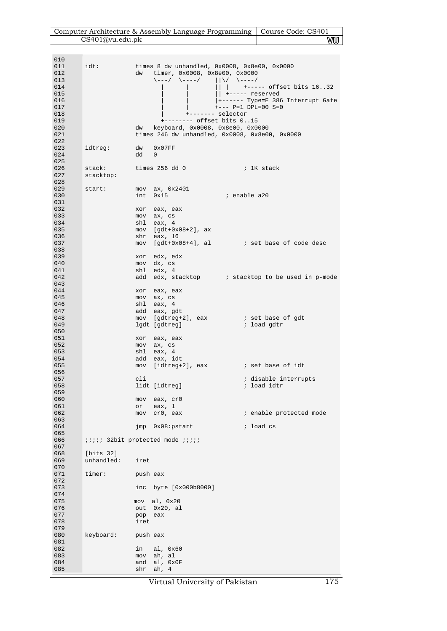| Computer Architecture & Assembly Language Programming   Course Code: CS401 |    |
|----------------------------------------------------------------------------|----|
| CS401@vu.edu.pdf                                                           | wu |

| 010<br>011<br>012 | idt:                | dw         | timer, 0x0008, 0x8e00, 0x0000                                                                            | times 8 dw unhandled, $0x0008$ , $0x8e00$ , $0x0000$             |
|-------------------|---------------------|------------|----------------------------------------------------------------------------------------------------------|------------------------------------------------------------------|
| 013<br>014<br>015 |                     |            | $\backslash \text{---}/ \quad \backslash \text{---}/ \qquad   \backslash / \quad \backslash \text{---}/$ | $\vert$ +----- offset bits 1632<br>$\vert$ +----- reserved       |
| 016<br>017        |                     |            |                                                                                                          | + - - - - - - Type=E 386 Interrupt Gate<br>$+---$ P=1 DPL=00 S=0 |
| 018<br>019        |                     |            | $+$ ------- selector<br>+-------- offset bits 015                                                        |                                                                  |
| 020<br>021<br>022 |                     | dw         | keyboard, 0x0008, 0x8e00, 0x0000                                                                         | times 246 dw unhandled, 0x0008, 0x8e00, 0x0000                   |
| 023<br>024<br>025 | idtreg:             | dd         | dw 0x07FF<br>$\mathbf{0}$                                                                                |                                                                  |
| 026<br>027<br>028 | stack:<br>stacktop: |            | times 256 dd 0                                                                                           | and the stack in the stack of the stack                          |
| 029               | start:              |            | $mov$ ax, $0x2401$                                                                                       |                                                                  |
| 030<br>031        |                     | int        | 0x15                                                                                                     | ; enable a20                                                     |
| 032<br>033        |                     | xor        | eax, eax<br>mov ax, cs                                                                                   |                                                                  |
| 034               |                     |            | shl eax, 4                                                                                               |                                                                  |
| 035               |                     |            | $mov$ [gdt+0x08+2], ax                                                                                   |                                                                  |
| 036<br>037        |                     |            | shr eax, 16                                                                                              | mov $[qdt+0x08+4]$ , al $\qquad \qquad$ ; set base of code desc  |
| 038               |                     |            |                                                                                                          |                                                                  |
| 039               |                     |            | xor edx, edx                                                                                             |                                                                  |
| 040<br>041        |                     |            | mov dx, cs<br>shl edx, 4                                                                                 |                                                                  |
| 042               |                     | add        |                                                                                                          | edx, stacktop : stacktop to be used in p-mode                    |
| 043               |                     |            |                                                                                                          |                                                                  |
| 044<br>045        |                     |            | xor eax, eax<br>mov ax, cs                                                                               |                                                                  |
| 046               |                     |            | shl eax, 4                                                                                               |                                                                  |
| 047               |                     |            | add eax, gdt                                                                                             |                                                                  |
| 048<br>049        |                     |            | lgdt [gdtreg]                                                                                            | mov [gdtreg+2], eax i set base of gdt<br>; load gdtr             |
| 050               |                     |            |                                                                                                          |                                                                  |
| 051               |                     |            | xor eax, eax                                                                                             |                                                                  |
| 052<br>053        |                     |            | mov ax, cs<br>shl eax, 4                                                                                 |                                                                  |
| 054               |                     |            | add eax, idt                                                                                             |                                                                  |
| 055               |                     |            |                                                                                                          | mov [idtreg+2], eax i set base of idt                            |
| 056<br>057        |                     | cli        |                                                                                                          | ; disable interrupts                                             |
| 058               |                     |            | lidt [idtreg]                                                                                            | ; load idtr                                                      |
| 059               |                     |            |                                                                                                          |                                                                  |
| 060<br>061        |                     | mov<br>or  | eax, cr0<br>eax, $1$                                                                                     |                                                                  |
| 062               |                     | mov        | cr0, eax                                                                                                 | ; enable protected mode                                          |
| 063<br>064        |                     | jmp        | $0x08:$ pstart                                                                                           | ; load cs                                                        |
| 065               |                     |            |                                                                                                          |                                                                  |
| 066               |                     |            | iiiii 32bit protected mode <i>iiiii</i>                                                                  |                                                                  |
| 067<br>068        | [bits 32]           |            |                                                                                                          |                                                                  |
| 069               | unhandled:          | iret       |                                                                                                          |                                                                  |
| 070<br>071<br>072 | timer:              | push eax   |                                                                                                          |                                                                  |
| 073               |                     | inc        | byte [0x000b8000]                                                                                        |                                                                  |
| 074<br>075        |                     |            | al, 0x20                                                                                                 |                                                                  |
| 076               |                     | mov<br>out | 0x20, al                                                                                                 |                                                                  |
| 077               |                     | pop        | eax                                                                                                      |                                                                  |
| 078<br>079        |                     | iret       |                                                                                                          |                                                                  |
| 080<br>081        | keyboard:           | push eax   |                                                                                                          |                                                                  |
| 082               |                     | in         | al, 0x60                                                                                                 |                                                                  |
| 083               |                     | mov        | ah, al                                                                                                   |                                                                  |
| 084<br>085        |                     | and<br>shr | al, OxOF<br>ah, 4                                                                                        |                                                                  |
|                   |                     |            |                                                                                                          |                                                                  |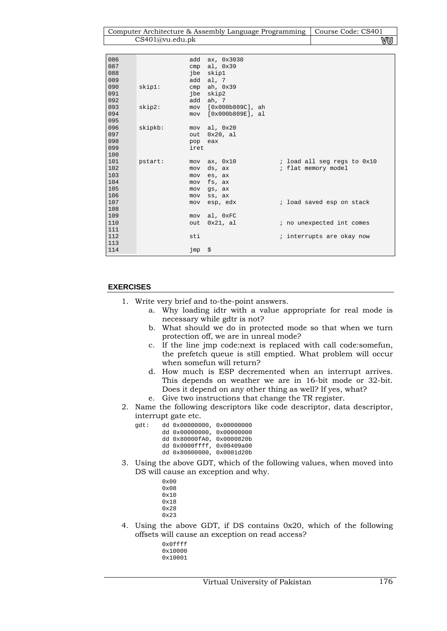| Computer Architecture & Assembly Language Programming   Course Code: CS401 |      |
|----------------------------------------------------------------------------|------|
| CS401@vu.edu.ph                                                            | V‴∪U |

| 086 |         | add    | ax, 0x3030           |                             |
|-----|---------|--------|----------------------|-----------------------------|
| 087 |         | cmp    | al, 0x39             |                             |
| 088 |         |        | jbe skip1            |                             |
| 089 |         |        | add al, 7            |                             |
| 090 | skip1:  | cmp    | ah, 0x39             |                             |
| 091 |         | jbe    | skip2                |                             |
| 092 |         |        | add ah, 7            |                             |
| 093 | skip2:  | mov    | [0x000b809C], ah     |                             |
| 094 |         |        | mov [0x000b809E], al |                             |
| 095 |         |        |                      |                             |
| 096 | skipkb: | mov    | al, 0x20             |                             |
| 097 |         | out    | $0x20$ , al          |                             |
| 098 |         | pop    | eax                  |                             |
| 099 |         | iret   |                      |                             |
| 100 |         |        |                      |                             |
| 101 | pstart: | mov    | ax, 0x10             | ; load all seg regs to 0x10 |
| 102 |         | mov    | ds, ax               | ; flat memory model         |
| 103 |         | mov    | es, ax               |                             |
| 104 |         | mov    | fs, ax               |                             |
| 105 |         | mov    | gs, ax               |                             |
| 106 |         | mov    | ss, ax               |                             |
| 107 |         | mov    | esp, edx             | ; load saved esp on stack   |
| 108 |         |        |                      |                             |
| 109 |         | mov    | al, OxFC             |                             |
| 110 |         | out    | 0x21, al             | ; no unexpected int comes   |
| 111 |         |        |                      |                             |
| 112 |         | sti    |                      | ; interrupts are okay now   |
| 113 |         |        |                      |                             |
| 114 |         | jmp \$ |                      |                             |
|     |         |        |                      |                             |

# **EXERCISES**

gdt:

- 1. Write very brief and to-the-point answers.
	- a. Why loading idtr with a value appropriate for real mode is necessary while gdtr is not?
		- b. What should we do in protected mode so that when we turn protection off, we are in unreal mode?
		- c. If the line jmp code:next is replaced with call code:somefun, the prefetch queue is still emptied. What problem will occur when somefun will return?
	- d. How much is ESP decremented when an interrupt arrives. This depends on weather we are in 16-bit mode or 32-bit. Does it depend on any other thing as well? If yes, what?
	- e. Give two instructions that change the TR register.
- 2. Name the following descriptors like code descriptor, data descriptor, interrupt gate etc.

|  | dd 0x00000000, 0x00000000 |  |
|--|---------------------------|--|
|  | dd 0x00000000, 0x00000000 |  |
|  | dd 0x80000fA0, 0x0000820b |  |
|  | dd 0x0000ffff, 0x00409a00 |  |
|  | dd 0x80000000, 0x0001d20b |  |

3. Using the above GDT, which of the following values, when moved into DS will cause an exception and why.

| 0x00 |
|------|
| 0x08 |
| 0x10 |
| 0x18 |
| 0x28 |
| 0x23 |

- 4. Using the above GDT, if DS contains 0x20, which of the following offsets will cause an exception on read access?
	- 0x0ffff 0x10000 0x10001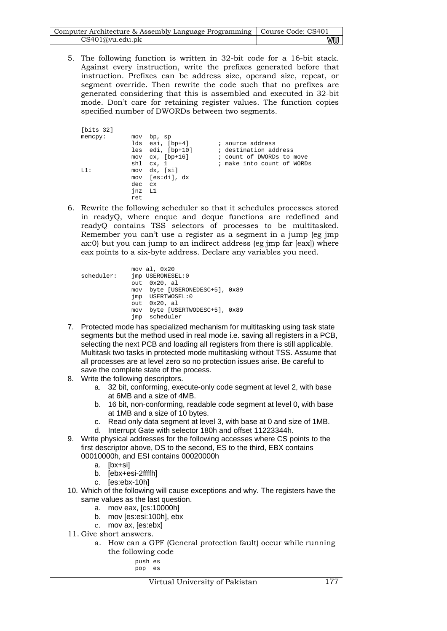| Computer Architecture & Assembly Language Programming   Course Code: CS401 |    |
|----------------------------------------------------------------------------|----|
| CS401@vu.edu.pk                                                            | wu |

5. The following function is written in 32-bit code for a 16-bit stack. Against every instruction, write the prefixes generated before that instruction. Prefixes can be address size, operand size, repeat, or segment override. Then rewrite the code such that no prefixes are generated considering that this is assembled and executed in 32-bit mode. Don't care for retaining register values. The function copies specified number of DWORDs between two segments.

| [bits 32] |        |                        |                            |
|-----------|--------|------------------------|----------------------------|
|           |        |                        |                            |
| memcpy:   |        | mov bp, sp             |                            |
|           |        | lds esi, [bp+4]        | ; source address           |
|           |        | les edi, [bp+10]       | ; destination address      |
|           |        | $mov$ $cx$ , $[bp+16]$ | ; count of DWORDs to move  |
|           |        | shl cx, 1              | ; make into count of WORDs |
| L1 :      |        | mov dx, [si]           |                            |
|           |        | mov [es:di], dx        |                            |
|           | dec cx |                        |                            |
|           | jnz L1 |                        |                            |
|           | ret    |                        |                            |

6. Rewrite the following scheduler so that it schedules processes stored in readyQ, where enque and deque functions are redefined and readyQ contains TSS selectors of processes to be multitasked. Remember you can't use a register as a segment in a jump (eg jmp ax:0) but you can jump to an indirect address (eg jmp far [eax]) where eax points to a six-byte address. Declare any variables you need.

|            | mov al, 0x20                   |  |
|------------|--------------------------------|--|
| scheduler: | imp USERONESEL: 0              |  |
|            | $out$ $0x20$ , al              |  |
|            | mov byte [USERONEDESC+5], 0x89 |  |
|            | imp USERTWOSEL: 0              |  |
|            | $out$ $0x20$ , al              |  |
|            | mov byte [USERTWODESC+5], 0x89 |  |
|            | imp scheduler                  |  |

- 7. Protected mode has specialized mechanism for multitasking using task state segments but the method used in real mode i.e. saving all registers in a PCB, selecting the next PCB and loading all registers from there is still applicable. Multitask two tasks in protected mode multitasking without TSS. Assume that all processes are at level zero so no protection issues arise. Be careful to save the complete state of the process.
- 8. Write the following descriptors.
	- a. 32 bit, conforming, execute-only code segment at level 2, with base at 6MB and a size of 4MB.
	- b. 16 bit, non-conforming, readable code segment at level 0, with base at 1MB and a size of 10 bytes.
	- c. Read only data segment at level 3, with base at 0 and size of 1MB.
	- d. Interrupt Gate with selector 180h and offset 11223344h.
- 9. Write physical addresses for the following accesses where CS points to the first descriptor above, DS to the second, ES to the third, EBX contains 00010000h, and ESI contains 00020000h
	- a. [bx+si]
	- b. [ebx+esi-2ffffh]
	- c. [es:ebx-10h]
- 10. Which of the following will cause exceptions and why. The registers have the same values as the last question.
	- a. mov eax, [cs:10000h]
	- b. mov [es:esi:100h], ebx
	- c. mov ax, [es:ebx]
- 11. Give short answers.
	- a. How can a GPF (General protection fault) occur while running the following code

| pusn | $\ddot{}$<br>⊢ |
|------|----------------|
| סמס  | -              |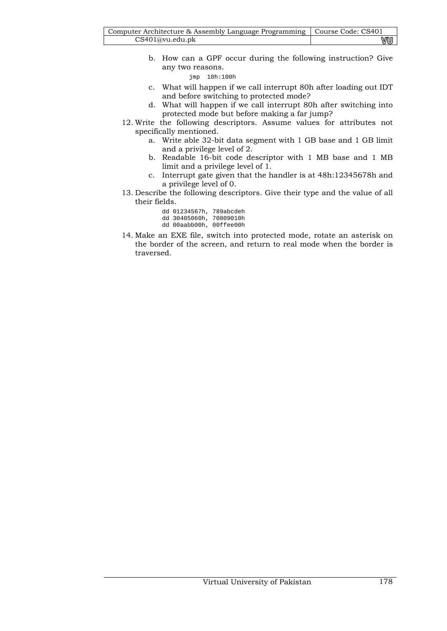| Computer Architecture & Assembly Language Programming   Course Code: CS401 |    |
|----------------------------------------------------------------------------|----|
| CS401@vu.edu.ph                                                            | VU |

b. How can a GPF occur during the following instruction? Give any two reasons.

jmp 10h:100h

- c. What will happen if we call interrupt 80h after loading out IDT and before switching to protected mode?
- d. What will happen if we call interrupt 80h after switching into protected mode but before making a far jump?
- 12. Write the following descriptors. Assume values for attributes not specifically mentioned.
	- a. Write able 32-bit data segment with 1 GB base and 1 GB limit and a privilege level of 2.
	- b. Readable 16-bit code descriptor with 1 MB base and 1 MB limit and a privilege level of 1.
	- c. Interrupt gate given that the handler is at 48h:12345678h and a privilege level of 0.
- 13. Describe the following descriptors. Give their type and the value of all their fields.
	- dd 01234567h, 789abcdeh
	- dd 30405060h, 70809010h dd 00aabb00h, 00ffee00h
- 14. Make an EXE file, switch into protected mode, rotate an asterisk on the border of the screen, and return to real mode when the border is traversed.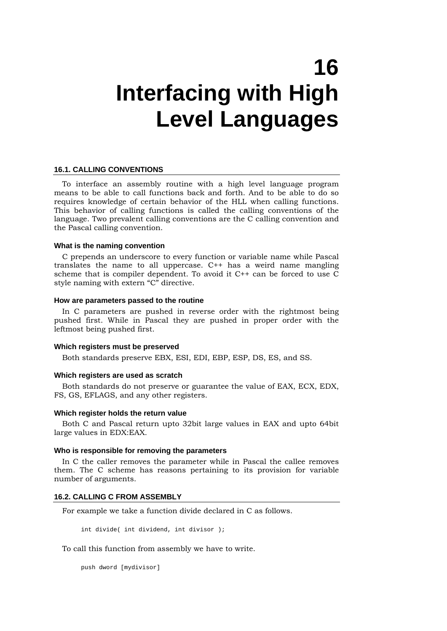# **16 Interfacing with High Level Languages**

#### **16.1. CALLING CONVENTIONS**

To interface an assembly routine with a high level language program means to be able to call functions back and forth. And to be able to do so requires knowledge of certain behavior of the HLL when calling functions. This behavior of calling functions is called the calling conventions of the language. Two prevalent calling conventions are the C calling convention and the Pascal calling convention.

#### **What is the naming convention**

C prepends an underscore to every function or variable name while Pascal translates the name to all uppercase. C++ has a weird name mangling scheme that is compiler dependent. To avoid it C++ can be forced to use C style naming with extern "C" directive.

### **How are parameters passed to the routine**

In C parameters are pushed in reverse order with the rightmost being pushed first. While in Pascal they are pushed in proper order with the leftmost being pushed first.

#### **Which registers must be preserved**

Both standards preserve EBX, ESI, EDI, EBP, ESP, DS, ES, and SS.

#### **Which registers are used as scratch**

Both standards do not preserve or guarantee the value of EAX, ECX, EDX, FS, GS, EFLAGS, and any other registers.

#### **Which register holds the return value**

Both C and Pascal return upto 32bit large values in EAX and upto 64bit large values in EDX:EAX.

#### **Who is responsible for removing the parameters**

In C the caller removes the parameter while in Pascal the callee removes them. The C scheme has reasons pertaining to its provision for variable number of arguments.

#### **16.2. CALLING C FROM ASSEMBLY**

For example we take a function divide declared in C as follows.

int divide( int dividend, int divisor );

To call this function from assembly we have to write.

push dword [mydivisor]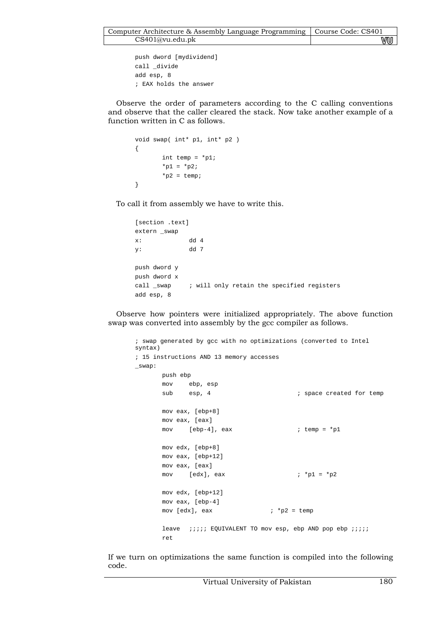```
push dword [mydividend] 
call _divide 
add esp, 8 
; EAX holds the answer
```
Observe the order of parameters according to the C calling conventions and observe that the caller cleared the stack. Now take another example of a function written in C as follows.

```
void swap( int* p1, int* p2 ) 
{ 
          int temp = *p1; 
         *_{p1} = *_{p2};*_{p2} = \text{temp};}
```
To call it from assembly we have to write this.

```
[section .text] 
extern _swap 
x: dd 4 
y: dd 7 
push dword y 
push dword x 
call _swap : will only retain the specified registers
add esp, 8
```
Observe how pointers were initialized appropriately. The above function swap was converted into assembly by the gcc compiler as follows.

```
; swap generated by gcc with no optimizations (converted to Intel 
syntax) 
; 15 instructions AND 13 memory accesses 
_swap: 
       push ebp 
       mov ebp, esp 
      sub esp, 4 \qquad \qquad ; space created for temp
       mov eax, [ebp+8] 
       mov eax, [eax] 
      mov [ebp-4], eax i temp = \text{*}p1 mov edx, [ebp+8] 
       mov eax, [ebp+12] 
       mov eax, [eax] 
      mov [edx], eax ; *p1 = *p2 mov edx, [ebp+12] 
       mov eax, [ebp-4] 
      mov [edx], eax i * p2 = templeave ;;;;; EQUIVALENT TO mov esp, ebp AND pop ebp ;;;;
       ret
```
If we turn on optimizations the same function is compiled into the following code.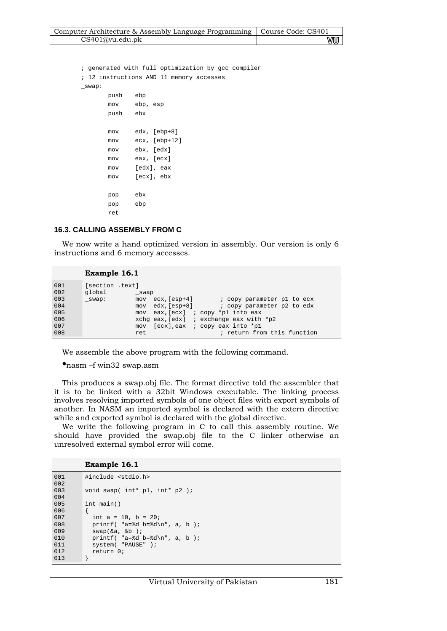| Computer Architecture & Assembly Language Programming   Course Code: CS401 |    |
|----------------------------------------------------------------------------|----|
| CS401@vu.edu.pdf                                                           | vu |

; generated with full optimization by gcc compiler ; 12 instructions AND 11 memory accesses \_swap: push ebp mov ebp, esp push ebx mov edx, [ebp+8] mov ecx, [ebp+12] mov ebx, [edx] mov eax, [ecx] mov [edx], eax mov [ecx], ebx pop ebx pop ebp ret

## **16.3. CALLING ASSEMBLY FROM C**

We now write a hand optimized version in assembly. Our version is only 6 instructions and 6 memory accesses.

|                                                      | Example 16.1                                      |                    |                  |                                                                                                                                                                                                                                 |
|------------------------------------------------------|---------------------------------------------------|--------------------|------------------|---------------------------------------------------------------------------------------------------------------------------------------------------------------------------------------------------------------------------------|
| 001<br>002<br>003<br>004<br>005<br>006<br>007<br>008 | [section .text]<br>qlobal<br>$_{\texttt{SWap}}$ : | swap<br>mov<br>ret | mov ecx, [esp+4] | ; copy parameter pl to ecx<br>edx, [esp+8] (copy parameter p2 to edx<br>mov eax, [ecx] ; copy *p1 into eax<br>xchg eax, $[edx]$ ; exchange eax with *p2<br>mov $[ecx]$ , eax ; copy eax into *p1<br>; return from this function |

We assemble the above program with the following command.

•nasm –f win32 swap.asm

This produces a swap.obj file. The format directive told the assembler that it is to be linked with a 32bit Windows executable. The linking process involves resolving imported symbols of one object files with export symbols of another. In NASM an imported symbol is declared with the extern directive while and exported symbol is declared with the global directive.

We write the following program in C to call this assembly routine. We should have provided the swap.obj file to the C linker otherwise an unresolved external symbol error will come.

### **Example 16.1**

```
001 
002 
003 
004 
005006 
007 
008 
009 
010 
011 
012 
013 
          #include <stdio.h> 
          void swap( int* p1, int* p2 ); 
          int main() 
          { 
            int a = 10, b = 20;
            printf( "a=\dagger d b=\dagger d\pi", a, b );
             swap(&a, &b ); 
           printf( "a=%d b=%d\n", a, b ); 
           system( "PAUSE" ); 
             return 0; 
          }
```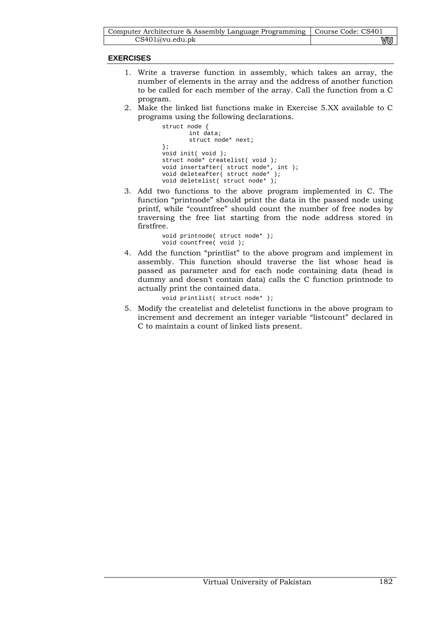| Computer Architecture & Assembly Language Programming   Course Code: CS401 |    |
|----------------------------------------------------------------------------|----|
| CS401@vu.edu.ph                                                            | wu |

# **EXERCISES**

- 1. Write a traverse function in assembly, which takes an array, the number of elements in the array and the address of another function to be called for each member of the array. Call the function from a C program.
- 2. Make the linked list functions make in Exercise 5.XX available to C programs using the following declarations.

```
struct node { 
         int data; 
         struct node* next; 
}; 
void init( void ); 
struct node* createlist( void ); 
void insertafter( struct node*, int ); 
void deleteafter( struct node* ); 
void deletelist( struct node* );
```
3. Add two functions to the above program implemented in C. The function "printnode" should print the data in the passed node using printf, while "countfree" should count the number of free nodes by traversing the free list starting from the node address stored in firstfree.

```
void printnode( struct node* ); 
void countfree( void );
```
4. Add the function "printlist" to the above program and implement in assembly. This function should traverse the list whose head is passed as parameter and for each node containing data (head is dummy and doesn't contain data) calls the C function printnode to actually print the contained data.

```
void printlist( struct node* );
```
5. Modify the createlist and deletelist functions in the above program to increment and decrement an integer variable "listcount" declared in C to maintain a count of linked lists present.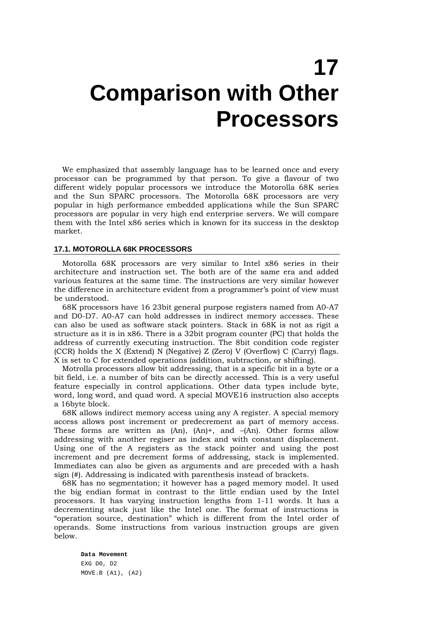# **17 Comparison with Other Processors**

We emphasized that assembly language has to be learned once and every processor can be programmed by that person. To give a flavour of two different widely popular processors we introduce the Motorolla 68K series and the Sun SPARC processors. The Motorolla 68K processors are very popular in high performance embedded applications while the Sun SPARC processors are popular in very high end enterprise servers. We will compare them with the Intel x86 series which is known for its success in the desktop market.

## **17.1. MOTOROLLA 68K PROCESSORS**

Motorolla 68K processors are very similar to Intel x86 series in their architecture and instruction set. The both are of the same era and added various features at the same time. The instructions are very similar however the difference in architecture evident from a programmer's point of view must be understood.

68K processors have 16 23bit general purpose registers named from A0-A7 and D0-D7. A0-A7 can hold addresses in indirect memory accesses. These can also be used as software stack pointers. Stack in 68K is not as rigit a structure as it is in x86. There is a 32bit program counter (PC) that holds the address of currently executing instruction. The 8bit condition code register (CCR) holds the X (Extend) N (Negative) Z (Zero) V (Overflow) C (Carry) flags. X is set to C for extended operations (addition, subtraction, or shifting).

Motrolla processors allow bit addressing, that is a specific bit in a byte or a bit field, i.e. a number of bits can be directly accessed. This is a very useful feature especially in control applications. Other data types include byte, word, long word, and quad word. A special MOVE16 instruction also accepts a 16byte block.

68K allows indirect memory access using any A register. A special memory access allows post increment or predecrement as part of memory access. These forms are written as  $(An)$ ,  $(An)$ +, and  $-(An)$ . Other forms allow addressing with another regiser as index and with constant displacement. Using one of the A registers as the stack pointer and using the post increment and pre decrement forms of addressing, stack is implemented. Immediates can also be given as arguments and are preceded with a hash sign (#). Addressing is indicated with parenthesis instead of brackets.

68K has no segmentation; it however has a paged memory model. It used the big endian format in contrast to the little endian used by the Intel processors. It has varying instruction lengths from 1-11 words. It has a decrementing stack just like the Intel one. The format of instructions is "operation source, destination" which is different from the Intel order of operands. Some instructions from various instruction groups are given below.

**Data Movement**  EXG D0, D2 MOVE.B (A1), (A2)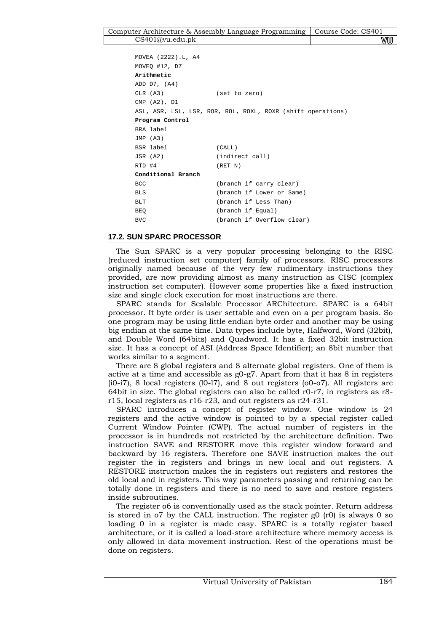```
MOVEA (2222).L, A4 
MOVEQ #12, D7 
Arithmetic 
ADD D7, (A4) 
CLR (A3) (set to zero) 
CMP (A2), D1 
ASL, ASR, LSL, LSR, ROR, ROL, ROXL, ROXR (shift operations) 
Program Control 
BRA label 
JMP (A3) 
BSR label (CALL) 
JSR (A2) (indirect call) 
RTD #4 (RET N)
Conditional Branch 
BCC (branch if carry clear) 
BLS (branch if Lower or Same) 
BLT (branch if Less Than) 
BEQ (branch if Equal) 
BVC (branch if Overflow clear)
```
# **17.2. SUN SPARC PROCESSOR**

The Sun SPARC is a very popular processing belonging to the RISC (reduced instruction set computer) family of processors. RISC processors originally named because of the very few rudimentary instructions they provided, are now providing almost as many instruction as CISC (complex instruction set computer). However some properties like a fixed instruction size and single clock execution for most instructions are there.

SPARC stands for Scalable Processor ARChitecture. SPARC is a 64bit processor. It byte order is user settable and even on a per program basis. So one program may be using little endian byte order and another may be using big endian at the same time. Data types include byte, Halfword, Word (32bit), and Double Word (64bits) and Quadword. It has a fixed 32bit instruction size. It has a concept of ASI (Address Space Identifier); an 8bit number that works similar to a segment.

There are 8 global registers and 8 alternate global registers. One of them is active at a time and accessible as g0-g7. Apart from that it has 8 in registers (i0-i7), 8 local registers (l0-l7), and 8 out registers (o0-o7). All registers are 64bit in size. The global registers can also be called r0-r7, in registers as r8 r15, local registers as r16-r23, and out registers as r24-r31.

SPARC introduces a concept of register window. One window is 24 registers and the active window is pointed to by a special register called Current Window Pointer (CWP). The actual number of registers in the processor is in hundreds not restricted by the architecture definition. Two instruction SAVE and RESTORE move this register window forward and backward by 16 registers. Therefore one SAVE instruction makes the out register the in registers and brings in new local and out registers. A RESTORE instruction makes the in registers out registers and restores the old local and in registers. This way parameters passing and returning can be totally done in registers and there is no need to save and restore registers inside subroutines.

The register o6 is conventionally used as the stack pointer. Return address is stored in  $\sigma$  by the CALL instruction. The register g0 (r0) is always 0 so loading 0 in a register is made easy. SPARC is a totally register based architecture, or it is called a load-store architecture where memory access is only allowed in data movement instruction. Rest of the operations must be done on registers.